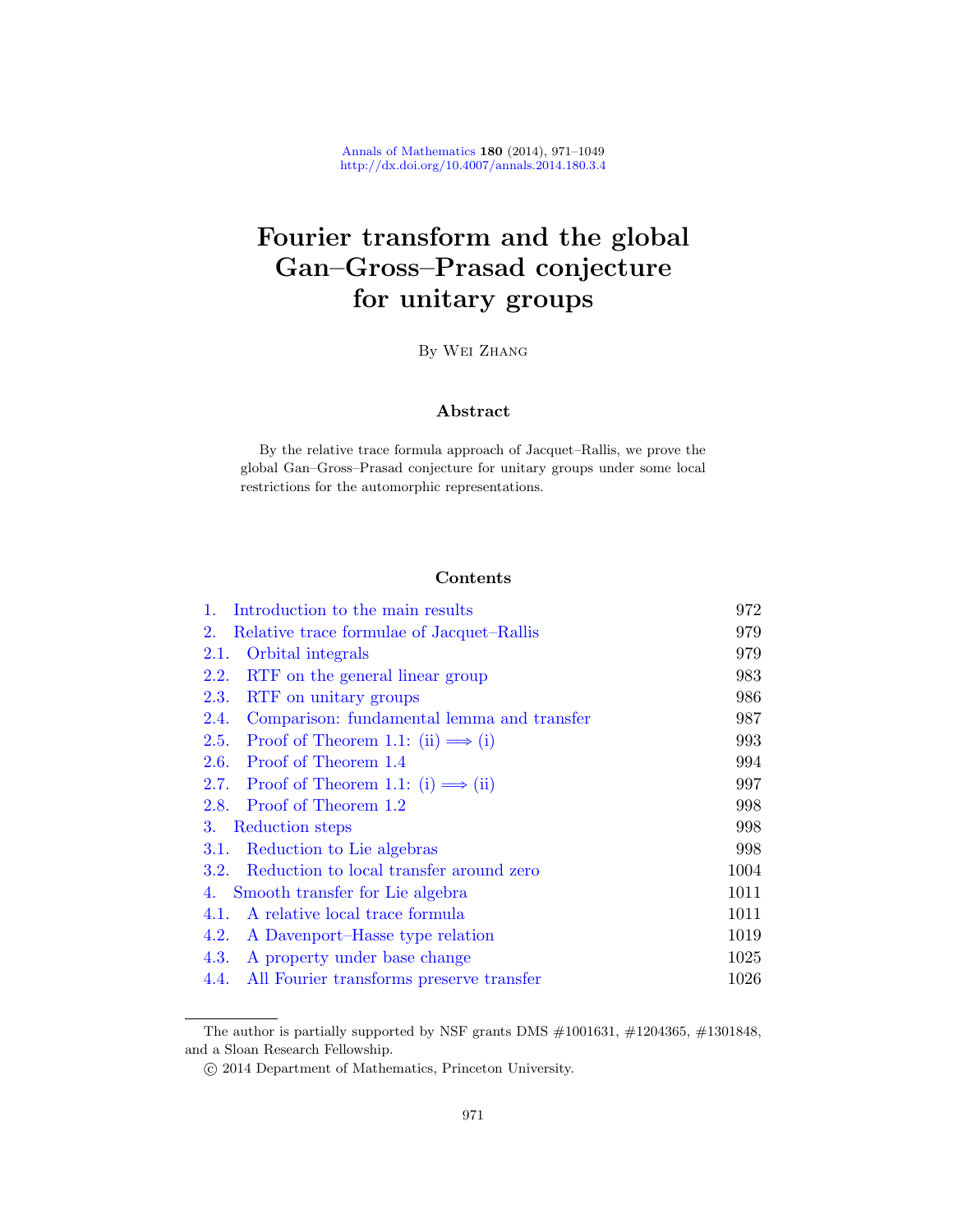# Fourier transform and the global Gan–Gross–Prasad conjecture for unitary groups

By Wei Zhang

## Abstract

By the relative trace formula approach of Jacquet–Rallis, we prove the [global Gan](#page-1-0)–Gross–Prasad conjecture for unitary groups under some local [restrictions for the au](#page-8-0)tomorphic representations.

## Contents

| Introduction to the main results<br>$1_{\cdot}$    | 972  |
|----------------------------------------------------|------|
| Relative trace formulae of Jacquet–Rallis<br>2.    | 979  |
| Orbital integrals<br>2.1.                          | 979  |
| <b>2.2.</b><br>RTF on the general linear group     | 983  |
| RTF on unitary groups<br><b>2.3.</b>               | 986  |
| 2.4.<br>Comparison: fundamental lemma and transfer | 987  |
| Proof of Theorem 1.1: (ii) $\implies$ (i)<br>2.5.  | 993  |
| Proof of Theorem 1.4<br>2.6.                       | 994  |
| 2.7. Proof of Theorem 1.1: (i) $\implies$ (ii)     | 997  |
| 2.8. Proof of Theorem 1.2                          | 998  |
| 3.<br>Reduction steps                              | 998  |
| Reduction to Lie algebras<br>3.1.                  | 998  |
| Reduction to local transfer around zero<br>3.2.    | 1004 |
| Smooth transfer for Lie algebra<br>4.              | 1011 |
| A relative local trace formula<br>4.1.             | 1011 |
| 4.2.<br>A Davenport-Hasse type relation            | 1019 |
| 4.3.<br>A property under base change               | 1025 |
| All Fourier transforms preserve transfer<br>4.4.   | 1026 |

The author is partially supported by NSF grants DMS  $\#1001631,\, \#1204365,\, \#1301848,$ and a Sloan Research Fellowship.

c 2014 Department of Mathematics, Princeton University.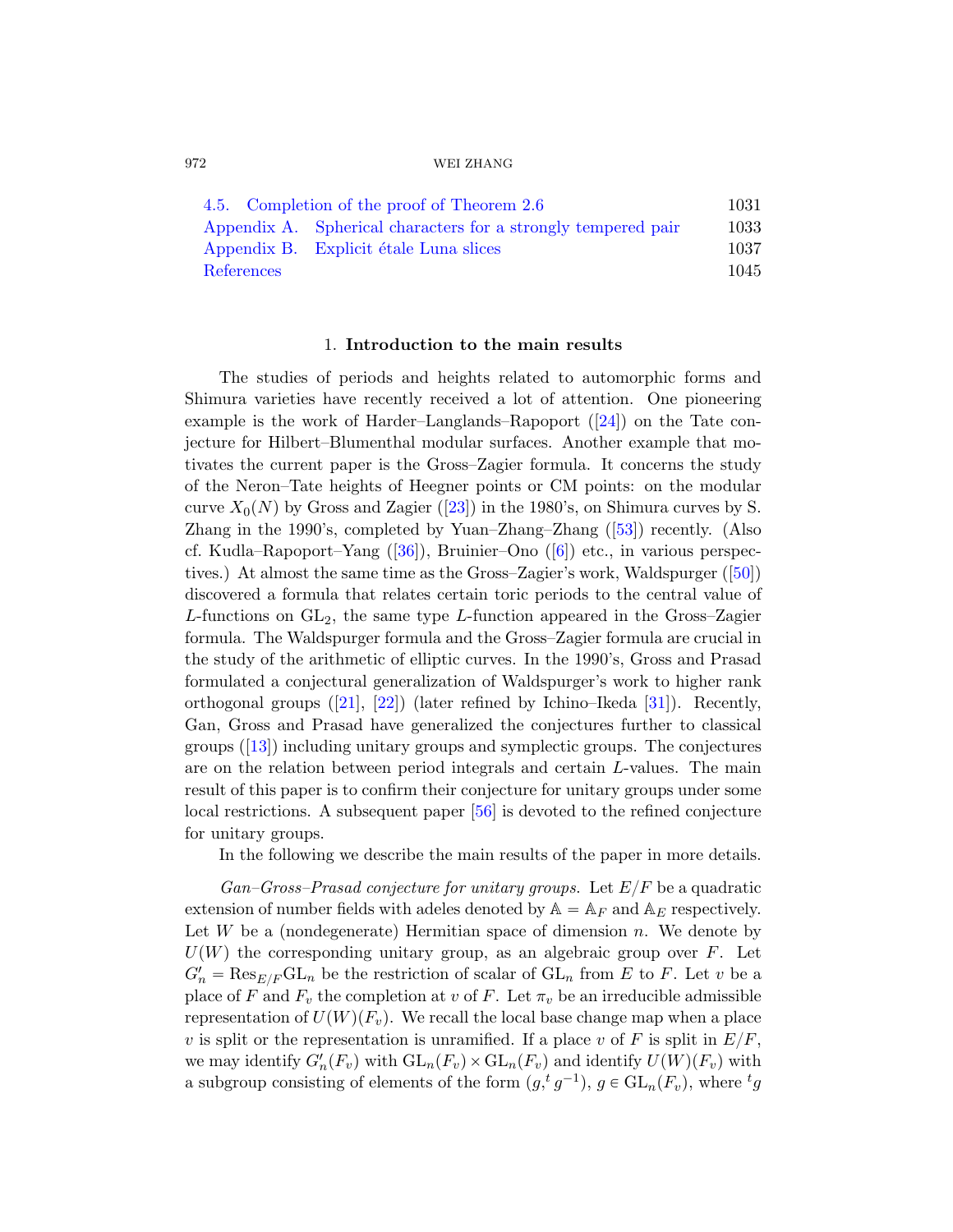|            | 4.5. Completion of the proof of Theorem 2.6                   | 1031 |
|------------|---------------------------------------------------------------|------|
|            | Appendix A. Spherical characters for a strongly tempered pair | 1033 |
|            | Appendix B. Explicit étale Luna slices                        | 1037 |
| References |                                                               | 1045 |

#### 1. Introduction to the main results

The st[udie](#page-76-0)s of periods and heights related to automorphic forms and Shimura varieties have recently r[ecei](#page-78-0)ved a lot of attention. One pioneering exam[ple](#page-77-0) is the work of H[ard](#page-74-0)er–Langlands–Rapoport ([24]) on the Tate conjecture for Hilbert–Blumenthal modular surfaces. [An](#page-77-1)other example that motivates the current paper is the Gross–Zagier formula. It concerns the study of the Neron–Tate heights of Heegner points or CM points: on the modular curve  $X_0(N)$  by Gross and Zagier ([23]) in the 1980's, on Shimura curves by S. Zhang in the 1990's, completed by Yuan–Zhang–Zhang  $(53)$ ) recently. (Also cf. Kudla–Rapoport–Yang ([36]), Bruinier–Ono ([6]) etc., in various perspec[t](#page-75-0)iv[es.\)](#page-76-1) At almost the same time as the [Gros](#page-76-2)s–Zagier's work, Waldspurger ([50]) discovered a formula that relates certain toric periods to the central value of L-functions on  $GL_2$ , the same type L-function appeared in the Gross–Zagier formula. The Waldspurger formula and the Gross–Zagier formula are crucial in the study of the arithmetic of elliptic curves. In the 1990's, Gross and Prasad formulated a co[nje](#page-78-1)ctural generalization of Waldspurger's work to higher rank orthogonal groups  $([21], [22])$  (later refined by Ichino–Ikeda [31]). Recently, Gan, Gross and Prasad have generalized the conjectures further to classical groups ([13]) including unitary groups and symplectic groups. The conjectures are on the relation between period integrals and certain L-values. The main result of this paper is to confirm their conjecture for unitary groups under some local restrictions. A subsequent paper [56] is devoted to the refined conjecture for unitary groups.

In the following we describe the main results of the paper in more details.

 $Gan-Gross-Prasad conjecture for unitary groups.$  Let  $E/F$  be a quadratic extension of number fields with adeles denoted by  $A = A_F$  and  $A_E$  respectively. Let  $W$  be a (nondegenerate) Hermitian space of dimension  $n$ . We denote by  $U(W)$  the corresponding unitary group, as an algebraic group over F. Let  $G'_n = \text{Res}_{E/F} \text{GL}_n$  be the restriction of scalar of  $\text{GL}_n$  from E to F. Let v be a place of F and  $F_v$  the completion at v of F. Let  $\pi_v$  be an irreducible admissible representation of  $U(W)(F_v)$ . We recall the local base change map when a place v is split or the representation is unramified. If a place v of F is split in  $E/F$ , we may identify  $G'_n(F_v)$  with  $GL_n(F_v) \times GL_n(F_v)$  and identify  $U(W)(F_v)$  with a subgroup consisting of elements of the form  $(g,{}^t g^{-1}), g \in GL_n(F_v)$ , where  ${}^t g$ 

<span id="page-1-0"></span>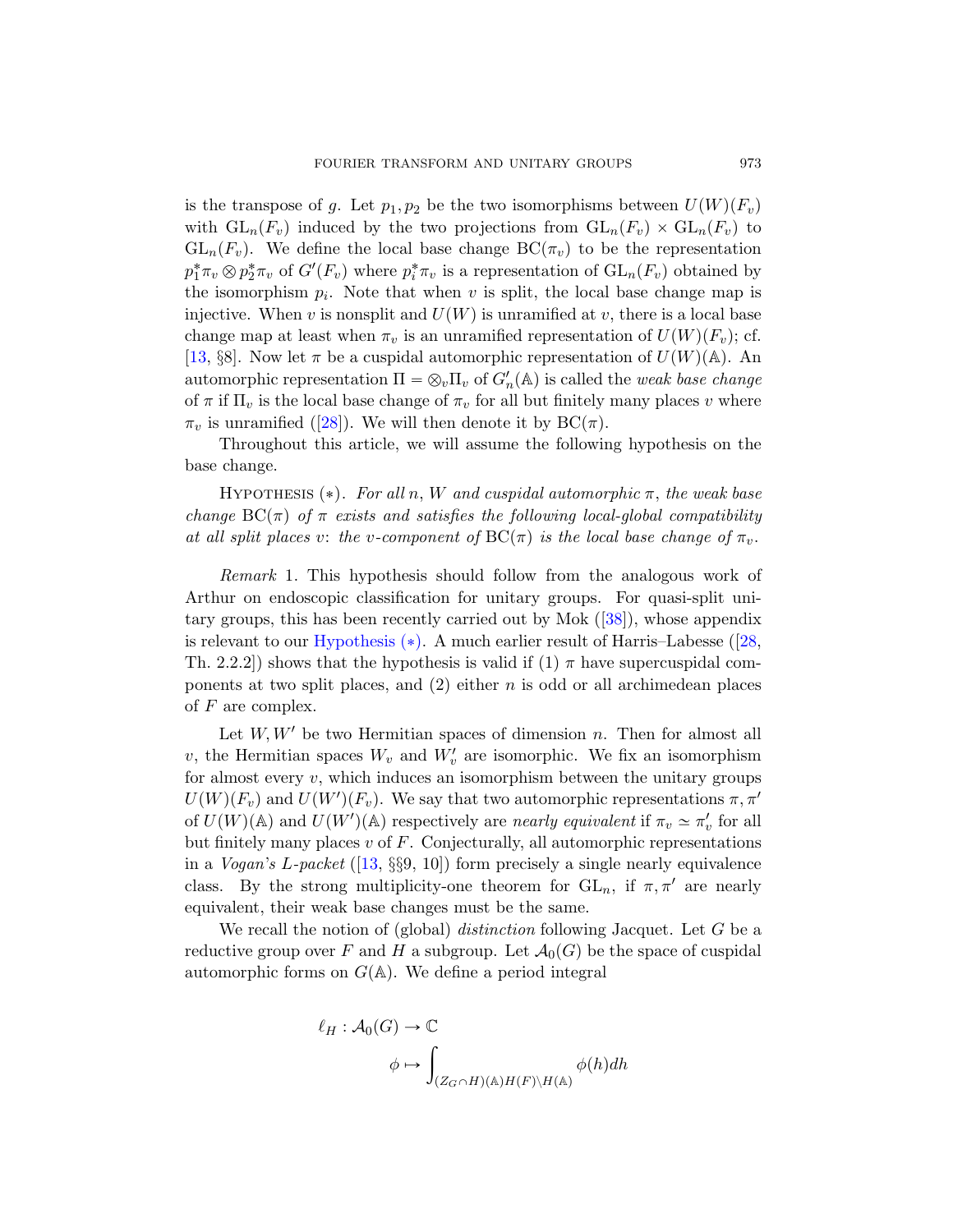is the transpose of g. Let  $p_1, p_2$  be the two isomorphisms between  $U(W)(F_v)$ with  $GL_n(F_v)$  induced by the two projections from  $GL_n(F_v) \times GL_n(F_v)$  to  $GL_n(F_v)$ . We define the local base change  $BC(\pi_v)$  to be the representation  $p_1^*\pi_v \otimes p_2^*\pi_v$  of  $G'(F_v)$  where  $p_i^*\pi_v$  is a representation of  $GL_n(F_v)$  obtained by the isomorphism  $p_i$ . Note that when v is split, the local base change map is injective. When v is nonsplit and  $U(W)$  is unramified at v, there is a local base change map at least when  $\pi_v$  is an unramified representation of  $U(W)(F_v)$ ; cf. [13, §8]. Now let  $\pi$  be a cuspidal automorphic representation of  $U(W)(\mathbb{A})$ . An automorphic representation  $\Pi = \otimes_v \Pi_v$  of  $G'_n(\mathbb{A})$  is called the *weak base change* of  $\pi$  if  $\Pi_v$  is the local base change of  $\pi_v$  for all but finitely many places v where  $\pi_v$  is unramified ([28]). We will then denote it by  $BC(\pi)$ .

<span id="page-2-0"></span>Throughout this article, we will assume the following hypothesis on the base change.

HYPOTHESIS  $(*)$ . For all n, [W](#page-77-2) and cuspidal automorphic  $\pi$ , the weak base [change](#page-2-0)  $BC(\pi)$  of  $\pi$  exists and satisfies the followi[ng lo](#page-76-3)cal-global compatibility at all split places v: the v-component of  $BC(\pi)$  is the local base change of  $\pi_v$ .

Remark 1. This hypothesis should follow from the analogous work of Arthur on endoscopic classification for unitary groups. For quasi-split unitary groups, this has been recently carried out by Mok ([38]), whose appendix is relevant to our Hypothesis  $(*)$ . A much earlier result of Harris–Labesse ([28, Th. 2.2.2]) shows that the hypothesis is valid if  $(1)$   $\pi$  have supercuspidal components at two split places, and  $(2)$  either n is odd or all archimedean places of  $F$  are complex.

Let  $W, W'$  be two Hermitian spaces of dimension n. Then for almost all v, the Hermitian spaces  $W_v$  and  $W'_v$  are isomorphic. We fix an isomorphism for almost every  $v$ , which induces an isomorphism between the unitary groups  $U(W)(F_v)$  and  $U(W')(F_v)$ . We say that two automorphic representations  $\pi, \pi'$ of  $U(W)(\mathbb{A})$  and  $U(W')(\mathbb{A})$  respectively are nearly equivalent if  $\pi_v \simeq \pi'_v$  for all but finitely many places  $v$  of  $F$ . Conjecturally, all automorphic representations in a *Vogan's L-packet* ([13,  $\S\$ 9, 10]) form precisely a single nearly equivalence class. By the strong multiplicity-one theorem for  $GL_n$ , if  $\pi, \pi'$  are nearly equivalent, their weak base changes must be the same.

We recall the notion of (global) *distinction* following Jacquet. Let  $G$  be a reductive group over F and H a subgroup. Let  $\mathcal{A}_0(G)$  be the space of cuspidal automorphic forms on  $G(A)$ . We define a period integral

$$
\ell_H: \mathcal{A}_0(G) \to \mathbb{C}
$$

$$
\phi \mapsto \int_{(Z_G \cap H)(\mathbb{A})H(F)\backslash H(\mathbb{A})} \phi(h)dh
$$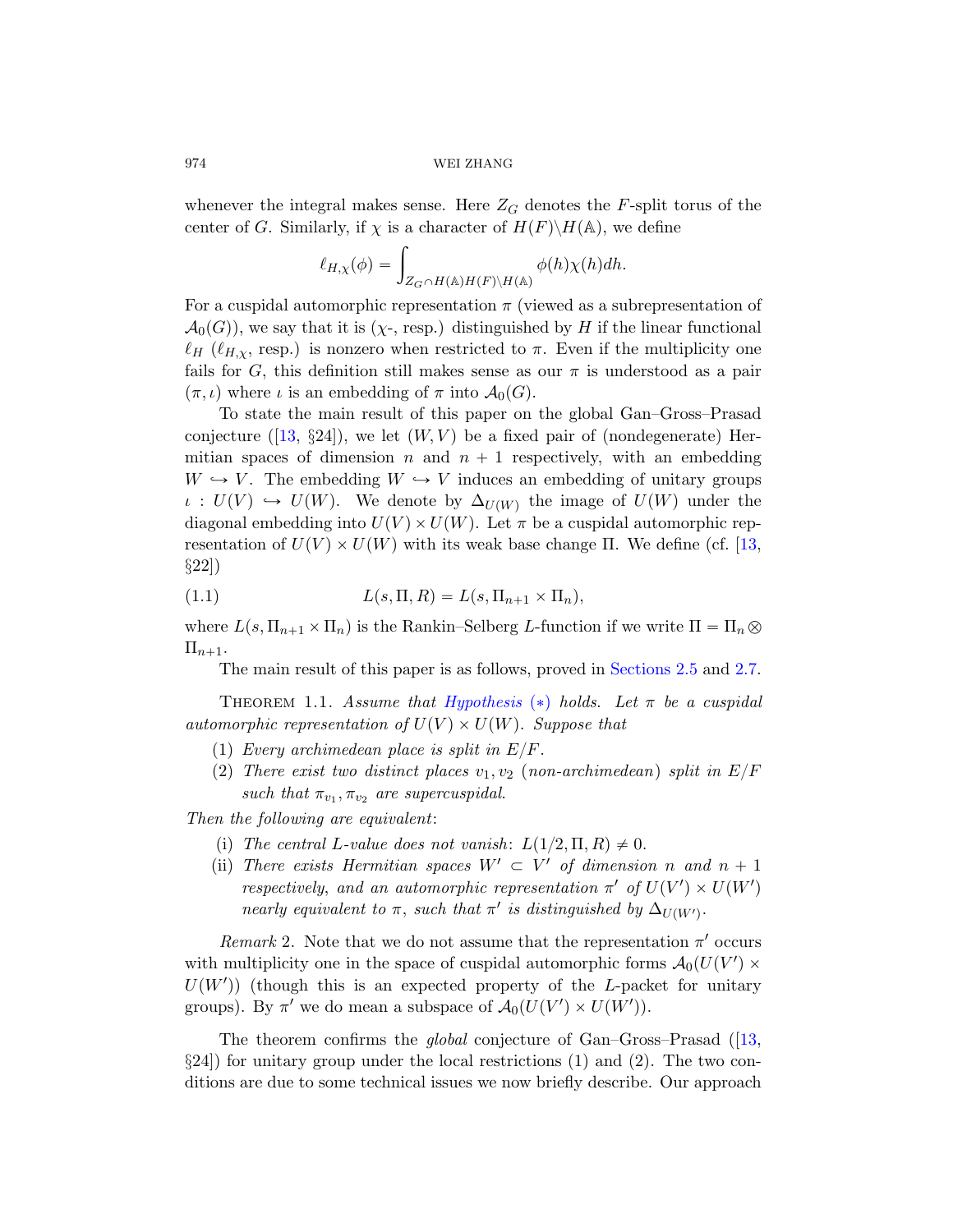whenever the integral makes sense. Here  $Z_G$  denotes the F-split torus of the center of G. Similarly, if  $\chi$  is a character of  $H(F)\backslash H(\mathbb{A})$ , we define

$$
\ell_{H,\chi}(\phi) = \int_{Z_G \cap H(\mathbb{A})H(F)\backslash H(\mathbb{A})} \phi(h)\chi(h)dh.
$$

For a cuspidal automorphic representation  $\pi$  (viewed as a subrepresentation of  $\mathcal{A}_0(G)$ , we say that it is  $(\chi$ -, resp.) distinguished by H if the linear functional  $\ell_H$  ( $\ell_{H,\chi}$ , resp.) is nonzero when restricted to  $\pi$ . Even if the multiplicity one fails for G, this definition still makes sense as our  $\pi$  is understood as a pair  $(\pi, \iota)$  where  $\iota$  is an embedding of  $\pi$  into  $\mathcal{A}_0(G)$ .

To state the main result of this paper on the [glo](#page-75-1)bal Gan–Gross–Prasad conjecture ([13,  $\S 24$ ]), we let  $(W, V)$  be a fixed pair of (nondegenerate) Hermitian spaces of dimension n and  $n + 1$  respectively, with an embedding  $W \hookrightarrow V$ . The embedding  $W \hookrightarrow V$  induces an embedding of unitary groups  $\iota: U(V) \hookrightarrow U(W)$ . We denote by  $\Delta_{U(W)}$  the image of  $U(W)$  under the diagonal embedding into  $U(V) \times U(W)$ . Let  $\pi$  be a cuspidal automorphic representation of  $U(V) \times U(W)$  with [its weak bas](#page-22-0)e c[hang](#page-26-0)e Π. We define (cf. [13, §22])

<span id="page-3-0"></span>(1.1) 
$$
L(s, \Pi, R) = L(s, \Pi_{n+1} \times \Pi_n),
$$

where  $L(s, \Pi_{n+1} \times \Pi_n)$  is the Rankin–Selberg L-function if we write  $\Pi = \Pi_n \otimes$  $\Pi_{n+1}.$ 

The main result of this paper is as follows, proved in Sections 2.5 and 2.7.

THEOREM 1.1. Assume that Hypothesis (\*) holds. Let  $\pi$  be a cuspidal automorphic representation of  $U(V) \times U(W)$ . Suppose that

- (1) Every archimedean place is split in  $E/F$ .
- (2) There exist two distinct places  $v_1, v_2$  (non-archimedean) split in  $E/F$ such that  $\pi_{v_1}, \pi_{v_2}$  are supercuspidal.

Then the following are equivalent:

- (i) The central L-value does not vanish:  $L(1/2, \Pi, R) \neq 0$ .
- (ii) There exists Hermitian spaces  $W' \subset V'$  of dimension n and  $n + 1$ respectively, and an automorphic representation  $\pi'$  of  $U(V') \times U(W')$ nearly equivalent to  $\pi$ , such that  $\pi'$  is disti[ngui](#page-75-1)shed by  $\Delta_{U(W')}$ .

Remark 2. Note that we do not assume that the representation  $\pi'$  occurs with multiplicity one in the space of cuspidal automorphic forms  $\mathcal{A}_0(U(V') \times$  $U(W')$ ) (though this is an expected property of the L-packet for unitary groups). By  $\pi'$  we do mean a subspace of  $\mathcal{A}_0(U(V') \times U(W'))$ .

The theorem confirms the *global* conjecture of Gan–Gross–Prasad ([13,  $\S 24$ ) for unitary group under the local restrictions (1) and (2). The two conditions are due to some technical issues we now briefly describe. Our approach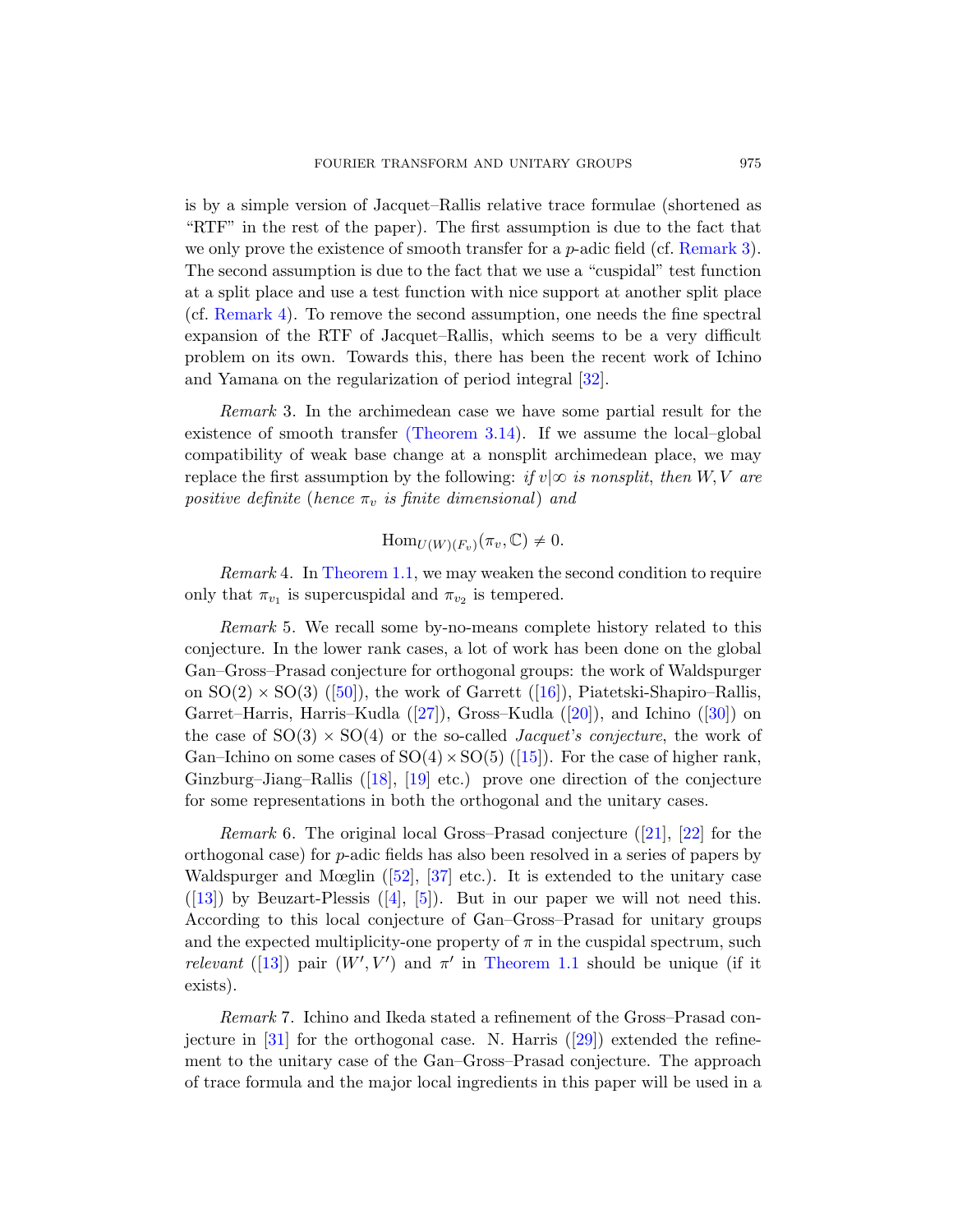is by a simple version of Jacquet–Rallis relative trace formulae (shortened as "RTF" in the rest of the paper). The first assumption is due to the fact that we only prove the existence of [smo](#page-76-4)oth transfer for a  $p$ -adic field (cf. Remark 3). The second assumption is due to the fact that we use a "cuspidal" test function at a s[plit place and us](#page-39-0)e a test function with nice support at another split place (cf. Remark 4). To remove the second assumption, one needs the fine spectral expansion of the RTF of Jacquet–Rallis, which seems to be a very difficult problem on its own. Towards this, there has been the recent work of Ichino and Yamana on the regularization of period integral [32].

Remark 3. In the archimedean case we have some partial result for the [existence](#page-3-0) of smooth transfer (Theorem 3.14). If we assume the local–global compatibility of weak base change at a nonsplit archimedean place, we may replace the first assumption by the following: if  $v|\infty$  is nonsplit, then  $W, V$  are positive definite (hence  $\pi_v$  is finite dimensional) and

$$
\mathrm{Hom}_{U(W)(F_v)}(\pi_v, \mathbb{C}) \neq 0.
$$

*Re[mar](#page-76-5)k* 4. In Theorem [1.1,](#page-75-3) we may weaken [the](#page-76-6) second condition to require only that  $\pi_{v_1}$  is supercuspidal and  $\pi_{v_2}$  is tempered.

Remark 5. We r[ecal](#page-75-4)l some by-no-means complete history related to this c[onje](#page-75-5)c[ture](#page-75-6). In the lower rank cases, a lot of work has been done on the global Gan–Gross–Prasad conjecture for orthogonal groups: the work of Waldspurger on  $SO(2) \times SO(3)$  ([50]), the work of [Gar](#page-75-0)re[tt \(](#page-76-1)[16]), Piatetski-Shapiro–Rallis, Garret–Harris, Harris–Kudla ([27]), Gross–Kudla ([20]), and Ichino ([30]) on the [case](#page-78-2) of  $SO(3) \times SO(4)$  or the so-called *Jacquet's conjecture*, the work of Gan[–I](#page-74-1)c[hin](#page-74-2)o on some cases of  $SO(4) \times SO(5)$  ([15]). For the case of higher rank, Ginzburg–Jiang–Rallis ([18], [19] etc.) prove one direction of the conjecture for some representations in both the orthogonal and the unitary cases.

*Remark* 6. [The original lo](#page-3-0)cal Gross–Prasad conjecture  $([21], [22]$  for the orthogonal case) for p-adic fields has also been resolved in a series of papers by Waldspurger and Mœglin  $([52], [37]$  etc.). It is extended to the unitary case  $([13])$  by Beuzart-Plessis  $([4], [5])$  $([4], [5])$  $([4], [5])$ . But in our paper we will not need this. According to this local conjecture of Gan–Gross–Prasad for unitary groups and the expected multiplicity-one property of  $\pi$  in the cuspidal spectrum, such relevant ([13]) pair  $(W', V')$  and  $\pi'$  in Theorem 1.1 should be unique (if it exists).

Remark 7. Ichino and Ikeda stated a refinement of the Gross–Prasad conjecture in  $[31]$  for the orthogonal case. N. Harris  $([29])$  extended the refinement to the unitary case of the Gan–Gross–Prasad conjecture. The approach of trace formula and the major local ingredients in this paper will be used in a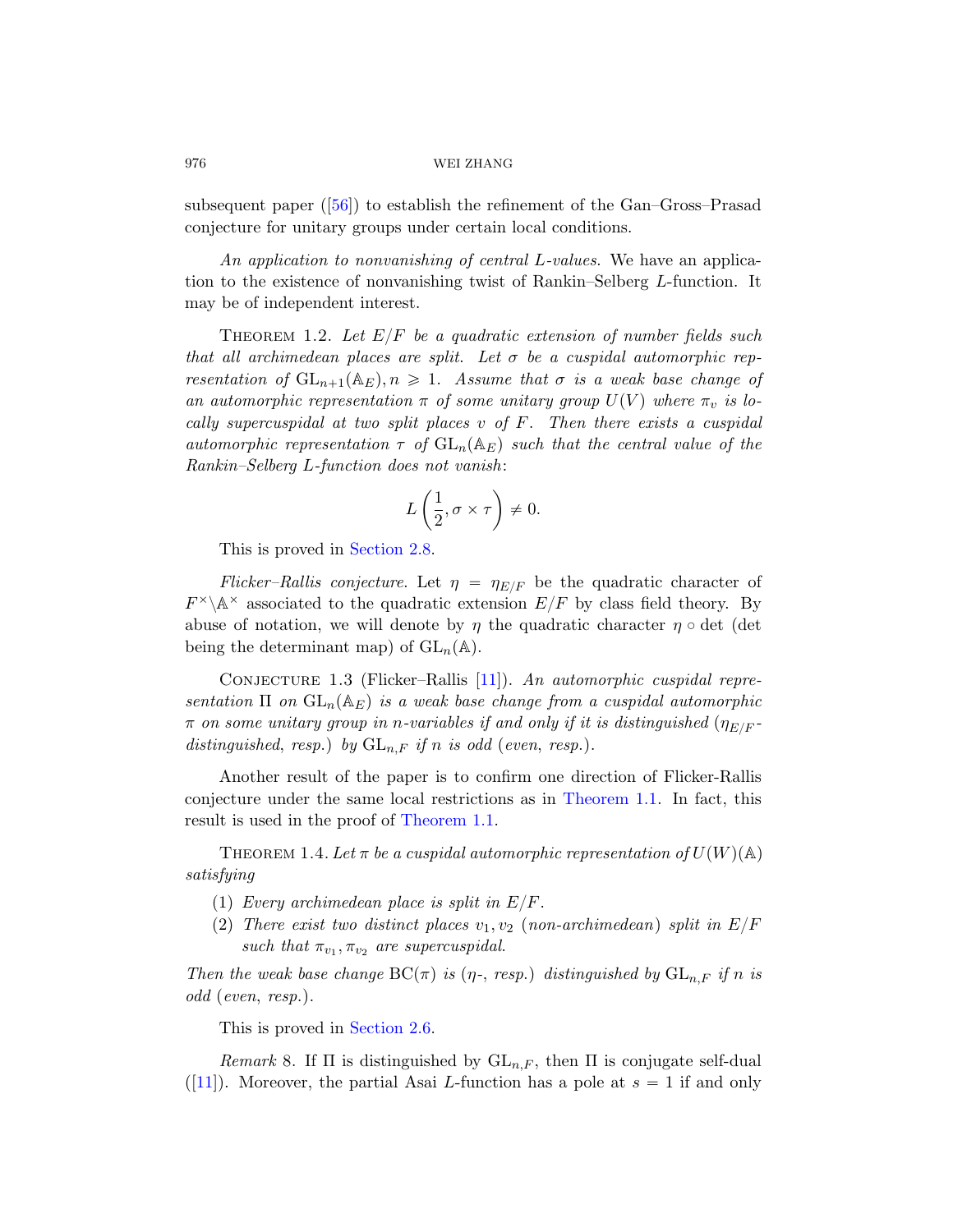<span id="page-5-1"></span>subsequent paper ([56]) to establish the refinement of the Gan–Gross–Prasad conjecture for unitary groups under certain local conditions.

An application to nonvanishing of central L-values. We have an application to the existence of nonvanishing twist of Rankin–Selberg L-function. It may be of independent interest.

THEOREM 1.2. Let  $E/F$  be a quadratic extension of number fields such that all archimedean places are split. Let  $\sigma$  be a cuspidal automorphic representation of  $GL_{n+1}(\mathbb{A}_E), n \geq 1$ . Assume that  $\sigma$  is a weak base change of an automorphic representation  $\pi$  of some unitary group  $U(V)$  where  $\pi_v$  is lo[cally super](#page-27-0)cuspidal at two split places  $v$  of  $F$ . Then there exists a cuspidal automorphic representation  $\tau$  of  $GL_n(\mathbb{A}_E)$  such that the central value of the Rankin–Selberg L-function does not vanish:

$$
L\left(\frac{1}{2}, \sigma \times \tau\right) \neq 0.
$$

This is prov[ed](#page-75-7) in Section 2.8.

Flicker–Rallis conjecture. Let  $\eta = \eta_{E/F}$  be the quadratic character of  $F^{\times}\backslash\mathbb{A}^{\times}$  associated to the quadratic extension  $E/F$  by class field theory. By abuse of notation, we will denote by  $\eta$  the quadratic character  $\eta \circ \det$  (det being the determinant map) of  $GL_n(\mathbb{A})$ .

<span id="page-5-0"></span>CONJECTURE 1.3 (Flicker–Rallis  $[11]$ ). An automorphic cuspidal representation  $\Pi$  on  $GL_n(\mathbb{A}_E)$  is a weak base change from a cuspidal automorphic  $\pi$  on some unitary group in n-variables if and only if it is distinguished  $(\eta_{E/F}$ distinguished, resp.) by  $GL_{n,F}$  if n is odd (even, resp.).

Another result of the paper is to confirm one direction of Flicker-Rallis conjecture under the same local restrictions as in Theorem 1.1. In fact, this result is used in the proof of Theorem 1.1.

THEOREM 1.4. Let  $\pi$  be a cuspidal automorphic representation of  $U(W)(\mathbb{A})$ satisfying

- (1) [Eve](#page-23-0)ry archimedean place is split in  $E/F$ .
- (2) There exist two distinct places  $v_1, v_2$  (non-archimedean) split in  $E/F$ such that  $\pi_{v_1}, \pi_{v_2}$  are supercuspidal.

Then the weak base change  $BC(\pi)$  is ( $\eta$ -, resp.) distinguished by  $GL_{n,F}$  if n is odd (even, resp.).

This is proved in Section 2.6.

Remark 8. If  $\Pi$  is distinguished by  $GL_{n,F}$ , then  $\Pi$  is conjugate self-dual  $([11])$ . Moreover, the partial Asai L-function has a pole at  $s = 1$  if and only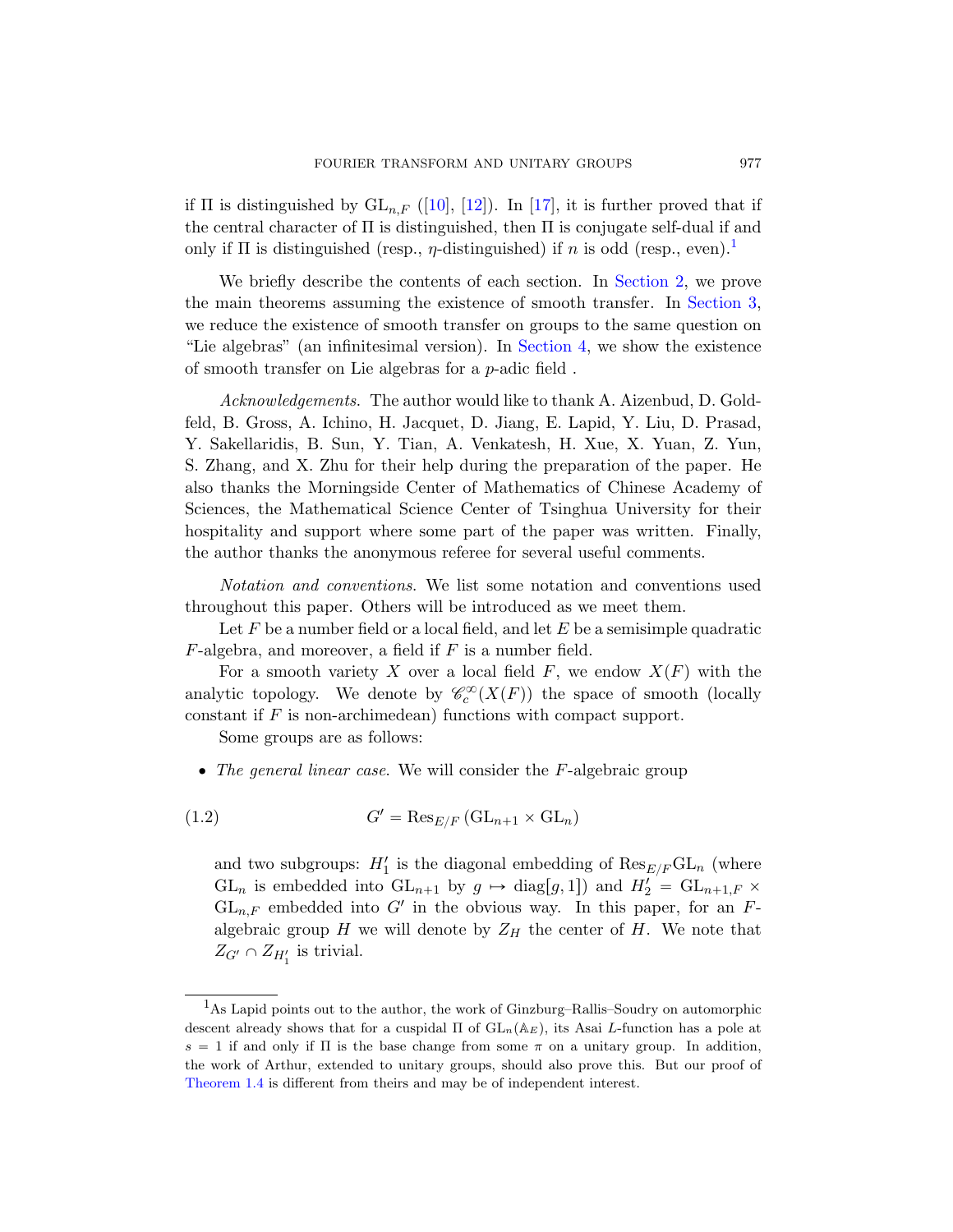if  $\Pi$  is distinguished by  $GL_{n,F}$  ([10], [12]). In [17], it is further proved that if the central character of  $\Pi$  is distinguished, then  $\Pi$  is conjugate self-dual if and only if  $\Pi$  is distinguished (resp.,  $\eta$ -distinguished) if n is odd (resp., even).<sup>1</sup>

We briefly describe the contents of each section. In Section 2, we prove the main theorems assuming the existence of smooth transfer. In Section 3, we reduce the existence of smooth transfer on groups to the same question on "Lie algebras" (an infinitesimal version). In Section 4, we show the existence of smooth transfer on Lie algebras for a p-adic field .

Acknowledgements. The author would like to thank A. Aizenbud, D. Goldfeld, B. Gross, A. Ichino, H. Jacquet, D. Jiang, E. Lapid, Y. Liu, D. Prasad, Y. Sakellaridis, B. Sun, Y. Tian, A. Venkatesh, H. Xue, X. Yuan, Z. Yun, S. Zhang, and X. Zhu for their help during the preparation of the paper. He also thanks the Morningside Center of Mathematics of Chinese Academy of Sciences, the Mathematical Science Center of Tsinghua University for their hospitality and support where some part of the paper was written. Finally, the author thanks the anonymous referee for several useful comments.

Notation and conventions. We list some notation and conventions used throughout this paper. Others will be introduced as we meet them.

Let F be a number field or a local field, and let E be a semisimple quadratic  $F$ -algebra, and moreover, a field if  $F$  is a number field.

For a smooth variety X over a local field F, we endow  $X(F)$  with the analytic topology. We denote by  $\mathcal{C}_c^{\infty}(X(F))$  the space of smooth (locally constant if  $F$  is non-archimedean) functions with compact support.

Some groups are as follows:

 $\bullet$  The general linear case. We will consider the F-algebraic group

(1.2) 
$$
G' = \text{Res}_{E/F} (\text{GL}_{n+1} \times \text{GL}_n)
$$

and two subgroups:  $H'_1$  is the diagonal embedding of  $\text{Res}_{E/F}\text{GL}_n$  (where  $GL_n$  is embedded into  $GL_{n+1}$  by  $g \mapsto diag[g, 1]$  and  $H'_2 = GL_{n+1,F}$   $\times$  $GL_{n,F}$  embedded into G' in the obvious way. In this paper, for an Falgebraic group H we will denote by  $Z_H$  the center of H. We note that  $Z_{G'} \cap Z_{H'_1}$  is trivial.

<sup>1</sup>As Lapid points out to the author, the work of Ginzburg–Rallis–Soudry on automorphic descent already shows that for a cuspidal  $\Pi$  of  $GL_n(\mathbb{A}_E)$ , its Asai L-function has a pole at  $s = 1$  if and only if  $\Pi$  is the base change from some  $\pi$  on a unitary group. In addition, the work of Arthur, extended to unitary groups, should also prove this. But our proof of Theorem 1.4 is different from theirs and may be of independent interest.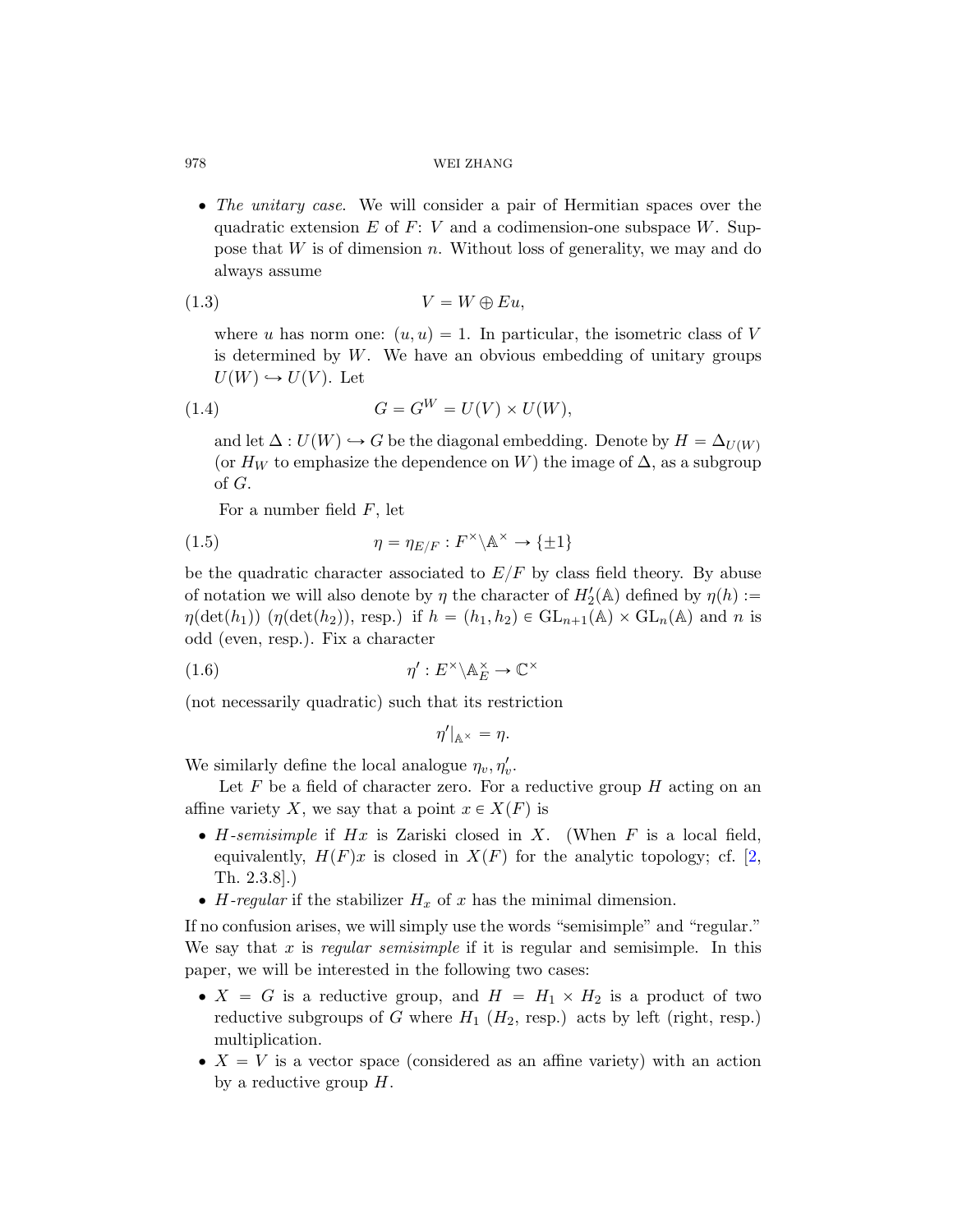• The unitary case. We will consider a pair of Hermitian spaces over the quadratic extension E of F: V and a codimension-one subspace W. Suppose that  $W$  is of dimension  $n$ . Without loss of generality, we may and do always assume

<span id="page-7-1"></span>
$$
(1.3) \t\t V = W \oplus Eu,
$$

where u has norm one:  $(u, u) = 1$ . In particular, the isometric class of V is determined by  $W$ . We have an obvious embedding of unitary groups  $U(W) \hookrightarrow U(V)$ . Let

$$
(1.4) \tG = GW = U(V) \times U(W),
$$

and let  $\Delta : U(W) \hookrightarrow G$  be the diagonal embedding. Denote by  $H = \Delta_{U(W)}$ (or  $H_W$  to emphasize the dependence on W) the image of  $\Delta$ , as a subgroup of G.

For a number field  $F$ , let

(1.5) 
$$
\eta = \eta_{E/F} : F^{\times} \backslash \mathbb{A}^{\times} \to \{\pm 1\}
$$

be the quadratic character associated to  $E/F$  by class field theory. By abuse of notation we will also denote by  $\eta$  the character of  $H'_{2}(\mathbb{A})$  defined by  $\eta(h) :=$  $\eta(\det(h_1))$   $(\eta(\det(h_2)),$  resp.) if  $h = (h_1, h_2) \in GL_{n+1}(\mathbb{A}) \times GL_n(\mathbb{A})$  and n is odd (even, resp.). Fix a character

(1.6) 
$$
\eta' : E^{\times} \backslash \mathbb{A}_{E}^{\times} \to \mathbb{C}^{\times}
$$

(not necessarily quadratic) such that its restriction

$$
\eta'|_{\mathbb{A}^\times} = \eta.
$$

We similarly define the local analogue  $\eta_v, \eta'_v$ .

Let  $F$  be a field of character zero. For a reductive group  $H$  acting on an affine variety X, we say that a point  $x \in X(F)$  is

- $\bullet$  H-semisimple if Hx is Zariski closed in X. (When F is a local field, equivalently,  $H(F)x$  is closed in  $X(F)$  for the analytic topology; cf. [2, Th. 2.3.8].)
- H-regular if the stabilizer  $H_x$  of x has the minimal dimension.

If no confusion arises, we will simply use the words "semisimple" and "regular." We say that x is regular semisimple if it is regular and semisimple. In this paper, we will be interested in the following two cases:

- $\bullet$  X = G is a reductive group, and  $H = H_1 \times H_2$  is a product of two reductive subgroups of G where  $H_1$  ( $H_2$ , resp.) acts by left (right, resp.) multiplication.
- $\bullet$   $X = V$  is a vector space (considered as an affine variety) with an action by a reductive group  $H$ .

<span id="page-7-0"></span>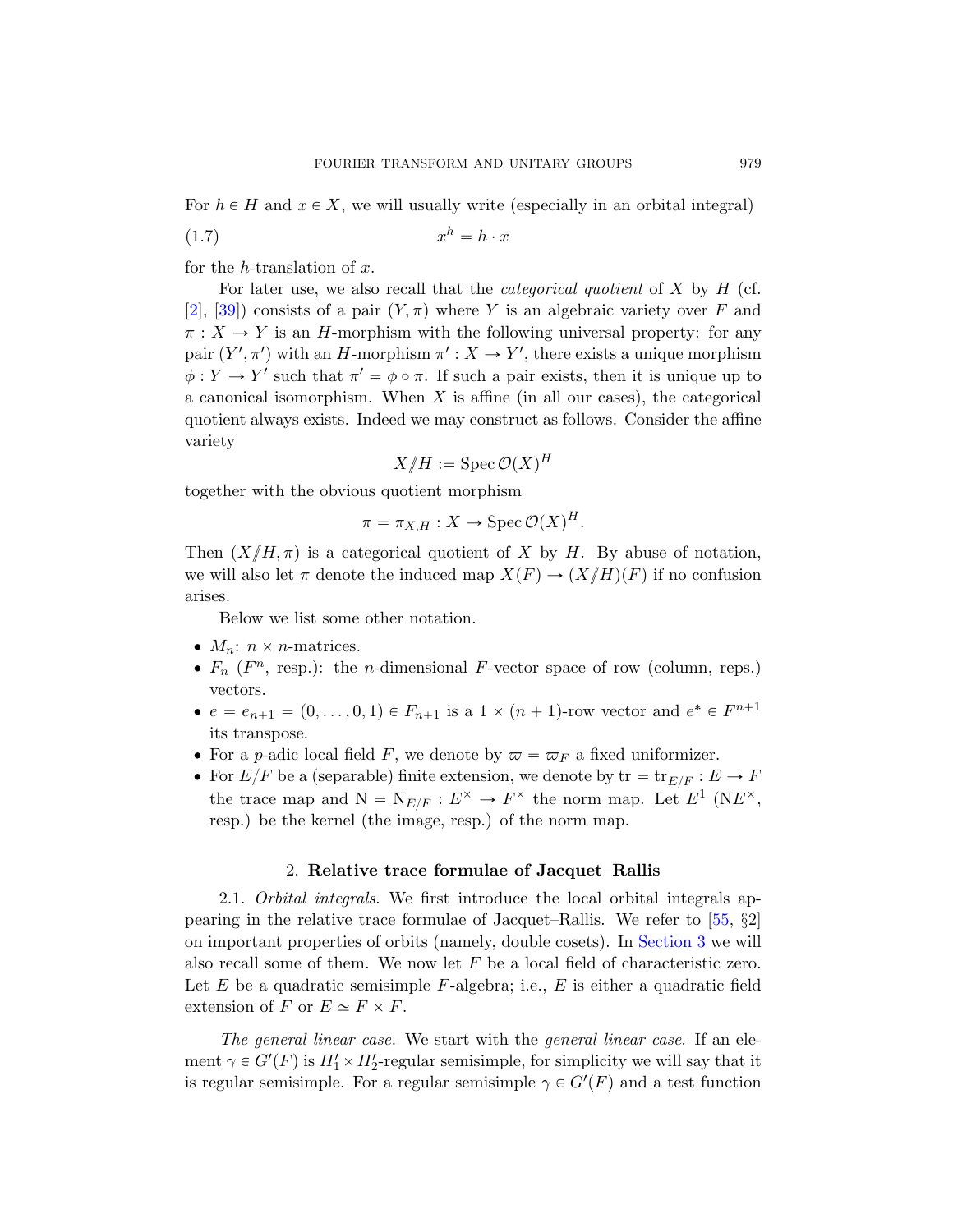For  $h \in H$  and  $x \in X$ , we will usually write (especially in an orbital integral)

$$
(1.7) \t\t xh = h \cdot x
$$

for the h-translation of  $x$ .

For later use, we also recall that the *categorical quotient* of  $X$  by  $H$  (cf. [2], [39]) consists of a pair  $(Y, \pi)$  where Y is an algebraic variety over F and  $\pi: X \to Y$  is an H-morphism with the following universal property: for any pair  $(Y', \pi')$  with an H-morphism  $\pi' : X \to Y'$ , there exists a unique morphism  $\phi: Y \to Y'$  such that  $\pi' = \phi \circ \pi$ . If such a pair exists, then it is unique up to a canonical isomorphism. When  $X$  is affine (in all our cases), the categorical quotient always exists. Indeed we may construct as follows. Consider the affine variety

$$
X/H := \operatorname{Spec} \mathcal{O}(X)^H
$$

together with the obvious quotient morphism

$$
\pi = \pi_{X,H} : X \to \text{Spec } \mathcal{O}(X)^H.
$$

Then  $(X/{\mu}, \pi)$  is a categorical quotient of X by H. By abuse of notation, we will also let  $\pi$  denote the induced map  $X(F) \to (X/H)(F)$  if no confusion arises.

Below we list some other notation.

- $\bullet$   $M_n$ :  $n \times n$ -matrices.
- $F_n$  ( $F^n$ , resp.): the *n*-dimensional  $F$ -vector space of row (column, reps.) vectors.
- <span id="page-8-0"></span>•  $e = e_{n+1} = (0, \ldots, 0, 1) \in F_{n+1}$  is a  $1 \times (n+1)$ -row vector and  $e^* \in F^{n+1}$ its transpose.
- For a p-adic local field F, we denote by  $\varpi = \varpi_F$  a fixed uniformizer.
- For  $E/F$  be a (separable) finite extension, we [den](#page-78-3)ote by  $\text{tr} = \text{tr}_{E/F} : E \to F$ the trace map and  $N = N_{E/F} : E^{\times} \to F^{\times}$  the norm map. Let  $E^1$  (N $E^{\times}$ , resp.) be the kernel (the image, re[sp.\) of the](#page-27-2) norm map.

## 2. Relative trace formulae of Jacquet–Rallis

2.1. Orbital integrals. We first introduce the local orbital integrals appearing in the relative trace formulae of Jacquet–Rallis. We refer to [55, §2] on important properties of orbits (namely, double cosets). In Section 3 we will also recall some of them. We now let  $F$  be a local field of characteristic zero. Let E be a quadratic semisimple  $F$ -algebra; i.e., E is either a quadratic field extension of F or  $E \simeq F \times F$ .

The general linear case. We start with the general linear case. If an element  $\gamma \in G'(F)$  is  $H'_1 \times H'_2$ -regular semisimple, for simplicity we will say that it is regular semisimple. For a regular semisimple  $\gamma \in G'(F)$  and a test function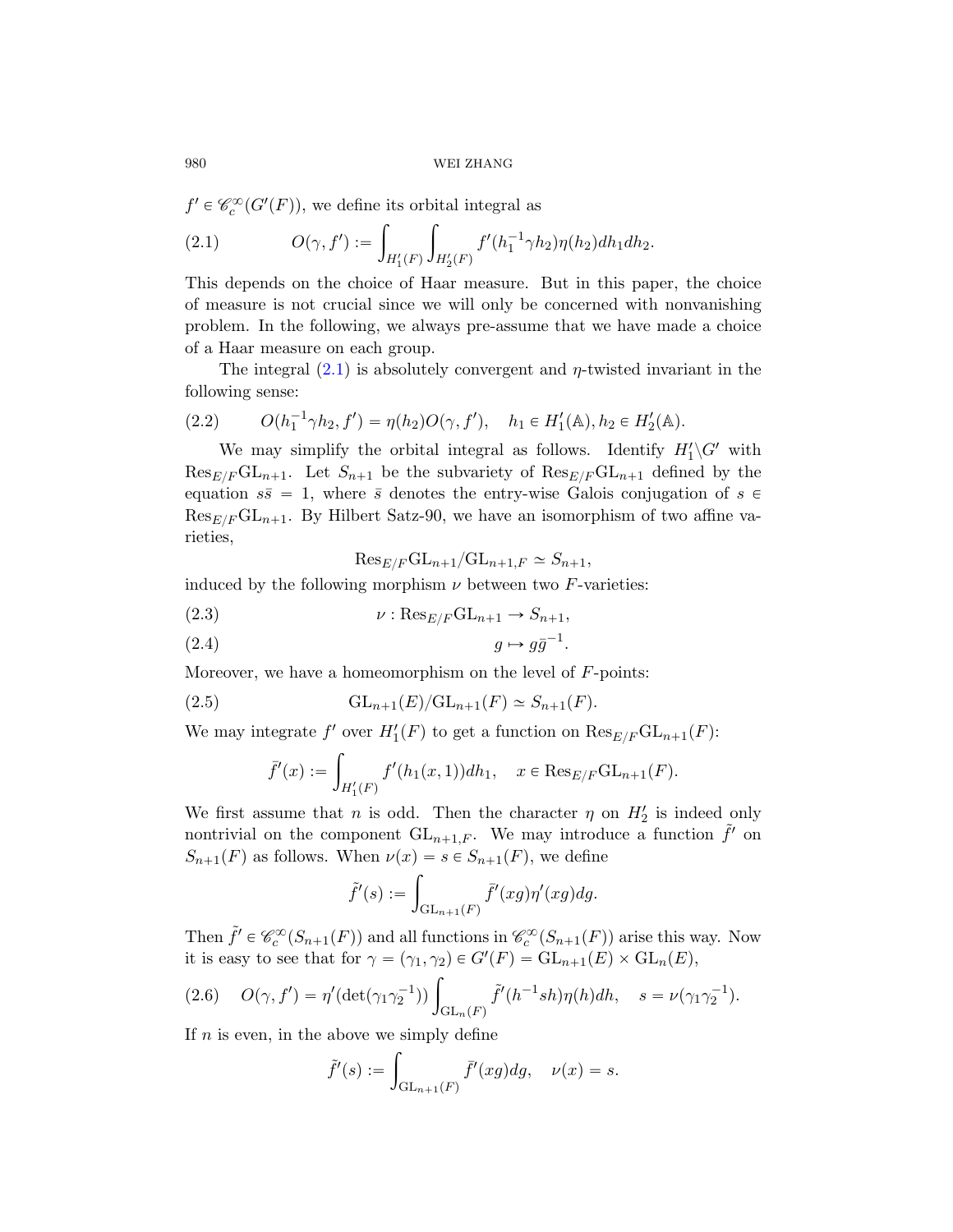$f' \in \mathcal{C}_c^{\infty}(G'(F))$ , we define its orbital integral as

(2.1) 
$$
O(\gamma, f') := \int_{H'_1(F)} \int_{H'_2(F)} f'(h_1^{-1} \gamma h_2) \eta(h_2) dh_1 dh_2.
$$

This depends on the choice of Haar measure. But in this paper, the choice of measure is not crucial since we will only be concerned with nonvanishing problem. In the following, we always pre-assume that we have made a choice of a Haar measure on each group.

The integral  $(2.1)$  is absolutely convergent and  $\eta$ -twisted invariant in the following sense:

$$
(2.2) \t O(h_1^{-1}\gamma h_2, f') = \eta(h_2)O(\gamma, f'), \quad h_1 \in H'_1(\mathbb{A}), h_2 \in H'_2(\mathbb{A}).
$$

We may simplify the orbital integral as follows. Identify  $H_1'\backslash G'$  with  $\text{Res}_{E/F} \text{GL}_{n+1}$ . Let  $S_{n+1}$  be the subvariety of  $\text{Res}_{E/F} \text{GL}_{n+1}$  defined by the equation  $s\bar{s} = 1$ , where  $\bar{s}$  denotes the entry-wise Galois conjugation of  $s \in \mathbb{R}$  $\text{Res}_{E/F} \text{GL}_{n+1}$ . By Hilbert Satz-90, we have an isomorphism of two affine varieties,

$$
\mathrm{Res}_{E/F}\mathrm{GL}_{n+1}/\mathrm{GL}_{n+1,F}\simeq S_{n+1},
$$

induced by the following morphism  $\nu$  between two F-varieties:

(2.3) 
$$
\nu: \operatorname{Res}_{E/F} \mathrm{GL}_{n+1} \to S_{n+1},
$$

$$
(2.4) \t\t\t g \mapsto g\bar{g}^{-1}.
$$

Moreover, we have a homeomorphism on the level of  $F$ -points:

(2.5) 
$$
GL_{n+1}(E)/GL_{n+1}(F) \simeq S_{n+1}(F).
$$

We may integrate  $f'$  over  $H'_1(F)$  to get a function on  $\text{Res}_{E/F}\text{GL}_{n+1}(F)$ :

$$
\bar{f}'(x) := \int_{H'_1(F)} f'(h_1(x, 1)) dh_1, \quad x \in \text{Res}_{E/F} \text{GL}_{n+1}(F).
$$

We first assume that *n* is odd. Then the character  $\eta$  on  $H'_2$  is indeed only nontrivial on the component  $\mathrm{GL}_{n+1,F}$ . We may introduce a function  $\tilde{f}'$  on  $S_{n+1}(F)$  as follows. When  $\nu(x) = s \in S_{n+1}(F)$ , we define

$$
\tilde{f}'(s) := \int_{\mathrm{GL}_{n+1}(F)} \bar{f}'(xg)\eta'(xg)dg.
$$

Then  $\tilde{f}' \in \mathcal{C}_c^{\infty}(S_{n+1}(F))$  and all functions in  $\mathcal{C}_c^{\infty}(S_{n+1}(F))$  arise this way. Now

it is easy to see that for 
$$
\gamma = (\gamma_1, \gamma_2) \in G'(F) = \text{GL}_{n+1}(E) \times \text{GL}_n(E)
$$
,  
(2.6)  $O(\gamma, f') = \eta'(\det(\gamma_1 \gamma_2^{-1})) \int_{\text{GL}_n(F)} \tilde{f}'(h^{-1}sh)\eta(h)dh, \quad s = \nu(\gamma_1 \gamma_2^{-1}).$ 

If  $n$  is even, in the above we simply define

$$
\tilde{f}'(s) := \int_{\mathrm{GL}_{n+1}(F)} \bar{f}'(xg) dg, \quad \nu(x) = s.
$$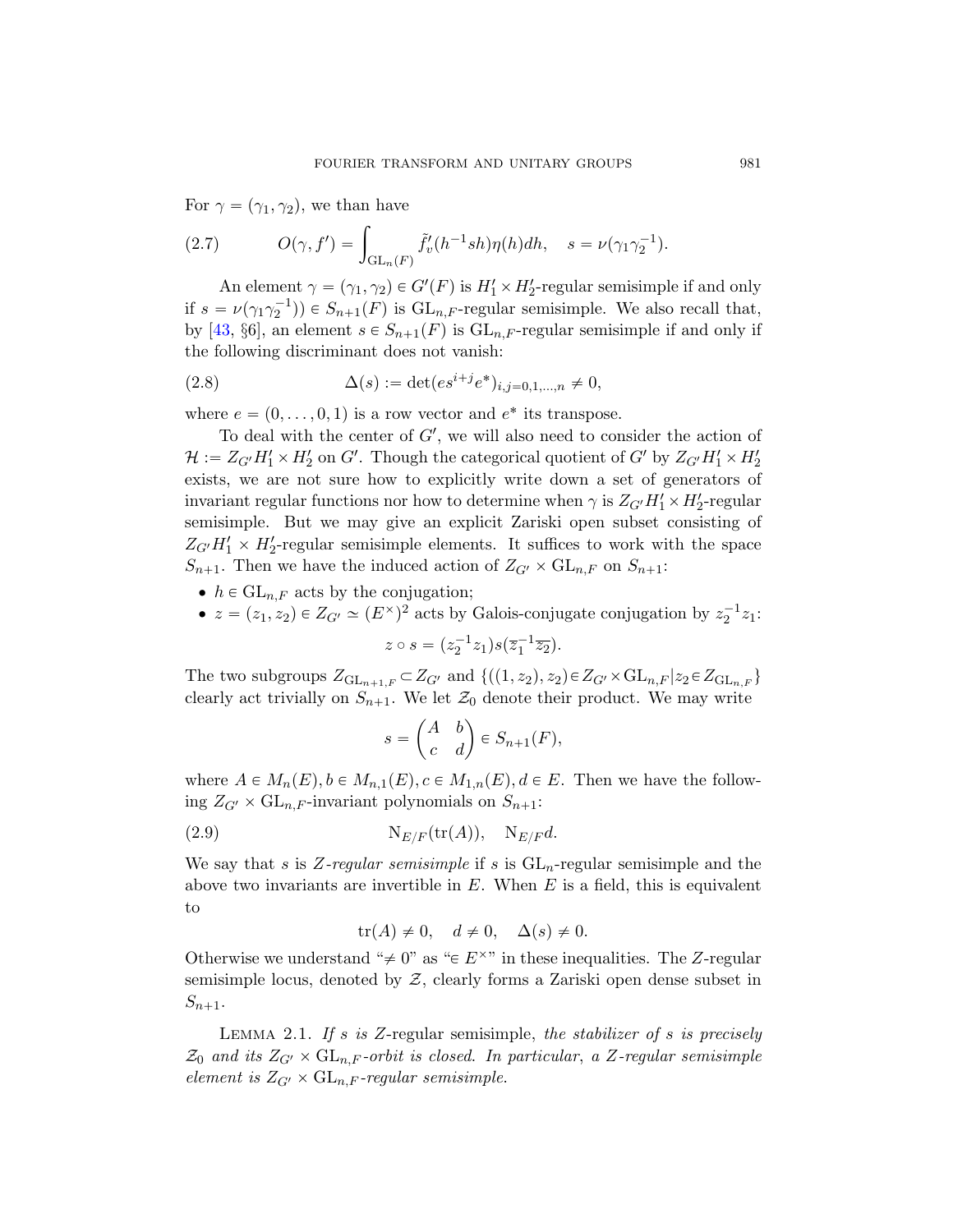For  $\gamma = (\gamma_1, \gamma_2)$ , we than have

(2.7) 
$$
O(\gamma, f') = \int_{GL_n(F)} \tilde{f}'_v(h^{-1}sh)\eta(h)dh, \quad s = \nu(\gamma_1\gamma_2^{-1}).
$$

An element  $\gamma = (\gamma_1, \gamma_2) \in G'(F)$  is  $H'_1 \times H'_2$ -regular semisimple if and only if  $s = \nu(\gamma_1 \gamma_2^{-1}) \in S_{n+1}(F)$  is  $GL_{n,F}$ -regular semisimple. We also recall that, by [43, §6], an element  $s \in S_{n+1}(F)$  is  $\mathrm{GL}_{n,F}$ -regular semisimple if and only if the following discriminant does not vanish:

(2.8) 
$$
\Delta(s) := \det(e s^{i+j} e^*)_{i,j=0,1,\dots,n} \neq 0,
$$

where  $e = (0, \ldots, 0, 1)$  is a row vector and  $e^*$  its transpose.

To deal with the center of  $G'$ , we will also need to consider the action of  $\mathcal{H} := Z_{G'} H_1' \times H_2'$  on  $G'$ . Though the categorical quotient of  $G'$  by  $Z_{G'} H_1' \times H_2'$ exists, we are not sure how to explicitly write down a set of generators of invariant regular functions nor how to determine when  $\gamma$  is  $Z_{G'}H'_1 \times H'_2$ -regular semisimple. But we may give an explicit Zariski open subset consisting of  $Z_{G'}H'_1 \times H'_2$ -regular semisimple elements. It suffices to work with the space  $S_{n+1}$ . Then we have the induced action of  $Z_{G'} \times GL_{n,F}$  on  $S_{n+1}$ :

- $\bullet$  h  $\in$  GL<sub>n,F</sub> acts by the conjugation;
- $z = (z_1, z_2) \in Z_{G'} \simeq (E^{\times})^2$  acts by Galois-conjugate conjugation by  $z_2^{-1}z_1$ :

$$
z \circ s = (z_2^{-1} z_1) s(\overline{z}_1^{-1} \overline{z_2}).
$$

<span id="page-10-0"></span>The two subgroups  $Z_{\mathrm{GL}_{n+1,F}} \subset Z_{G'}$  and  $\{((1, z_2), z_2) \in Z_{G'} \times \mathrm{GL}_{n,F} | z_2 \in Z_{\mathrm{GL}_{n,F}} \}$ clearly act trivially on  $S_{n+1}$ . We let  $\mathcal{Z}_0$  denote their product. We may write

$$
s = \begin{pmatrix} A & b \\ c & d \end{pmatrix} \in S_{n+1}(F),
$$

where  $A \in M_n(E), b \in M_{n,1}(E), c \in M_{1,n}(E), d \in E$ . Then we have the following  $Z_{G'} \times GL_{n,F}$ -invariant polynomials on  $S_{n+1}$ :

(2.9) 
$$
N_{E/F}(\text{tr}(A)), \quad N_{E/F}d.
$$

<span id="page-10-1"></span>We say that s is Z-regular semisimple if s is  $GL_n$ -regular semisimple and the above two invariants are invertible in  $E$ . When  $E$  is a field, this is equivalent to

$$
\operatorname{tr}(A) \neq 0, \quad d \neq 0, \quad \Delta(s) \neq 0.
$$

Otherwise we understand " $\neq$  0" as " $\in$  E<sup> $\times$ </sup>" in these inequalities. The Z-regular semisimple locus, denoted by  $Z$ , clearly forms a Zariski open dense subset in  $S_{n+1}.$ 

LEMMA 2.1. If s is Z-regular semisimple, the stabilizer of s is precisely  $\mathcal{Z}_0$  and its  $Z_{G'} \times GL_{n,F}$ -orbit is closed. In particular, a Z-regular semisimple element is  $Z_{G'} \times GL_{n,F}$ -regular semisimple.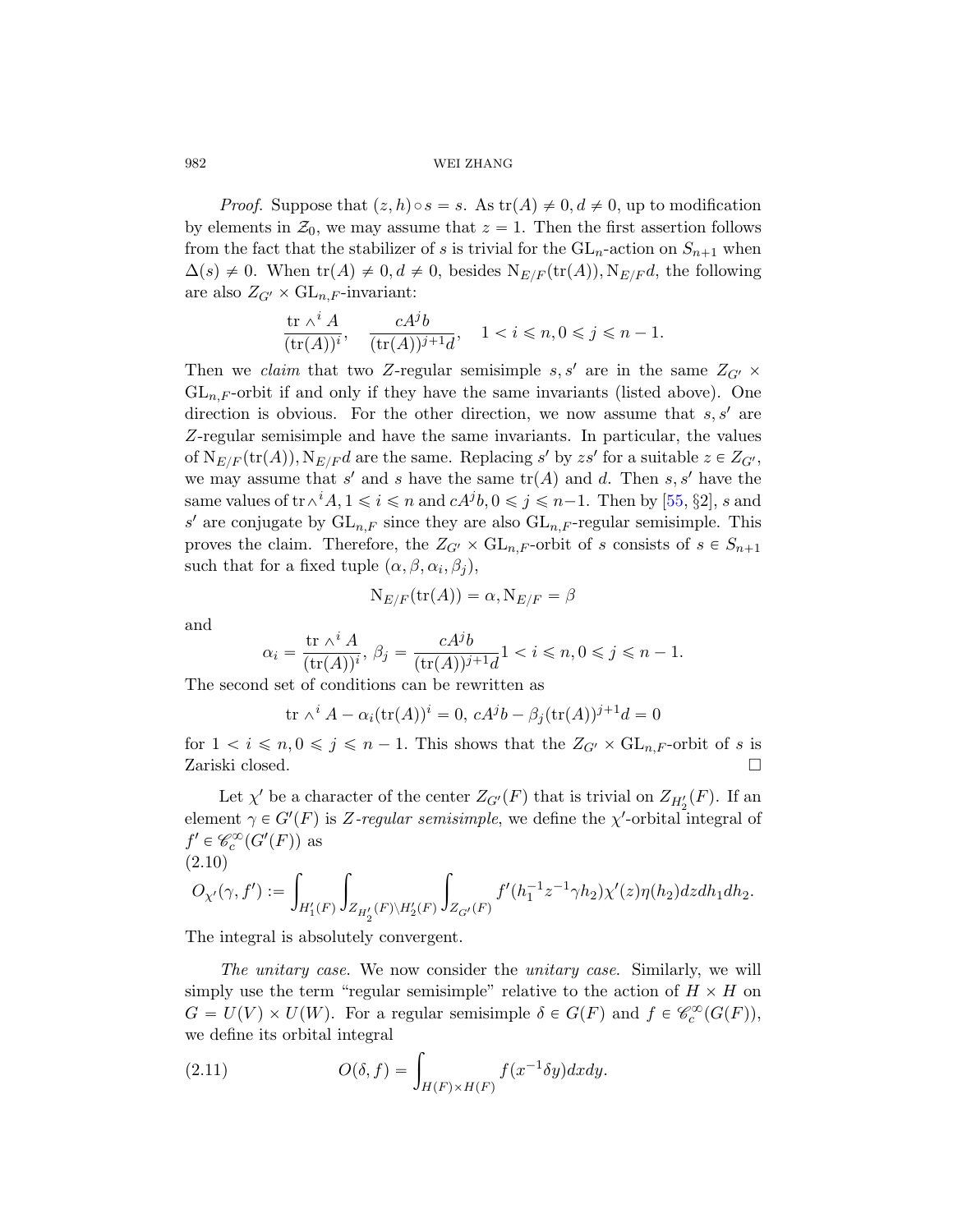*Proof.* Suppose that  $(z, h) \circ s = s$ . As  $tr(A) \neq 0, d \neq 0$ , up to modification by elements in  $\mathcal{Z}_0$ , we may assume that  $z = 1$ . Then the first assertion follows from the fact that the stabilizer of s is trivial for the  $GL_n$ -action on  $S_{n+1}$  when  $\Delta(s) \neq 0$ . When  $\text{tr}(A) \neq 0, d \neq 0$ , besides  $N_{E/F}(\text{tr}(A)), N_{E/F}d$ , the following are also  $Z_{G'} \times GL_{n,F}$ -invariant:

$$
\frac{\operatorname{tr}\nolimits \wedge^i A}{(\operatorname{tr}\nolimits (A))^i}, \quad \frac{c A^j b}{(\operatorname{tr}\nolimits (A))^{j+1} d}, \quad 1
$$

Then we claim that two Z-regular sem[isim](#page-78-3)ple s, s' are in the same  $Z_{G'}$   $\times$  $GL_{n,F}$ -orbit if and only if they have the same invariants (listed above). One direction is obvious. For the other direction, we now assume that  $s, s'$  are Z-regular semisimple and have the same invariants. In particular, the values of  $N_{E/F}(\text{tr}(A)), N_{E/F}d$  are the same. Replacing s' by zs' for a suitable  $z \in Z_{G'}$ , we may assume that s' and s have the same  $\text{tr}(A)$  and d. Then s, s' have the same values of  $tr \wedge^i A$ ,  $1 \leq i \leq n$  and  $cA^j b$ ,  $0 \leq j \leq n-1$ . Then by [55, §2], s and s' are conjugate by  $GL_{n,F}$  since they are also  $GL_{n,F}$ -regular semisimple. This proves the claim. Therefore, the  $Z_{G'} \times GL_{n,F}$ -orbit of s consists of  $s \in S_{n+1}$ such that for a fixed tuple  $(\alpha, \beta, \alpha_i, \beta_j)$ ,

$$
\mathrm{N}_{E/F}(\mathrm{tr}(A))=\alpha, \mathrm{N}_{E/F}=\beta
$$

and

$$
\alpha_i = \frac{\text{tr }\wedge^i A}{(\text{tr}(A))^i}, \ \beta_j = \frac{cA^jb}{(\text{tr}(A))^{j+1}d}1 < i \leq n, 0 \leq j \leq n-1.
$$

The second set of conditions can be rewritten as

$$
\operatorname{tr} \wedge^i A - \alpha_i(\operatorname{tr}(A))^i = 0, \, cA^j b - \beta_j(\operatorname{tr}(A))^{j+1} d = 0
$$

for  $1 < i \leq n, 0 \leq j \leq n - 1$ . This shows that the  $Z_{G'} \times GL_{n,F}$ -orbit of s is Zariski closed.

Let  $\chi'$  be a character of the center  $Z_{G'}(F)$  that is trivial on  $Z_{H'_2}(F)$ . If an element  $\gamma \in G'(F)$  is Z-regular semisimple, we define the  $\chi'$ -orbital integral of  $f' \in \mathcal{C}_c^{\infty}(G'(F))$  as (2.10)

$$
O_{\chi'}(\gamma,f'):=\int_{H_1'(F)}\int_{Z_{H_2'}(F)\backslash H_2'(F)}\int_{Z_{G'}(F)}f'(h_1^{-1}z^{-1}\gamma h_2)\chi'(z)\eta(h_2)dzdh_1dh_2.
$$

<span id="page-11-0"></span>The integral is absolutely convergent.

The unitary case. We now consider the unitary case. Similarly, we will simply use the term "regular semisimple" relative to the action of  $H \times H$  on  $G = U(V) \times U(W)$ . For a regular semisimple  $\delta \in G(F)$  and  $f \in \mathcal{C}_c^{\infty}(G(F))$ ,

we define its orbital integral  
(2.11) 
$$
O(\delta, f) = \int_{H(F) \times H(F)} f(x^{-1} \delta y) dx dy.
$$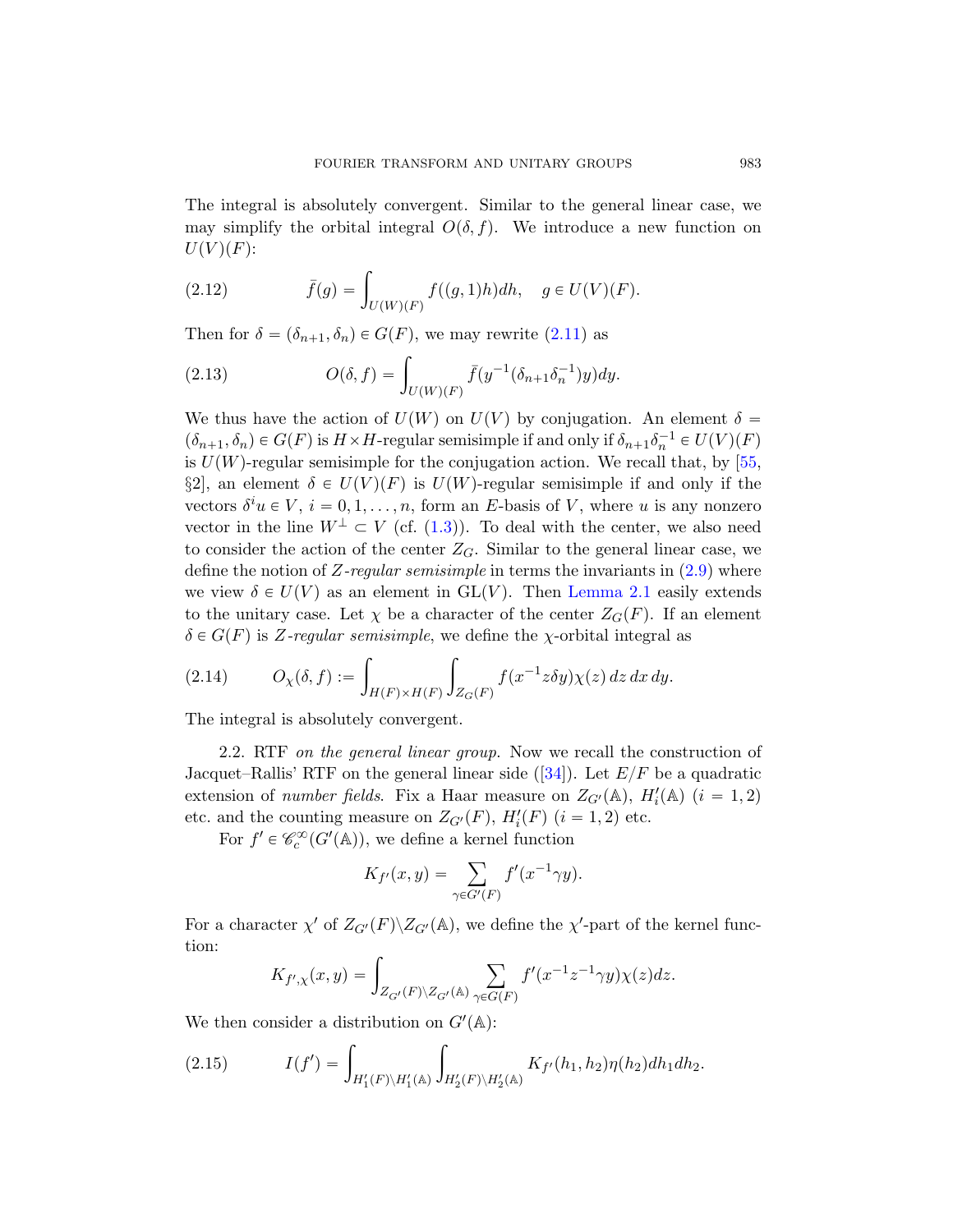The integral is absolutely [conv](#page-11-0)ergent. Similar to the general linear case, we may simplify the orbital integral  $O(\delta, f)$ . We introduce a new function on  $U(V)(F)$ :

(2.12) 
$$
\bar{f}(g) = \int_{U(W)(F)} f((g, 1)h) dh, \quad g \in U(V)(F).
$$

Then for  $\delta = (\delta_{n+1}, \delta_n) \in G(F)$ , we may rewrite (2.[11\)](#page-78-3) as

(2.13) 
$$
O(\delta, f) = \int_{U(W)(F)} \bar{f}(y^{-1}(\delta_{n+1}\delta_n^{-1})y)dy.
$$

We thus have the action of  $U(W)$  on  $U(V)$  by conjugation. An element  $\delta =$  $(\delta_{n+1}, \delta_n) \in G(F)$  is  $H \times H$ -regular semisimpl[e if a](#page-10-0)nd only if  $\delta_{n+1}\delta_n^{-1} \in U(V)(F)$ is  $U(W)$ -regular semisimple [for the conju](#page-10-1)gation action. We recall that, by [55, §2, an element  $\delta \in U(V)(F)$  is  $U(W)$ -regular semisimple if and only if the vectors  $\delta^i u \in V$ ,  $i = 0, 1, ..., n$ , form an E-basis of V, where u is any nonzero vector in the line  $W^{\perp} \subset V$  (cf. (1.3)). To deal with the center, we also need to consider the action of the center  $Z_G$ . Similar to the general linear case, we define the notion of Z-regular semisimple in terms the invariants in  $(2.9)$  where we view  $\delta \in U(V)$  as an element in GL(V). Then Lemma 2.1 easily extends to the unitary case. Let  $\chi$  be a character of the center  $Z_G(F)$ . If an element  $\delta \in G(F)$  is Z-regular se[misi](#page-76-8)mple, we define the  $\chi$ -orbital integral as

$$
(2.14) \tO\chi(\delta, f) := \int_{H(F) \times H(F)} \int_{Z_G(F)} f(x^{-1}z \delta y) \chi(z) dz dx dy.
$$

The integral is absolutely convergent.

2.2. RTF on the general linear group. Now we recall the construction of Jacquet–Rallis' RTF on the general linear side ([34]). Let  $E/F$  be a quadratic extension of *number fields*. Fix a Haar measure on  $Z_{G'}(\mathbb{A})$ ,  $H'_i(\mathbb{A})$   $(i = 1, 2)$ etc. and the counting measure on  $Z_{G'}(F)$ ,  $H'_i(F)$   $(i = 1, 2)$  etc.

For  $f' \in \mathcal{C}_c^{\infty}(G'(\mathbb{A}))$ , we define a kernel function

$$
K_{f'}(x,y) = \sum_{\gamma \in G'(F)} f'(x^{-1}\gamma y).
$$

<span id="page-12-0"></span>For a character  $\chi'$  of  $Z_{G'}(F) \backslash Z_{G'}(\mathbb{A})$ , we define the  $\chi'$ -part of the kernel function:

$$
K_{f',\chi}(x,y) = \int_{Z_{G'}(F)\backslash Z_{G'}(\mathbb{A})} \sum_{\gamma \in G(F)} f'(x^{-1}z^{-1}\gamma y)\chi(z)dz.
$$

We then consider a distribution on  $G'(\mathbb{A})$ :

(2.15) 
$$
I(f') = \int_{H'_1(F)\backslash H'_1(\mathbb{A})} \int_{H'_2(F)\backslash H'_2(\mathbb{A})} K_{f'}(h_1, h_2) \eta(h_2) dh_1 dh_2.
$$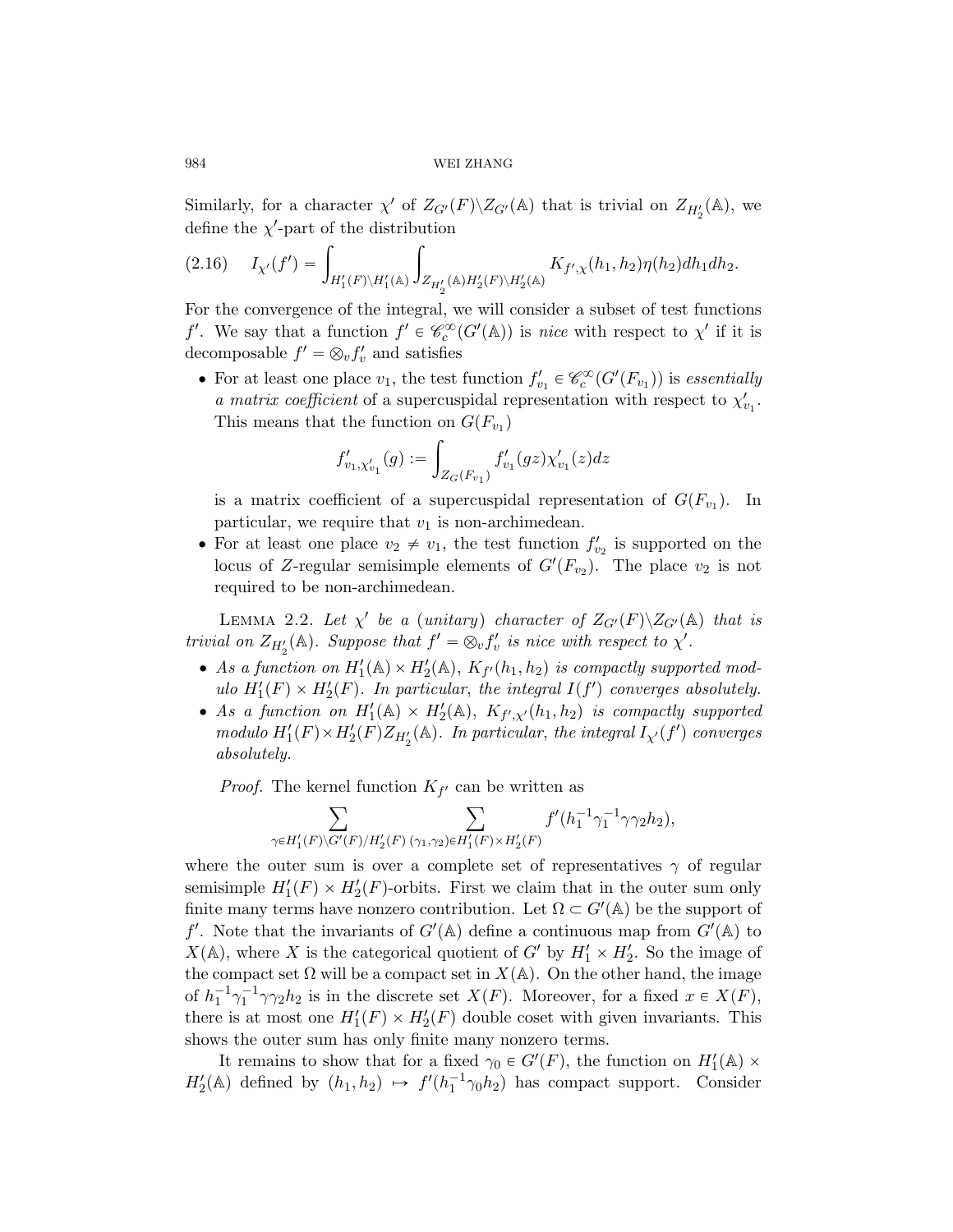Similarly, for a character  $\chi'$  of  $Z_{G'}(F) \backslash Z_{G'}(\mathbb{A})$  that is trivial on  $Z_{H'_2}(\mathbb{A})$ , we

define the 
$$
\chi'
$$
-part of the distribution  
(2.16) 
$$
I_{\chi'}(f') = \int_{H'_1(F)\backslash H'_1(\mathbb{A})} \int_{Z_{H'_2}(\mathbb{A})H'_2(F)\backslash H'_2(\mathbb{A})} K_{f',\chi}(h_1,h_2) \eta(h_2) dh_1 dh_2.
$$

For the convergence of the integral, we will consider a subset of test functions f'. We say that a function  $f' \in \mathcal{C}_c^{\infty}(G'(\mathbb{A}))$  is nice with respect to  $\chi'$  if it is decomposable  $f' = \otimes_v f'_v$  and satisfies

• For at least one place  $v_1$ , the test function  $f'_{v_1} \in \mathcal{C}^{\infty}_c(G'(F_{v_1}))$  is essentially a matrix coefficient of a supercuspidal representation with respect to  $\chi_{v_1}'$ . This means that the function on  $G(F_{v_1})$ 

$$
f'_{v_1,\chi'_{v_1}}(g) := \int_{Z_G(F_{v_1})} f'_{v_1}(gz) \chi'_{v_1}(z) dz
$$

is a matrix coefficient of a supercuspidal representation of  $G(F_{v_1})$ .  $\ln$ particular, we require that  $v_1$  is non-archimedean.

• For at least one place  $v_2 \neq v_1$ , the test function  $f'_{v_2}$  is supported on the locus of Z-regular semisimple elements of  $G'(F_{v_2})$ . The place  $v_2$  is not required to be non-archimedean.

LEMMA 2.2. Let  $\chi'$  be a (unitary) character of  $Z_{G'}(F)\backslash Z_{G'}(\mathbb{A})$  that is trivial on  $Z_{H'_2}(\mathbb{A})$ . Suppose that  $f' = \otimes_v f'_v$  is nice with respect to  $\chi'$ .

- As a function on  $H'_1(\mathbb{A}) \times H'_2(\mathbb{A})$ ,  $K_{f'}(h_1, h_2)$  is compactly supported modulo  $H'_1(F) \times H'_2(F)$ . In particular, the integral  $I(f')$  converges absolutely.
- As a function on  $H'_1(\mathbb{A}) \times H'_2(\mathbb{A}), K_{f',\chi'}(h_1,h_2)$  is compactly supported modulo  $H'_1(F) \times H'_2(F) Z_{H'_2}(\mathbb{A})$ . In particular, the integral  $I_{\chi'}(f')$  converges absolutely.

*Proof.* The kernel function  $K_{f'}$  can be written as

$$
\sum_{\gamma \in H'_1(F) \backslash G'(F)/H'_2(F)} \sum_{(\gamma_1, \gamma_2) \in H'_1(F) \times H'_2(F)} f'(h_1^{-1}\gamma_1^{-1}\gamma\gamma_2h_2),
$$

where the outer sum is over a complete set of representatives  $\gamma$  of regular semisimple  $H'_1(F) \times H'_2(F)$ -orbits. First we claim that in the outer sum only finite many terms have nonzero contribution. Let  $\Omega \subset G'(\mathbb{A})$  be the support of f'. Note that the invariants of  $G'(\mathbb{A})$  define a continuous map from  $G'(\mathbb{A})$  to  $X(\mathbb{A})$ , where X is the categorical quotient of G' by  $H'_1 \times H'_2$ . So the image of the compact set  $\Omega$  will be a compact set in  $X(\mathbb{A})$ . On the other hand, the image of  $h_1^{-1} \gamma_1^{-1} \gamma \gamma_2 h_2$  is in the discrete set  $X(F)$ . Moreover, for a fixed  $x \in X(F)$ , there is at most one  $H'_1(F) \times H'_2(F)$  double coset with given invariants. This shows the outer sum has only finite many nonzero terms.

It remains to show that for a fixed  $\gamma_0 \in G'(F)$ , the function on  $H'_1(\mathbb{A}) \times$  $H'_2(\mathbb{A})$  defined by  $(h_1, h_2) \mapsto f'(h_1^{-1}\gamma_0 h_2)$  has compact support. Consider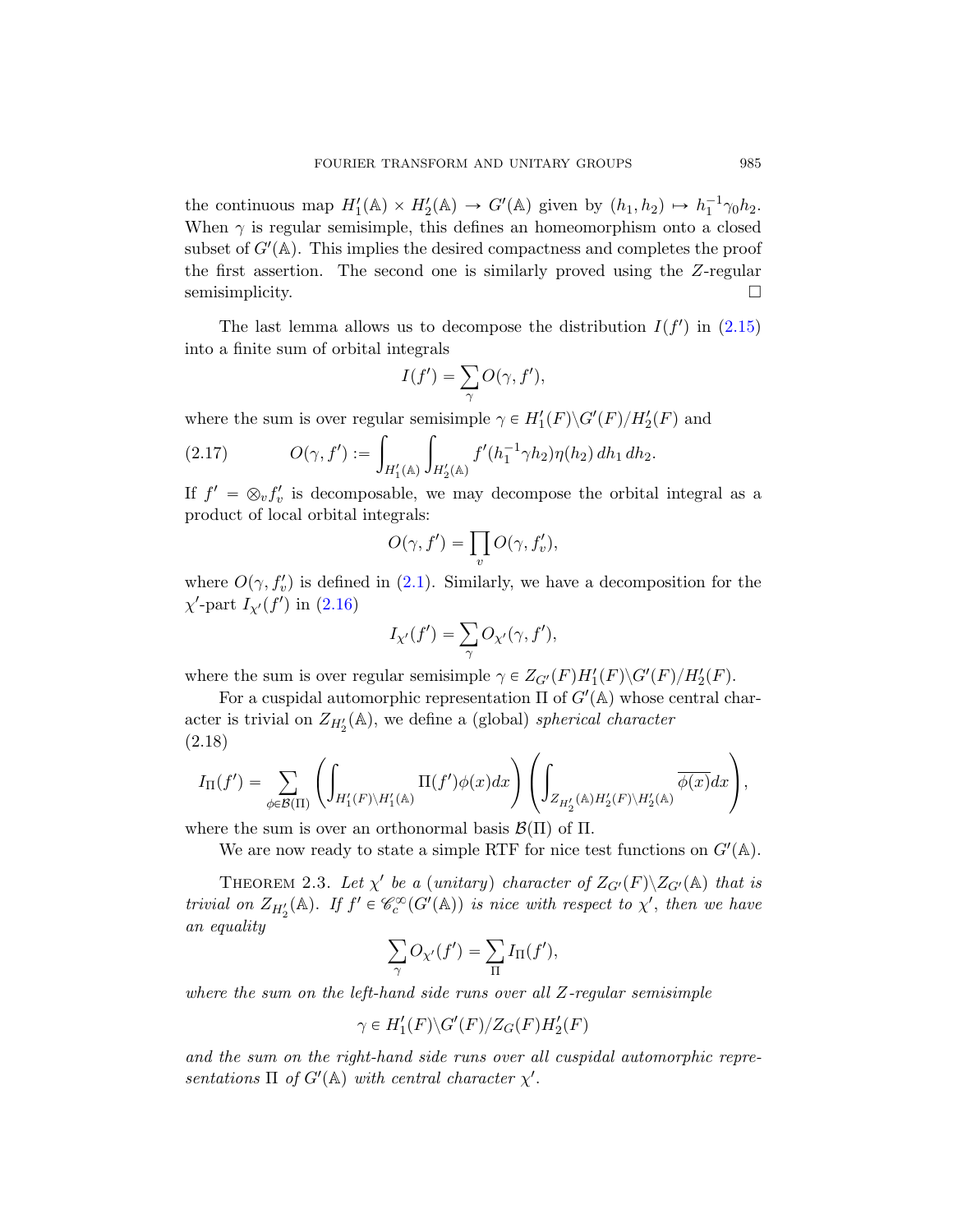the continuous map  $H'_1(\mathbb{A}) \times H'_2(\mathbb{A}) \to G'(\mathbb{A})$  gi[ven b](#page-12-0)y  $(h_1, h_2) \mapsto h_1^{-1} \gamma_0 h_2$ . When  $\gamma$  is regular semisimple, this defines an homeomorphism onto a closed subset of  $G'(\mathbb{A})$ . This implies the desired compactness and completes the proof the first assertion. The second one is similarly proved using the Z-regular semisimplicity.

The last lemma allows us to decompose the distribution  $I(f')$  in (2.15) into a finite sum of orbital integrals

$$
I(f') = \sum_{\gamma} O(\gamma, f'),
$$

where the sum is over regular semisimple  $\gamma \in H'_1(F) \backslash G'(F)/H'_2(F)$  and

$$
(2.17) \tO(\gamma, f') := \int_{H_1'(\mathbb{A})} \int_{H_2'(\mathbb{A})} f'(h_1^{-1} \gamma h_2) \eta(h_2) \, dh_1 \, dh_2.
$$

If  $f' = \otimes_v f'_v$  is decomposable, we may decompose the orbital integral as a product of local orbital integrals:

$$
O(\gamma, f') = \prod_v O(\gamma, f'_v),
$$

where  $O(\gamma, f_v')$  is defined in (2.1). Similarly, we have a decomposition for the  $\chi'$ -part  $I_{\chi'}(f')$  in (2.16)

$$
I_{\chi'}(f') = \sum_{\gamma} O_{\chi'}(\gamma, f'),
$$

where the sum is over regular semisimple  $\gamma \in Z_{G'}(F)H'_1(F) \backslash G'(F)/H'_2(F)$ .

For a cuspidal automorphic representation  $\Pi$  of  $G'(\mathbb{A})$  whose central character is trivial on  $Z_{H'_2}(\mathbb{A})$ , we define a (global) spherical character (2.18)

2.18)  

$$
I_{\Pi}(f') = \sum_{\phi \in \mathcal{B}(\Pi)} \left( \int_{H'_1(F) \backslash H'_1(\mathbb{A})} \Pi(f') \phi(x) dx \right) \left( \int_{Z_{H'_2}(\mathbb{A}) H'_2(F) \backslash H'_2(\mathbb{A})} \overline{\phi(x)} dx \right),
$$

where the sum is over an orthonormal basis  $\mathcal{B}(\Pi)$  of  $\Pi$ .

We are now ready to state a simple RTF for nice test functions on  $G'(\mathbb{A})$ .

THEOREM 2.3. Let  $\chi'$  be a (unitary) character of  $Z_{G'}(F)\backslash Z_{G'}(\mathbb{A})$  that is trivial on  $Z_{H'_2}(\mathbb{A})$ . If  $f' \in \mathcal{C}_c^{\infty}(G'(\mathbb{A}))$  is nice with respect to  $\chi'$ , then we have an equality

$$
\sum_{\gamma} O_{\chi'}(f') = \sum_{\Pi} I_{\Pi}(f'),
$$

where the sum on the left-hand side runs over all Z-regular semisimple

$$
\gamma \in H'_1(F) \backslash G'(F)/Z_G(F)H'_2(F)
$$

and the sum on the right-hand side runs over all cuspidal automorphic representations  $\Pi$  of  $G'(\mathbb{A})$  with central character  $\chi'$ .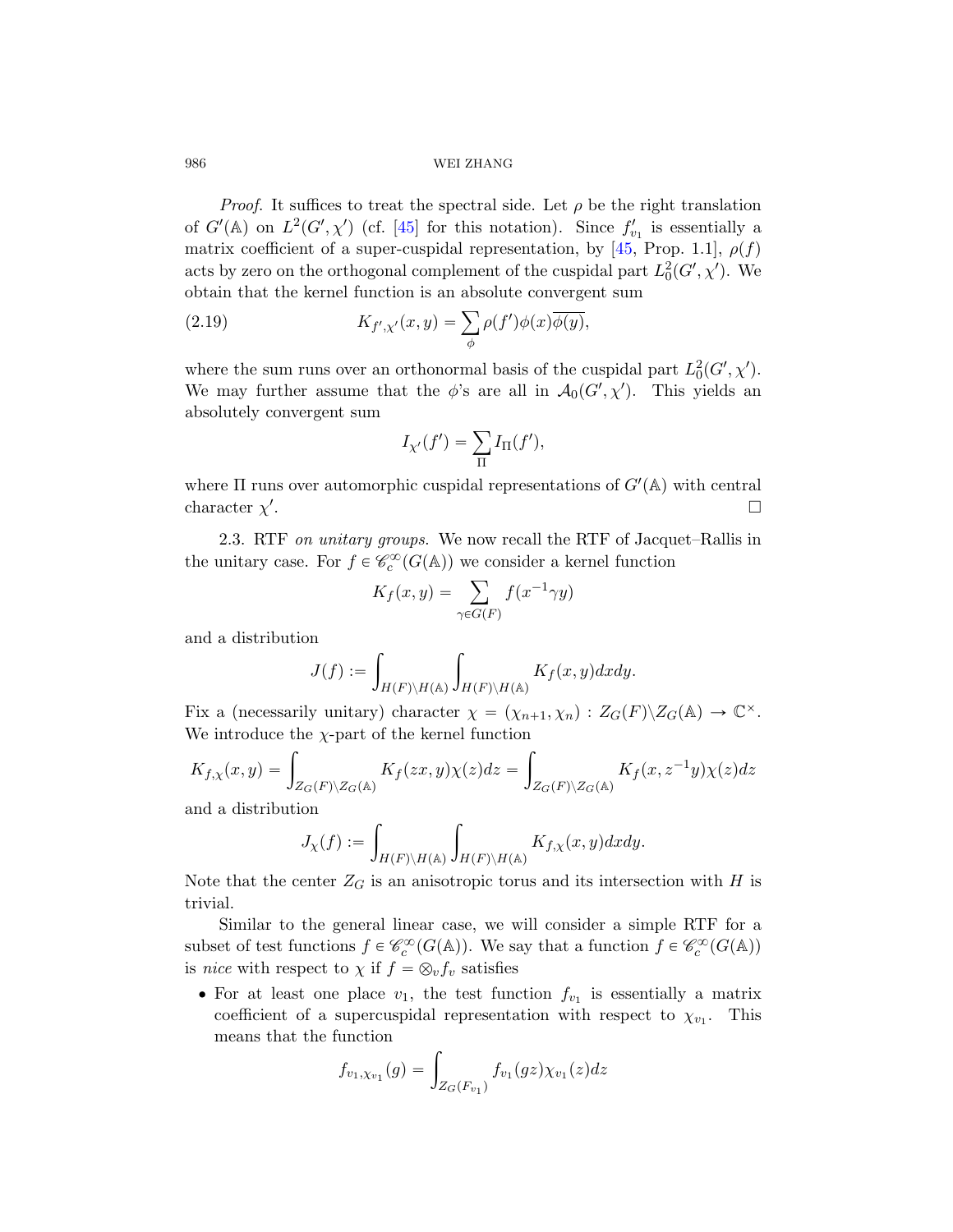*Proof.* It suffices to treat the spectral side. Let  $\rho$  be the right translation of  $G'(\mathbb{A})$  on  $L^2(G', \chi')$  (cf. [45] for this notation). Since  $f'_{v_1}$  is essentially a matrix coefficient of a super-cuspidal representation, by [45, Prop. 1.1],  $\rho(f)$ acts by zero on the orthogonal complement of the cuspidal part  $L_0^2(G', \chi')$ . We

obtain that the kernel function is an absolute convergent sum  
(2.19) 
$$
K_{f',\chi'}(x,y) = \sum_{\phi} \rho(f')\phi(x)\overline{\phi(y)},
$$

where the sum runs over an orthonormal basis of the cuspidal part  $L_0^2(G', \chi')$ . We may further assume that the  $\phi$ 's are all in  $\mathcal{A}_0(G', \chi')$ . This yields an absolutely convergent sum

$$
I_{\chi'}(f') = \sum_{\Pi} I_{\Pi}(f'),
$$

where  $\Pi$  runs over automorphic cuspidal representations of  $G'(\mathbb{A})$  with central character  $\chi'$ .

2.3. RTF on unitary groups. We now recall the RTF of Jacquet–Rallis in the unitary case. For  $f \in \mathcal{C}_c^{\infty}(G(\mathbb{A}))$  we consider a kernel function

$$
K_f(x, y) = \sum_{\gamma \in G(F)} f(x^{-1} \gamma y)
$$

and a distribution

$$
J(f) := \int_{H(F)\backslash H(\mathbb{A})} \int_{H(F)\backslash H(\mathbb{A})} K_f(x, y) dx dy.
$$

Fix a (necessarily unitary) character  $\chi = (\chi_{n+1}, \chi_n) : Z_G(F) \backslash Z_G(\mathbb{A}) \to \mathbb{C}^\times$ .

We introduce the 
$$
\chi
$$
-part of the kernel function  
\n
$$
K_{f,\chi}(x,y) = \int_{Z_G(F)\backslash Z_G(\mathbb{A})} K_f(zx,y)\chi(z)dz = \int_{Z_G(F)\backslash Z_G(\mathbb{A})} K_f(x,z^{-1}y)\chi(z)dz
$$

and a distribution

$$
J_{\chi}(f) := \int_{H(F)\backslash H(\mathbb{A})} \int_{H(F)\backslash H(\mathbb{A})} K_{f,\chi}(x,y) dx dy.
$$

Note that the center  $Z_G$  is an anisotropic torus and its intersection with H is trivial.

Similar to the general linear case, we will consider a simple RTF for a subset of test functions  $f \in \mathcal{C}_c^{\infty}(G(\mathbb{A}))$ . We say that a function  $f \in \mathcal{C}_c^{\infty}(G(\mathbb{A}))$ is nice with respect to  $\chi$  if  $f = \otimes_v f_v$  satisfies

• For at least one place  $v_1$ , the test function  $f_{v_1}$  is essentially a matrix coefficient of a supercuspidal representation with respect to  $\chi_{v_1}$ . This means that the function

function  

$$
f_{v_1,\chi_{v_1}}(g) = \int_{Z_G(F_{v_1})} f_{v_1}(gz) \chi_{v_1}(z) dz
$$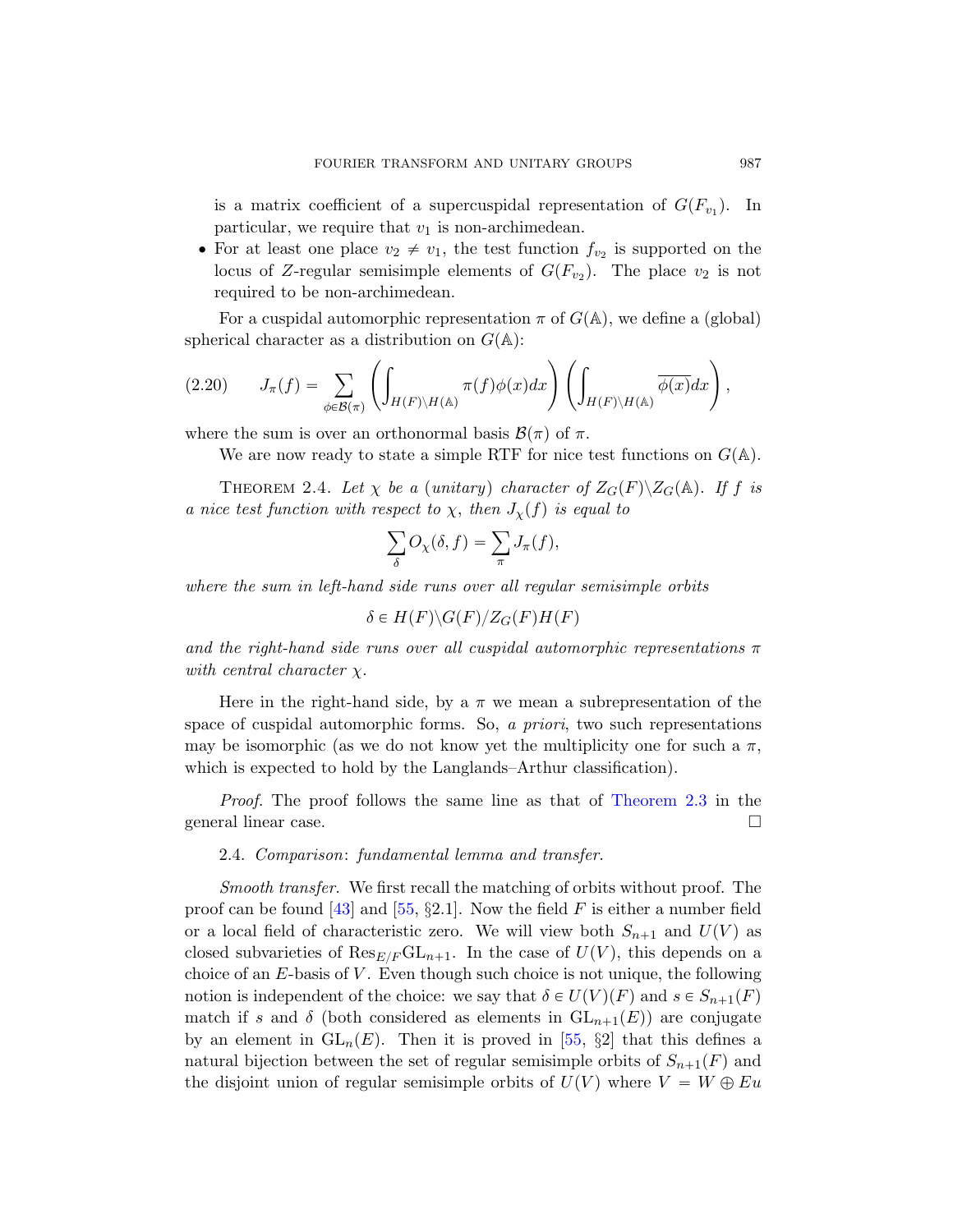is a matrix coefficient of a supercuspidal representation of  $G(F_{v_1})$ . In particular, we require that  $v_1$  is non-archimedean.

<span id="page-16-1"></span>• For at least one place  $v_2 \neq v_1$ , the test function  $f_{v_2}$  is supported on the locus of Z-regular semisimple elements of  $G(F_{v_2})$ . The place  $v_2$  is not required to be non-archimedean.

For a cuspidal automorphic representation  $\pi$  of  $G(\mathbb{A})$ , we define a (global) spherical character as a distribution on  $G(\mathbb{A})$ :

<span id="page-16-0"></span>(2.20) 
$$
J_{\pi}(f) = \sum_{\phi \in \mathcal{B}(\pi)} \left( \int_{H(F) \backslash H(\mathbb{A})} \pi(f) \phi(x) dx \right) \left( \int_{H(F) \backslash H(\mathbb{A})} \overline{\phi(x)} dx \right),
$$

where the sum is over an orthonormal basis  $\mathcal{B}(\pi)$  of  $\pi$ .

We are now ready to state a simple RTF for nice test functions on  $G(\mathbb{A})$ .

THEOREM 2.4. Let  $\chi$  be a (unitary) character of  $Z_G(F)\backslash Z_G(\mathbb{A})$ . If f is a nice test function with respect to  $\chi$ , then  $J_{\chi}(f)$  is equal to<br> $\sum O_{\chi}(\delta, f) = \sum J_{\pi}(f)$ ,

$$
\sum_{\delta} O_{\chi}(\delta, f) = \sum_{\pi} J_{\pi}(f),
$$

where the sum in left-hand side runs over all regular semisimple orbits

$$
\delta \in H(F) \backslash G(F) / Z_G(F)H(F)
$$

and the right-hand side runs over all cuspidal automorphic representations  $\pi$ with central character  $\chi$ .

Here in the right-hand side, by a  $\pi$  we mean a subrepresentation of the space of cuspidal automorphic forms. So, a priori, two such representations may be isomorphic (as we do not know yet the multiplicity one for such a  $\pi$ , whic[h is](#page-78-3) expected to hold by the Langlands–Arthur classification).

Proof. The proof follows the same line as that of Theorem 2.3 in the general linear case.

2.4. Comparison: fundamental lemma and transfer.

Smooth transfer. We first recall the matching of orbits without proof. The proof can be found [43] and [\[55](#page-78-3),  $\S2.1$ ]. Now the field F is either a number field or a local field of characteristic zero. We will view both  $S_{n+1}$  and  $U(V)$  as closed subvarieties of  $\text{Res}_{E/F} \text{GL}_{n+1}$ . In the case of  $U(V)$ , this depends on a choice of an  $E$ -basis of  $V$ . Even though such choice is not unique, the following notion is independent of the choice: we say that  $\delta \in U(V)(F)$  and  $s \in S_{n+1}(F)$ match if s and  $\delta$  (both considered as elements in  $GL_{n+1}(E)$ ) are conjugate by an element in  $GL_n(E)$ . Then it is proved in [55, §2] that this defines a natural bijection between the set of regular semisimple orbits of  $S_{n+1}(F)$  and the disjoint union of regular semisimple orbits of  $U(V)$  where  $V = W \oplus Eu$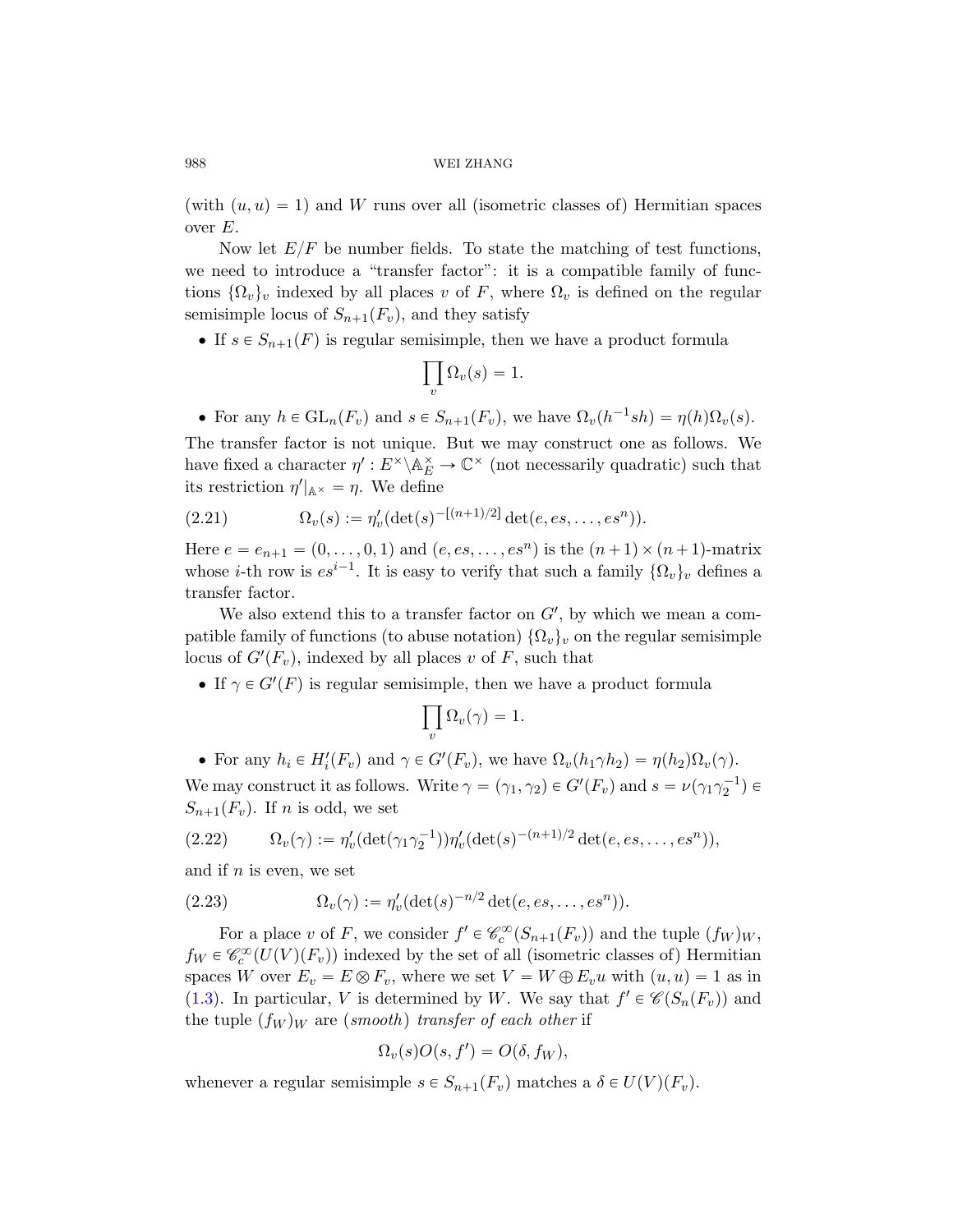(with  $(u, u) = 1$ ) and W runs over all (isometric classes of) Hermitian spaces over  $E$ .

Now let  $E/F$  be number fields. To state the matching of test functions, we need to introduce a "transfer factor": it is a compatible family of functions  $\{\Omega_v\}_v$  indexed by all places v of F, where  $\Omega_v$  is defined on the regular semisimple locus of  $S_{n+1}(F_v)$ , and they satisfy

<span id="page-17-1"></span>• If  $s \in S_{n+1}(F)$  is regular semisimple, then we have a product formula

$$
\prod_{v} \Omega_{v}(s) = 1.
$$

• For any  $h \in GL_n(F_v)$  and  $s \in S_{n+1}(F_v)$ , we have  $\Omega_v(h^{-1}sh) = \eta(h)\Omega_v(s)$ .

The transfer factor is not unique. But we may construct one as follows. We have fixed a character  $\eta': E^{\times} \backslash \mathbb{A}_{E}^{\times} \to \mathbb{C}^{\times}$  (not necessarily quadratic) such that its restriction  $\eta'|_{\mathbb{A}^\times} = \eta$ . We define

(2.21) 
$$
\Omega_v(s) := \eta'_v(\det(s)^{-[(n+1)/2]}\det(e, es, \ldots, es^n)).
$$

Here  $e = e_{n+1} = (0, \ldots, 0, 1)$  and  $(e, es, \ldots, es^n)$  is the  $(n+1) \times (n+1)$ -matrix whose *i*-th row is  $es^{i-1}$ . It is easy to verify that such a family  $\{\Omega_v\}_v$  defines a transfer factor.

We also extend this to a transfer factor on  $G'$ , by which we mean a compatible family of functions (to abuse notation)  $\{\Omega_v\}_v$  on the regular semisimple locus of  $G'(F_v)$ , indexed by all places v of F, such that

• If  $\gamma \in G'(F)$  is regular semisimple, then we have a product formula

$$
\prod_v \Omega_v(\gamma) = 1.
$$

<span id="page-17-0"></span>• For any  $h_i \in H_i'(F_v)$  and  $\gamma \in G'(F_v)$ , we have  $\Omega_v(h_1\gamma h_2) = \eta(h_2)\Omega_v(\gamma)$ . We may construct it as follows. Write  $\gamma = (\gamma_1, \gamma_2) \in G'(F_v)$  and  $s = \nu(\gamma_1 \gamma_2^{-1}) \in$  $S_{n+1}(F_v)$ . If n is odd, we set

(2.22) 
$$
\Omega_v(\gamma) := \eta_v'(\det(\gamma_1 \gamma_2^{-1})) \eta_v'(\det(s)^{-(n+1)/2} \det(e, es, \dots, es^n)),
$$

and if  $n$  is even, we set

(2.23) 
$$
\Omega_v(\gamma) := \eta'_v(\det(s)^{-n/2} \det(e, es, \dots, es^n)).
$$

For a place v of F, we consider  $f' \in \mathcal{C}_c^{\infty}(S_{n+1}(F_v))$  and the tuple  $(f_W)_W$ ,  $f_W \in \mathcal{C}_c^{\infty}(U(V)(F_v))$  indexed by the set of all (isometric classes of) Hermitian spaces W over  $E_v = E \otimes F_v$ , where we set  $V = W \oplus E_v u$  with  $(u, u) = 1$  as in (1.3). In particular, V is determined by W. We say that  $f' \in \mathcal{C}(S_n(F_v))$  and the tuple  $(f_W)_W$  are (smooth) transfer of each other if

$$
\Omega_v(s)O(s,f')=O(\delta,f_W),
$$

whenever a regular semisimple  $s \in S_{n+1}(F_v)$  matches a  $\delta \in U(V)(F_v)$ .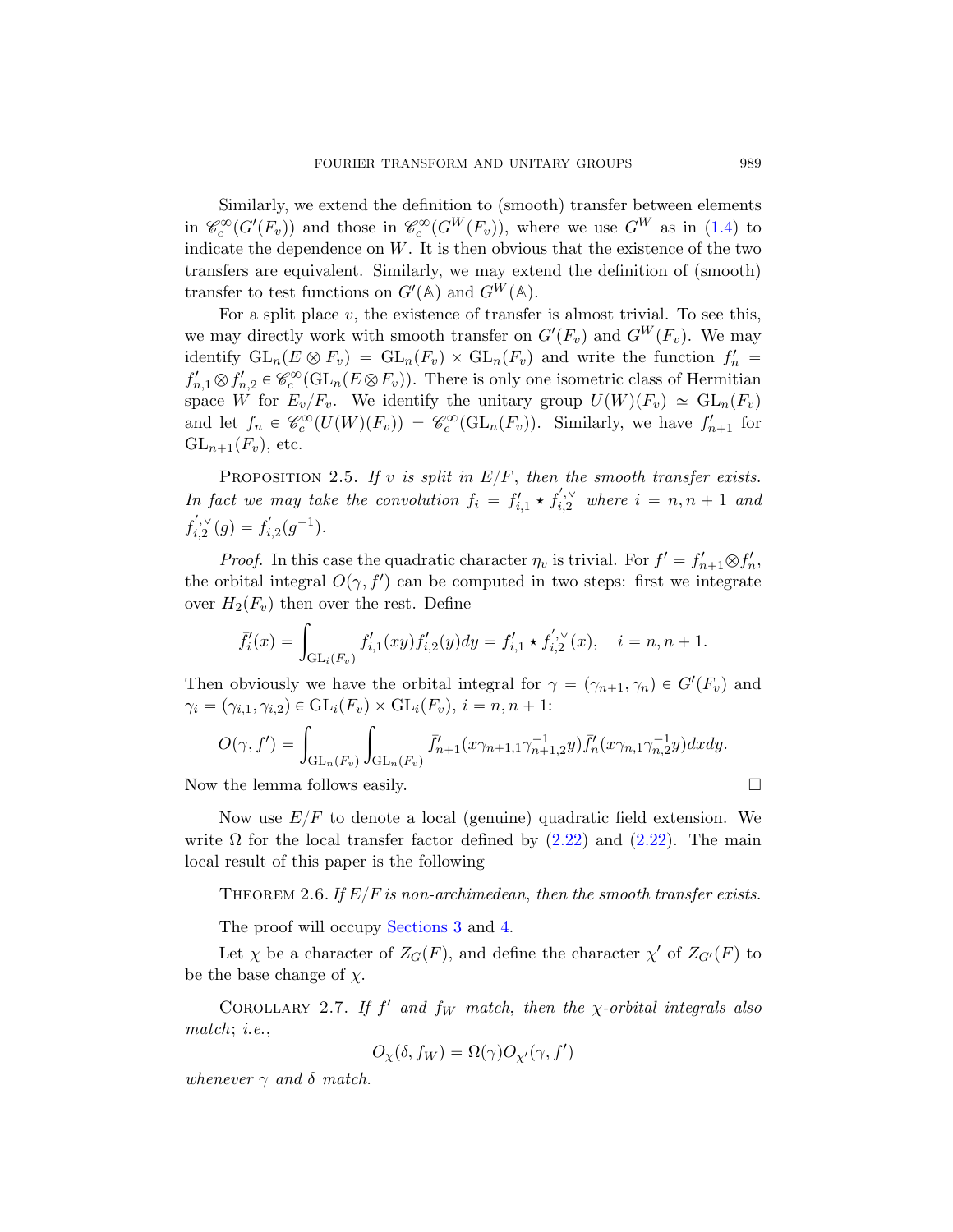Similarly, we extend the definition to (smooth) transfer between elements in  $\mathcal{C}_c^{\infty}(G'(F_v))$  and those in  $\mathcal{C}_c^{\infty}(G^W(F_v))$ , where we use  $G^W$  as in (1.4) to indicate the dependence on  $W$ . It is then obvious that the existence of the two transfers are equivalent. Similarly, we may extend the definition of (smooth) transfer to test functions on  $G'(\mathbb{A})$  and  $G^W(\mathbb{A})$ .

For a split place  $v$ , the existence of transfer is almost trivial. To see this, we may directly work with smooth transfer on  $G'(F_v)$  and  $G^W(F_v)$ . We may identify  $GL_n(E \otimes F_v) = GL_n(F_v) \times GL_n(F_v)$  and write the function  $f'_n =$  $f'_{n,1} \otimes f'_{n,2} \in \mathcal{C}_c^{\infty}(\mathrm{GL}_n(E \otimes F_v)).$  There is only one isometric class of Hermitian space W for  $E_v/F_v$ . We identify the unitary group  $U(W)(F_v) \simeq GL_n(F_v)$ and let  $f_n \in \mathscr{C}_c^{\infty}(U(W)(F_v)) = \mathscr{C}_c^{\infty}(\mathrm{GL}_n(F_v))$ . Similarly, we have  $f'_{n+1}$  for  $GL_{n+1}(F_v)$ , etc.

PROPOSITION 2.5. If v is split in  $E/F$ , then the smooth transfer exists. In fact we may take the convolution  $f_i = f'_{i,1} \star f'_{i,2}$  where  $i = n, n + 1$  and  $f'_{i,2}(g) = f'_{i,2}(g^{-1}).$ 

*Proof.* In this case the quadratic character  $\eta_v$  is trivial. For  $f' = f'_{n+1} \otimes f'_n$ , the orbital integral  $O(\gamma, f')$  can be computed in two steps: first we integrate

over 
$$
H_2(F_v)
$$
 then over the rest. Define  
\n
$$
\bar{f}_i'(x) = \int_{\mathrm{GL}_i(F_v)} f'_{i,1}(xy) f'_{i,2}(y) dy = f'_{i,1} \star f'_{i,2}(x), \quad i = n, n + 1.
$$

Then obviously we have the orbital integral for  $\gamma = (\gamma_{n+1}, \gamma_n) \in G'(F_v)$  and  $\gamma_i = (\gamma_{i,1}, \gamma_{i,2}) \in GL_i(F_v) \times GL_i(F_v), i = n, n + 1:$  $\gamma_i = (\gamma_{i,1}, \gamma_{i,2}) \in GL_i(F_v) \times GL_i(F_v), i = n, n + 1:$  $\gamma_i = (\gamma_{i,1}, \gamma_{i,2}) \in GL_i(F_v) \times GL_i(F_v), i = n, n + 1:$ 

$$
O(\gamma, f') = \int_{\mathrm{GL}_n(F_v)} \int_{\mathrm{GL}_n(F_v)} \bar{f}'_{n+1}(x\gamma_{n+1,1}\gamma_{n+1,2}^{-1}y) \bar{f}'_n(x\gamma_{n,1}\gamma_{n,2}^{-1}y) dxdy.
$$

<span id="page-18-0"></span>No[w the lemm](#page-27-2)a fol[low](#page-40-0)s easily.  $\square$ 

Now use  $E/F$  to denote a local (genuine) quadratic field extension. We write  $\Omega$  for the local transfer factor defined by (2.22) and (2.22). The main local result of this paper is the following

THEOREM 2.6. If  $E/F$  is non-archimedean, then the smooth transfer exists.

The proof will occupy Sections 3 and 4.

Let  $\chi$  be a character of  $Z_G(F)$ , and define the character  $\chi'$  of  $Z_{G'}(F)$  to be the base change of  $\chi$ .

COROLLARY 2.7. If  $f'$  and  $f_W$  match, then the  $\chi$ -orbital integrals also match; *i.e.*,

$$
O_{\chi}(\delta, f_W) = \Omega(\gamma)O_{\chi'}(\gamma, f')
$$

whenever  $\gamma$  and  $\delta$  match.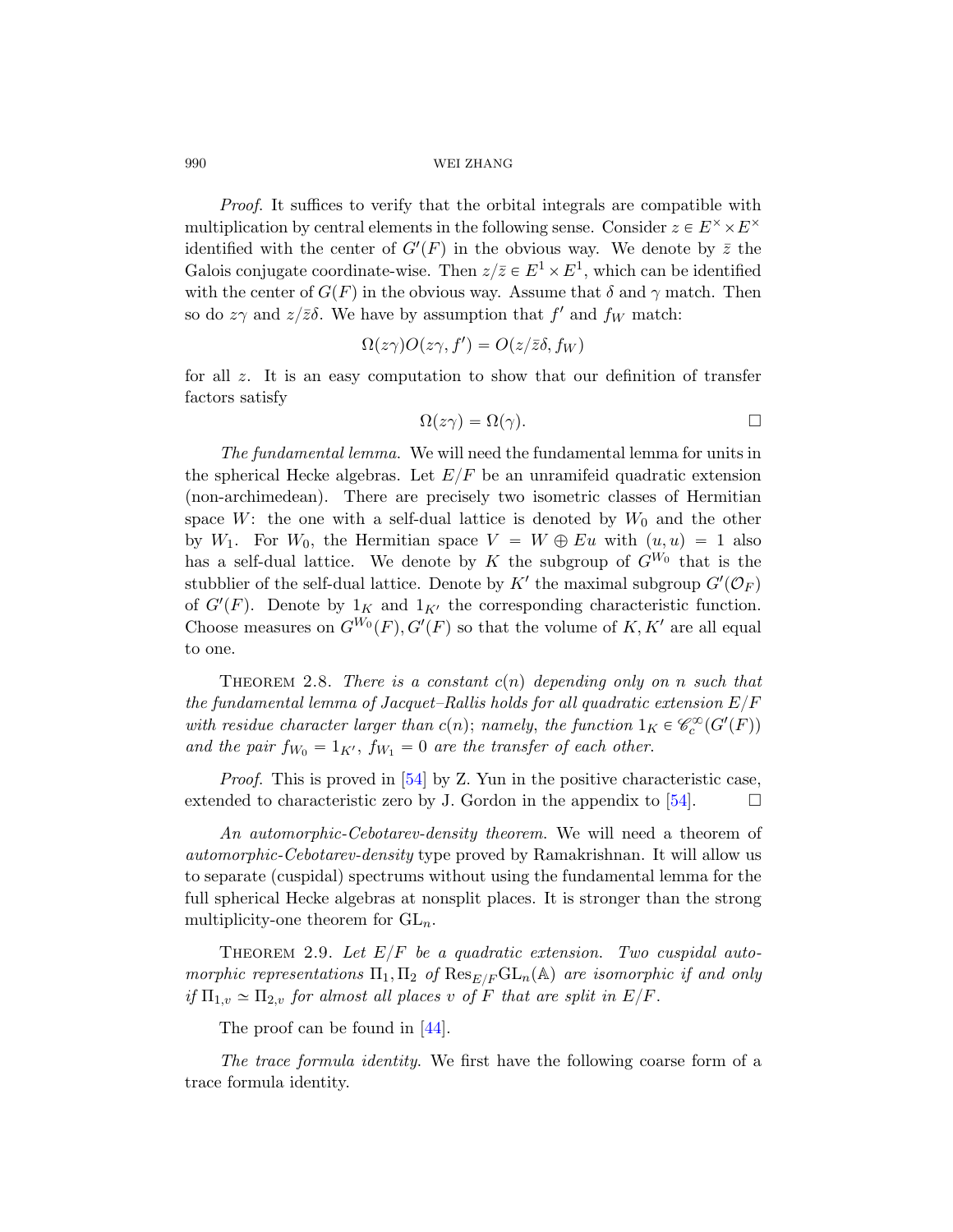Proof. It suffices to verify that the orbital integrals are compatible with multiplication by central elements in the following sense. Consider  $z \in E^{\times} \times E^{\times}$ identified with the center of  $G'(F)$  in the obvious way. We denote by  $\overline{z}$  the Galois conjugate coordinate-wise. Then  $z/\overline{z} \in E^1 \times E^1$ , which can be identified with the center of  $G(F)$  in the obvious way. Assume that  $\delta$  and  $\gamma$  match. Then so do  $z\gamma$  and  $z/\overline{z}\delta$ . We have by assumption that  $f'$  and  $f_W$  match:

$$
\Omega(z\gamma)O(z\gamma, f') = O(z/\bar{z}\delta, f_W)
$$

for all z. It is an easy computation to show that our definition of transfer factors satisfy

$$
\Omega(z\gamma) = \Omega(\gamma). \qquad \qquad \Box
$$

<span id="page-19-0"></span>The fundamental lemma. We will need the fundamental lemma for units in the spherical Hecke algebras. Let  $E/F$  be an unramifeid quadratic extension (non-archimedean). There are precisely two isometric classes of Hermitian space W: the one with a self-dual lattice is denoted by  $W_0$  and the other by  $W_1$ . For  $W_0$ , the Hermitian space  $V = W \oplus Eu$  with  $(u, u) = 1$  also has a self-dual lattice. We denote by K the subgroup of  $G^{W_0}$  that is the stubblier of the self-dual lattice. Denote by  $K'$  the maximal subgroup  $G'(\mathcal{O}_F)$ of  $G'(F)$ . Denote by  $1_K$  and  $1_{K'}$  the corresponding characteristic function. Choose measures on  $G^{W_0}(F)$ ,  $G'(F)$  so that the volume of K, K' are all equal to one[.](#page-78-4)

THEOREM 2.8. There is a constant  $c(n)$  depending only on n such that the fundamental lemma of Jacquet–Rallis holds for all quadratic extension  $E/F$ with residue character larger than  $c(n)$ ; namely, the function  $1_K \in \mathcal{C}_c^{\infty}(G'(F))$ and the pair  $f_{W_0} = 1_{K'}$ ,  $f_{W_1} = 0$  are the transfer of each other.

Proof. This is proved in [54] by Z. Yun in the positive characteristic case, extended to characteristic zero by J. Gordon in the appendix to [54].  $\Box$ 

An automorphic-Cebotarev-density theorem. We will need a theorem of automorphic-Cebotarev-density type proved by Ramakrishnan. It will allow us to separate (cuspidal) spectrums without using the fundamental lemma for the full sphe[rica](#page-77-4)l Hecke algebras at nonsplit places. It is stronger than the strong multiplicity-one theorem for  $GL_n$ .

THEOREM 2.9. Let  $E/F$  be a quadratic extension. Two cuspidal automorphic representations  $\Pi_1, \Pi_2$  of  $\mathrm{Res}_{E/F}\mathrm{GL}_n(\mathbb{A})$  are isomorphic if and only if  $\Pi_{1,v} \simeq \Pi_{2,v}$  for almost all places v of F that are split in  $E/F$ .

The proof can be found in [44].

The trace formula identity. We first have the following coarse form of a trace formula identity.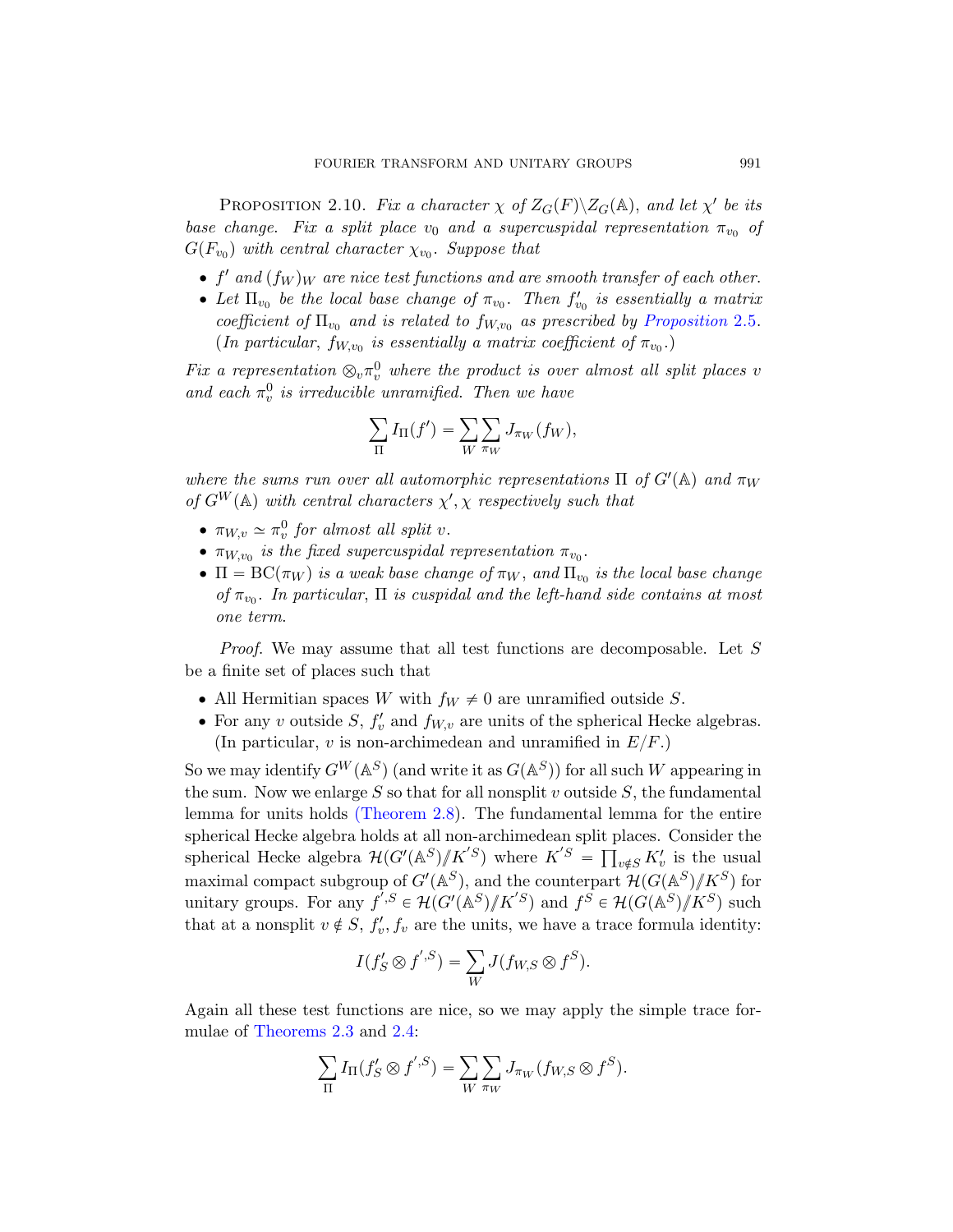<span id="page-20-0"></span>PROPOSITION 2.10. Fix a character  $\chi$  of  $Z_G(F)\backslash Z_G(\mathbb{A})$ , and let  $\chi'$  be its base change. Fix a split place  $v_0$  and a supercuspidal representation  $\pi_{v_0}$  of  $G(F_{v_0})$  with central character  $\chi_{v_0}$ . Suppose that

- $\bullet$  f' and  $(f_W)_W$  are nice test functions and are smooth transfer of each other.
- Let  $\Pi_{v_0}$  be the local base change of  $\pi_{v_0}$ . Then  $f'_{v_0}$  is essentially a matrix coefficient of  $\Pi_{v_0}$  and is related to  $f_{W,v_0}$  as prescribed by Proposition 2.5. (In particular,  $f_{W,v_0}$  is essentially a matrix coefficient of  $\pi_{v_0}$ .)

Fix a representation  $\otimes_v \pi_v^0$  where the product is over almost all split places v and each  $\pi_v^0$  is irreducible unramified. Then we have

$$
\sum_{\Pi} I_{\Pi}(f') = \sum_{W} \sum_{\pi_W} J_{\pi_W}(f_W),
$$

where the sums run over all automorphic representations  $\Pi$  of  $G'(\mathbb{A})$  and  $\pi_W$ of  $G^W(\mathbb{A})$  with central characters  $\chi', \chi$  respectively such that

- $\pi_{W,v} \simeq \pi_v^0$  for almost all split v.
- $\pi_{W,v_0}$  is the fixed supercuspidal representation  $\pi_{v_0}$ .
- $\bullet$   $\Pi = BC(\pi_W)$  is a weak base change of  $\pi_W$ , and  $\Pi_{v_0}$  is the local base change of  $\pi_{v_0}$ . In particular,  $\Pi$  is cuspidal and the left-hand side contains at most one term.

Proof. We may assume that all test functions are decomposable. Let S [be a finite set](#page-19-0) of places such that

- All Hermitian spaces W with  $f_W \neq 0$  are unramified outside S.
- For any v outside  $S$ ,  $f'_v$  and  $f_{W,v}$  are units of the spherical Hecke algebras. (In particular,  $v$  is non-archimedean and unramified in  $E/F$ .)

So we may identify  $G^W(\mathbb{A}^S)$  (and write it as  $G(\mathbb{A}^S)$ ) for all such W appearing in the sum. Now we enlarge S so that for all nonsplit v outside  $S$ , the fundamental lemma for units holds (Theorem 2.8). The fundamental lemma for the entire spherical Hecke algebra holds at all non-archimedean split places. Consider the spherical Hecke algebra  $\mathcal{H}(G'(\mathbb{A}^S)/K'{}^S)$  where  $K'{}^S = \prod_{v \notin S} K'_v$  is the usual maximal compact subgroup of  $G'(\mathbb{A}^S)$ , and the counterpart  $\mathcal{H}(G(\mathbb{A}^S)/\!\!/K^S)$  for unit[ary](#page-16-0) groups. For any  $f^{',S} \in \mathcal{H}(G'(\mathbb{A}^S)/K^{'}S)$  and  $f^S \in \mathcal{H}(G(\mathbb{A}^S)/K^S)$  such that at a nonsplit  $v \notin S$ ,  $f'_v, f_v$  are the units, we have a trace formula identity:

$$
I(f'_{S} \otimes f' \cdot S) = \sum_{W} J(f_{W,S} \otimes f^{S}).
$$

Again all these test functions are nice, so we may apply the simple trace formulae of Theorems 2.3 and 2.4:

$$
\sum_{\Pi} I_{\Pi}(f'_{S} \otimes f'^{S}) = \sum_{W} \sum_{\pi_{W}} J_{\pi_{W}}(f_{W,S} \otimes f^{S}).
$$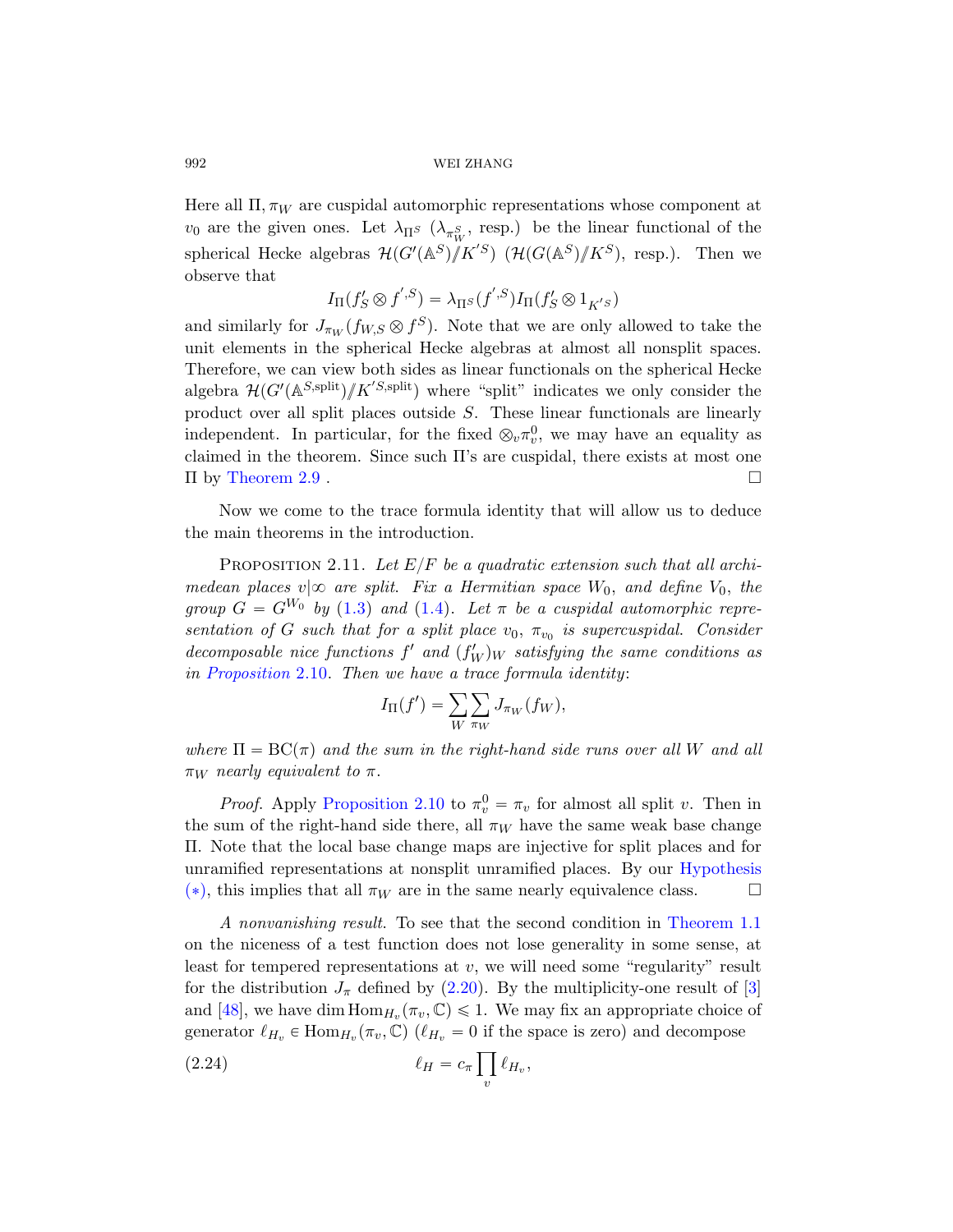Here all  $\Pi$ ,  $\pi_W$  are cuspidal automorphic representations whose component at  $v_0$  are the given ones. Let  $\lambda_{\Pi^S}$  ( $\lambda_{\pi_W^S}$ , resp.) be the linear functional of the spherical Hecke algebras  ${\cal H}(G'(\mathbb{A}^S)/K'{}^S)$   $({\cal H}(G(\mathbb{A}^S)/K^S)$ , resp.). Then we observe that

$$
I_{\Pi}(f'_{S} \otimes f^{',S}) = \lambda_{\Pi^{S}}(f^{',S})I_{\Pi}(f'_{S} \otimes 1_{K^{'S}})
$$

and similarly for  $J_{\pi_W}(f_{W,S} \otimes f^S)$ . Note that we are only allowed to take the unit elements in the spherical Hecke algebras at almost all nonsplit spaces. Therefore, we can view both sides as linear functionals on the spherical Hecke algebra  $\mathcal{H}(G'(\mathbb{A}^{S,\text{split}})/K^{S,\text{split}})$  where "split" indicates we only consider the product over all split places outside S. These linear functionals are linearly independent. In particular, for the fixed  $\otimes_v \pi_v^0$ , we may have an equality as claimed in the theorem. Since such  $\Pi$ 's are cuspidal, there exists at most one  $\Pi$  by T[heore](#page-7-1)m 2.9 .

<span id="page-21-0"></span>Now we come to the trace formula identity that will allow us to deduce the main theorems in the introduction.

PROPOSITION 2.11. Let  $E/F$  be a quadratic extension such that all archimedean places  $v|\infty$  are split. Fix a Hermitian space  $W_0$ , and define  $V_0$ , the group  $G = G^{W_0}$  by (1.3) and (1.4). Let  $\pi$  be a cuspidal automorphic representation of G such that for a split place  $v_0$ ,  $\pi_{v_0}$  is supercuspidal. Consider decomposable nice functions  $f'$  and  $(f'_W)_W$  satisfying the same conditions as in [Propositio](#page-20-0)n 2.10. Then we have a trace formula identity:<br> $I_{\Pi}(f') = \sum_{\alpha} \sum_{\alpha} J_{\pi_W}(f_W),$ 

$$
I_{\Pi}(f') = \sum_{W} \sum_{\pi_W} J_{\pi_W}(f_W),
$$

where  $\Pi = BC(\pi)$  and the sum in the right[-hand side r](#page-2-0)uns over all W and all  $\pi_W$  nearly equivalent to  $\pi$ .

*Proof.* Apply Proposition 2.10 to  $\pi_v^0 = \pi_v$  [for almo](#page-3-0)st all split v. Then in the sum of the right-hand side there, all  $\pi_W$  have the same weak base change Π. Note th[at the](#page-16-1) local base change maps are injecti[ve](#page-74-3) for split places and for unramified representations at nonsplit unramified places. By our Hypothesis (\*), this implies that all  $\pi_W$  are in the same nearly equivalence class.

A nonvanishing result. To see that the second condition in Theorem 1.1 on the niceness of a test function does not lose generality in some sense, at least for tempered representations at  $v$ , we will need some "regularity" result for the distribution  $J_{\pi}$  defined by (2.20). By the multiplicity-one result of [3] and [48], we have dim  $\text{Hom}_{H_v}(\pi_v, \mathbb{C}) \leq 1$ . We may fix an appropriate choice of generator  $\ell_{H_v} \in \text{Hom}_{H_v}(\pi_v, \mathbb{C})$  ( $\ell_{H_v} = 0$  if the space is zero) and decompose

$$
\ell_H = c_\pi \prod_v \ell_{H_v},
$$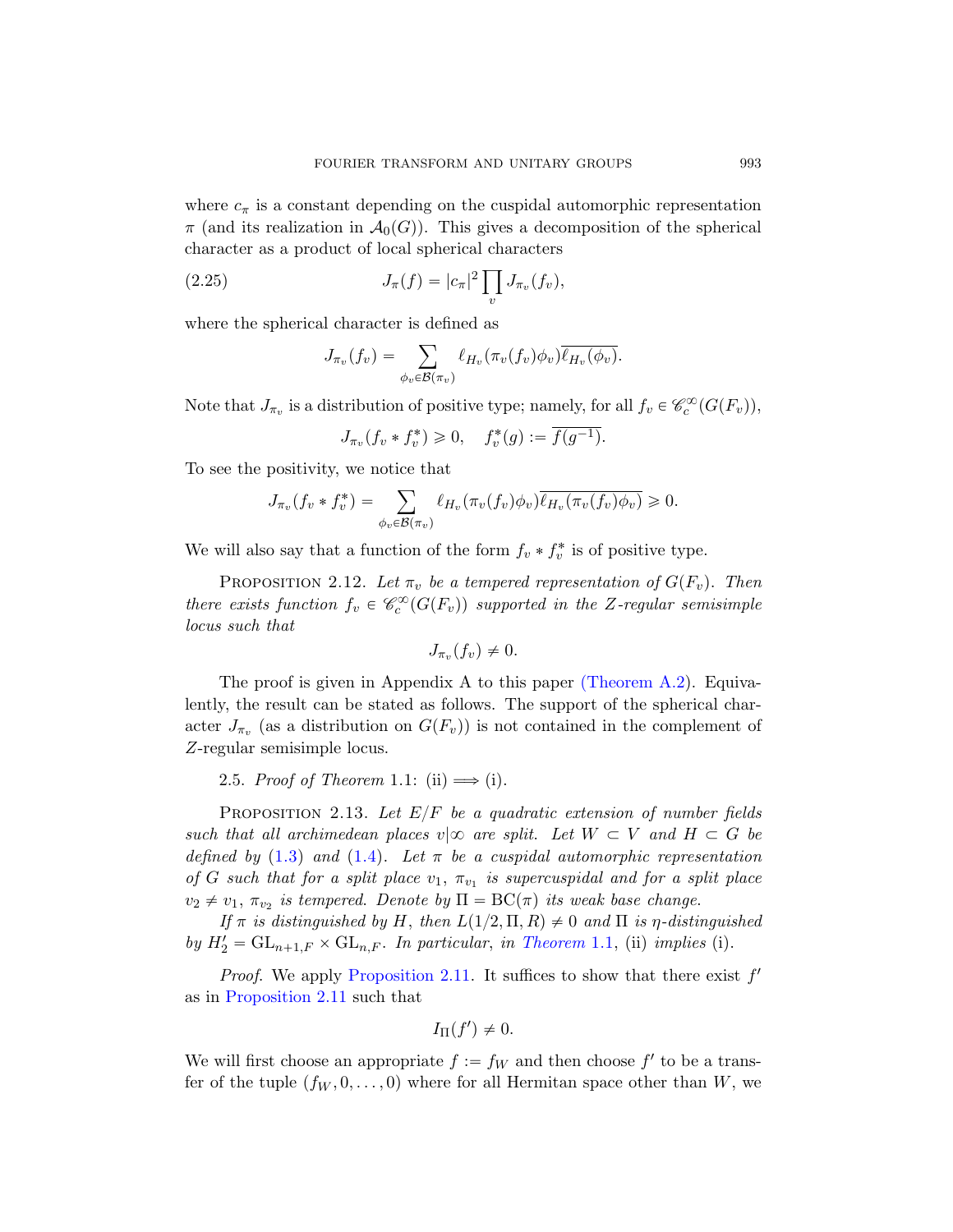<span id="page-22-3"></span>where  $c_{\pi}$  is a constant depending on the cuspidal automorphic representation  $\pi$  (and its realization in  $\mathcal{A}_0(G)$ ). This gives a decomposition of the spherical character as a product of local spherical characters<br>  $I(f) = |g|^2 \prod_{i} I(f_i)$ 

(2.25) 
$$
J_{\pi}(f) = |c_{\pi}|^2 \prod_{v} J_{\pi_v}(f_v),
$$

where the spherical character is defined as

$$
J_{\pi_v}(f_v) = \sum_{\phi_v \in \mathcal{B}(\pi_v)} \ell_{H_v}(\pi_v(f_v)\phi_v) \overline{\ell_{H_v}(\phi_v)}.
$$

Note that  $J_{\pi_v}$  is a distribution of positive type; namely, for all  $f_v \in \mathcal{C}_c^{\infty}(G(F_v)),$ 

$$
J_{\pi_v}(f_v * f_v^*) \ge 0, \quad f_v^*(g) := \overline{f(g^{-1})}.
$$

<span id="page-22-1"></span>To see the positivity, we notice that

$$
J_{\pi_v}(f_v * f_v^*) = \sum_{\phi_v \in \mathcal{B}(\pi_v)} \ell_{H_v}(\pi_v(f_v)\phi_v)\overline{\ell_{H_v}(\pi_v(f_v)\phi_v)} \geq 0.
$$

We will also say that a functi[on of the form](#page-63-0)  $f_v * f_v^*$  is of positive type.

PROPOSITION 2.12. Let  $\pi_v$  be a tempered representation of  $G(F_v)$ . Then there exists function  $f_v \in \mathcal{C}_c^{\infty}(G(F_v))$  supported in the Z-regular semisimple locus such that

$$
J_{\pi_v}(f_v) \neq 0.
$$

<span id="page-22-2"></span><span id="page-22-0"></span>The proof is given in Appendix A to this paper (Theorem A.2). Equivalently, the result can be stated as follows. The support of the spherical char[act](#page-7-1)er  $J_{\pi_v}$  (as a distribution on  $G(F_v)$ ) is not contained in the complement of Z-regular semisimple locus.

2.5. Proof of Theorem 1.1: (ii)  $\Longrightarrow$  (i).

PROPOSITION 2.[13.](#page-3-0) Let  $E/F$  be a quadratic extension of number fields [such that all ar](#page-21-0)chimedean places  $v \mid \infty$  are split. Let  $W \subset V$  and  $H \subset G$  be defined by (1.3) and (1.4). Let  $\pi$  be a cuspidal automorphic representation of G such that for a split place  $v_1$ ,  $\pi_{v_1}$  is supercuspidal and for a split place  $v_2 \neq v_1$ ,  $\pi_{v_2}$  is tempered. Denote by  $\Pi = BC(\pi)$  its weak base change.

If  $\pi$  is distinguished by H, then  $L(1/2, \Pi, R) \neq 0$  and  $\Pi$  is  $\eta$ -distinguished by  $H_2' = GL_{n+1,F} \times GL_{n,F}$ . In particular, in Theorem 1.1, (ii) implies (i).

*Proof.* We apply Proposition 2.11. It suffices to show that there exist  $f'$ as in Proposition 2.11 such that

$$
I_{\Pi}(f')\neq 0.
$$

We will first choose an appropriate  $f := f_W$  and then choose  $f'$  to be a transfer of the tuple  $(f_W, 0, \ldots, 0)$  where for all Hermitan space other than W, we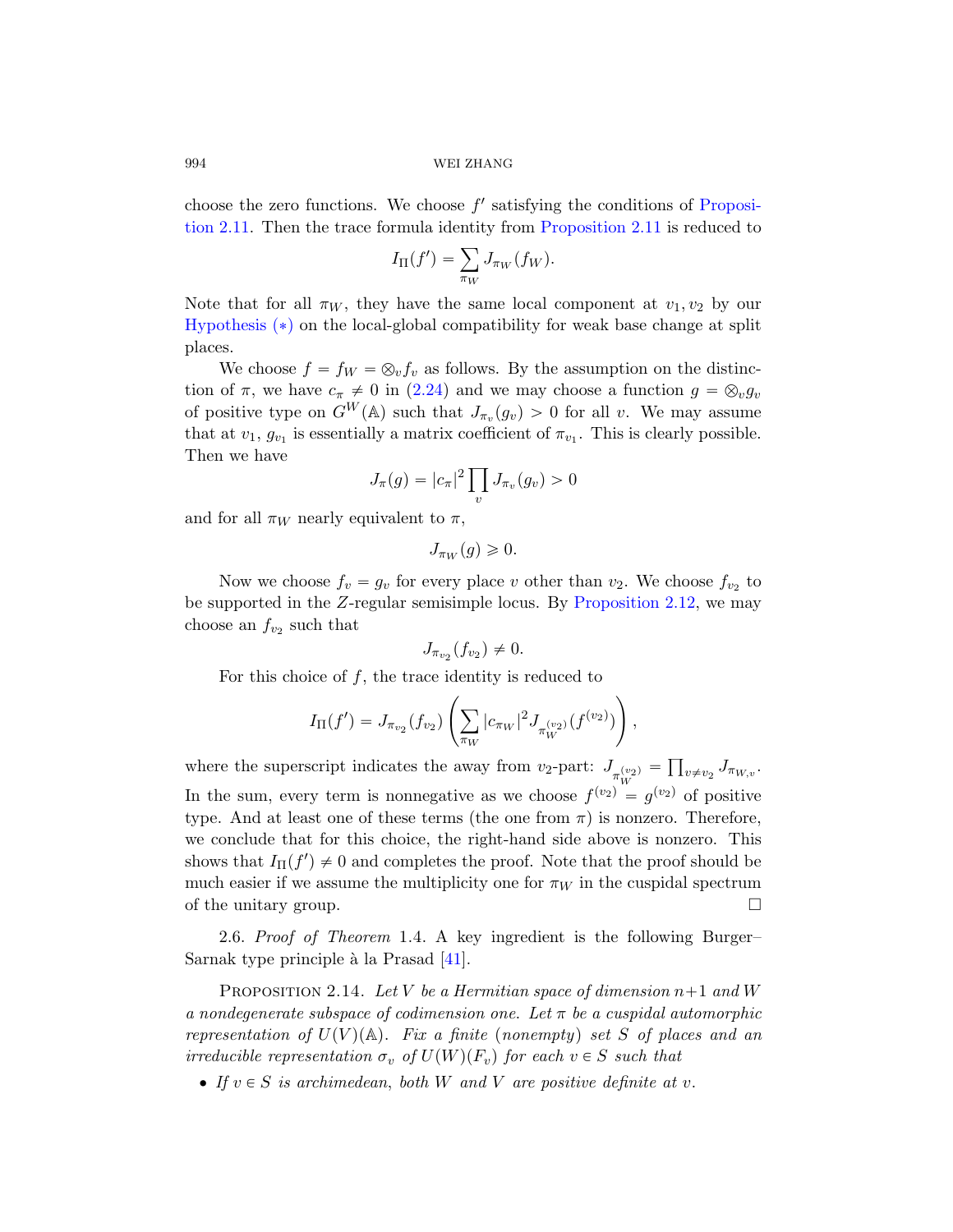choose the zero functions. We choose  $f'$  satisfying the conditions of Proposition 2.11. Then the trace formula identity from Proposition 2.11 is reduced to

$$
I_{\Pi}(f') = \sum_{\pi_W} J_{\pi_W}(f_W).
$$

Note that for all  $\pi_W$ , they have the same local component at  $v_1, v_2$  by our Hypothesis  $(*)$  on the local-global compatibility for weak base change at split places.

We choose  $f = f_W = \otimes_v f_v$  as follows. By the assumption on the distinction of  $\pi$ , we have  $c_{\pi} \neq 0$  in (2.24) and we may choose a function  $g = \otimes_v g_v$ of positive type on  $G^W(\mathbb{A})$  such that  $J_{\pi_v}(g_v) > 0$  for all v. We may assume that at  $v_1, g_{v_1}$  is essentially a matrix coefficient of  $\pi_{v_1}$ . This is clearly possible. Then we have

$$
J_{\pi}(g) = |c_{\pi}|^2 \prod_{v} J_{\pi_v}(g_v) > 0
$$

and for all  $\pi_W$  nearly equivalent to  $\pi$ ,

$$
J_{\pi_W}(g) \geqslant 0.
$$

Now we choose  $f_v = g_v$  for every place v other than  $v_2$ . We choose  $f_{v_2}$  to be supported in the Z-regular semisimple locus. By Proposition 2.12, we may choose an  $f_{v_2}$  such that

$$
J_{\pi_{v_2}}(f_{v_2}) \neq 0.
$$

For this choice of  $f$ , the trace identity is reduced to

$$
I_{\Pi}(f') = J_{\pi_{v_2}}(f_{v_2}) \left( \sum_{\pi_W} |c_{\pi_W}|^2 J_{\pi_W^{(v_2)}}(f^{(v_2)}) \right),
$$

<span id="page-23-1"></span><span id="page-23-0"></span>where the superscript indicates the away from  $v_2$ -part:  $J_{\pi_{W}^{(v_2)}} = \prod_{v \neq v_2} J_{\pi_{W,v}}$ . In the sum, every term is nonnegative as we choose  $f^{(v_2)} = g^{(v_2)}$  of positive type. And [at le](#page-77-5)ast one of these terms (the one from  $\pi$ ) is nonzero. Therefore, we conclude that for this choice, the right-hand side above is nonzero. This shows that  $I_{\Pi}(f') \neq 0$  and completes the proof. Note that the proof should be much easier if we assume the multiplicity one for  $\pi_W$  in the cuspidal spectrum of the unitary group.  $\Box$ 

2.6. Proof of Theorem 1.4. A key ingredient is the following Burger– Sarnak type principle à la Prasad  $[41]$ .

PROPOSITION 2.14. Let V be a Hermitian space of dimension  $n+1$  and W a nondegenerate subspace of codimension one. Let  $\pi$  be a cuspidal automorphic representation of  $U(V)(\mathbb{A})$ . Fix a finite (nonempty) set S of places and an irreducible representation  $\sigma_v$  of  $U(W)(F_v)$  for each  $v \in S$  such that

• If  $v \in S$  is archimedean, both W and V are positive definite at v.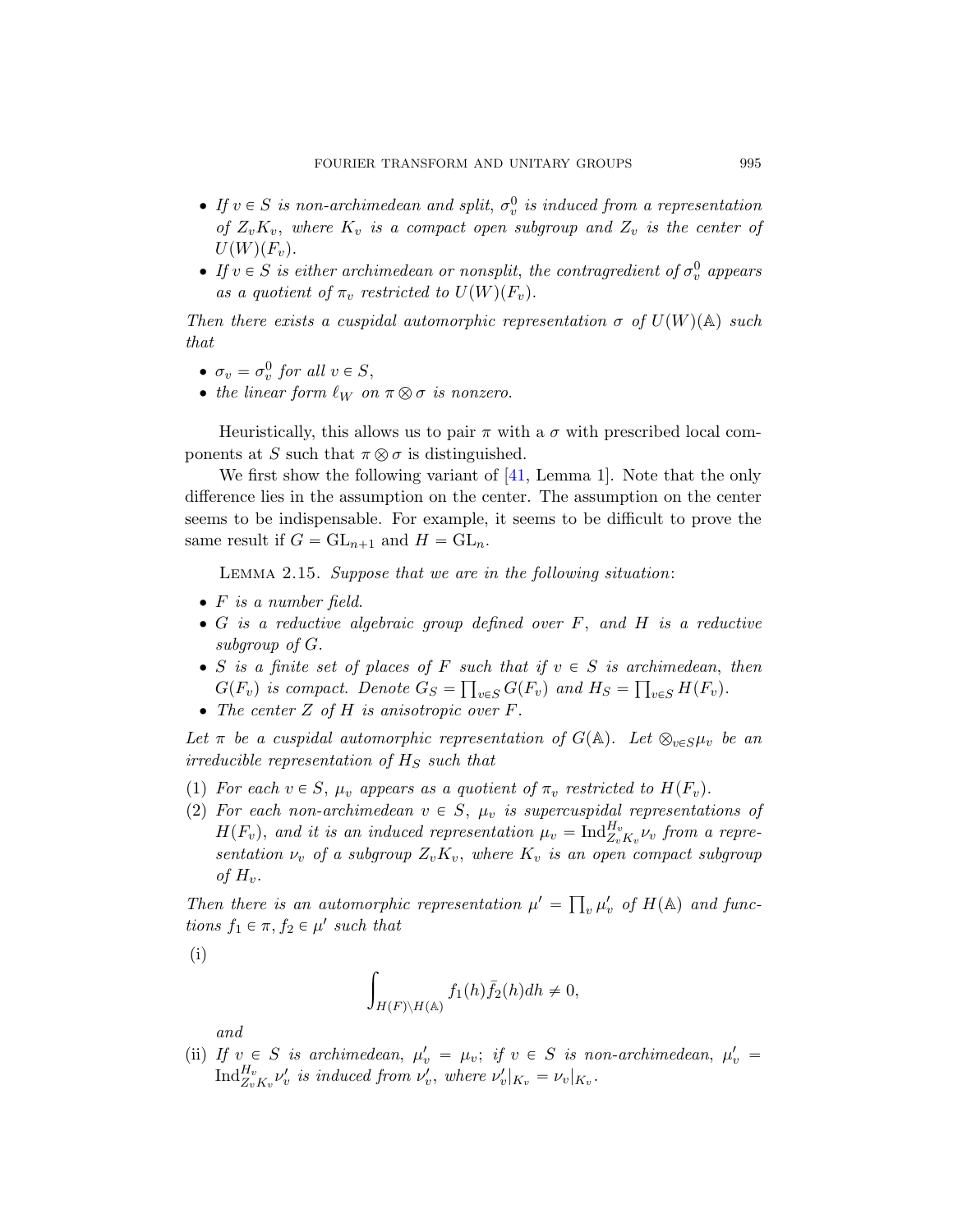- If  $v \in S$  is non-archimedean and split,  $\sigma_v^0$  is induced from a representation of  $Z_vK_v$ , where  $K_v$  is a compact open subgroup and  $Z_v$  is the center of  $U(W)(F_v).$
- If  $v \in S$  is either archimedean or nonsplit, the contragredient of  $\sigma_v^0$  appears as a quotient of  $\pi_v$  restricted to  $U(W)(F_v)$ .

Then there exists a cuspidal automorphic representation  $\sigma$  of  $U(W)(\mathbb{A})$  such that

- $\sigma_v = \sigma_v^0$  for all  $v \in S$ ,
- the linear form  $\ell_W$  on  $\pi \otimes \sigma$  is nonzero.

<span id="page-24-0"></span>Heuristically, this allows us to pair  $\pi$  with a  $\sigma$  with prescribed local components at S such that  $\pi \otimes \sigma$  is distinguished.

We first show the following variant of [41, Lemma 1]. Note that the only difference lies in the assumption on the center. The assumption on the center seems to be indispensable. For example, it seems to be difficult to prove the same result if  $G = GL_{n+1}$  and  $H = GL_n$ .

Lemma 2.15. Suppose that we are in the following situation:

- $\bullet$  F is a number field.
- $\bullet$  G is a reductive algebraic group defined over  $F$ , and  $H$  is a reductive subgroup of G.
- S is a finite set of places of F such that if  $v \in S$  is archimedean, then  $G(F_v)$  is compact. Denote  $G_S = \prod_{v \in S} G(F_v)$  and  $H_S = \prod_{v \in S} H(F_v)$ .
- $\bullet$  The center Z of H is anisotropic over F.

Let  $\pi$  be a cuspidal automorphic representation of  $G(\mathbb{A})$ . Let  $\otimes_{v\in S}\mu_v$  be an irreducible representation of  $H<sub>S</sub>$  such that

- (1) For each  $v \in S$ ,  $\mu_v$  appears as a quotient of  $\pi_v$  restricted to  $H(F_v)$ .
- (2) For each non-archimedean  $v \in S$ ,  $\mu_v$  is supercuspidal representations of  $H(F_v)$ , and it is an induced representation  $\mu_v = \text{Ind}_{Z_vK_v}^{H_v} \nu_v$  from a representation  $\nu_v$  of a subgroup  $Z_vK_v$ , where  $K_v$  is an open compact subgroup of  $H_n$ .

Then there is an automorphic representation  $\mu' =$  $v \mu'_v$  of  $H(\mathbb{A})$  and functions  $f_1 \in \pi$ ,  $f_2 \in \mu'$  such that

(i)

$$
\int_{H(F)\backslash H(\mathbb{A})} f_1(h)\overline{f}_2(h)dh \neq 0,
$$

and

(ii) If  $v \in S$  is archimedean,  $\mu'_v = \mu_v$ ; if  $v \in S$  is non-archimedean,  $\mu'_v =$  $\text{Ind}_{Z_v K_v}^{H_v} \nu_v'$  is induced from  $\nu_v',$  where  $\nu_v'|_{K_v} = \nu_v|_{K_v}.$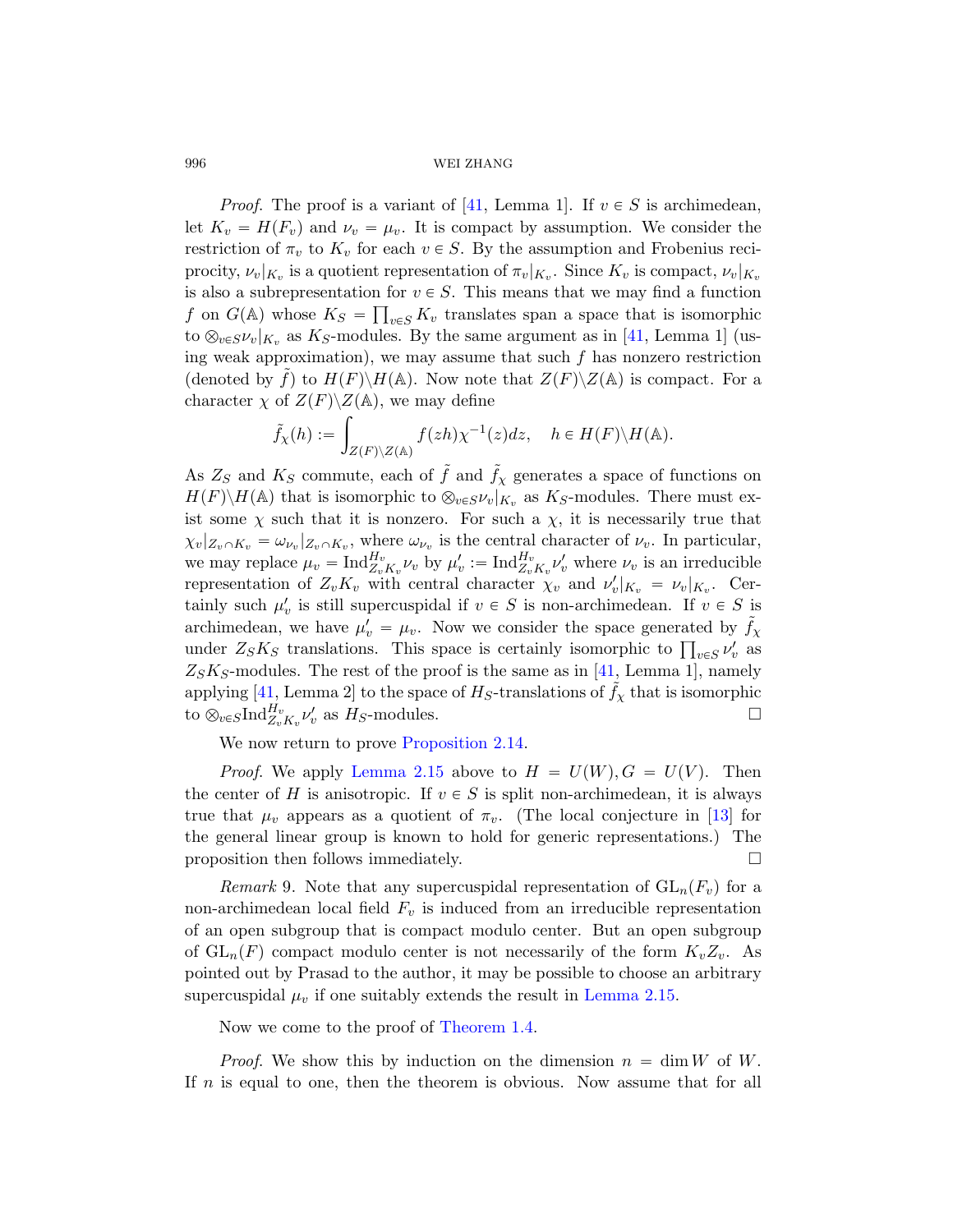*Proof.* The proof is a variant o[f \[4](#page-77-5)1, Lemma 1]. If  $v \in S$  is archimedean, let  $K_v = H(F_v)$  and  $\nu_v = \mu_v$ . It is compact by assumption. We consider the restriction of  $\pi_v$  to  $K_v$  for each  $v \in S$ . By the assumption and Frobenius reciprocity,  $\nu_v|_{K_v}$  is a quotient representation of  $\pi_v|_{K_v}$ . Since  $K_v$  is compact,  $\nu_v|_{K_v}$ is also a subrepresentation for  $v \in S$ . This means that we may find a function f on  $G(\mathbb{A})$  whose  $K_S = \prod_{v \in S} K_v$  translates span a space that is isomorphic to  $\otimes_{v \in S} \nu_v|_{K_v}$  as K<sub>S</sub>-modules. By the same argument as in [41, Lemma 1] (using weak approximation), we may assume that such  $f$  has nonzero restriction (denoted by f) to  $H(F)\backslash H(\mathbb{A})$ . Now note that  $Z(F)\backslash Z(\mathbb{A})$  is compact. For a character  $\chi$  of  $Z(F)\backslash Z(\mathbb{A})$ , we may define

$$
\tilde{f}_{\chi}(h) := \int_{Z(F)\backslash Z(\mathbb{A})} f(zh) \chi^{-1}(z) dz, \quad h \in H(F) \backslash H(\mathbb{A}).
$$

As  $Z_S$  and  $K_S$  commute, each of  $\tilde{f}$  and  $\tilde{f}_\chi$  generates a space of functions on  $H(F)\backslash H(\mathbb{A})$  that is isomorphic to  $\otimes_{v\in S}\nu_v|_{K_v}$  as  $K_S$ -modules. There must exist some  $\chi$  such that it is nonzero. For such a  $\chi$ , it is necessarily true that  $\chi_v|_{Z_v \cap K_v} = \omega_{\nu_v}|_{Z_v \cap K_v}$ , where  $\omega_{\nu_v}$  [is](#page-77-5) the central character of  $\nu_v$ . In particular, we may replace  $\mu_v = \text{Ind}_{Z_v K_v}^{H_v} \nu_v$  by  $\mu'_v := \text{Ind}_{Z_v K_v}^{H_v} \nu'_v$  where  $\nu_v$  is an irreducible representation of  $Z_v K_v$  with central character  $\chi_v$  and  $\nu'_v|_{K_v} = \nu_v|_{K_v}$ . Certainly such  $\mu'_{v}$  [is still s](#page-23-1)upercuspidal if  $v \in S$  is non-archimedean. If  $v \in S$  is [archimedean](#page-24-0), we have  $\mu'_v = \mu_v$ . Now we consider the space generated by  $\tilde{f}_\chi$ archimedean, we have  $\mu'_v = \mu_v$ . Now we consider the space generated by  $f_\chi$ <br>under  $Z_S K_S$  translations. This space is certainly isomorphic to  $\prod_{v \in S} \nu'_v$  as  $Z_S K_S$ -modules. The rest of the proof is the sa[me a](#page-75-1)s in [41, Lemma 1], namely applying [41, Lemma 2] to the space of  $H_S$ -translations of  $\tilde{f}_\chi$  that is isomorphic to  $\otimes_{v \in S} \text{Ind}_{Z_v K_v}^{H_v} \nu_v'$  as  $H_S$ -modules.

We now return to prove Proposition 2.14.

*Proof.* We apply Lemma 2.15 above to  $H = U(W), G = U(V)$ . Then the center of H is anisotropic. If  $v \in S$  is split non-archimedean, it is always true that  $\mu_v$  appears as a quotient of  $\pi_v$ . (The local conjecture in [13] for the general linear group is known to hold for generic representations.) The proposition then follows imme[diately.](#page-24-0)  $\Box$ 

*Remark* 9. [Note tha](#page-5-0)t any supercuspidal representation of  $GL_n(F_v)$  for a non-archimedean local field  $F_v$  is induced from an irreducible representation of an open subgroup that is compact modulo center. But an open subgroup of  $GL_n(F)$  compact modulo center is not necessarily of the form  $K_vZ_v$ . As pointed out by Prasad to the author, it may be possible to choose an arbitrary supercuspidal  $\mu_v$  if one suitably extends the result in Lemma 2.15.

Now we come to the proof of Theorem 1.4.

*Proof.* We show this by induction on the dimension  $n = \dim W$  of W. If n is equal to one, then the theorem is obvious. Now assume that for all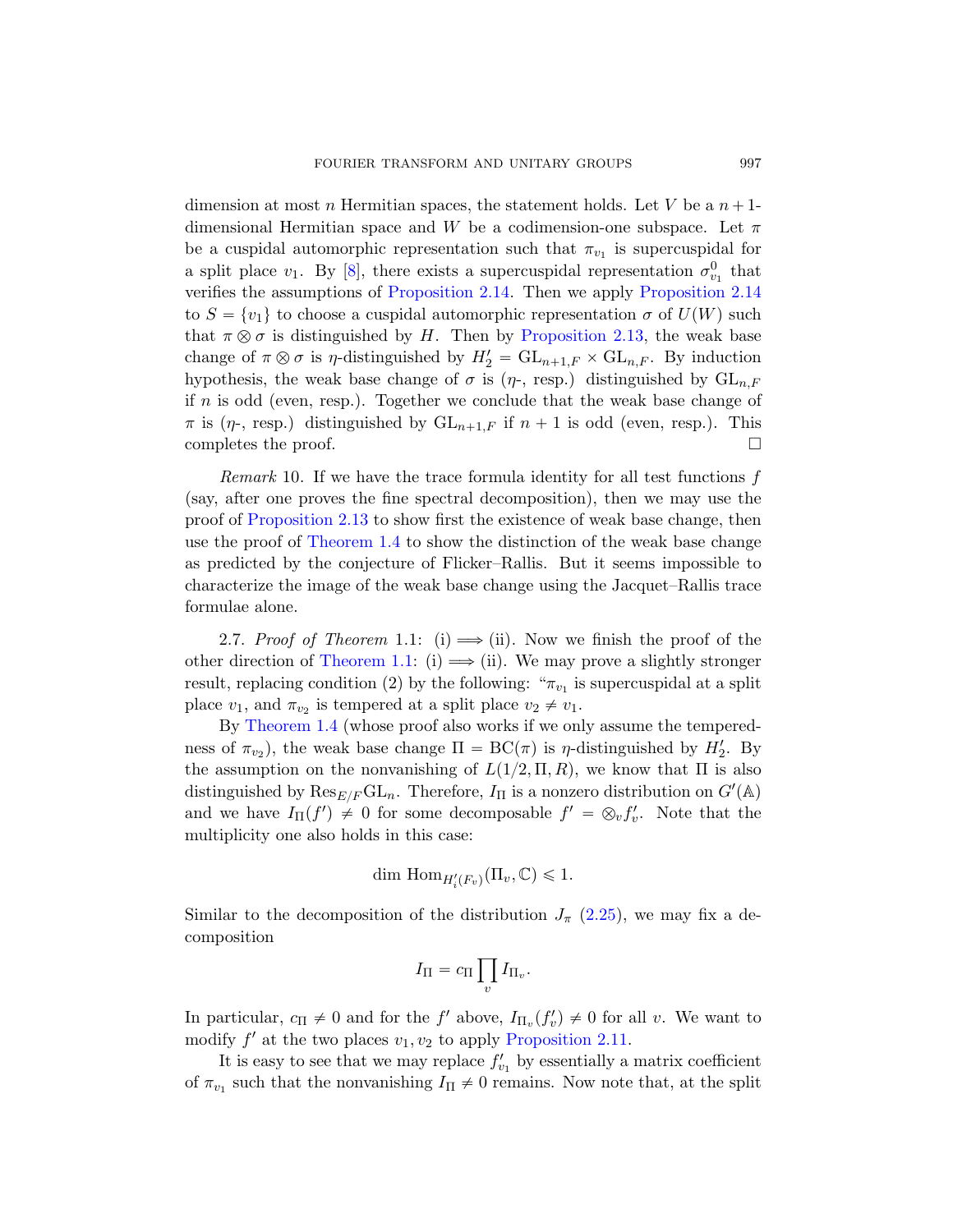dimension at most n [Hermitian spaces,](#page-22-2) the statement holds. Let V be a  $n+1$ dimensional Hermitian space and W be a codimension-one subspace. Let  $\pi$ be a cuspidal automorphic representation such that  $\pi_{v_1}$  is supercuspidal for a split place  $v_1$ . By [8], there exists a supercuspidal representation  $\sigma_{v_1}^0$  that verifies the assumptions of Proposition 2.14. Then we apply Proposition 2.14 to  $S = \{v_1\}$  to choose a cuspidal automorphic representation  $\sigma$  of  $U(W)$  such that  $\pi \otimes \sigma$  is distinguished by H. Then by Proposition 2.13, the weak base change of  $\pi \otimes \sigma$  is  $\eta$ -distinguished by  $H'_2 = GL_{n+1,F} \times GL_{n,F}$ . By induction [hy](#page-22-2)pothesis, the weak base change of  $\sigma$  is ( $\eta$ -, resp.) distinguished by  $GL_{n,F}$ if  $n$  [is](#page-5-0) odd (even, resp.). Together we conclude that the weak base change of  $\pi$  is  $(\eta$ -, resp.) distinguished by  $GL_{n+1,F}$  if  $n + 1$  is odd (even, resp.). This completes the proof.  $\Box$ 

<span id="page-26-0"></span>Remark 10. If we have the trace formula identity for all test functions f (say, after one proves the fine spectral decomposition), then we may use the [proof of](#page-3-0) Proposition 2.13 to show first the existence of weak base change, then use the proof of Theorem 1.4 to show the distinction of the weak base change as predicted by the conjecture of Flicker–Rallis. But it seems impossible to characterize the image of the weak base change using the Jacquet–Rallis trace formulae alone.

2.7. Proof of Theorem 1.1: (i)  $\implies$  (ii). Now we finish the proof of the other direction of Theorem 1.1: (i)  $\implies$  (ii). We may prove a slightly stronger result, replacing condition (2) by the following: " $\pi_{v_1}$  is supercuspidal at a split place  $v_1$ , and  $\pi_{v_2}$  is tempered at a split place  $v_2 \neq v_1$ .

By Theorem 1.4 (whose proof also works if we only assume the temperedness of  $\pi_{v_2}$ ), the weak base change  $\Pi = BC(\pi)$  is  $\eta$ -distinguished by  $H'_2$ . By the assumption on the nonvanishing of  $L(1/2, \Pi, R)$ , we know that  $\Pi$  is also distinguished by  $\text{Res}_{E/F} \text{GL}_n$ . [There](#page-22-3)fore,  $I_{\Pi}$  is a nonzero distribution on  $G'(\mathbb{A})$ and we have  $I_{\Pi}(f') \neq 0$  for some decomposable  $f' = \otimes_v f'_v$ . Note that the multiplicity one also holds in this case:

$$
\dim \mathrm{Hom}_{H'_{i}(F_{v})}(\Pi_{v}, \mathbb{C}) \leq 1.
$$

Similar to the deco[mposition of the](#page-21-0) distribution  $J_{\pi}$  (2.25), we may fix a decomposition

$$
I_{\Pi} = c_{\Pi} \prod_{v} I_{\Pi_{v}}.
$$

In particular,  $c_{\Pi} \neq 0$  and for the  $f'$  above,  $I_{\Pi_v}(f'_v) \neq 0$  for all v. We want to modify  $f'$  at the two places  $v_1, v_2$  to apply Proposition 2.11.

It is easy to see that we may replace  $f'_{v_1}$  by essentially a matrix coefficient of  $\pi_{v_1}$  such that the nonvanishing  $I_{\Pi} \neq 0$  remains. Now note that, at the split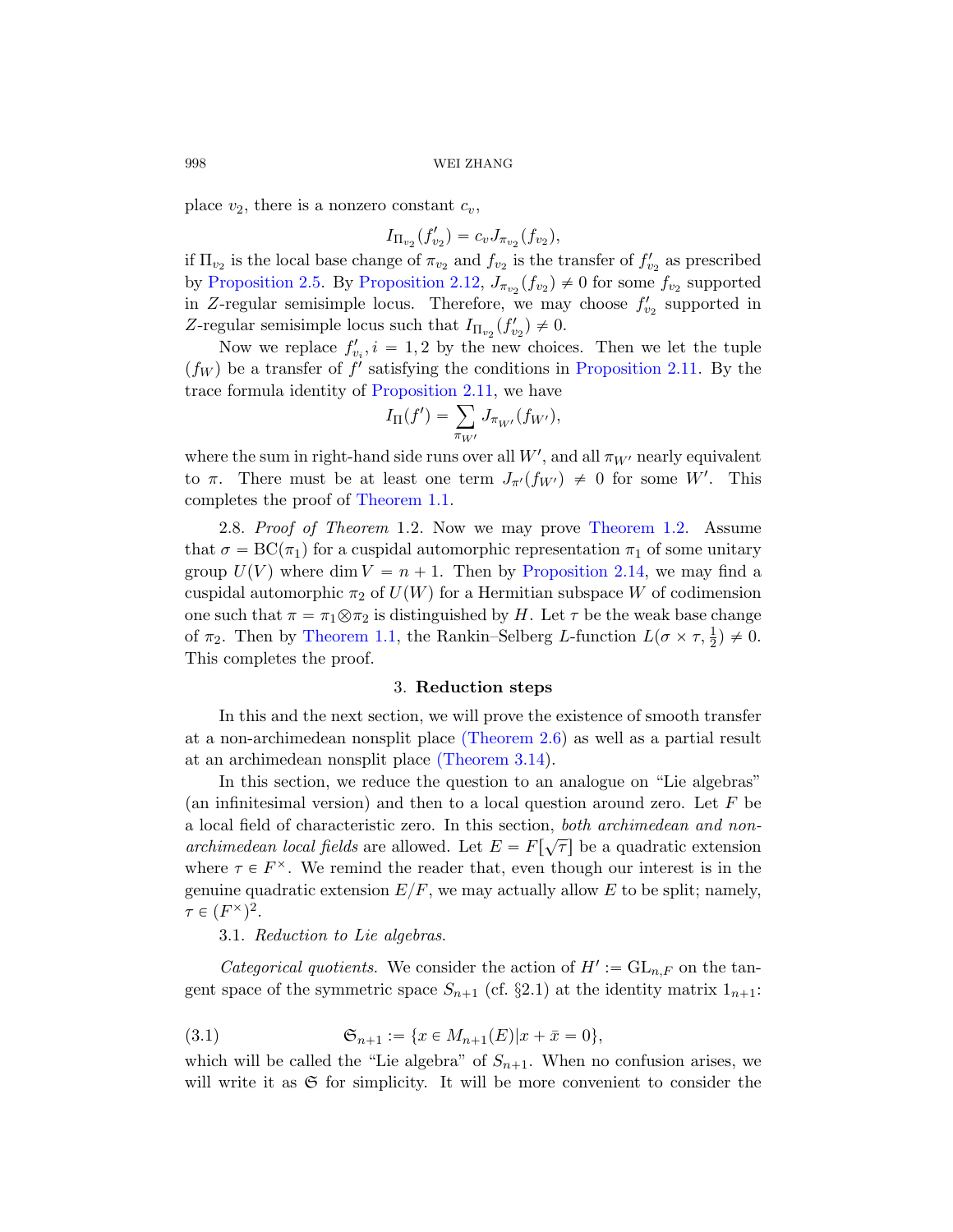place  $v_2$ , there is a nonzero constant  $c_v$ ,

$$
I_{\Pi_{v_2}}(f'_{v_2}) = c_v J_{\pi_{v_2}}(f_{v_2}),
$$

if  $\Pi_{v_2}$  [is the local b](#page-21-0)ase change of  $\pi_{v_2}$  and  $f_{v_2}$  is the transfer of  $f'_{v_2}$  as prescribed by Proposition 2.5. By Proposition 2.12,  $J_{\pi_{v_2}}(f_{v_2}) \neq 0$  for some  $f_{v_2}$  supported in Z-regular semisimple locus. Therefore, we may choose  $f'_{v_2}$  supported in Z-regular semisimple locus such that  $I_{\Pi_{v_2}}(f'_{v_2}) \neq 0$ .

<span id="page-27-0"></span>Now we replace  $f'_{v_i}, i = 1, 2$  by the new choices. Then we let the tuple  $(f_W)$  [be a tra](#page-3-0)nsfer of f' satisfying the conditions in Proposition 2.11. By the trace formula identity of Prop[osition 2.11, w](#page-5-1)e have<br> $I_{\Pi}(f') = \sum_{i} J_{\pi_{W'}}(f_{W'}),$ 

$$
I_{\Pi}(f') = \sum_{\pi_{W'}} J_{\pi_{W'}}(f_{W'}),
$$

where the sum in right-hand side runs over all  $W'$ , and all  $\pi_{W'}$  nearly equivalent to  $\pi$ . There must be at least one term  $J_{\pi}(f_{W'}) \neq 0$  for some W'. This [compl](#page-3-0)etes the proof of Theorem 1.1.

<span id="page-27-2"></span>2.8. Proof of Theorem 1.2. Now we may prove Theorem 1.2. Assume that  $\sigma = BC(\pi_1)$  for a cuspidal automorphic representation  $\pi_1$  of some unitary group  $U(V)$  where dim  $V = n + 1$ . Then by Proposition 2.14, we may find a cuspidal auto[morphic](#page-18-0)  $\pi_2$  of  $U(W)$  for a Hermitian subspace W of codimension one such that  $\pi = \pi_1 \otimes \pi_2$  is distinguished by H. Let  $\tau$  be the weak base change of  $\pi_2$ . Then by [Theorem 1](#page-39-0).1, the Rankin–Selberg L-function  $L(\sigma \times \tau, \frac{1}{2}) \neq 0$ . This completes the proof.

#### 3. Reduction steps

In this and the next section, we will prove the existence of smooth transfer at a non-archimedean nonsplit place (Theorem 2.6) as well as a partial result at an archimedean nonsplit place (Theorem 3.14).

<span id="page-27-1"></span>In this section, we reduce the question to an analogue on "Lie algebras" (an infinitesimal version) and then to a local question around zero. Let  $F$  be a local field of characteristic zero. In this section, both archimedean and nonarchimedean local fields are allowed. Let  $E = F[\sqrt{\tau}]$  be a quadratic extension where  $\tau \in F^{\times}$ . We remind the reader that, even though our interest is in the genuine quadratic extension  $E/F$ , we may actually allow E to be split; namely,  $\tau \in (F^{\times})^2$ .

3.1. Reduction to Lie algebras.

*Categorical quotients.* We consider the action of  $H' := GL_{n,F}$  on the tangent space of the symmetric space  $S_{n+1}$  (cf. §2.1) at the identity matrix  $1_{n+1}$ :

(3.1) 
$$
\mathfrak{S}_{n+1} := \{x \in M_{n+1}(E)|x + \bar{x} = 0\},\
$$

which will be called the "Lie algebra" of  $S_{n+1}$ . When no confusion arises, we will write it as  $\mathfrak S$  for simplicity. It will be more convenient to consider the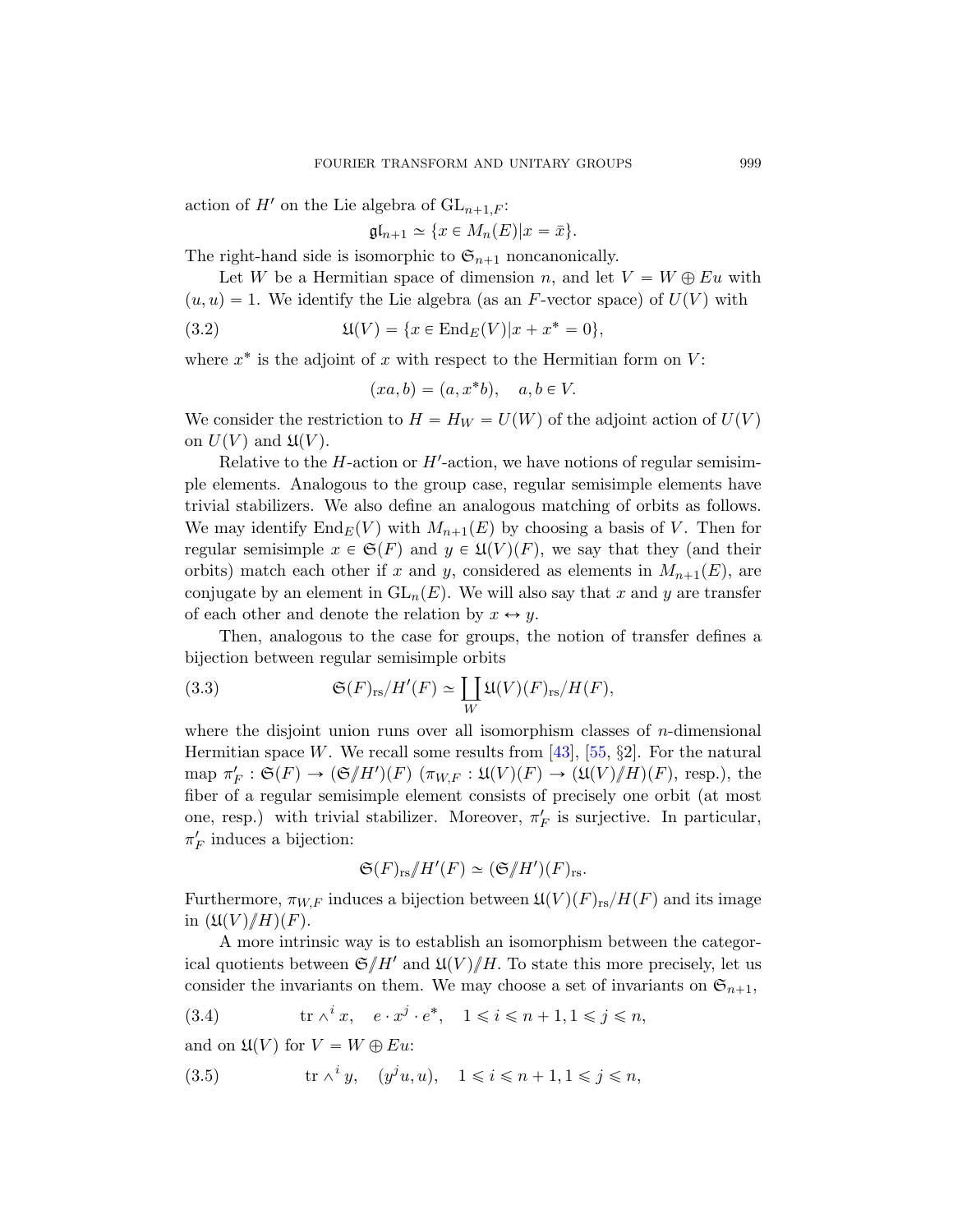action of  $H'$  on the Lie algebra of  $GL_{n+1,F}$ :

 $\mathfrak{gl}_{n+1} \simeq \{x \in M_n(E)|x = \bar{x}\}.$ 

The right-hand side is isomorphic to  $\mathfrak{S}_{n+1}$  noncanonically.

Let W be a Hermitian space of dimension n, and let  $V = W \oplus Eu$  with  $(u, u) = 1$ . We identify the Lie algebra (as an F-vector space) of  $U(V)$  with

(3.2) 
$$
\mathfrak{U}(V) = \{x \in \text{End}_E(V)|x + x^* = 0\},\
$$

where  $x^*$  is the adjoint of x with respect to the Hermitian form on  $V$ :

$$
(xa, b) = (a, x^*b), \quad a, b \in V.
$$

We consider the restriction to  $H = H_W = U(W)$  of the adjoint action of  $U(V)$ on  $U(V)$  and  $\mathfrak{U}(V)$ .

<span id="page-28-2"></span>Relative to the  $H$ -action or  $H'$ -action, we have notions of regular semisimple elements. Analogous to the group case, regular semisimple elements have trivial stabilizers. We also define an analogous matching of orbits as follows. We may identify  $\text{End}_E(V)$  with  $M_{n+1}(E)$  by choosing a basis of V. Then for regular semisimple  $x \in \mathfrak{S}(F)$  and  $y \in \mathfrak{U}(V)(F)$ , we say that they (and their orbits) match each other if x and y, considered as elements in  $M_{n+1}(E)$ , are conjugate by an element in  $GL_n(E)$ . We will also say that x and y are transfer of each ot[he](#page-77-6)r and denote the r[elat](#page-78-3)ion by  $x \leftrightarrow y$ .

Then, analogous to the case for groups, the notion of transfer defines a

bijection between regular semisimple orbits  
(3.3) 
$$
\mathfrak{S}(F)_{\text{rs}}/H'(F) \simeq \coprod_{W} \mathfrak{U}(V)(F)_{\text{rs}}/H(F),
$$

where the disjoint union runs over all isomorphism classes of  $n$ -dimensional Hermitian space W. We recall some results from [43], [55,  $\S2$ ]. For the natural map  $\pi'_F : \mathfrak{S}(F) \to (\mathfrak{S}/H')(F)$   $(\pi_{W,F} : \mathfrak{U}(V)(F) \to (\mathfrak{U}(V)/H)(F)$ , resp.), the fiber of a regular semisimple element consists of precisely one orbit (at most one, resp.) with trivial stabilizer. Moreover,  $\pi_F'$  is surjective. In particular,  $\pi_F'$  induces a bijection:

$$
\mathfrak{S}(F)_{\text{rs}}/H'(F) \simeq (\mathfrak{S}/H')(F)_{\text{rs}}.
$$

<span id="page-28-1"></span><span id="page-28-0"></span>Furthermore,  $\pi_{W,F}$  induces a bijection between  $\mathfrak{U}(V)(F)_{rs}/H(F)$  and its image in  $(\mathfrak{U}(V)/H)(F)$ .

A more intrinsic way is to establish an isomorphism between the categorical quotients between  $\mathfrak{S}/H'$  and  $\mathfrak{U}(V)/H$ . To state this more precisely, let us consider the invariants on them. We may choose a set of invariants on  $\mathfrak{S}_{n+1}$ ,

(3.4) 
$$
\operatorname{tr} \wedge^i x, \quad e \cdot x^j \cdot e^*, \quad 1 \leqslant i \leqslant n+1, 1 \leqslant j \leqslant n,
$$

and on  $\mathfrak{U}(V)$  for  $V = W \oplus Eu$ :

(3.5) 
$$
\operatorname{tr} \wedge^i y, \quad (y^j u, u), \quad 1 \leq i \leq n+1, 1 \leq j \leq n,
$$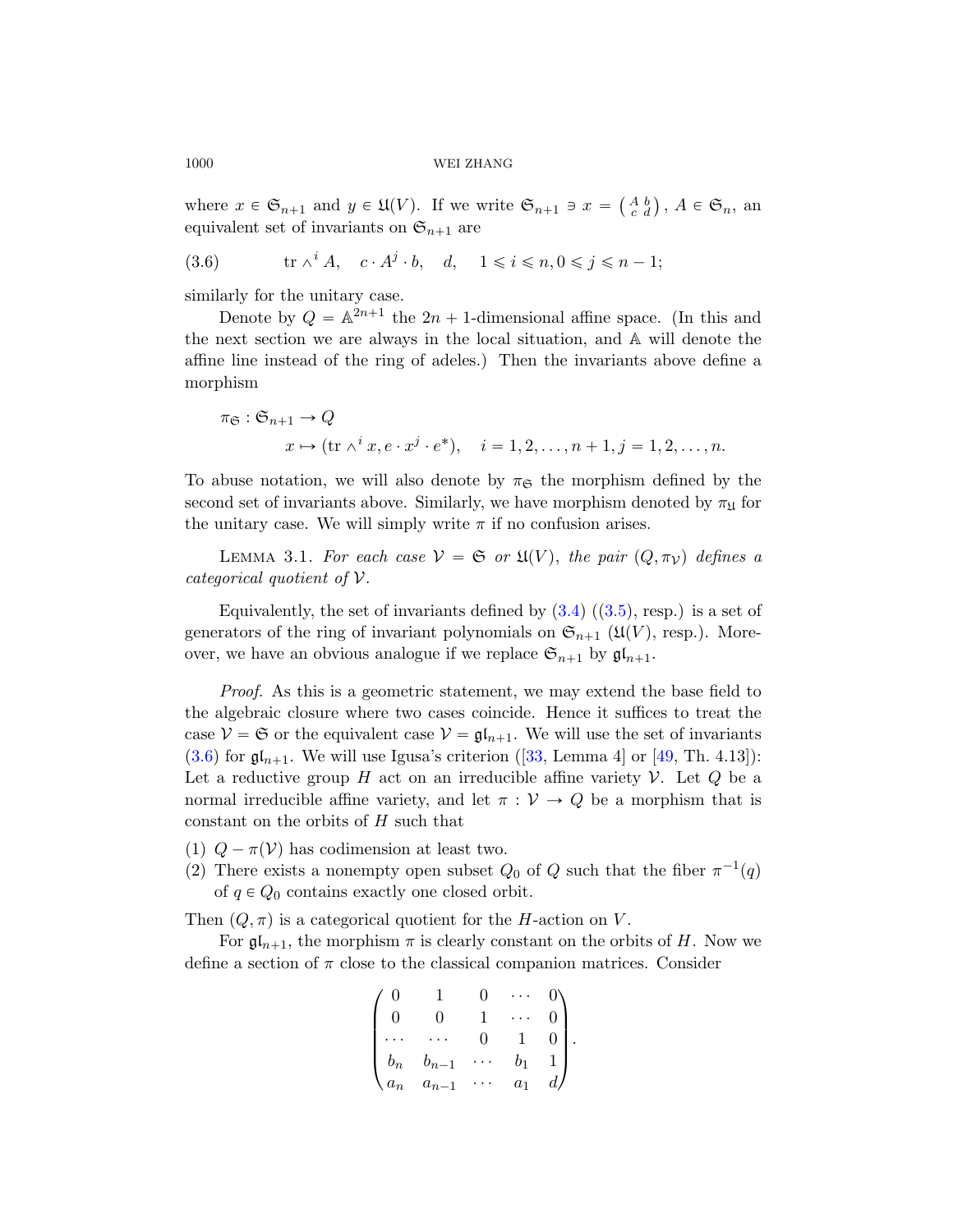where  $x \in \mathfrak{S}_{n+1}$  and  $y \in \mathfrak{U}(V)$ . If we write  $\mathfrak{S}_{n+1} \ni x =$  $\left(\begin{smallmatrix} A & b \\ c & d \end{smallmatrix}\right)$ ,  $A \in \mathfrak{S}_n$ , an equivalent set of invariants on  $\mathfrak{S}_{n+1}$  are

tr ^ <sup>i</sup> A, c ¨ A j ¨ b, d, 1 ď i ď n, 0 ď j ď n ´ 1;(3.6)

similarly for the unitary case.

Denote by  $Q = \mathbb{A}^{2n+1}$  the  $2n + 1$ -dimensional affine space. (In this and the next section we are always in the local situation, and A will denote the affine line instead of the ring of adeles.) Then the invariants above define a morphism

$$
\pi_{\mathfrak{S}} : \mathfrak{S}_{n+1} \to Q
$$
  

$$
x \mapsto (\text{tr } \wedge^i x, e \cdot x^j \cdot e^*), \quad i = 1, 2, \dots, n+1, j = 1, 2, \dots, n.
$$

To abuse notation, we wil[l als](#page-28-0)o [deno](#page-28-1)te by  $\pi_{\mathfrak{S}}$  the morphism defined by the second set of invariants above. Similarly, we have morphism denoted by  $\pi_{\mathfrak{U}}$  for the unitary case. We will simply write  $\pi$  if no confusion arises.

LEMMA 3.1. For each case  $V = \mathfrak{S}$  or  $\mathfrak{U}(V)$ , the pair  $(Q, \pi_V)$  defines a categorical quotient of V.

Equivalently, the [set](#page-76-9) of invariants d[efin](#page-77-7)ed by  $(3.4)$   $((3.5)$ , resp.) is a set of generators of the ring of invariant polynomials on  $\mathfrak{S}_{n+1}$  ( $\mathfrak{U}(V)$ , resp.). Moreover, we have an obvious analogue if we replace  $\mathfrak{S}_{n+1}$  by  $\mathfrak{gl}_{n+1}$ .

Proof. As this is a geometric statement, we may extend the base field to the algebraic closure where two cases coincide. Hence it suffices to treat the case  $V = \mathfrak{S}$  or the equivalent case  $V = \mathfrak{gl}_{n+1}$ . We will use the set of invariants  $(3.6)$  for  $\mathfrak{gl}_{n+1}$ . We will use Igusa's criterion ([33, Lemma 4] or [49, Th. 4.13]): Let a reductive group  $H$  act on an irreducible affine variety  $V$ . Let  $Q$  be a normal irreducible affine variety, and let  $\pi : \mathcal{V} \to Q$  be a morphism that is constant on the orbits of  $H$  such that

- (1)  $Q \pi(V)$  has codimension at least two.
- (2) There exists a nonempty open subset  $Q_0$  of  $Q$  such that the fiber  $\pi^{-1}(q)$ of  $q \in Q_0$  contains exactly one closed orbit.

Then  $(Q, \pi)$  is a categorical quotient for the H-action on V.

For  $\mathfrak{gl}_{n+1}$ , the morphism  $\pi$  is clearly constant on the orbits of H. Now we define a section of  $\pi$  close to the classical companion matrices. Consider

$$
\begin{pmatrix}\n0 & 1 & 0 & \cdots & 0 \\
0 & 0 & 1 & \cdots & 0 \\
\cdots & \cdots & 0 & 1 & 0 \\
b_n & b_{n-1} & \cdots & b_1 & 1 \\
a_n & a_{n-1} & \cdots & a_1 & d\n\end{pmatrix}.
$$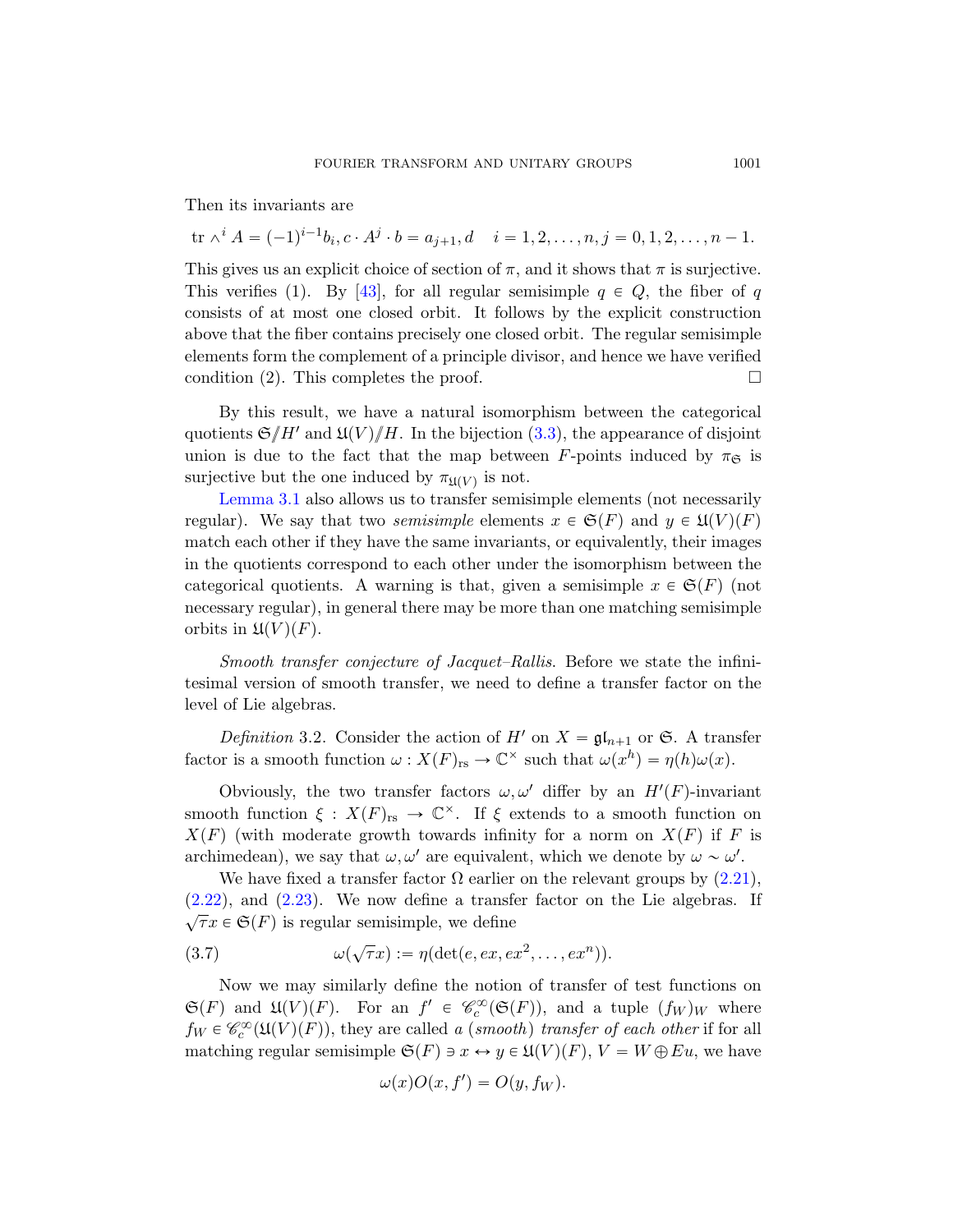Then its invariants are

 $\text{tr } \wedge^i A = (-1)^{i-1} b_i, c \cdot A^j \cdot b = a_{j+1}, d \quad i = 1, 2, \dots, n, j = 0, 1, 2, \dots, n-1.$ 

This gives us an explicit choice of section of  $\pi$ , and it shows that  $\pi$  is surjective. This verifies (1). By [[43\],](#page-28-2) for all regular semisimple  $q \in Q$ , the fiber of q consists of at most one closed orbit. It follows by the explicit construction above that the fiber contains precisely one closed orbit. The regular semisimple elements form the complement of a principle divisor, and hence we have verified condition (2). This completes the proof.  $\Box$ 

By this result, we have a natural isomorphism between the categorical quotients  ${\mathfrak{S}}/H'$  and  ${\mathfrak{U}}(V)/H$ . In the bijection (3.3), the appearance of disjoint union is due to the fact that the map between F-points induced by  $\pi_{\mathfrak{S}}$  is surjective but the one induced by  $\pi_{\mathfrak{U}(V)}$  is not.

Lemma 3.1 also allows us to transfer semisimple elements (not necessarily regular). We say that two *semisimple* elements  $x \in \mathfrak{S}(F)$  and  $y \in \mathfrak{U}(V)(F)$ match each other if they have the same invariants, or equivalently, their images in the quotients correspond to each other under the isomorphism between the categorical quotients. A warning is that, given a semisimple  $x \in \mathfrak{S}(F)$  (not necessary regular), in general there may be more than one matching semisimple orbits in  $\mathfrak{U}(V)(F)$ .

Smooth transfer conjecture of Jacquet–Rallis. Before we state the infinitesimal version of smooth transfer, we need to define a transfer factor on the level of Lie algebras.

Definition 3.2. Consider the action of H' on  $X = \mathfrak{gl}_{n+1}$  $X = \mathfrak{gl}_{n+1}$  or G. A transfer factor is a smooth function  $\omega: X(F)_{rs} \to \mathbb{C}^\times$  such that  $\omega(x^h) = \eta(h)\omega(x)$ .

Obviously, the two transfer factors  $\omega, \omega'$  differ by an  $H'(F)$ -invariant smooth function  $\xi : X(F)_{rs} \to \mathbb{C}^{\times}$ . If  $\xi$  extends to a smooth function on  $X(F)$  (with moderate growth towards infinity for a norm on  $X(F)$  if F is archimedean), we say that  $\omega, \omega'$  are equivalent, which we denote by  $\omega \sim \omega'$ .

We have fixed a transfer factor  $\Omega$  earlier on the relevant groups by  $(2.21)$ , (2.22), and (2.23). We now define a transfer factor on the Lie algebras. If  $\sqrt{\tau}x \in \mathfrak{S}(F)$  is regular semisimple, we define

(3.7) 
$$
\omega(\sqrt{\tau}x) := \eta(\det(e, ex, ex^2, \dots, ex^n)).
$$

Now we may similarly define the notion of transfer of test functions on  $\mathfrak{S}(F)$  and  $\mathfrak{U}(V)(F)$ . For an  $f' \in \mathscr{C}_c^{\infty}(\mathfrak{S}(F))$ , and a tuple  $(f_W)_W$  where  $f_W \in \mathcal{C}_c^{\infty}(\mathfrak{U}(V)(F))$ , they are called a (smooth) transfer of each other if for all matching regular semisimple  $\mathfrak{S}(F) \ni x \leftrightarrow y \in \mathfrak{U}(V)(F)$ ,  $V = W \oplus Eu$ , we have

$$
\omega(x)O(x, f') = O(y, f_W).
$$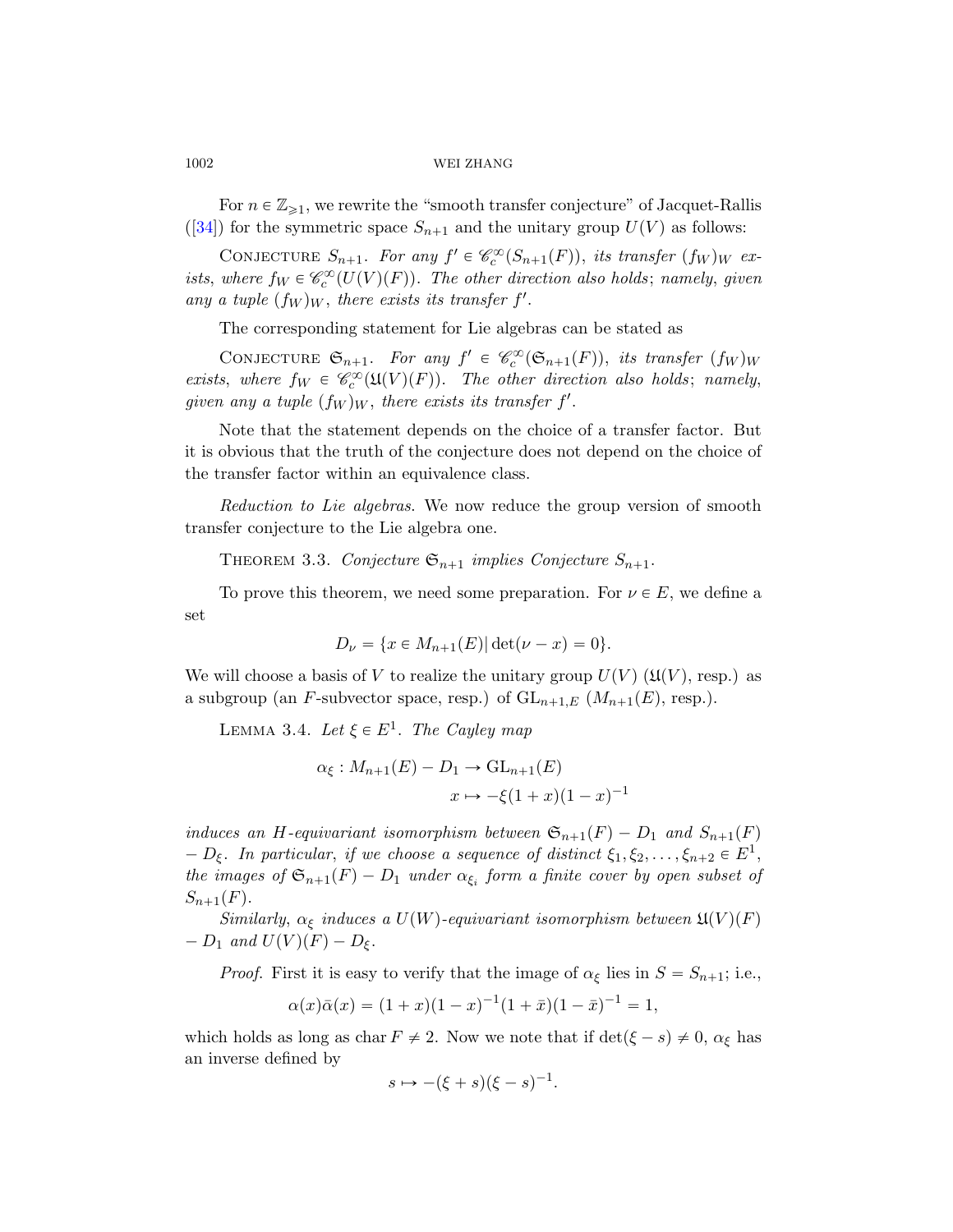For  $n \in \mathbb{Z}_{\geqslant 1}$ , we rewrite the "smooth transfer conjecture" of Jacquet-Rallis ([34]) for the symmetric space  $S_{n+1}$  and the unitary group  $U(V)$  as follows:

CONJECTURE  $S_{n+1}$ . For any  $f' \in \mathcal{C}_c^{\infty}(S_{n+1}(F))$ , its transfer  $(f_W)_W$  exists, where  $f_W \in \mathcal{C}_c^{\infty}(U(V)(F))$ . The other direction also holds; namely, given any a tuple  $(f_W)_W$ , there exists its transfer f'.

The corresponding statement for Lie algebras can be stated as

CONJECTURE  $\mathfrak{S}_{n+1}$ . For any  $f' \in \mathcal{C}_c^{\infty}(\mathfrak{S}_{n+1}(F))$ , its transfer  $(f_W)_W$ exists, where  $f_W \in \mathcal{C}_c^{\infty}(\mathfrak{U}(V)(F))$ . The other direction also holds; namely, given any a tuple  $(f_W)_W$ , there exists its transfer f'.

<span id="page-31-0"></span>Note that the statement depends on the choice of a transfer factor. But it is obvious that the truth of the conjecture does not depend on the choice of the transfer factor within an equivalence class.

Reduction to Lie algebras. We now reduce the group version of smooth transfer conjecture to the Lie algebra one.

THEOREM 3.3. Conjecture  $\mathfrak{S}_{n+1}$  implies Conjecture  $S_{n+1}$ .

To prove this theorem, we need some preparation. For  $\nu \in E$ , we define a set

$$
D_{\nu} = \{ x \in M_{n+1}(E) | \det(\nu - x) = 0 \}.
$$

We will choose a basis of V to realize the unitary group  $U(V)$  ( $\mathfrak{U}(V)$ , resp.) as a subgroup (an F-subvector space, resp.) of  $GL_{n+1,E}$   $(M_{n+1}(E),$  resp.).

LEMMA 3.4. Let  $\xi \in E^1$ . The Cayley map

$$
\alpha_{\xi}: M_{n+1}(E) - D_1 \to \mathrm{GL}_{n+1}(E)
$$

$$
x \mapsto -\xi(1+x)(1-x)^{-1}
$$

induces an H-equivariant isomorphism between  $\mathfrak{S}_{n+1}(F) - D_1$  and  $S_{n+1}(F)$  $-D_{\xi}$ . In particular, if we choose a sequence of distinct  $\xi_1, \xi_2, \ldots, \xi_{n+2} \in E^1$ , the images of  $\mathfrak{S}_{n+1}(F) - D_1$  under  $\alpha_{\xi_i}$  form a finite cover by open subset of  $S_{n+1}(F)$ .

Similarly,  $\alpha_{\xi}$  induces a  $U(W)$ -equivariant isomorphism between  $\mathfrak{U}(V)(F)$  $-D_1$  and  $U(V)(F) - D_{\xi}$ .

*Proof.* First it is easy to verify that the image of  $\alpha_{\xi}$  lies in  $S = S_{n+1}$ ; i.e.,

$$
\alpha(x)\bar{\alpha}(x) = (1+x)(1-x)^{-1}(1+\bar{x})(1-\bar{x})^{-1} = 1,
$$

which holds as long as char  $F \neq 2$ . Now we note that if  $\det(\xi - s) \neq 0$ ,  $\alpha_{\xi}$  has an inverse defined by

$$
s \mapsto -(\xi + s)(\xi - s)^{-1}.
$$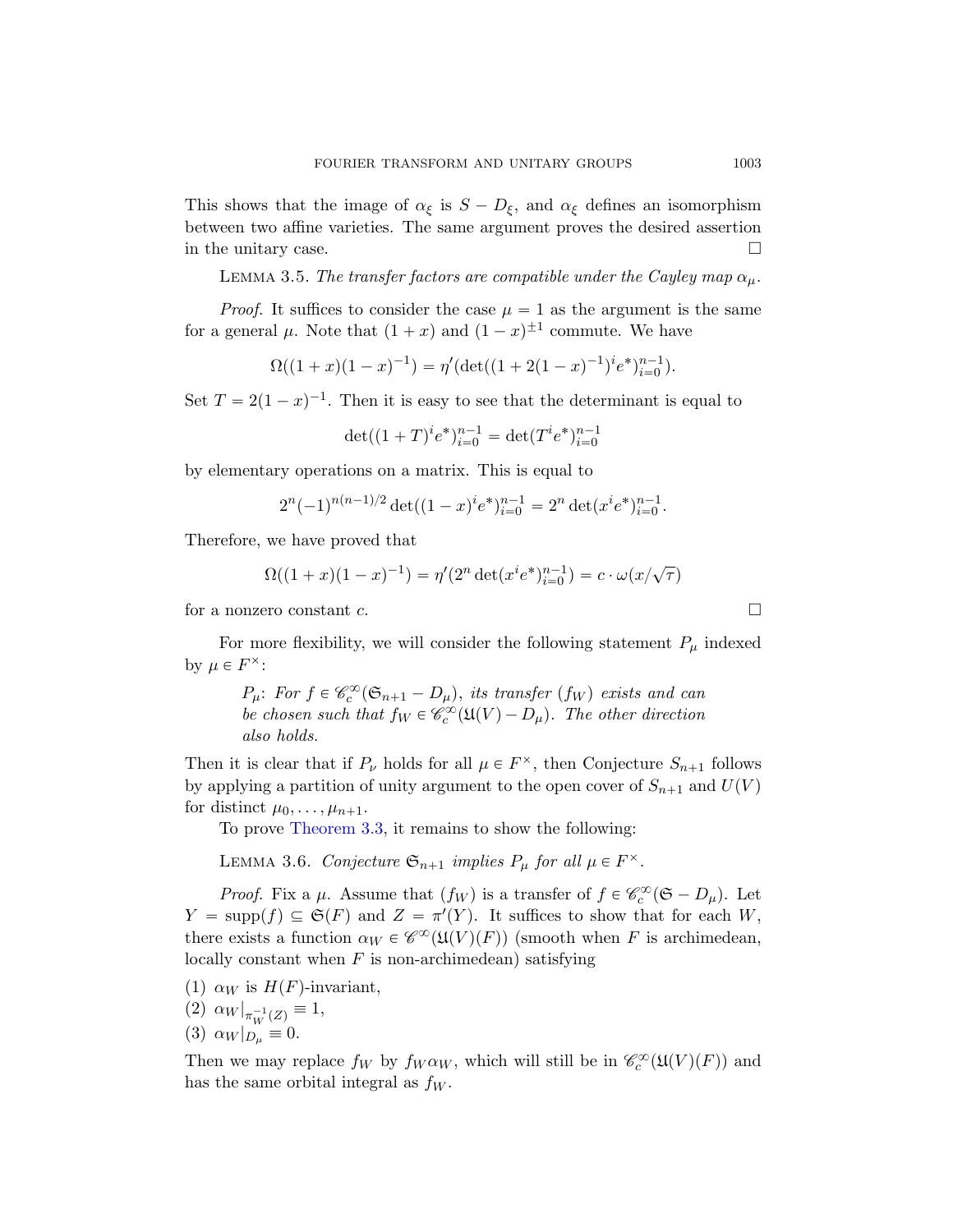This shows that the image of  $\alpha_{\xi}$  is  $S - D_{\xi}$ , and  $\alpha_{\xi}$  defines an isomorphism between two affine varieties. The same argument proves the desired assertion in the unitary case.  $\Box$ 

LEMMA 3.5. The transfer factors are compatible under the Cayley map  $\alpha_{\mu}$ .

*Proof.* It suffices to consider the case  $\mu = 1$  as the argument is the same for a general  $\mu$ . Note that  $(1+x)$  and  $(1-x)^{\pm 1}$  commute. We have

$$
\Omega((1+x)(1-x)^{-1}) = \eta'(\det((1+2(1-x)^{-1})^i e^*)_{i=0}^{n-1}).
$$

Set  $T = 2(1-x)^{-1}$ . Then it is easy to see that the determinant is equal to

$$
\det((1+T)^{i}e^{*})_{i=0}^{n-1} = \det(T^{i}e^{*})_{i=0}^{n-1}
$$

by elementary operations on a matrix. This is equal to

$$
2^{n}(-1)^{n(n-1)/2} \det((1-x)^{i}e^{*})_{i=0}^{n-1} = 2^{n} \det(x^{i}e^{*})_{i=0}^{n-1}.
$$

Therefore, we have proved that

$$
\Omega((1+x)(1-x)^{-1}) = \eta'(2^n \det(x^i e^*)_{i=0}^{n-1}) = c \cdot \omega(x/\sqrt{\tau})
$$

for a nonzero constant  $c$ .

For more flexibility, we will consider the following statement  $P_\mu$  indexed by  $\mu \in F^{\times}$ :

$$
P_{\mu}
$$
: For  $f \in \mathcal{C}_c^{\infty}(\mathfrak{S}_{n+1} - D_{\mu})$ , its transfer  $(f_W)$  exists and can  
be chosen such that  $f_W \in \mathcal{C}_c^{\infty}(\mathfrak{U}(V) - D_{\mu})$ . The other direction  
also holds.

Then it is clear that if  $P_{\nu}$  holds for all  $\mu \in F^{\times}$ , then Conjecture  $S_{n+1}$  follows by applying a partition of unity argument to the open cover of  $S_{n+1}$  and  $U(V)$ for distinct  $\mu_0, \ldots, \mu_{n+1}$ .

To prove Theorem 3.3, it remains to show the following:

LEMMA 3.6. Conjecture  $\mathfrak{S}_{n+1}$  implies  $P_{\mu}$  for all  $\mu \in F^{\times}$ .

*Proof.* Fix a  $\mu$ . Assume that  $(f_W)$  is a transfer of  $f \in \mathcal{C}_c^{\infty}(\mathfrak{S} - D_{\mu})$ . Let  $Y = \text{supp}(f) \subseteq \mathfrak{S}(F)$  and  $Z = \pi'(Y)$ . It suffices to show that for each W, there exists a function  $\alpha_W \in \mathscr{C}^\infty(\mathfrak{U}(V)(F))$  (smooth when F is archimedean, locally constant when  $F$  is non-archimedean) satisfying

(1)  $\alpha_W$  is  $H(F)$ -invariant,

$$
(2) \alpha_W|_{\pi_W^{-1}(Z)} \equiv 1,
$$

(3)  $\alpha_W|_{D_\mu} \equiv 0.$ 

Then we may replace  $f_W$  by  $f_W \alpha_W$ , which will still be in  $\mathcal{C}_c^{\infty}(\mathfrak{U}(V)(F))$  and has the same orbital integral as  $f_W$ .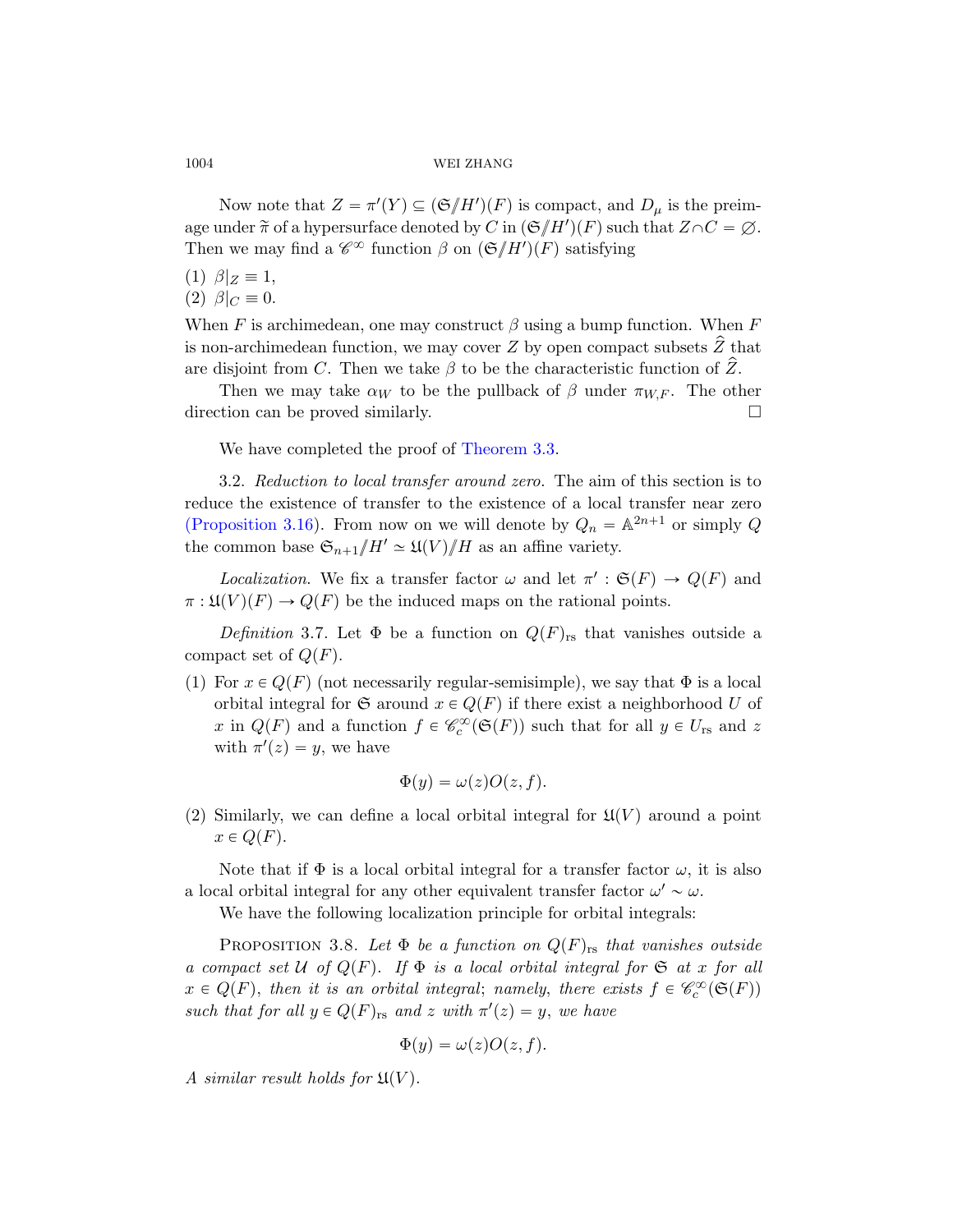Now note that  $Z = \pi'(Y) \subseteq (\mathfrak{S}/H')(F)$  is compact, and  $D_{\mu}$  is the preimage under  $\tilde{\pi}$  of a hypersurface denoted by C in  $(\mathfrak{S}/H')(F)$  such that  $Z \cap C = \varnothing$ . Then we may find a  $\mathscr{C}^{\infty}$  function  $\beta$  on  $(\mathfrak{S}/H')(F)$  satisfying

- (1)  $\beta|_Z \equiv 1$ ,
- (2)  $\beta|_C \equiv 0$ .

<span id="page-33-0"></span>When F is ar[chimedean, on](#page-31-0)e may construct  $\beta$  using a bump function. When F is non-archimedean function, we may cover Z by open compact subsets  $\hat{Z}$  that are disjoint from C. Then we take  $\beta$  to be the characteristic function of  $\hat{Z}$ .

Then we may take  $\alpha_W$  to be the pullback of  $\beta$  under  $\pi_{W,F}$ . The other direction can be proved similarly.

We have completed the proof of Theorem 3.3.

3.2. Reduction to local transfer around zero. The aim of this section is to reduce the existence of transfer to the existence of a local transfer near zero (Proposition 3.16). From now on we will denote by  $Q_n = \mathbb{A}^{2n+1}$  or simply Q the common base  $\mathfrak{S}_{n+1}/H' \simeq \mathfrak{U}(V)/H$  as an affine variety.

*Localization*. We fix a transfer factor  $\omega$  and let  $\pi' : \mathfrak{S}(F) \to Q(F)$  and  $\pi : \mathfrak{U}(V)(F) \to Q(F)$  be the induced maps on the rational points.

Definition 3.7. Let  $\Phi$  be a function on  $Q(F)_{rs}$  that vanishes outside a compact set of  $Q(F)$ .

(1) For  $x \in Q(F)$  (not necessarily regular-semisimple), we say that  $\Phi$  is a local orbital integral for  $\mathfrak{S}$  around  $x \in Q(F)$  if there exist a neighborhood U of x in  $Q(F)$  and a function  $f \in \mathcal{C}_c^{\infty}(\mathfrak{S}(F))$  such that for all  $y \in U_{rs}$  and z with  $\pi'(z) = y$ , we have

$$
\Phi(y) = \omega(z)O(z, f).
$$

(2) Similarly, we can define a local orbital integral for  $\mathfrak{U}(V)$  around a point  $x \in Q(F)$ .

Note that if  $\Phi$  is a local orbital integral for a transfer factor  $\omega$ , it is also a local orbital integral for any other equivalent transfer factor  $\omega' \sim \omega$ .

We have the following localization principle for orbital integrals:

PROPOSITION 3.8. Let  $\Phi$  be a function on  $Q(F)_{rs}$  that vanishes outside a compact set U of  $Q(F)$ . If  $\Phi$  is a local orbital integral for  $\mathfrak S$  at x for all  $x \in Q(F)$ , then it is an orbital integral; namely, there exists  $f \in \mathscr{C}_c^{\infty}(\mathfrak{S}(F))$ such that for all  $y \in Q(F)_{rs}$  and z with  $\pi'(z) = y$ , we have

$$
\Phi(y) = \omega(z)O(z, f).
$$

A similar result holds for  $\mathfrak{U}(V)$ .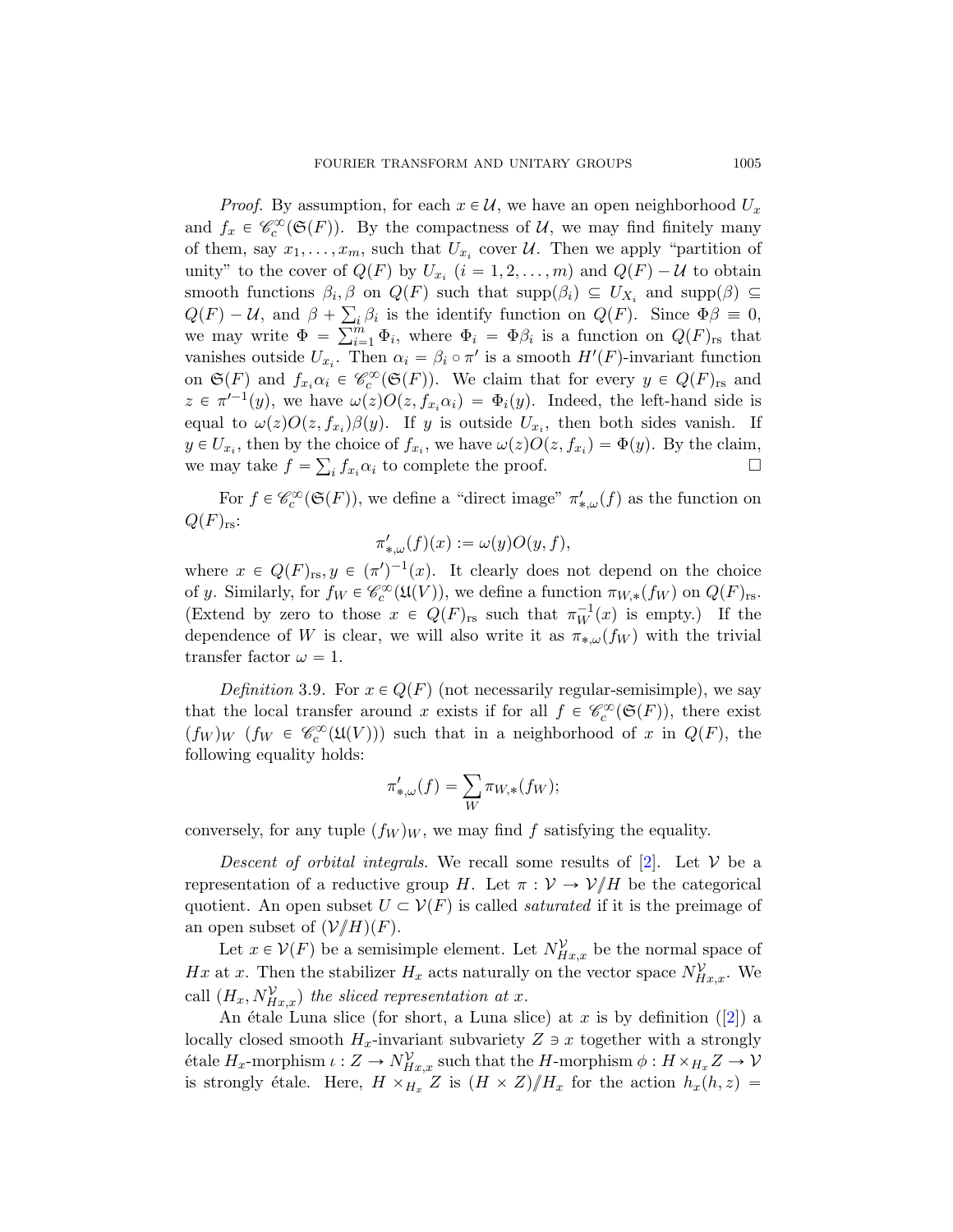*Proof.* By assumption, for each  $x \in \mathcal{U}$ , we have an open neighborhood  $U_x$ and  $f_x \in \mathcal{C}_c^{\infty}(\mathfrak{S}(F))$ . By the compactness of U, we may find finitely many of them, say  $x_1, \ldots, x_m$ , such that  $U_{x_i}$  cover  $\mathcal{U}$ . Then we apply "partition of unity" to the cover of  $Q(F)$  by  $U_{x_i}$   $(i = 1, 2, ..., m)$  and  $Q(F) - U$  to obtain smooth functions  $\beta_i$ ,  $\beta$  on  $Q(F)$  such that  $\text{supp}(\beta_i) \subseteq U_{X_i}$  and  $\text{supp}(\beta) \subseteq$  $Q(F) - U$ , and  $\beta + \sum_i \beta_i$  is the identify function on  $Q(F)$ . Since  $\Phi \beta \equiv 0$ ,  $Q(F) - U$ , and  $\beta + \sum_{i=1}^n$ <br>we may write  $\Phi = \sum_{i=1}^m$  $\sum_{i=1}^{m} \Phi_i$ , where  $\Phi_i = \Phi \beta_i$  is a function on  $Q(F)_{rs}$  that vanishes outside  $U_{x_i}$ . Then  $\alpha_i = \beta_i \circ \pi'$  is a smooth  $H'(F)$ -invariant function on  $\mathfrak{S}(F)$  and  $f_{x_i} \alpha_i \in \mathcal{C}^{\infty}_c(\mathfrak{S}(F))$ . We claim that for every  $y \in Q(F)_{rs}$  and  $z \in \pi'^{-1}(y)$ , we have  $\omega(z)O(z, f_{x_i}\alpha_i) = \Phi_i(y)$ . Indeed, the left-hand side is equal to  $\omega(z)O(z, f_{x_i})\beta(y)$ . If y is outside  $U_{x_i}$ , then both sides vanish. If  $y \in U_{x_i}$ , then by the choice of  $f_{x_i}$ , we have  $\omega(z)O(z, f_{x_i}) = \Phi(y)$ . By the claim, we may take  $f = \sum_i f_{x_i} \alpha_i$  to complete the proof.

For  $f \in \mathcal{C}_c^{\infty}(\mathfrak{S}(F))$ , we define a "direct image"  $\pi'_{*,\omega}(f)$  as the function on  $Q(F)_{rs}$ :

 $\pi'_{*,\omega}(f)(x) := \omega(y)O(y, f),$ 

where  $x \in Q(F)_{rs}, y \in (\pi')^{-1}(x)$ . It clearly does not depend on the choice of y. Similarly, for  $f_W \in \mathcal{C}_c^{\infty}(\mathfrak{U}(V))$ , we define a function  $\pi_{W,*}(f_W)$  on  $Q(F)_{rs}$ . (Extend by zero to those  $x \in Q(F)_{rs}$  such that  $\pi_W^{-1}(x)$  is empty.) If the dependence of W is clear, we will also write it as  $\pi_{*,\omega}(f_W)$  with the trivial transfer factor  $\omega = 1$ .

Definition 3.9. For  $x \in Q(F)$  (not necessarily regular-semisimple), we say that the local transfer around x exists if for all  $f \in \mathcal{C}_c^{\infty}(\mathfrak{S}(F))$ , there exist  $(f_W)_W$   $(f_W \in \mathcal{C}^{\infty}_c(\mathfrak{U}(V)))$  such that [in](#page-74-4) a neighborhood of x in  $Q(F)$ , the following equality holds:

$$
\pi'_{*,\omega}(f) = \sum_{W} \pi_{W,*}(f_W);
$$

conversely, for any tuple  $(f_W)_W$ , we may find f satisfying the equality.

Descent of orbital integrals. We recall some results of  $[2]$ . Let V be a representation of a reductive group H. Let  $\pi : \mathcal{V} \to \mathcal{V}/H$  be the categorical quotient. An open subset  $U \subset V(F)$  is called *saturated* if it is the preimage of an open subset of  $(\mathcal{V}/H)(F)$ .

Let  $x \in \mathcal{V}(F)$  be a semisimple element. Let  $N_{Hx,x}^{\mathcal{V}}$  be the normal space of Hx at x. Then the stabilizer  $H_x$  acts naturally on the vector space  $N_{H_x,x}^{\mathcal{V}}$ . We call  $(H_x, N_{Hx,x}^{\mathcal{V}})$  the sliced representation at x.

An étale Luna slice (for short, a Luna slice) at x is by definition ([2]) a locally closed smooth  $H_x$ -invariant subvariety  $Z \ni x$  together with a strongly  $\text{\'etale } H_x\text{-morphism }\iota: Z\to N_{Hx,x}^{\mathcal{V}} \text{ such that the } H\text{-morphism } \phi: H\times_{H_x} Z\to \mathcal{V}$ is strongly étale. Here,  $H \times_{H_x} Z$  is  $(H \times Z)/H_x$  for the action  $h_x(h, z) =$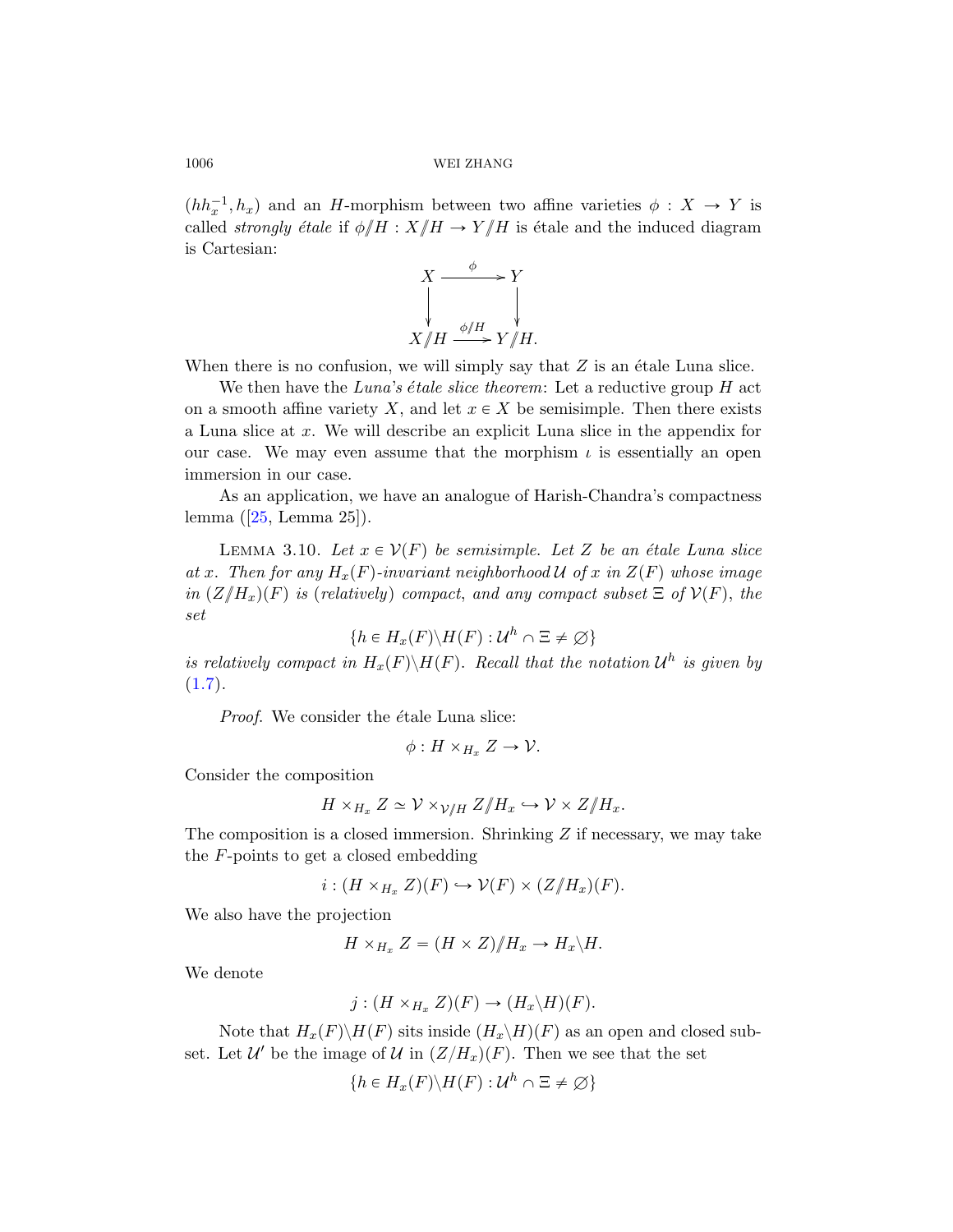$(hh_x^{-1}, h_x)$  and an H-morphism between two affine varieties  $\phi : X \to Y$  is called *strongly étale* if  $\phi/H : X/H \to Y/H$  is étale and the induced diagram is Cartesian:



When there is no confusion, we will simply say that  $Z$  is an étale Luna slice.

We then have the Luna's étale slice theorem: Let a reductive group  $H$  act on a smooth affine variety X, and let  $x \in X$  be semisimple. Then there exists a Luna slice at x. We will describe an explicit Luna slice in the appendix for our case. We may even assume that the morphism  $\iota$  is essentially an open immersion in our case.

As an application, we have an analogue of Harish-Chandra's compactness lemma ([25, Lemma 25]).

LEMMA 3.10. Let  $x \in V(F)$  be semisimple. Let Z be an étale Luna slice at x. Then for any  $H_x(F)$ -invariant neighborhood U of x in  $Z(F)$  whose image in  $(Z/{H_x})(F)$  is (relatively) compact, and any compact subset  $\Xi$  of  $V(F)$ , the set

$$
\{h \in H_x(F) \backslash H(F) : \mathcal{U}^h \cap \Xi \neq \emptyset\}
$$

is relatively compact in  $H_x(F)\backslash H(F)$ . Recall that the notation  $\mathcal{U}^h$  is given by  $(1.7).$ 

Proof. We consider the étale Luna slice:

$$
\phi: H\times_{H_x}Z\to \mathcal{V}.
$$

Consider the composition

$$
H \times_{H_x} Z \simeq \mathcal{V} \times_{\mathcal{V}/H} Z/H_x \hookrightarrow \mathcal{V} \times Z/H_x.
$$

The composition is a closed immersion. Shrinking  $Z$  if necessary, we may take the F-points to get a closed embedding

$$
i: (H \times_{H_x} Z)(F) \hookrightarrow \mathcal{V}(F) \times (Z/H_x)(F).
$$

We also have the projection

$$
H\times_{H_x}Z=(H\times Z)/H_x\to H_x\backslash H.
$$

We denote

$$
j:(H\times_{H_x}Z)(F)\to (H_x\backslash H)(F).
$$

Note that  $H_x(F)\backslash H(F)$  sits inside  $(H_x\backslash H)(F)$  as an open and closed subset. Let  $\mathcal{U}'$  be the image of  $\mathcal{U}$  in  $(Z/H_x)(F)$ . Then we see that the set

$$
\{h \in H_x(F) \backslash H(F) : U^h \cap \Xi \neq \emptyset\}
$$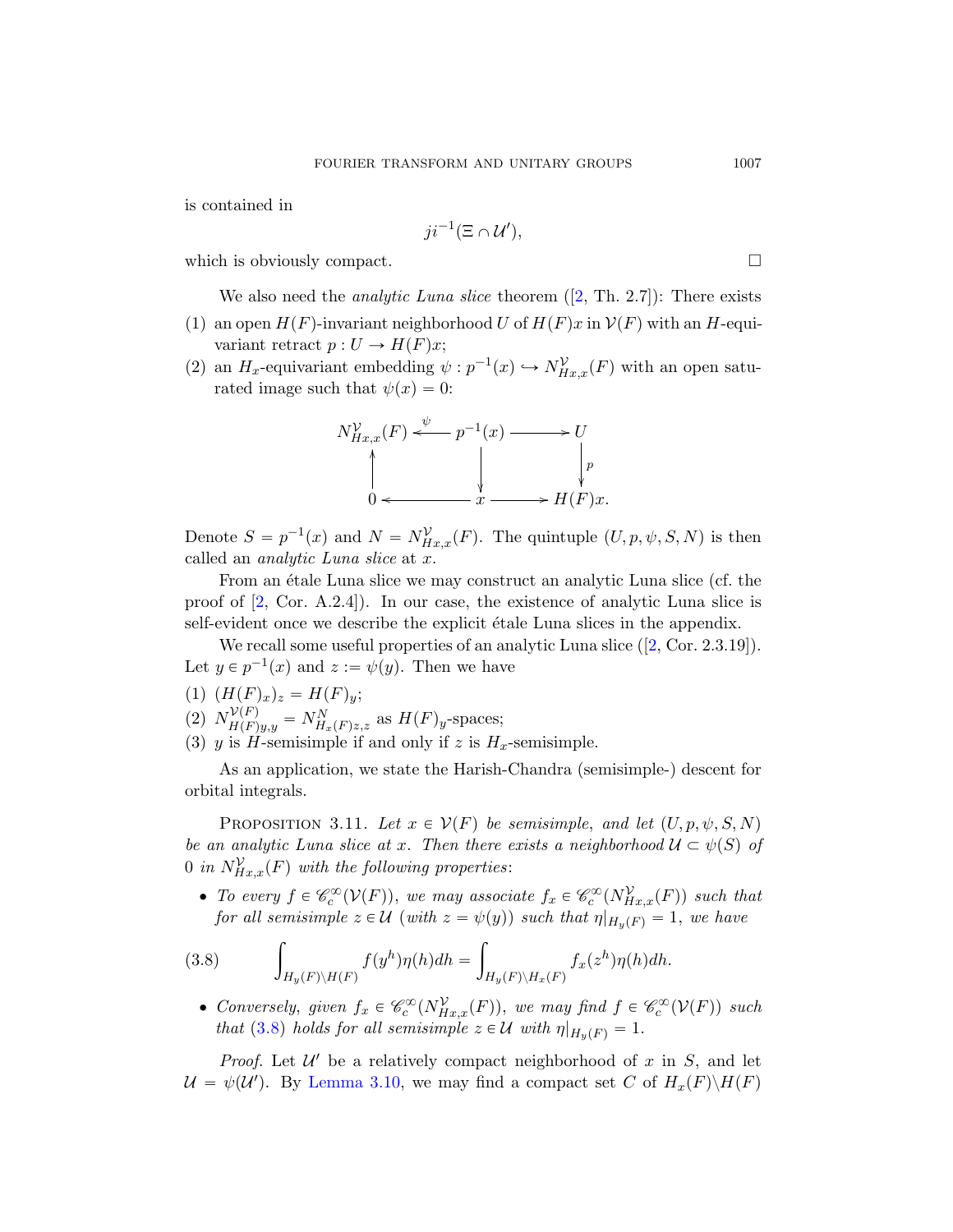is contained in

$$
ji^{-1}(\Xi \cap \mathcal{U}'),
$$

which is obviously compact.  $\Box$ 

We also need the *analytic Luna slice* theorem  $([2, Th. 2.7])$ : There exists

- (1) an open  $H(F)$ -invariant neighborhood U of  $H(F)x$  in  $\mathcal{V}(F)$  with an H-equivariant retract  $p: U \to H(F)x$ ;
- (2) an  $H_x$ -equivariant embedding  $\psi : p^{-1}(x) \hookrightarrow N_{Hx,x}^{\mathcal{V}}(F)$  with an open saturated image such that  $\psi(x) = 0$ :



Denote  $S = p^{-1}(x)$  and  $N = N_{Hx,x}^{\mathcal{V}}(F)$ . The quintuple  $(U, p, \psi, S, N)$  is then called an analytic Luna slice at x.

From an étale Luna slice we may construct an analytic Luna slice (cf. the proof of [2, Cor. A.2.4]). In our case, the existence of analytic Luna slice is self-evident once we describe the explicit étale Luna slices in the appendix.

We recall some useful properties of an analytic Luna slice  $(2, \text{Cor. } 2.3.19)$ . Let  $y \in p^{-1}(x)$  and  $z := \psi(y)$ . Then we have

- <span id="page-36-1"></span>(1)  $(H(F)_x)_z = H(F)_y;$
- (2)  $N_{H(F)y,y}^{\mathcal{V}(F)} = N_{H_x(F)z,z}^N$  as  $H(F)_y$ -spaces;
- (3) y is H-semisimple if and only if z is  $H_x$ -semisimple.

As an application, we state the Harish-Chandra (semisimple-) descent for orbital integrals.

<span id="page-36-0"></span>PROPOSITION 3.11. Let  $x \in V(F)$  be semisimple, and let  $(U, p, \psi, S, N)$ be an analytic Luna slice at x. Then there exists a neighborhood  $\mathcal{U} \subset \psi(S)$  of 0 in  $N_{Hx,x}^{\mathcal{V}}(F)$  with the following properties:

• To every  $f \in \mathscr{C}_c^{\infty}(\mathcal{V}(F))$ , we may associate  $f_x \in \mathscr{C}_c^{\infty}(N_{Hx,x}^{\mathcal{V}}(F))$  such that for all semisimple  $z \in \mathcal{U}$  (with  $z = \psi(y)$ ) such that  $\eta|_{H_y(F)} = 1$ , we have ż

(3.8) 
$$
\int_{H_y(F)\backslash H(F)} f(y^h) \eta(h) dh = \int_{H_y(F)\backslash H_x(F)} f_x(z^h) \eta(h) dh.
$$

• Conversely, given  $f_x \in \mathcal{C}_c^{\infty}(N_{Hx,x}^{\mathcal{V}}(F))$ , we may find  $f \in \mathcal{C}_c^{\infty}(\mathcal{V}(F))$  such that (3.8) holds for all semisimple  $z \in \mathcal{U}$  with  $\eta|_{H_y(F)} = 1$ .

*Proof.* Let  $\mathcal{U}'$  be a relatively compact neighborhood of x in S, and let  $\mathcal{U} = \psi(\mathcal{U}')$ . By Lemma 3.10, we may find a compact set C of  $H_x(F)\backslash H(F)$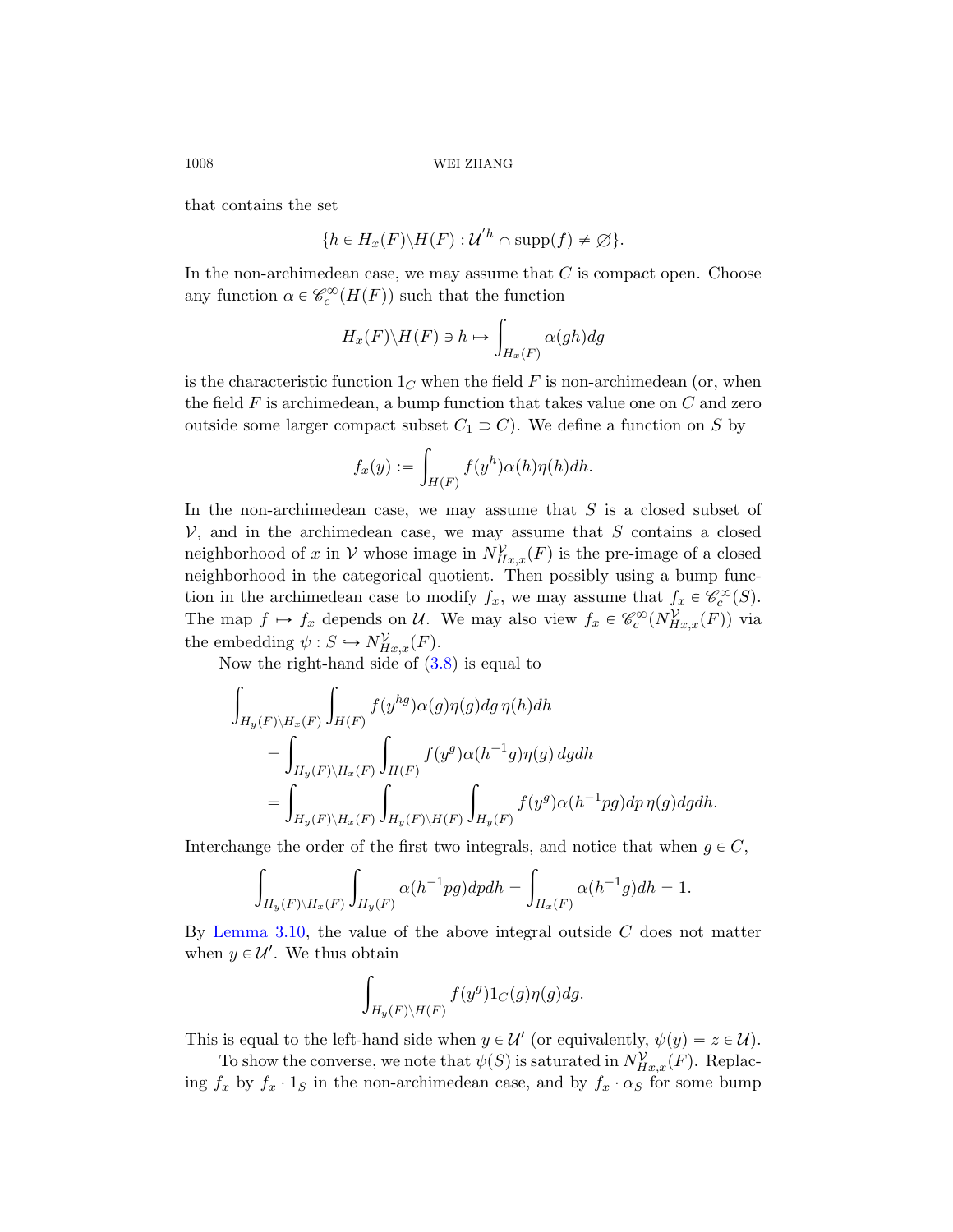that contains the set

$$
\{h \in H_x(F) \backslash H(F) : U'^h \cap \text{supp}(f) \neq \emptyset\}.
$$

In the non-archimedean case, we may assume that  $C$  is compact open. Choose any function  $\alpha \in \mathcal{C}_c^{\infty}(H(F))$  such that the function

$$
H_x(F)\backslash H(F) \ni h \mapsto \int_{H_x(F)} \alpha(gh) dg
$$

is the characteristic function  $1<sub>C</sub>$  when the field F is non-archimedean (or, when the field  $F$  is archimedean, a bump function that takes value one on  $C$  and zero outside some larger compact subset  $C_1 \supset C$ . We define a function on S by

$$
f_x(y) := \int_{H(F)} f(y^h) \alpha(h) \eta(h) dh.
$$

In the non-archimedean case, we may assume that  $S$  is a closed subset of  $V$ , and i[n th](#page-36-0)e archimedean case, we may assume that  $S$  contains a closed neighborhood of x in V whose image in  $N_{Hx,x}^{\mathcal{V}}(F)$  is the pre-image of a closed neighborhood in the categorical quotient. Then possibly using a bump function in the archimedean case to modify  $f_x$ , we may assume that  $f_x \in \mathcal{C}_c^{\infty}(S)$ . The map  $f \mapsto f_x$  depends on U. We may also view  $f_x \in \mathcal{C}_c^{\infty}(N_{Hx,x}^{\mathcal{V}}(F))$  via the embedding  $\psi : S \hookrightarrow N_{Hx,x}^{\mathcal{V}}(F)$ .

Now the right-hand side of  $(3.8)$  is equal to

$$
\int_{H_y(F)\backslash H_x(F)} \int_{H(F)} f(y^{hg})\alpha(g)\eta(g) dg \eta(h) dh
$$
\n
$$
= \int_{H_y(F)\backslash H_x(F)} \int_{H(F)} f(y^g)\alpha(h^{-1}g)\eta(g) dg dh
$$
\n
$$
= \int_{H_y(F)\backslash H_x(F)} \int_{H_y(F)\backslash H(F)} \int_{H_y(F)} f(y^g)\alpha(h^{-1}pg) dp \eta(g) dg dh.
$$

Interchange the order of the first two integrals, and notice that when  $g \in C$ ,

$$
\int_{H_y(F)\backslash H_x(F)} \int_{H_y(F)} \alpha(h^{-1}pg) dp dh = \int_{H_x(F)} \alpha(h^{-1}g) dh = 1.
$$

By Lemma 3.10, the value of the above integral outside  $C$  does not matter when  $y \in \mathcal{U}'$ . We thus obtain

$$
\int_{H_y(F)\backslash H(F)} f(y^g)1_C(g)\eta(g)dg.
$$

This is equal to the left-hand side when  $y \in \mathcal{U}'$  (or equivalently,  $\psi(y) = z \in \mathcal{U}$ ).

To show the converse, we note that  $\psi(S)$  is saturated in  $N_{Hx,x}^{\mathcal{V}}(F)$ . Replacing  $f_x$  by  $f_x \cdot 1_S$  in the non-archimedean case, and by  $f_x \cdot \alpha_S$  for some bump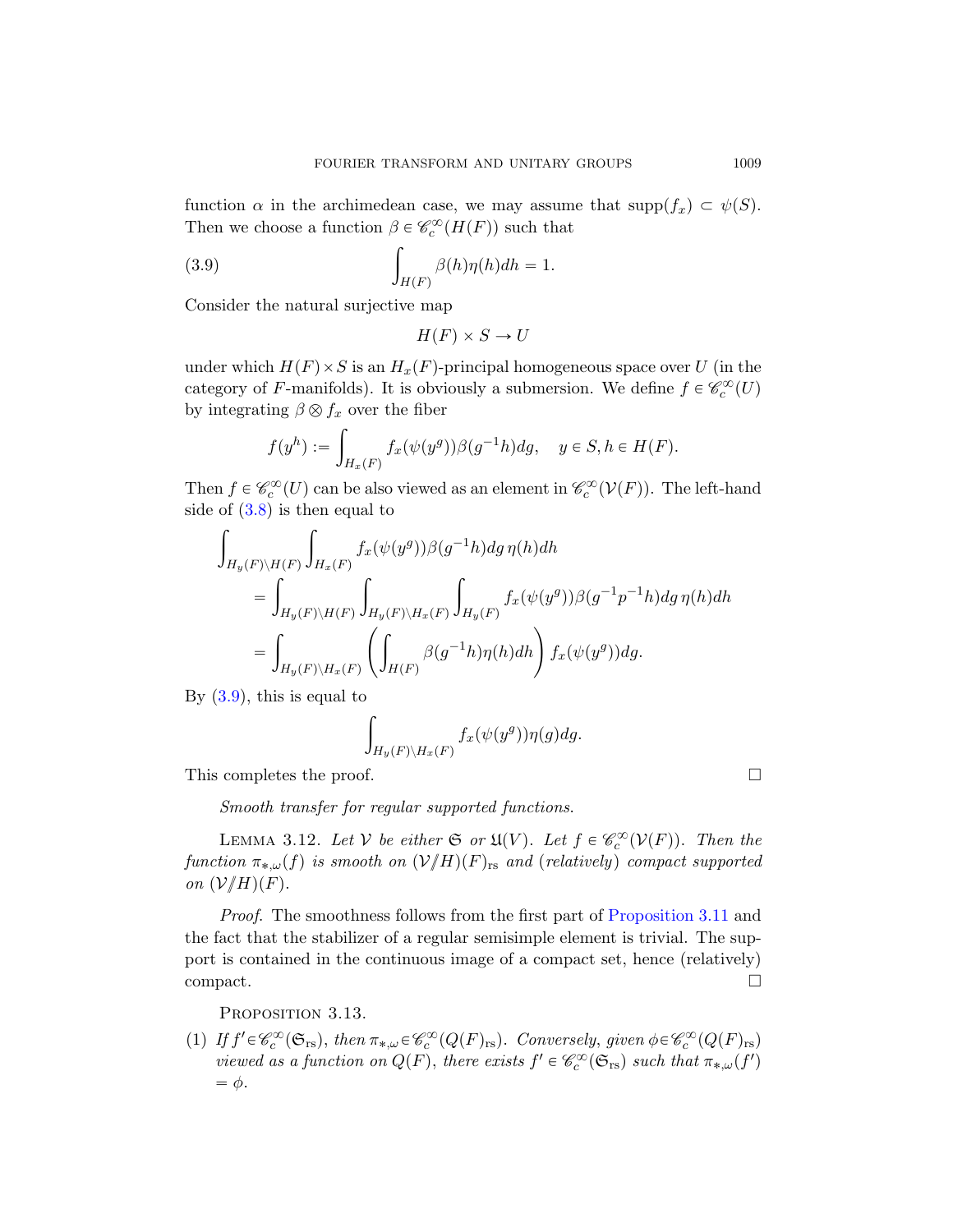function  $\alpha$  in the archimedean case, we may assume that supp $(f_x) \subset \psi(S)$ . Then we choose a function  $\beta \in \mathcal{C}_c^{\infty}(H(F))$  such that

(3.9) 
$$
\int_{H(F)} \beta(h)\eta(h)dh = 1.
$$

Consider the natural surjective map

$$
H(F) \times S \to U
$$

under which  $H(F) \times S$  is an  $H_x(F)$ -principal homogeneous space over U (in the category of F-manifolds). It is obviously a submersion. We define  $f \in \mathscr{C}_c^{\infty}(U)$ by integrating  $\beta \otimes f_x$  over the fiber

$$
f(y^h) := \int_{H_x(F)} f_x(\psi(y^g)) \beta(g^{-1}h) dg, \quad y \in S, h \in H(F).
$$

Then  $f \in \mathcal{C}_c^{\infty}(U)$  can be also viewed as an element in  $\mathcal{C}_c^{\infty}(\mathcal{V}(F))$ . The left-hand side of  $(3.8)$  is then equal to

$$
\int_{H_y(F)\backslash H(F)} \int_{H_x(F)} f_x(\psi(y^g)) \beta(g^{-1}h) dg \eta(h) dh
$$
\n
$$
= \int_{H_y(F)\backslash H(F)} \int_{H_y(F)\backslash H_x(F)} \int_{H_y(F)} f_x(\psi(y^g)) \beta(g^{-1}p^{-1}h) dg \eta(h) dh
$$
\n
$$
= \int_{H_y(F)\backslash H_x(F)} \left( \int_{H(F)} \beta(g^{-1}h) \eta(h) dh \right) f_x(\psi(y^g)) dg.
$$

<span id="page-38-0"></span>By  $(3.9)$ , this is equal to

$$
\int_{H_y(F)\backslash H_x(F)} f_x(\psi(y^g)) \eta(g) dg.
$$

This completes the proof.

Smooth transfer for regular supported functions.

LEMMA 3.12. Let  $V$  be either  $\mathfrak{S}$  or  $\mathfrak{U}(V)$ . Let  $f \in \mathcal{C}_c^{\infty}(V(F))$ . Then the function  $\pi_{*,\omega}(f)$  is smooth on  $(\mathcal{V}/H)(F)_{\text{rs}}$  and (relatively) compact supported on  $(\mathcal{V}/H)(F)$ .

Proof. The smoothness follows from the first part of Proposition 3.11 and the fact that the stabilizer of a regular semisimple element is trivial. The support is contained in the continuous image of a compact set, hence (relatively)  $\Box$ compact.

PROPOSITION 3.13.

(1) If  $f' \in \mathcal{C}_c^{\infty}(\mathfrak{S}_{rs})$ , then  $\pi_{*,\omega} \in \mathcal{C}_c^{\infty}(Q(F)_{rs})$ . Conversely, given  $\phi \in \mathcal{C}_c^{\infty}(Q(F)_{rs})$ viewed as a function on  $Q(F)$ , there exists  $f' \in \mathcal{C}_c^{\infty}(\mathfrak{S}_{rs})$  such that  $\pi_{*,\omega}(f')$  $= \phi$ .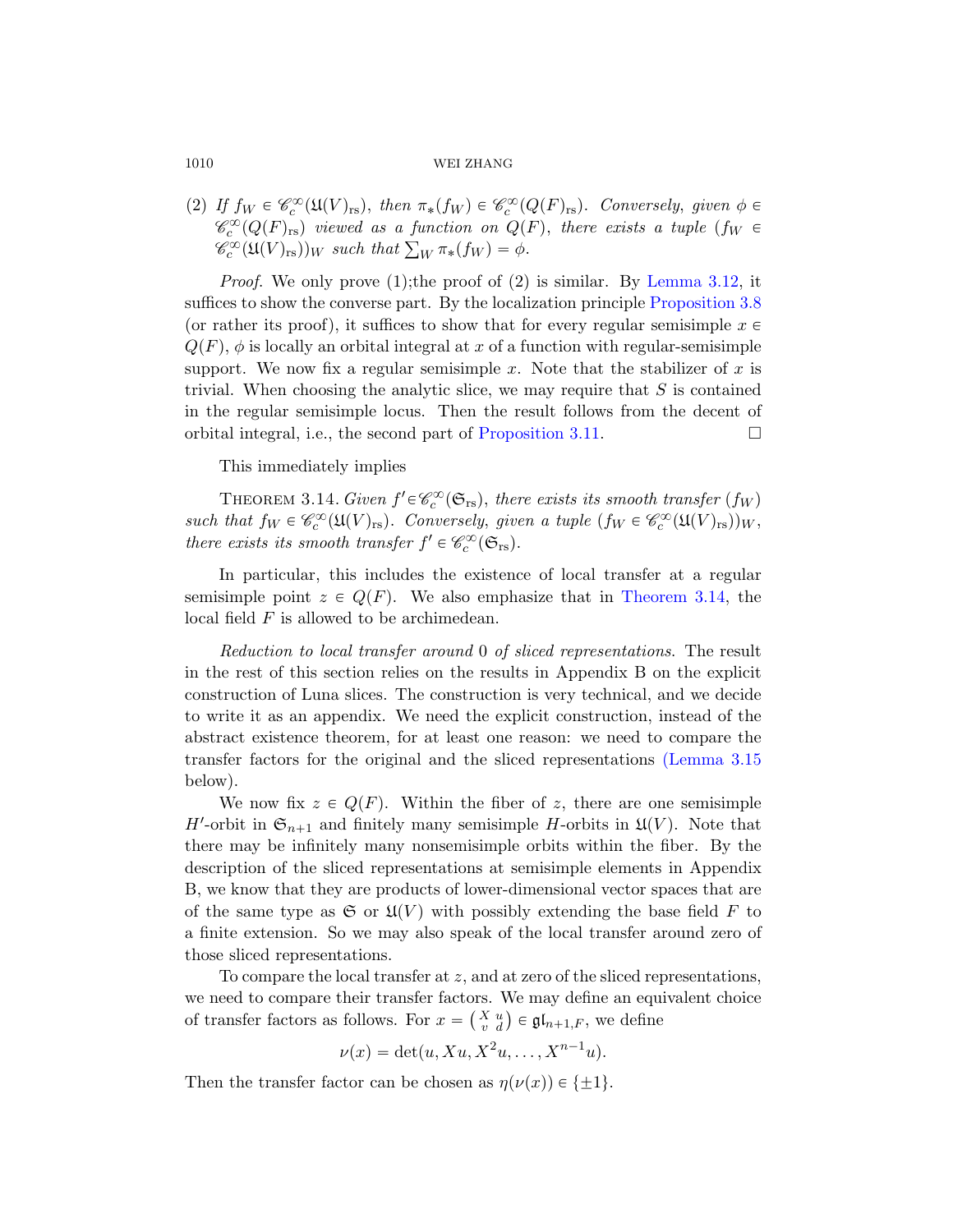(2) If  $f_W \in \mathcal{C}_c^{\infty}(\mathfrak{U}(V)_{\text{rs}})$ , then  $\pi_*(f_W) \in \mathcal{C}_c^{\infty}(Q(F)_{\text{rs}})$ . Conversely, given  $\phi \in$  $\mathscr{C}_c^{\infty}(Q(F)_{rs})$  viewed as a function on  $Q(F)$ , there exists a tuple  $(f_W \in$  $\mathscr{C}_c^{\infty}(Q(F)_{\text{rs}})$  viewed as a function on  $Q(F)_{\text{rs}}(W)_{\text{rs}})$  such that  $\sum_W \pi_*(f_W) = \phi$ .

*Proof.* We only prove (1); the proof of (2) is similar. By Lemma 3.12, it suffices to show [the converse part.](#page-36-1) By the localization principle Proposition 3.8 (or rather its proof), it suffices to show that for every regular semisimple  $x \in$  $Q(F)$ ,  $\phi$  is locally an orbital integral at x of a function with regular-semisimple support. We now fix a regular semisimple x. Note that the stabilizer of x is trivial. When choosing the analytic slice, we may require that  $S$  is contained in the regular semisimple locus. Then the result follows from the decent of orbital integral, i.e., the second part of Proposition 3.11.  $\Box$ 

This immediately implies

THEOREM 3.14. Given  $f' \in \mathcal{C}_c^{\infty}(\mathfrak{S}_{rs})$ , there exists its smooth transfer  $(f_W)$ such that  $f_W \in \mathscr{C}_c^{\infty}(\mathfrak{U}(V)_{rs})$ . Conversely, given a tuple  $(f_W \in \mathscr{C}_c^{\infty}(\mathfrak{U}(V)_{rs}))_W$ , there exists its smooth transfer  $f' \in \mathcal{C}_c^{\infty}(\mathfrak{S}_{rs})$ .

In particular, this includes the existence of local transfer at a regular semisimple point  $z \in Q(F)$ . We also emphasize that in Theorem 3.14, the local field F is allowed to be archimedea[n.](#page-40-0)

Reduction to local transfer around 0 of sliced representations. The result in the rest of this section relies on the results in Appendix B on the explicit construction of Luna slices. The construction is very technical, and we decide to write it as an appendix. We need the explicit construction, instead of the abstract existence theorem, for at least one reason: we need to compare the transfer factors for the original and the sliced representations (Lemma 3.15 below).

We now fix  $z \in Q(F)$ . Within the fiber of z, there are one semisimple H'-orbit in  $\mathfrak{S}_{n+1}$  and finitely many semisimple H-orbits in  $\mathfrak{U}(V)$ . Note that there may be infinitely many nonsemisimple orbits within the fiber. By the description of the sliced representations at semisimple elements in Appendix B, we know that they are products of lower-dimensional vector spaces that are of the same type as  $\mathfrak{S}$  or  $\mathfrak{U}(V)$  with possibly extending the base field F to a finite extension. So we may also speak of the local transfer around zero of those sliced representations.

To compare the local transfer at  $z$ , and at zero of the sliced representations, we need to compare their transfer factors. We may define an equivalent choice ` we need to compare their transfer factors. We may define an equi-<br>of transfer factors as follows. For  $x = \begin{pmatrix} X & u \\ v & d \end{pmatrix} \in \mathfrak{gl}_{n+1,F}$ , we define

$$
\nu(x) = \det(u, Xu, X^2u, \dots, X^{n-1}u).
$$

Then the transfer factor can be chosen as  $\eta(\nu(x)) \in {\pm 1}$ .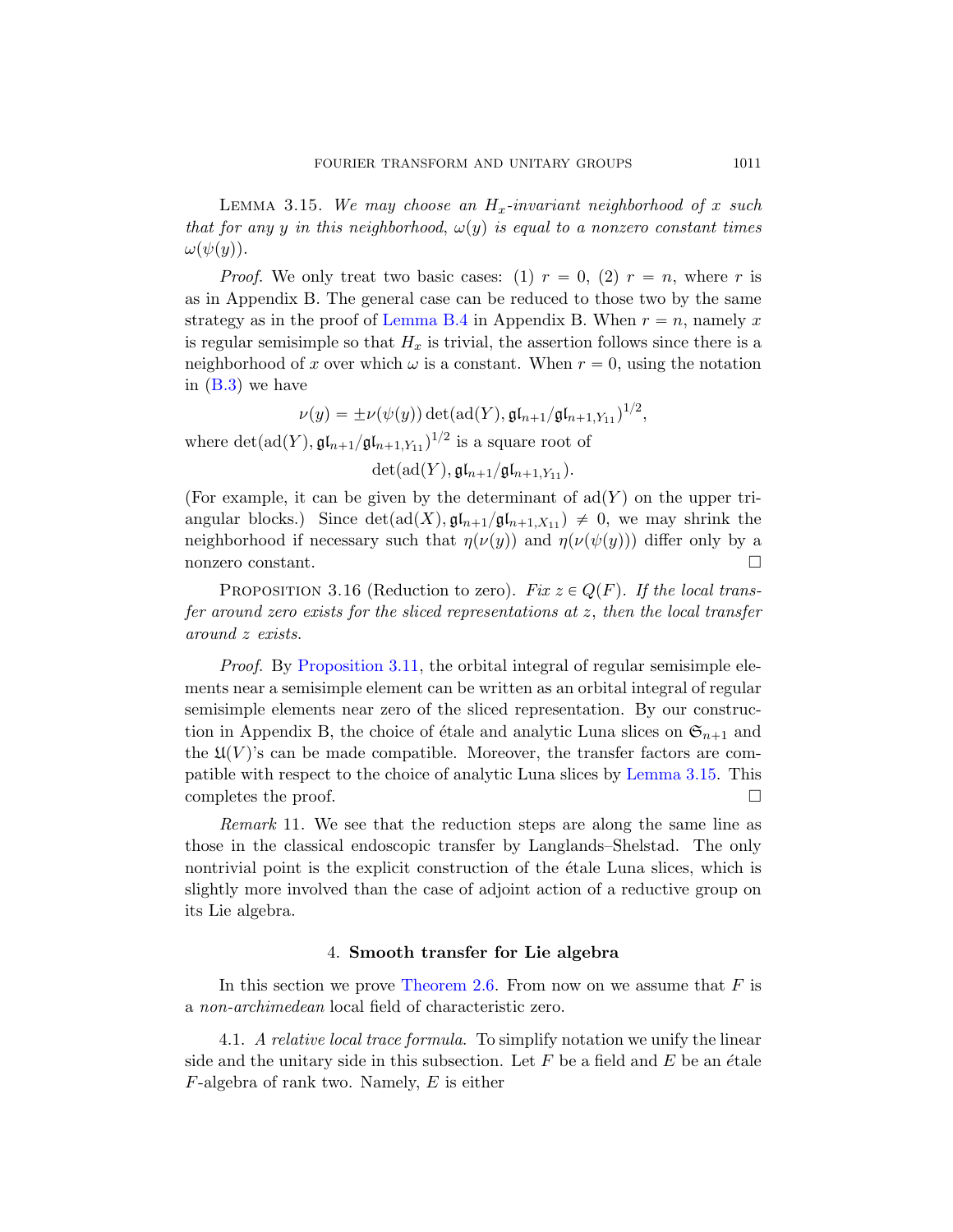<span id="page-40-0"></span>LEMMA 3.15. We may choose an  $H_x$ -invariant neighborhood of x such that for any y in this neighborhood,  $\omega(y)$  is equal to a nonzero constant times  $\omega(\psi(y)).$ 

*Proof.* We only treat two basic cases: (1)  $r = 0$ , (2)  $r = n$ , where r is as in Appendix B. The general case can be reduced to those two by the same strategy as in the proof of Lemma B.4 in Appendix B. When  $r = n$ , namely x is regular semisimple so that  $H_x$  is trivial, the assertion follows since there is a neighborhood of x over which  $\omega$  is a constant. When  $r = 0$ , using the notation in (B.3) we have

$$
\nu(y) = \pm \nu(\psi(y)) \det(\mathrm{ad}(Y), \mathfrak{gl}_{n+1}/\mathfrak{gl}_{n+1,Y_{11}})^{1/2},
$$

<span id="page-40-1"></span>where  $\det(\text{ad}(Y), \mathfrak{gl}_{n+1}/\mathfrak{gl}_{n+1,Y_{11}})^{1/2}$  is a square root of

 $\det(\mathrm{ad}(Y), \mathfrak{gl}_{n+1}/\mathfrak{gl}_{n+1,Y_{11}}).$ 

(For example, it can be given by the determinant of  $\text{ad}(Y)$  on the upper triangular blocks.) Since  $\det(\text{ad}(X), \mathfrak{gl}_{n+1}/\mathfrak{gl}_{n+1,X_{11}}) \neq 0$ , we may shrink the [neighbor](#page-36-1)hood if necessary such that  $\eta(\nu(y))$  and  $\eta(\nu(\psi(y)))$  differ only by a nonzero constant.

PROPOSITION 3.16 (Reduction to zero). Fix  $z \in Q(F)$ . If the local transfer around zero exists for the sliced representations at z, then the local transfer around z exists.

Proof. By Proposition 3.11, the orbital integral of regular semisimple elements near a semisimple element can be written as an orbital integral of regular semisimple elements near zero of the sliced representation. By our construction in Appendix B, the choice of étale and analytic Luna slices on  $\mathfrak{S}_{n+1}$  and the  $\mathfrak{U}(V)$ 's can be made compatible. Moreover, the transfer factors are compatible with respect to the choice of analytic Luna slices by Lemma 3.15. This completes the proof.  $\Box$ 

Remark 11. We see that the reduction steps are along the same line as those [in the classic](#page-18-0)al endoscopic transfer by Langlands–Shelstad. The only nontrivial point is the explicit construction of the étale Luna slices, which is slightly more involved than the case of adjoint action of a reductive group on its Lie algebra.

#### 4. Smooth transfer for Lie algebra

In this section we prove Theorem 2.6. From now on we assume that  $F$  is a non-archimedean local field of characteristic zero.

4.1. A relative local trace formula. To simplify notation we unify the linear side and the unitary side in this subsection. Let  $F$  be a field and  $E$  be an étale  $F$ -algebra of rank two. Namely,  $E$  is either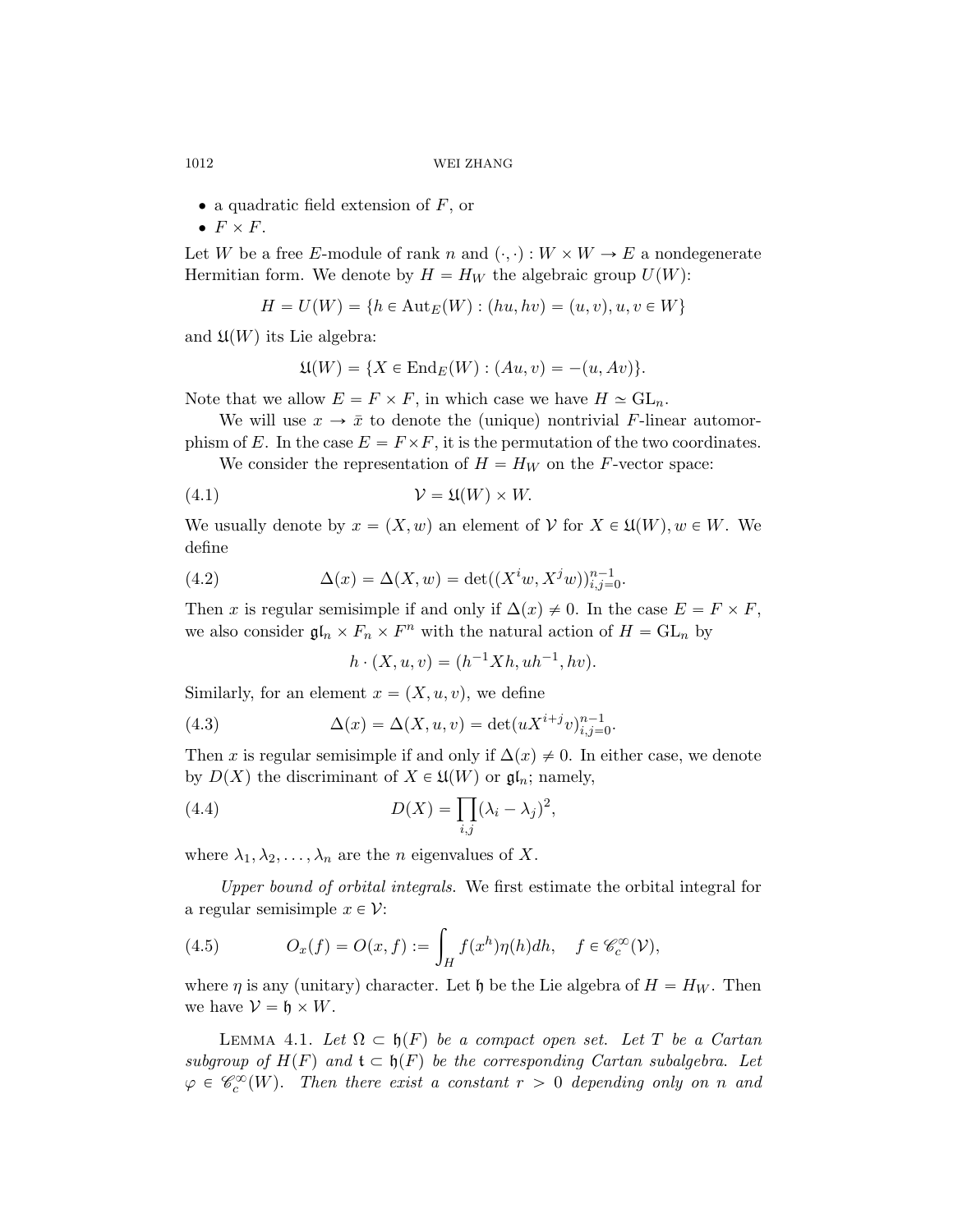- $\bullet$  a quadratic field extension of F, or
- $\bullet$   $F \times F$ .

Let W be a free E-module of rank n and  $(\cdot, \cdot) : W \times W \to E$  a nondegenerate Hermitian form. We denote by  $H = H_W$  the algebraic group  $U(W)$ :

$$
H = U(W) = \{ h \in Aut_E(W) : (hu, hv) = (u, v), u, v \in W \}
$$

and  $\mathfrak{U}(W)$  its Lie algebra:

$$
\mathfrak{U}(W) = \{ X \in \text{End}_E(W) : (Au, v) = -(u, Av) \}.
$$

Note that we allow  $E = F \times F$ , in which case we have  $H \simeq GL_n$ .

We will use  $x \to \bar{x}$  to denote the (unique) nontrivial F-linear automorphism of E. In the case  $E = F \times F$ , it is the permutation of the two coordinates.

We consider the representation of  $H = H_W$  on the F-vector space:

$$
(4.1) \t\t\t V = \mathfrak{U}(W) \times W.
$$

We usually denote by  $x = (X, w)$  an element of  $V$  for  $X \in \mathfrak{U}(W), w \in W$ . We define

(4.2) 
$$
\Delta(x) = \Delta(X, w) = \det((X^i w, X^j w))_{i,j=0}^{n-1}.
$$

Then x is regular semisimple if and only if  $\Delta(x) \neq 0$ . In the case  $E = F \times F$ , we also consider  $\mathfrak{gl}_n \times F_n \times F^n$  with the natural action of  $H = GL_n$  by

$$
h \cdot (X, u, v) = (h^{-1}Xh, uh^{-1}, hv).
$$

Similarly, for an element  $x = (X, u, v)$ , we define

(4.3) 
$$
\Delta(x) = \Delta(X, u, v) = \det(uX^{i+j}v)_{i,j=0}^{n-1}.
$$

Then x is regular semisimple if and only if  $\Delta(x) \neq 0$ . In either case, we denote by  $D(X)$  the discriminant of  $X \in \mathfrak{U}(W)$  or  $\mathfrak{gl}_n$ ; namely,

(4.4) 
$$
D(X) = \prod_{i,j} (\lambda_i - \lambda_j)^2,
$$

where  $\lambda_1, \lambda_2, \ldots, \lambda_n$  are the *n* eigenvalues of X.

Upper bound of orbital integrals. We first estimate the orbital integral for a regular semisimple  $x \in \mathcal{V}$ :

<span id="page-41-1"></span>(4.5) 
$$
O_x(f) = O(x, f) := \int_H f(x^h) \eta(h) dh, \quad f \in \mathscr{C}_c^{\infty}(\mathcal{V}),
$$

where  $\eta$  is any (unitary) character. Let h be the Lie algebra of  $H = H_W$ . Then we have  $\mathcal{V} = \mathfrak{h} \times W$ .

<span id="page-41-0"></span>LEMMA 4.1. Let  $\Omega \subset \mathfrak{h}(F)$  be a compact open set. Let T be a Cartan subgroup of  $H(F)$  and  $\mathfrak{t} \subset \mathfrak{h}(F)$  be the corresponding Cartan subalgebra. Let  $\varphi \in \mathscr{C}_c^{\infty}(W)$ . Then there exist a constant  $r > 0$  depending only on n and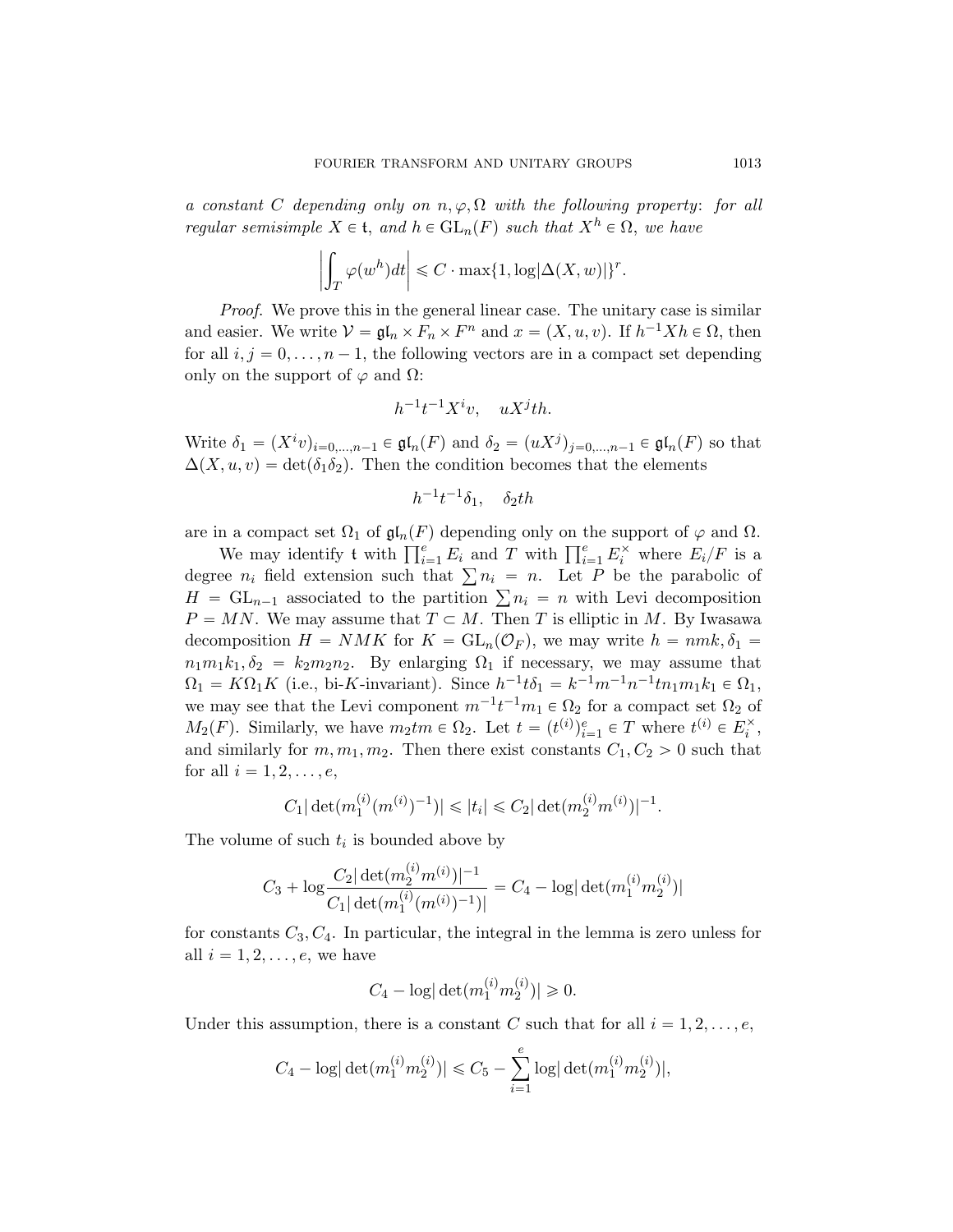a constant C depending only on  $n, \varphi, \Omega$  with the following property: for all regular semisimple  $X \in \mathfrak{t}$ , and  $h \in GL_n(F)$  such that  $X^h \in \Omega$ , we have ˇ ˇ

$$
\left|\int_T\varphi(w^h)dt\right|\leqslant C\cdot\max\{1,\log|\Delta(X,w)|\}^r.
$$

*Proof.* We prove this in the general linear case. The unitary case is similar and easier. We write  $V = \mathfrak{gl}_n \times F_n \times F^n$  and  $x = (X, u, v)$ . If  $h^{-1}Xh \in \Omega$ , then for all  $i, j = 0, \ldots, n - 1$ , the following vectors are in a compact set depending only on the support of  $\varphi$  and  $\Omega$ :

$$
h^{-1}t^{-1}X^iv, \quad uX^jth.
$$

Write  $\delta_1 = (X^i v)_{i=0,\dots,n-1} \in \mathfrak{gl}_n(F)$  and  $\delta_2 = (u X^j)_{j=0,\dots,n-1} \in \mathfrak{gl}_n(F)$  so that  $\Delta(X, u, v) = \det(\delta_1 \delta_2)$ . Then the condition becomes that the elements

$$
h^{-1}t^{-1}\delta_1, \quad \delta_2 th
$$

are in a compact set  $\Omega_1$  of  $\mathfrak{gl}_n(F)$  depending only on the support of  $\varphi$  and  $\Omega$ .

in a compact set  $\Omega_1$  of  $\mathfrak{gl}_n(F)$  depending only on the support of  $\varphi$  and  $\Omega$ .<br>We may identify t with  $\prod_{i=1}^e E_i$  and T with  $\prod_{i=1}^e E_i^\times$  where  $E_i/F$  is a We may identify t with  $\prod_{i=1}^r E_i$  and T with  $\prod_{i=1}^r E_i$  where  $E_i/F$  is a degree  $n_i$  field extension such that  $\sum n_i = n$ . Let P be the parabolic of degree  $n_i$  field extension such that  $\sum n_i = n$ . Let P be the parabolic of  $H = GL_{n-1}$  associated to the partition  $\sum n_i = n$  with Levi decomposition  $P = MN$ . We may assume that  $T \subset M$ . Then T is elliptic in M. By Iwasawa decomposition  $H = NMK$  for  $K = GL_n(\mathcal{O}_F)$ , we may write  $h = nmk, \delta_1 =$  $n_1m_1k_1, \delta_2 = k_2m_2n_2$ . By enlarging  $\Omega_1$  if necessary, we may assume that  $\Omega_1 = K\Omega_1 K$  (i.e., bi-K-invariant). Since  $h^{-1}t\delta_1 = k^{-1}m^{-1}n^{-1}tn_1m_1k_1 \in \Omega_1$ , we may see that the Levi component  $m^{-1}t^{-1}m_1 \in \Omega_2$  for a compact set  $\Omega_2$  of  $M_2(F)$ . Similarly, we have  $m_2tm \in \Omega_2$ . Let  $t = (t^{(i)})_{i=1}^e \in T$  where  $t^{(i)} \in E_i^{\times}$ , and similarly for  $m, m_1, m_2$ . Then there exist constants  $C_1, C_2 > 0$  such that for all  $i = 1, 2, \ldots, e$ ,

$$
C_1 |\det(m_1^{(i)}(m^{(i)})^{-1})| \leq |t_i| \leq C_2 |\det(m_2^{(i)}m^{(i)})|^{-1}.
$$

The volume of such  $t_i$  is bounded above by

$$
C_3 + \log \frac{C_2 |\det(m_2^{(i)} m^{(i)})|^{-1}}{C_1 |\det(m_1^{(i)} (m^{(i)})^{-1})|} = C_4 - \log |\det(m_1^{(i)} m_2^{(i)})|
$$

for constants  $C_3, C_4$ . In particular, the integral in the lemma is zero unless for all  $i = 1, 2, \ldots, e$ , we have

$$
C_4 - \log |\det(m_1^{(i)} m_2^{(i)})| \ge 0.
$$

Under this assumption, there is a constant C such that for all  $i = 1, 2, \ldots, e$ ,

$$
C_4 - \log |\det(m_1^{(i)} m_2^{(i)})| \le C_5 - \sum_{i=1}^e \log |\det(m_1^{(i)} m_2^{(i)})|,
$$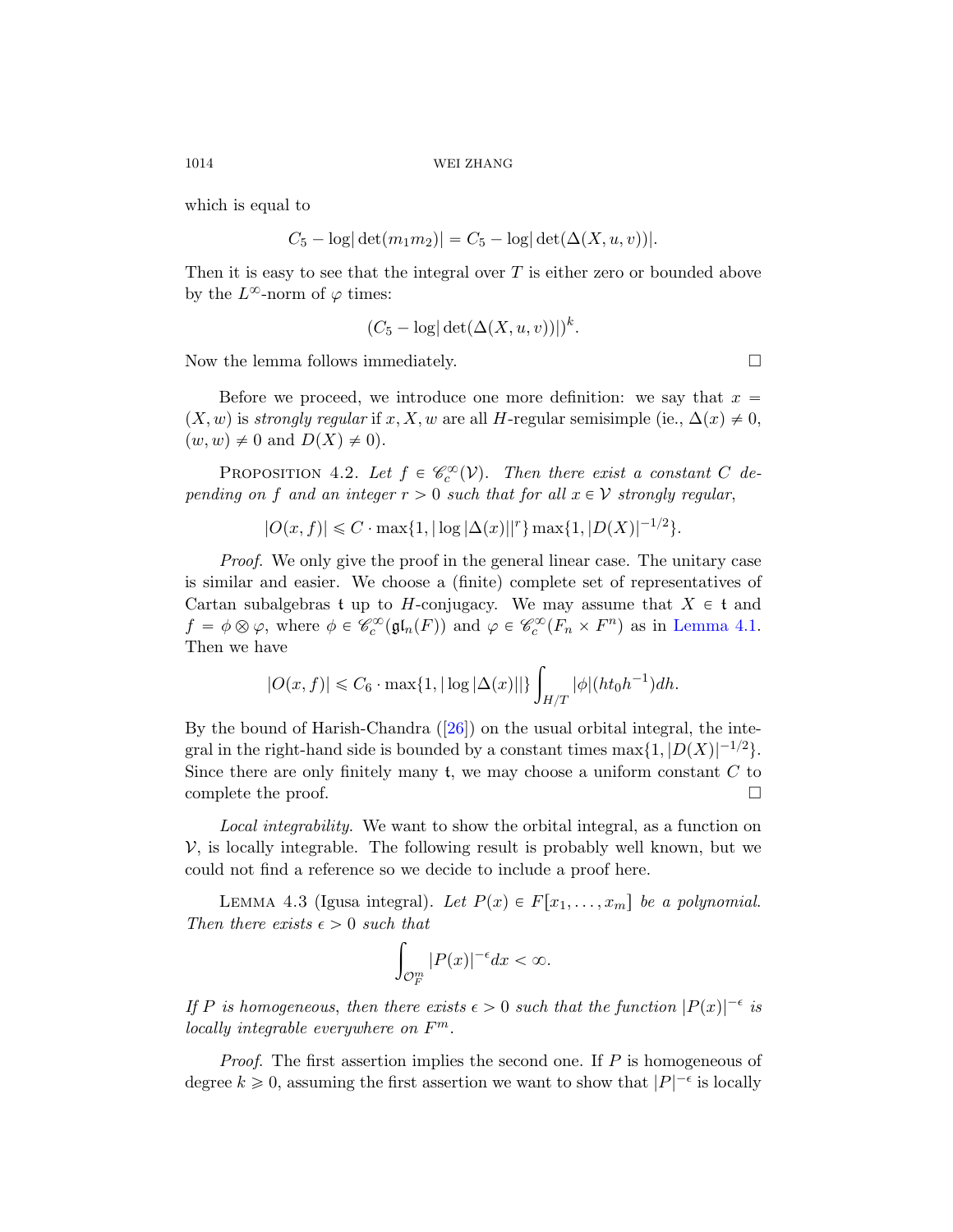which is equal to

$$
C_5 - \log |\det(m_1 m_2)| = C_5 - \log |\det(\Delta(X, u, v))|.
$$

Then it is easy to see that the integral over  $T$  is either zero or bounded above by the  $L^{\infty}$ -norm of  $\varphi$  times:

$$
(C_5 - \log|\det(\Delta(X, u, v))|)^k.
$$

Now the lemma follows immediately.

Before we proceed, we introduce one more definition: we say that  $x =$  $(X, w)$  is strongly regular if x, X, w are all H-regular semisimple (ie.,  $\Delta(x) \neq 0$ ,  $(w, w) \neq 0$  and  $D(X) \neq 0$ .

PROPOSITION 4.2. Let  $f \in \mathcal{C}_c^{\infty}(\mathcal{V})$ . Then there exist a constant C depending on f and an integer  $r > 0$  such th[at for all](#page-41-0)  $x \in V$  strongly regular,

 $|O(x, f)| \leq C \cdot \max\{1, |\log|\Delta(x)||^r\} \max\{1, |D(X)|^{-1/2}\}.$ 

Proof. We only give the proof in the general linear case. The unitary case is similar a[nd e](#page-76-0)asier. We choose a (finite) complete set of representatives of Cartan subalgebras t up to H-conjugacy. We may assume that  $X \in \mathfrak{t}$  and  $f = \phi \otimes \varphi$ , where  $\phi \in \mathcal{C}_c^{\infty}(\mathfrak{gl}_n(F))$  and  $\varphi \in \mathcal{C}_c^{\infty}(F_n \times F^n)$  as in Lemma 4.1. Then we have

$$
|O(x, f)| \le C_6 \cdot \max\{1, |\log |\Delta(x)||\} \int_{H/T} |\phi|(ht_0 h^{-1}) dh.
$$

<span id="page-43-0"></span>By the bound of Harish-Chandra  $([26])$  on the usual orbital integral, the integral in the right-hand side is bounded by a constant times  $\max\{1, |D(X)|^{-1/2}\}.$ Since there are only finitely many  $t$ , we may choose a uniform constant  $C$  to complete the proof.  $\Box$ 

Local integrability. We want to show the orbital integral, as a function on  $V$ , is locally integrable. The following result is probably well known, but we could not find a reference so we decide to include a proof here.

LEMMA 4.3 (Igusa integral). Let  $P(x) \in F[x_1, \ldots, x_m]$  be a polynomial. Then there exists  $\epsilon > 0$  such that

$$
\int_{\mathcal{O}_F^m} |P(x)|^{-\epsilon} dx < \infty.
$$

If P is homogeneous, then there exists  $\epsilon > 0$  such that the function  $|P(x)|^{-\epsilon}$  is locally integrable everywhere on  $F^m$ .

*Proof.* The first assertion implies the second one. If  $P$  is homogeneous of degree  $k \geq 0$ , assuming the first assertion we want to show that  $|P|^{-\epsilon}$  is locally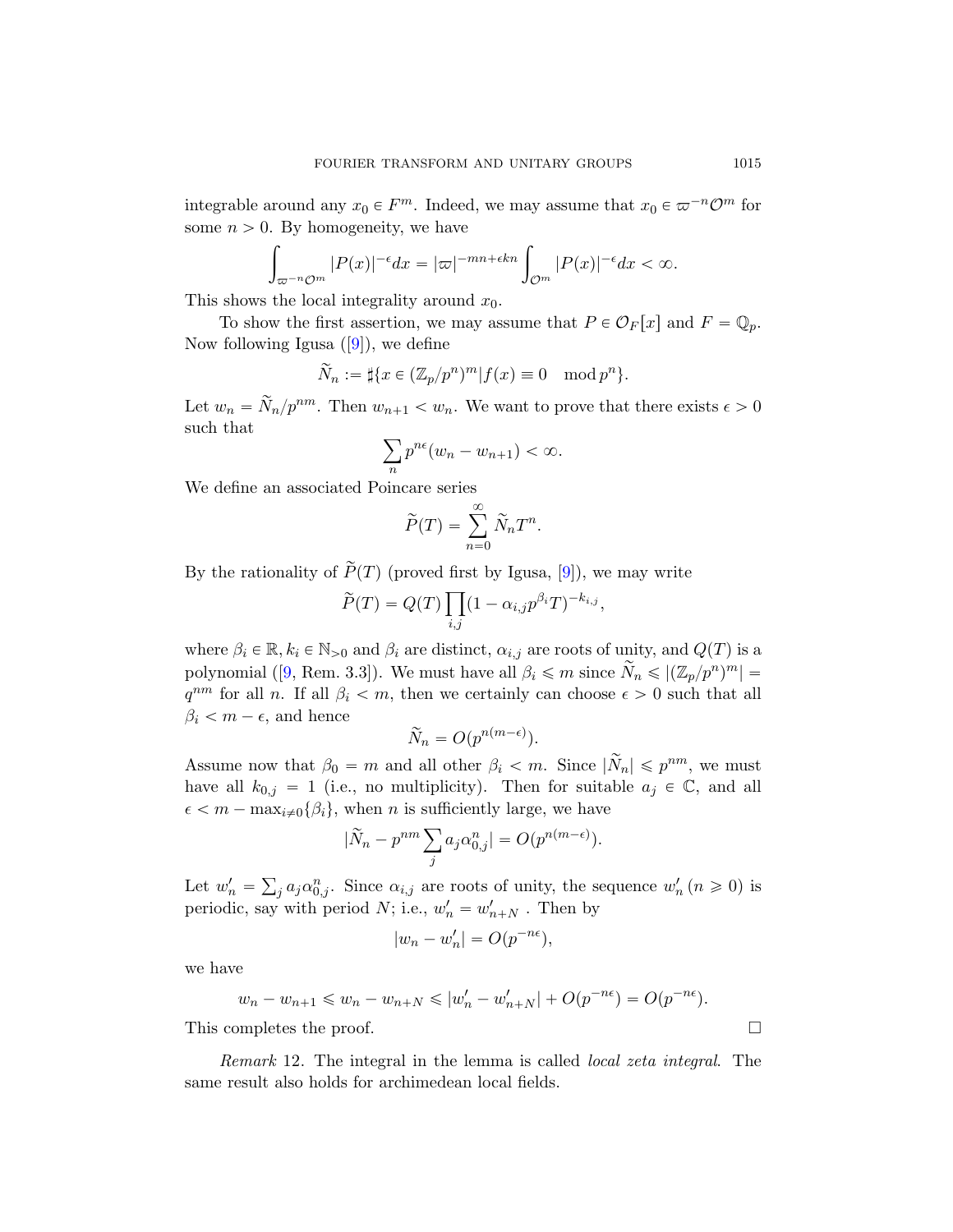[in](#page-74-1)tegrable around any  $x_0 \in F^m$ . Indeed, we may assume that  $x_0 \in \varpi^{-n}\mathcal{O}^m$  for some  $n > 0$ . By homogeneity, we have

By nonlogenergy, we have  
\n
$$
\int_{\varpi^{-n}\mathcal{O}^m} |P(x)|^{-\epsilon} dx = |\varpi|^{-mn+\epsilon kn} \int_{\mathcal{O}^m} |P(x)|^{-\epsilon} dx < \infty.
$$

This shows the local integrality around  $x_0$ .

To show the first assertion, we may assume that  $P \in \mathcal{O}_F[x]$  and  $F = \mathbb{Q}_p$ . Now following Igusa  $([9])$ , we define

$$
\widetilde{N}_n:=\sharp\{x\in(\mathbb{Z}_p/p^n)^m|f(x)\equiv 0\mod p^n\}.
$$

Let  $w_n = \tilde{N}_n / p^{nm}$ . Then  $w_{n+1} < w_n$ . We want to prove that there exists  $\epsilon > 0$ such that

$$
\sum_{n} p^{n\epsilon} (w_n - w_{n+1}) < \infty.
$$

We define an associated Poincare series

$$
\widetilde{P}(T) = \sum_{n=0}^{\infty} \widetilde{N}_n T^n.
$$

By the rationality of  $\widetilde{P}(T)$  (proved first by Igusa, [9]), we may write

$$
\widetilde{P}(T) = Q(T) \prod_{i,j} (1 - \alpha_{i,j} p^{\beta_i} T)^{-k_{i,j}},
$$

where  $\beta_i \in \mathbb{R}, k_i \in \mathbb{N}_{>0}$  and  $\beta_i$  are distinct,  $\alpha_{i,j}$  are roots of unity, and  $Q(T)$  is a polynomial ([9, Rem. 3.3]). We must have all  $\beta_i \leq m$  since  $\widetilde{N}_n \leqslant |(\mathbb{Z}_p/p^n)^m| =$  $q^{nm}$  for all *n*. If all  $\beta_i < m$ , then we certainly can choose  $\epsilon > 0$  such that all  $\beta_i < m - \epsilon$ , and hence

$$
\widetilde{N}_n = O(p^{n(m-\epsilon)}).
$$

Assume now that  $\beta_0 = m$  and all other  $\beta_i < m$ . Since  $|\tilde{N}_n| \leq p^{nm}$ , we must have all  $k_{0,j} = 1$  (i.e., no multiplicity). Then for suitable  $a_j \in \mathbb{C}$ , and all  $\epsilon < m - \max_{i \neq 0} {\beta_i},$  when n is sufficiently large, we have<br> $\widetilde{N} = \widetilde{n}_i m \sum_{i,j} a_i m^{n-j} = O(m^{n(m-\epsilon)})$ 

$$
|\widetilde{N}_n - p^{nm} \sum_j a_j \alpha_{0,j}^n| = O(p^{n(m-\epsilon)}).
$$

Let  $w'_n =$  $j a_j a_{0,j}^n$ . Since  $\alpha_{i,j}$  are roots of unity, the sequence  $w'_n (n \geq 0)$  is periodic, say with period  $N$ ; i.e.,  $w'_n = w'_{n+N}$ . Then by

$$
|w_n - w'_n| = O(p^{-n\epsilon}),
$$

we have

$$
w_n - w_{n+1} \leq w_n - w_{n+N} \leq |w'_n - w'_{n+N}| + O(p^{-n\epsilon}) = O(p^{-n\epsilon}).
$$

This completes the proof.

Remark 12. The integral in the lemma is called local zeta integral. The same result also holds for archimedean local fields.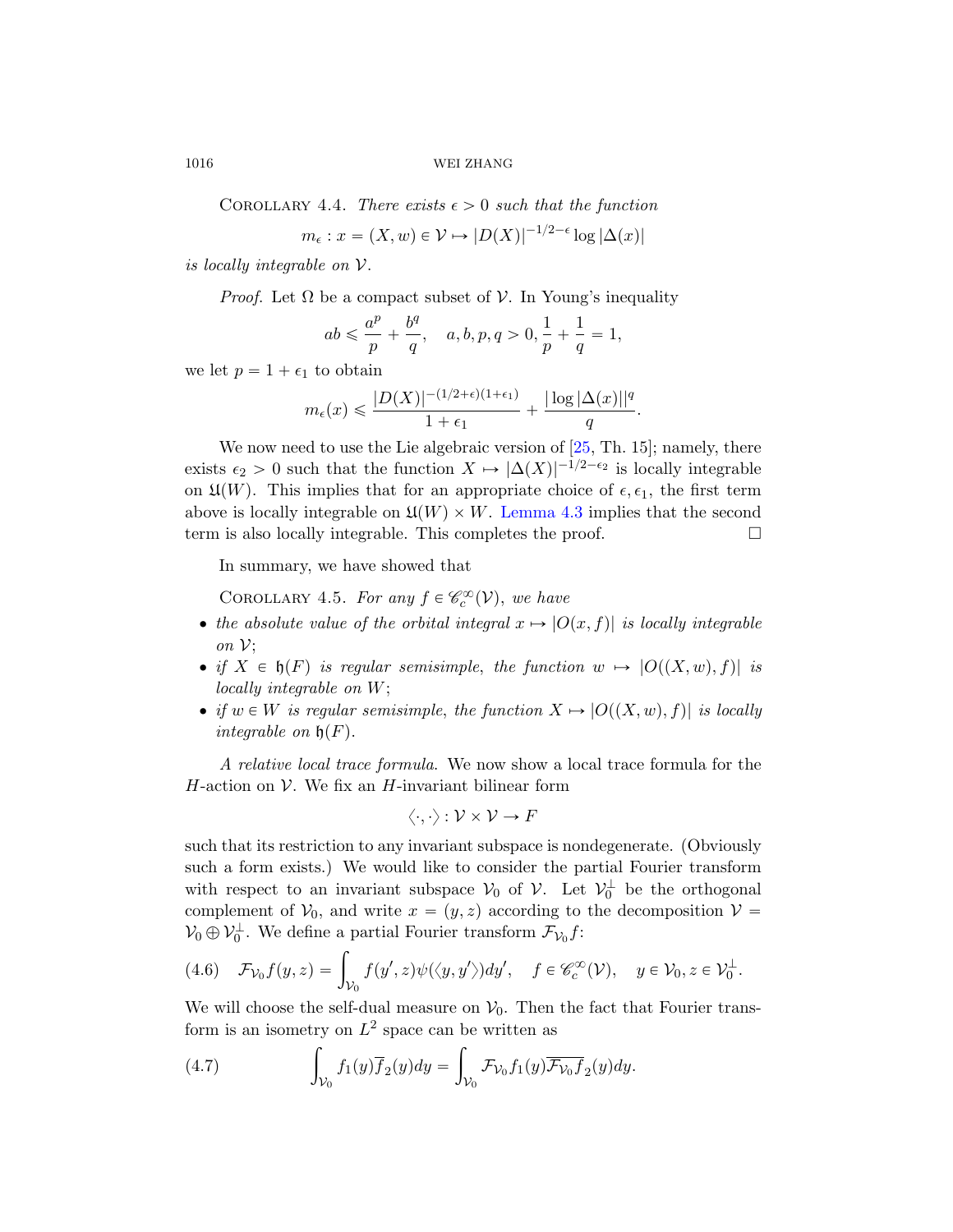COROLLARY 4.4. There exists  $\epsilon > 0$  such that the function

$$
m_{\epsilon}: x = (X, w) \in \mathcal{V} \mapsto |D(X)|^{-1/2 - \epsilon} \log |\Delta(x)|
$$

is locally integrable on V.

*Proof.* Let  $\Omega$  be a compact subset of  $V$ . In Young's inequality

$$
ab\leqslant \frac{a^p}{p}+\frac{b^q}{q},\quad a,b,p,q>0, \frac{1}{p}+\frac{1}{q}=1,
$$

we let  $p = 1 + \epsilon_1$  t[o obtain](#page-43-0)

$$
m_{\epsilon}(x) \leqslant \frac{|D(X)|^{-(1/2+\epsilon)(1+\epsilon_1)}}{1+\epsilon_1} + \frac{|\log |\Delta(x)||^q}{q}.
$$

We now need to use the Lie algebraic version of  $[25, Th. 15]$ ; namely, there exists  $\epsilon_2 > 0$  such that the function  $X \mapsto |\Delta(X)|^{-1/2-\epsilon_2}$  is locally integrable on  $\mathfrak{U}(W)$ . This implies that for an appropriate choice of  $\epsilon, \epsilon_1$ , the first term above is locally integrable on  $\mathfrak{U}(W)\times W$ . Lemma 4.3 implies that the second term is also locally integrable. This completes the proof.  $\Box$ 

In summary, we have showed that

COROLLARY 4.5. For any  $f \in \mathcal{C}_c^{\infty}(\mathcal{V})$ , we have

- the absolute value of the orbital integral  $x \mapsto |O(x, f)|$  is locally integrable on  $\mathcal{V}$ ;
- if  $X \in \mathfrak{h}(F)$  is regular semisimple, the function  $w \mapsto |O((X, w), f)|$  is locally integrable on W;
- if  $w \in W$  is regular semisimple, the function  $X \mapsto |O((X, w), f)|$  is locally integrable on  $\mathfrak{h}(F)$ .

A relative local trace formula. We now show a local trace formula for the H-action on  $\mathcal V$ . We fix an H-invariant bilinear form

$$
\langle \cdot, \cdot \rangle: \mathcal{V} \times \mathcal{V} \to F
$$

such that its restriction to any invariant subspace is nondegenerate. (Obviously such a form exists.) We would like to consider the partial Fourier transform with respect to an invariant subspace  $V_0$  of  $V$ . Let  $V_0^{\perp}$  be the orthogonal complement of  $V_0$ , and write  $x = (y, z)$  according to the decomposition  $V =$ 

$$
\mathcal{V}_0 \oplus \mathcal{V}_0^{\perp}.
$$
 We define a partial Fourier transform  $\mathcal{F}_{\mathcal{V}_0} f$ :  
(4.6)  $\mathcal{F}_{\mathcal{V}_0} f(y, z) = \int_{\mathcal{V}_0} f(y', z) \psi(\langle y, y' \rangle) dy', \quad f \in \mathcal{C}_c^{\infty}(\mathcal{V}), \quad y \in \mathcal{V}_0, z \in \mathcal{V}_0^{\perp}.$ 

We will choose the self-dual measure on  $V_0$ . Then the fact that Fourier transform is an isometry on  $L^2$  space can be written as

(4.7) 
$$
\int_{\mathcal{V}_0} f_1(y) \overline{f}_2(y) dy = \int_{\mathcal{V}_0} \mathcal{F}_{\mathcal{V}_0} f_1(y) \overline{\mathcal{F}_{\mathcal{V}_0} f}_2(y) dy.
$$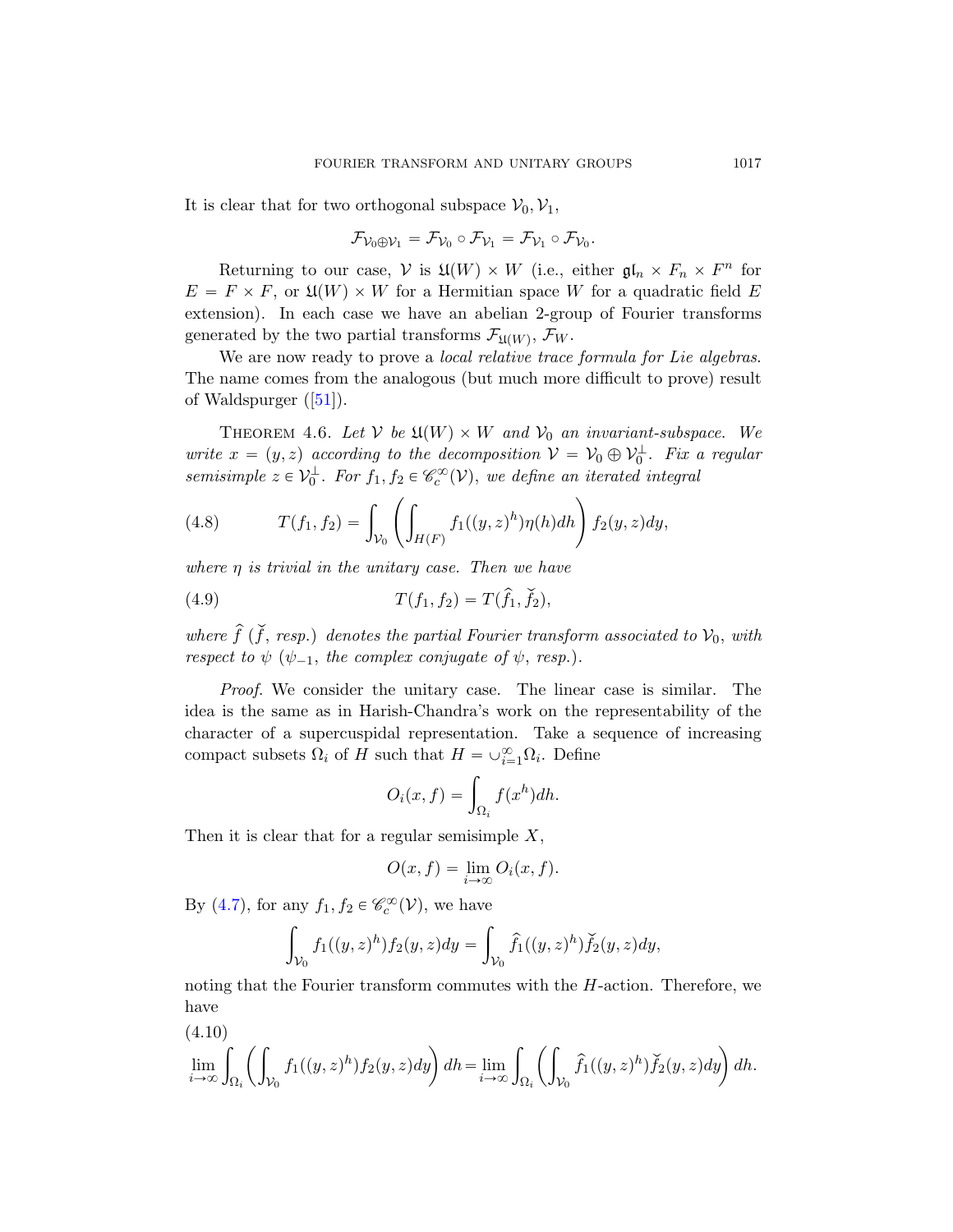It is clear that for two orthogonal subspace  $V_0$ ,  $V_1$ ,

$$
\mathcal{F}_{\mathcal{V}_0 \oplus \mathcal{V}_1} = \mathcal{F}_{\mathcal{V}_0} \circ \mathcal{F}_{\mathcal{V}_1} = \mathcal{F}_{\mathcal{V}_1} \circ \mathcal{F}_{\mathcal{V}_0}
$$

.

<span id="page-46-1"></span>Returning to our case,  $V$  is  $\mathfrak{U}(W) \times W$  (i.e., either  $\mathfrak{gl}_n \times F_n \times F^n$  for  $E = F \times F$ , or  $\mathfrak{U}(W) \times W$  for a Hermitian space W for a quadratic field E extension). In each case we have an abelian 2-group of Fourier transforms generated by the two partial transforms  $\mathcal{F}_{\mathfrak{U}(W)}$ ,  $\mathcal{F}_{W}$ .

We are now ready to prove a *local relative trace formula for Lie algebras*. The name comes from the analogous (but much more difficult to prove) result of Waldspurger ([51]).

THEOREM 4.6. Let V be  $\mathfrak{U}(W)\times W$  and  $\mathcal{V}_0$  an invariant-subspace. We write  $x = (y, z)$  according to the decomposition  $V = V_0 \oplus V_0^{\perp}$ . Fix a regular semisimple  $z \in V_0^{\perp}$ . For  $f_1, f_2 \in \mathcal{C}_c^{\infty}(\mathcal{V})$ , we define an iterated integral

(4.8) 
$$
T(f_1, f_2) = \int_{\mathcal{V}_0} \left( \int_{H(F)} f_1((y, z)^h) \eta(h) dh \right) f_2(y, z) dy,
$$

where  $\eta$  is trivial in the unitary case. Then we have

(4.9) 
$$
T(f_1, f_2) = T(\hat{f}_1, \check{f}_2),
$$

where  $\hat{f}$  ( $\check{f}$ , resp.) denotes the partial Fourier transform associated to  $\mathcal{V}_0$ , with respect to  $\psi$  ( $\psi_{-1}$ , the complex conjugate of  $\psi$ , resp.).

Proof. We consider the unitary case. The linear case is similar. The idea is the same as in Harish-Chandra's work on the representability of the character of a supercuspidal representation. Take a sequence of increasing compact subsets  $\Omega_i$  of H such that  $H = \cup_{i=1}^{\infty} \Omega_i$ . Define

$$
O_i(x, f) = \int_{\Omega_i} f(x^h) dh.
$$

Then it is clear that for a regular semisimple  $X$ ,

$$
O(x, f) = \lim_{i \to \infty} O_i(x, f).
$$

<span id="page-46-0"></span>By (4.7), for any  $f_1, f_2 \in \mathscr{C}_c^{\infty}(\mathcal{V})$ , we have

$$
\int_{\mathcal{V}_0} f_1((y, z)^h) f_2(y, z) dy = \int_{\mathcal{V}_0} \hat{f}_1((y, z)^h) \check{f}_2(y, z) dy,
$$

noting that the Fourier transform commutes with the  $H$ -action. Therefore, we have

(4.10)  

$$
\lim_{i \to \infty} \int_{\Omega_i} \left( \int_{\mathcal{V}_0} f_1((y, z)^h) f_2(y, z) dy \right) dh = \lim_{i \to \infty} \int_{\Omega_i} \left( \int_{\mathcal{V}_0} \hat{f}_1((y, z)^h) \check{f}_2(y, z) dy \right) dh.
$$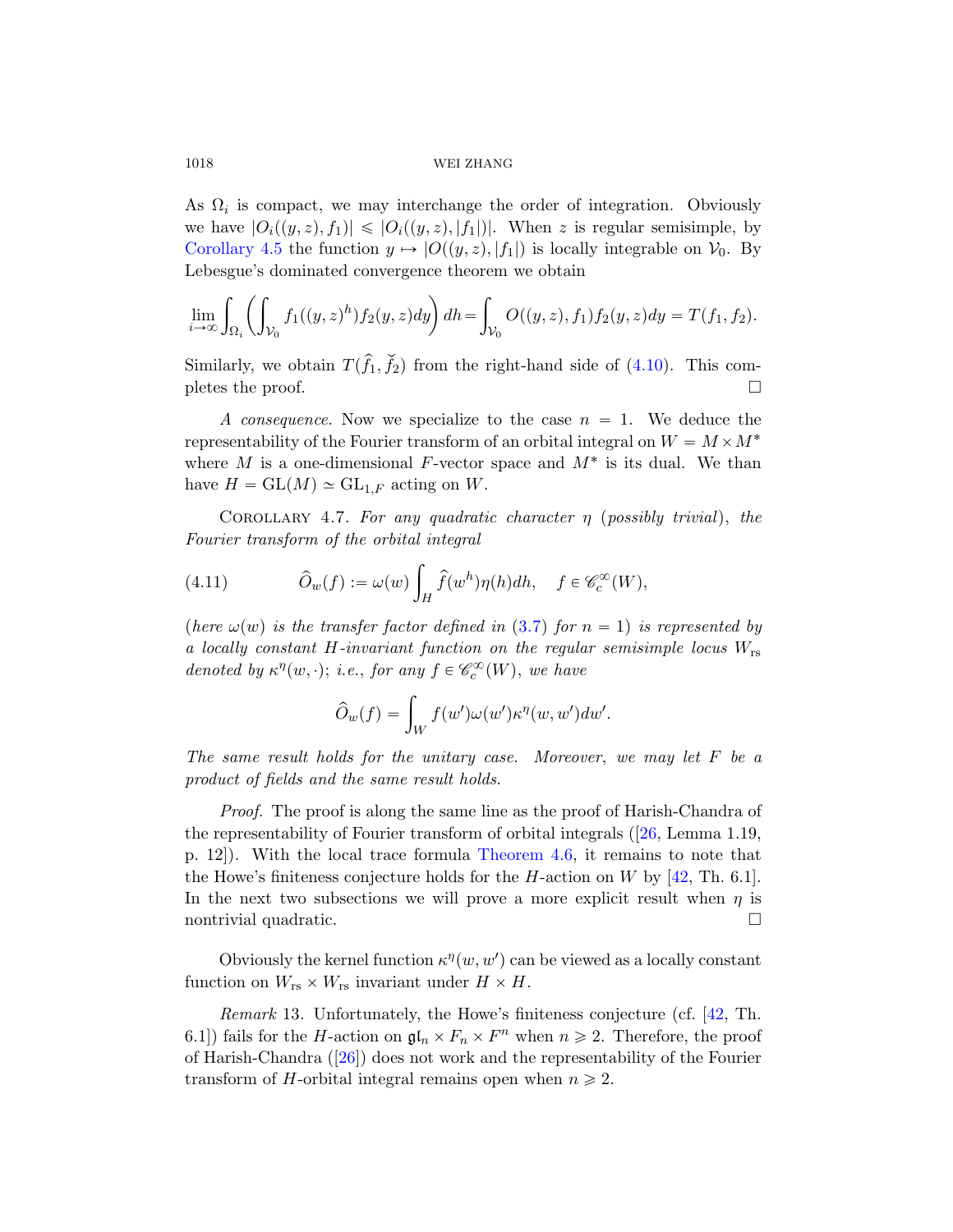As  $\Omega_i$  is compact, we may interchange the order of integration. Obviously we have  $|O_i((y, z), f_1)| \leq |O_i((y, z), |f_1|)|$ . When z is regular semisimple, by Corollary 4.5 the function  $y \mapsto |O((y, z), |f_1|)$  is locally integrable on  $\mathcal{V}_0$ . By Lebesgue's dominated convergence theorem we obtain

$$
\lim_{i \to \infty} \int_{\Omega_i} \left( \int_{\mathcal{V}_0} f_1((y, z)^h) f_2(y, z) dy \right) dh = \int_{\mathcal{V}_0} O((y, z), f_1) f_2(y, z) dy = T(f_1, f_2).
$$

<span id="page-47-0"></span>Similarly, we obtain  $T(\hat{f}_1, \check{f}_2)$  from the right-hand side of (4.10). This completes the proof.  $\Box$ 

A consequence. Now we specialize to the case  $n = 1$ . We deduce the representability of the Fourier transform of an orbital integral on  $W = M \times M^*$ where  $M$  is a one-dimensional  $F$ -vector space and  $M^*$  is its dual. We than have  $H = GL(M) \simeq GL_{1,F}$  $H = GL(M) \simeq GL_{1,F}$  $H = GL(M) \simeq GL_{1,F}$  acting on W.

COROLLARY 4.7. For any quadratic character  $\eta$  (possibly trivial), the Fourier transform of the orbital integral

(4.11) 
$$
\widehat{O}_w(f) := \omega(w) \int_H \widehat{f}(w^h) \eta(h) dh, \quad f \in \mathscr{C}_c^{\infty}(W),
$$

(here  $\omega(w)$  is the transfer factor defined in (3.7) for  $n = 1$ ) is represented by a locally constant H-invariant function on the regular semisimple locus  $W_{rs}$ denoted by  $\kappa^{\eta}(w, \cdot)$ ; i.e., for any  $f \in \mathscr{C}_c^{\infty}(W)$ , we have

$$
\widehat{O}_w(f) = \int_W f(w') \omega(w') \kappa^{\eta}(w, w') dw'.
$$

The same result holds for the unitary case. Moreover, we may let F be a product of fields and the same result holds.

Proof. The proof is along the same line as the proof of Harish-Chandra of the representability of Fourier transform of orbital integrals ([26, Lemma 1.19, p. 12]). With the local trace formula Theorem 4.6, it remains to note that the Howe's finiteness conjecture holds for the H[-a](#page-77-0)ction on W by  $[42, Th. 6.1]$ . In the next two subsections we will prove a more explicit result when  $\eta$  is [n](#page-76-0)ontrivial quadratic.

Obviously the kernel function  $\kappa^{\eta}(w, w')$  can be viewed as a locally constant function on  $W_{rs} \times W_{rs}$  invariant under  $H \times H$ .

Remark 13. Unfortunately, the Howe's finiteness conjecture (cf. [42, Th. 6.1]) fails for the *H*-action on  $\mathfrak{gl}_n \times F_n \times F^n$  when  $n \geq 2$ . Therefore, the proof of Harish-Chandra ([26]) does not work and the representability of the Fourier transform of H-orbital integral remains open when  $n \geq 2$ .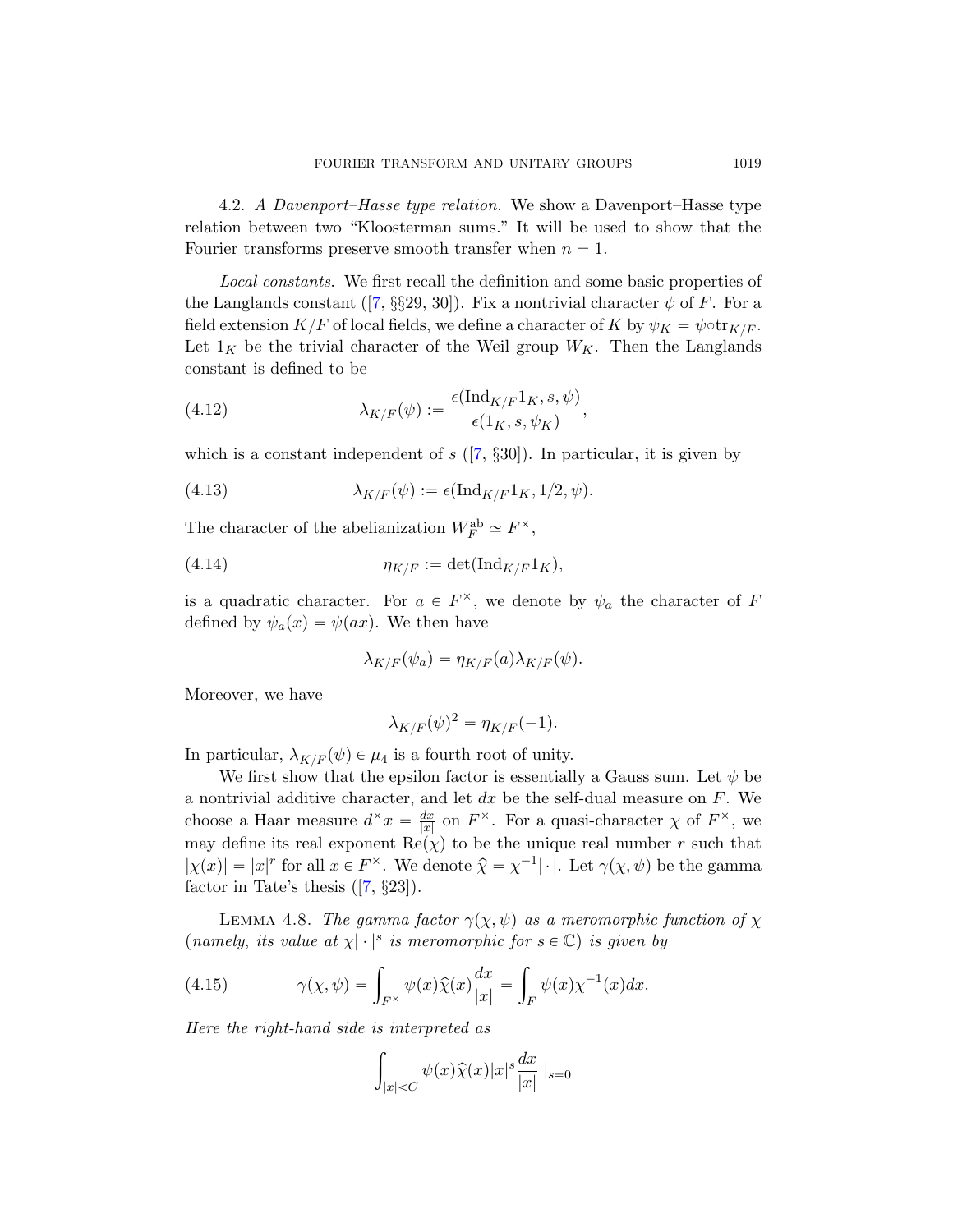4.2. A Davenport–Hasse type relation. We show a Davenport–Hasse type relation between two "Kloosterman sums." It will be used to show that the Fourier transforms preserve smooth transfer when  $n = 1$ .

<span id="page-48-0"></span>Local constants. We first recall the definition and some basic properties of the Langlands constant ([7,  $\S$ §29, 30]). Fix a nontrivial character  $\psi$  of F. For a field extension  $K/F$  $K/F$  of local fields, we define a character of K by  $\psi_K = \psi \circ \text{tr}_{K/F}$ . Let  $1_K$  be the trivial character of the Weil group  $W_K$ . Then the Langlands constant is defined to be

(4.12) 
$$
\lambda_{K/F}(\psi) := \frac{\epsilon(\text{Ind}_{K/F}1_K, s, \psi)}{\epsilon(1_K, s, \psi_K)},
$$

which is a constant independent of s  $([7, \S 30])$ . In particular, it is given by

(4.13) 
$$
\lambda_{K/F}(\psi) := \epsilon(\mathrm{Ind}_{K/F}1_K, 1/2, \psi).
$$

The character of the abelianization  $W_F^{\text{ab}} \simeq F^{\times}$ ,

$$
(4.14) \t\t \eta_{K/F} := \det(\mathrm{Ind}_{K/F} 1_K),
$$

is a quadratic character. For  $a \in F^{\times}$ , we denote by  $\psi_a$  the character of F defined by  $\psi_a(x) = \psi(ax)$ . We then have

$$
\lambda_{K/F}(\psi_a) = \eta_{K/F}(a)\lambda_{K/F}(\psi).
$$

Moreover, we have

$$
\lambda_{K/F}(\psi)^2 = \eta_{K/F}(-1).
$$

[In](#page-74-2) particular,  $\lambda_{K/F}(\psi) \in \mu_4$  is a fourth root of unity.

We first show that the epsilon factor is essentially a Gauss sum. Let  $\psi$  be a nontrivial additive character, and let  $dx$  be the self-dual measure on  $F$ . We choose a Haar measure  $d^{\times} x = \frac{dx}{|x|}$  $\frac{dx}{|x|}$  on  $F^{\times}$ . For a quasi-character  $\chi$  of  $F^{\times}$ , we may define its real exponent  $\text{Re}(\chi)$  to be the unique real number r such that  $|\chi(x)| = |x|^r$  for all  $x \in F^{\times}$ . We denote  $\hat{\chi} = \chi^{-1}|\cdot|$ . Let  $\gamma(\chi, \psi)$  be the gamma factor in Tate's thesis  $([7, §23])$ .

LEMMA 4.8. The gamma factor  $\gamma(\chi, \psi)$  as a meromorphic function of  $\chi$ (namely, its value at  $\chi | \cdot |^s$  is meromorphic for  $s \in \mathbb{C}$ ) is given by

(4.15) 
$$
\gamma(\chi, \psi) = \int_{F^{\times}} \psi(x) \widehat{\chi}(x) \frac{dx}{|x|} = \int_{F} \psi(x) \chi^{-1}(x) dx.
$$

Here the right-hand side is interpreted as

$$
\int_{|x|
$$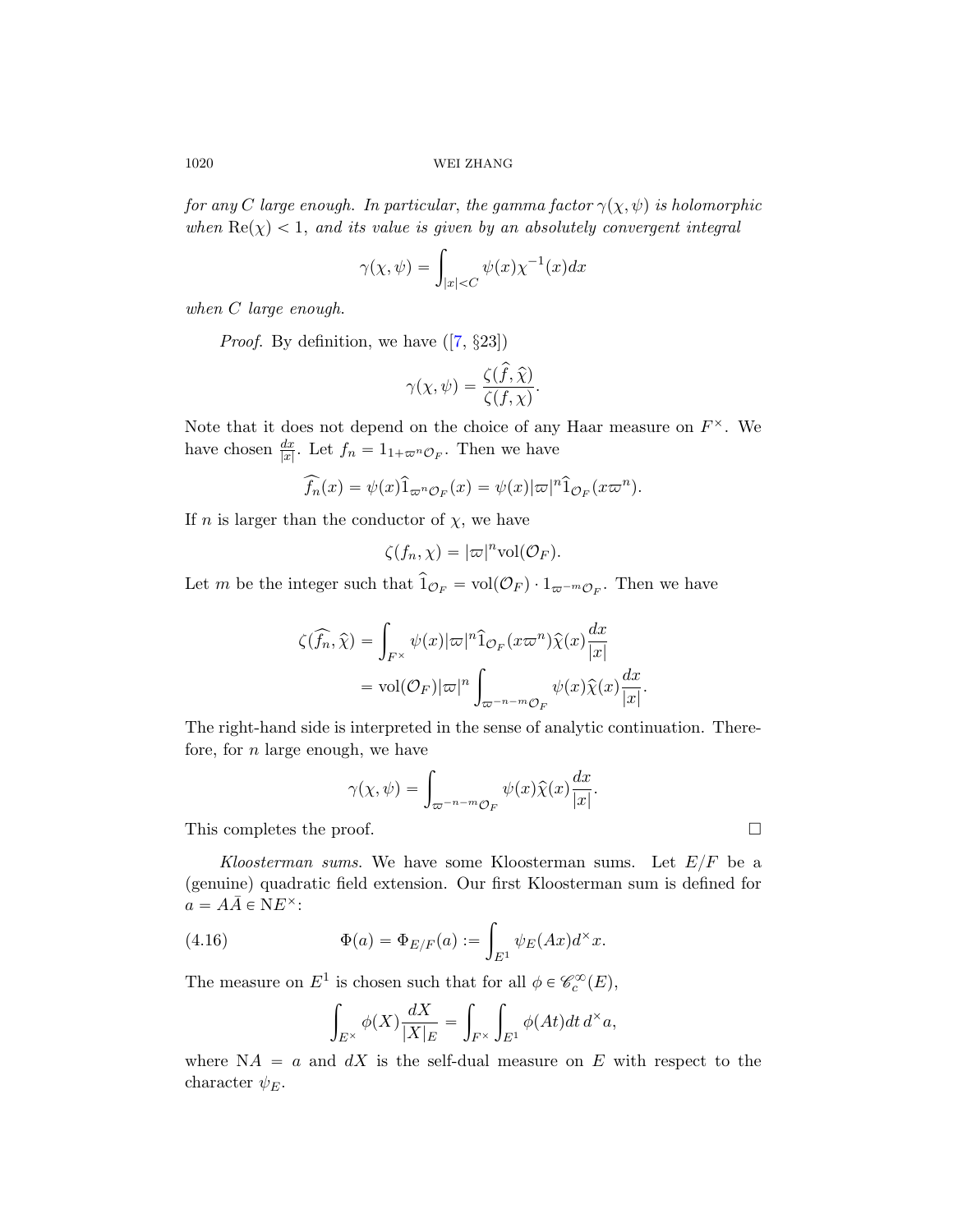for any C lar[ge](#page-74-2) enough. In particular, the gamma factor  $\gamma(\chi, \psi)$  is holomorphic when  $\text{Re}(\chi) < 1$ , and its value is given by an absolutely convergent integral

$$
\gamma(\chi, \psi) = \int_{|x| < C} \psi(x) \chi^{-1}(x) dx
$$

when C large enough.

*Proof.* By definition, we have  $([7, \S 23])$ 

$$
\gamma(\chi, \psi) = \frac{\zeta(\hat{f}, \hat{\chi})}{\zeta(f, \chi)}.
$$

Note that it does not depend on the choice of any Haar measure on  $F^{\times}$ . We have chosen  $\frac{dx}{|x|}$ . Let  $f_n = 1_{1+\varpi^n \mathcal{O}_F}$ . Then we have

$$
\widehat{f_n}(x) = \psi(x)\widehat{1}_{\varpi^n \mathcal{O}_F}(x) = \psi(x)|\varpi|^n \widehat{1}_{\mathcal{O}_F}(x\varpi^n).
$$

If n is larger than the conductor of  $\chi$ , we have

$$
\zeta(f_n,\chi)=|\varpi|^n\text{vol}(\mathcal{O}_F).
$$

Let m be the integer such that  $\hat{1}_{\mathcal{O}_F} = vol(\mathcal{O}_F) \cdot 1_{\varpi^{-m}\mathcal{O}_F}$ . Then we have

$$
\zeta(\widehat{f_n}, \widehat{\chi}) = \int_{F^{\times}} \psi(x) |\varpi|^n \widehat{1}_{\mathcal{O}_F}(x \varpi^n) \widehat{\chi}(x) \frac{dx}{|x|}
$$
  
= vol(\mathcal{O}\_F)|\varpi|^n \int\_{\varpi^{-n-m} \mathcal{O}\_F} \psi(x) \widehat{\chi}(x) \frac{dx}{|x|}.

The right-hand side is interpreted in the sense of analytic continuation. Therefore, for  $n$  large enough, we have

$$
\gamma(\chi, \psi) = \int_{\varpi^{-n-m} \mathcal{O}_F} \psi(x) \widehat{\chi}(x) \frac{dx}{|x|}.
$$

This completes the proof.

Kloosterman sums. We have some Kloosterman sums. Let  $E/F$  be a (genuine) quadratic field extension. Our first Kloosterman sum is defined for  $a = A\overline{A} \in NE^{\times}$ :

(4.16) 
$$
\Phi(a) = \Phi_{E/F}(a) := \int_{E^1} \psi_E(Ax) d^{\times} x.
$$

The measure on  $E^1$  is chosen such that for all  $\phi \in \mathcal{C}_c^{\infty}(E)$ ,

$$
\int_{E^{\times}} \phi(X) \frac{dX}{|X|_E} = \int_{F^{\times}} \int_{E^1} \phi(At) dt \, d^{\times} a,
$$

where  $NA = a$  and  $dX$  is the self-dual measure on E with respect to the character  $\psi_E$ .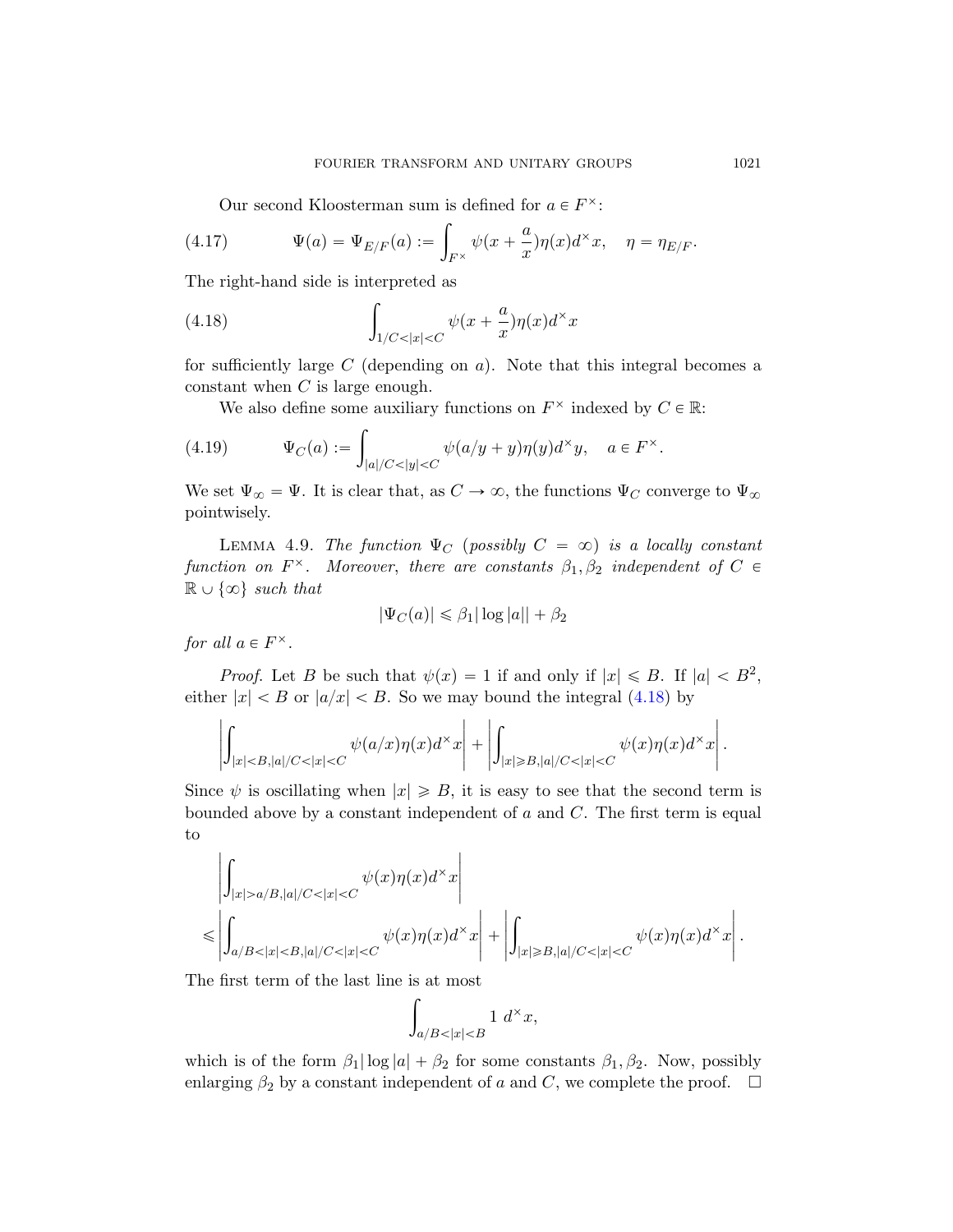Our second Kloosterman sum is defined for  $a \in F^{\times}$ :

<span id="page-50-0"></span>(4.17) 
$$
\Psi(a) = \Psi_{E/F}(a) := \int_{F^\times} \psi(x + \frac{a}{x}) \eta(x) d^\times x, \quad \eta = \eta_{E/F}.
$$

The right-hand side is interpreted as ż

(4.18) 
$$
\int_{1/C<|x|
$$

for sufficiently large C (depending on  $a$ ). Note that this integral becomes a constant when  $C$  is large enough.

We also define some auxiliary functions on  $F^{\times}$  indexed by  $C \in \mathbb{R}$ :

(4.19) 
$$
\Psi_C(a) := \int_{|a|/C < |y| < C} \psi(a/y + y) \eta(y) d^{\times} y, \quad a \in F^{\times}.
$$

We set  $\Psi_{\infty} = \Psi$ . It is clear that, as  $C \to \infty$ , the functions  $\Psi_C$  converge to  $\Psi_{\infty}$ pointwisely.

LEMMA 4.9. The function  $\Psi_C$  (possibly  $C = \infty$ ) is a locally constant function on  $F^{\times}$ . Moreover, there a[re co](#page-50-0)nstants  $\beta_1, \beta_2$  independent of  $C \in$  $\mathbb{R} \cup \{\infty\}$  such that

$$
|\Psi_C(a)| \leq \beta_1 |\log|a| + \beta_2
$$

for all  $a \in F^{\times}$ .

*Proof.* Let B be such that  $\psi(x) = 1$  if and only if  $|x| \le B$ . If  $|a| < B^2$ , either  $|x| < B$  or  $|a/x| < B$ . So we may bound the integral (4.18) by

$$
\left|\int_{|x|
$$

Since  $\psi$  is oscillating when  $|x| \geq B$ , it is easy to see that the second term is bounded above by a constant independent of  $a$  and  $C$ . The first term is equal to

$$
\left|\int_{|x|>a/B,|a|/C<|x|  

$$
\leqslant \left|\int_{a/B<|x|
$$
$$

The first term of the last line is at most

$$
_{a/B<|x|
$$

which is of the form  $\beta_1 |\log |a| + \beta_2$  for some constants  $\beta_1, \beta_2$ . Now, possibly enlarging  $\beta_2$  by a constant independent of a and C, we complete the proof.  $\Box$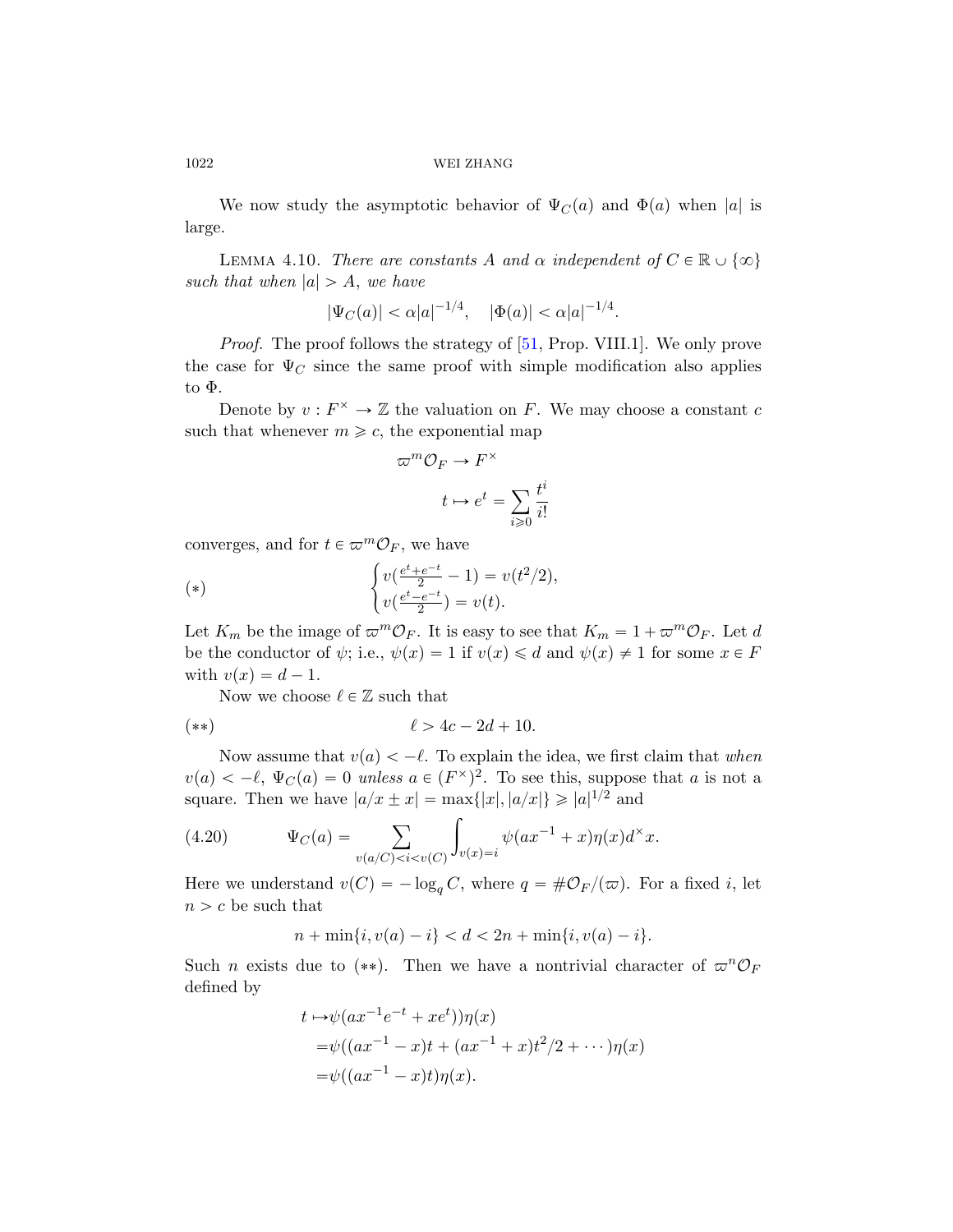We now study t[he a](#page-78-0)symptotic behavior of  $\Psi_C(a)$  and  $\Phi(a)$  when |a| is large.

LEMMA 4.10. There are constants A and  $\alpha$  independent of  $C \in \mathbb{R} \cup \{\infty\}$ such that when  $|a| > A$ , we have

$$
|\Psi_C(a)| < \alpha |a|^{-1/4}, \quad |\Phi(a)| < \alpha |a|^{-1/4}.
$$

*Proof.* The proof follows the strategy of [51, Prop. VIII.1]. We only prove the case for  $\Psi_C$  since the same proof with simple modification also applies to Φ.

Denote by  $v: F^{\times} \to \mathbb{Z}$  the valuation on F. We may choose a constant c such that whenever  $m \geq c$ , the exponential map

$$
\pi^m \mathcal{O}_F \to F^\times
$$

$$
t \mapsto e^t = \sum_{i \geq 0} \frac{t^i}{i!}
$$

converges, and for  $t \in \varpi^m \mathcal{O}_F$ , we have

(\*)  
\n
$$
\begin{cases}\nv(\frac{e^t + e^{-t}}{2} - 1) = v(t^2/2), \\
v(\frac{e^t - e^{-t}}{2}) = v(t).\n\end{cases}
$$

Let  $K_m$  be the image of  $\varpi^m \mathcal{O}_F$ . It is easy to see that  $K_m = 1 + \varpi^m \mathcal{O}_F$ . Let d be the conductor of  $\psi$ ; i.e.,  $\psi(x) = 1$  if  $v(x) \le d$  and  $\psi(x) \ne 1$  for some  $x \in F$ with  $v(x) = d - 1$ .

Now we choose  $\ell \in \mathbb{Z}$  such that

$$
(**) \qquad \qquad \ell > 4c - 2d + 10.
$$

Now assume that  $v(a) < -\ell$ . To explain the idea, we first claim that when  $v(a) < -\ell, \Psi_C(a) = 0$  unless  $a \in (F^{\times})^2$ . To see this, suppose that a is not a square. Then we have  $|a/x \pm x| = \max\{|x|, |a/x|\} \geq |a|^{1/2}$  and

(4.20) 
$$
\Psi_C(a) = \sum_{v(a/C) < i < v(C)} \int_{v(x) = i} \psi(ax^{-1} + x) \eta(x) d^{\times} x.
$$

Here we understand  $v(C) = -\log_q C$ , where  $q = \# \mathcal{O}_F/(\varpi)$ . For a fixed i, let  $n > c$  be such that

$$
n + \min\{i, v(a) - i\} < d < 2n + \min\{i, v(a) - i\}.
$$

Such *n* exists due to (\*\*). Then we have a nontrivial character of  $\varpi^{n}O_{F}$ defined by

$$
t \mapsto \psi(ax^{-1}e^{-t} + xe^{t})\eta(x)
$$
  
=  $\psi((ax^{-1} - x)t + (ax^{-1} + x)t^{2}/2 + \cdots)\eta(x)$   
=  $\psi((ax^{-1} - x)t)\eta(x).$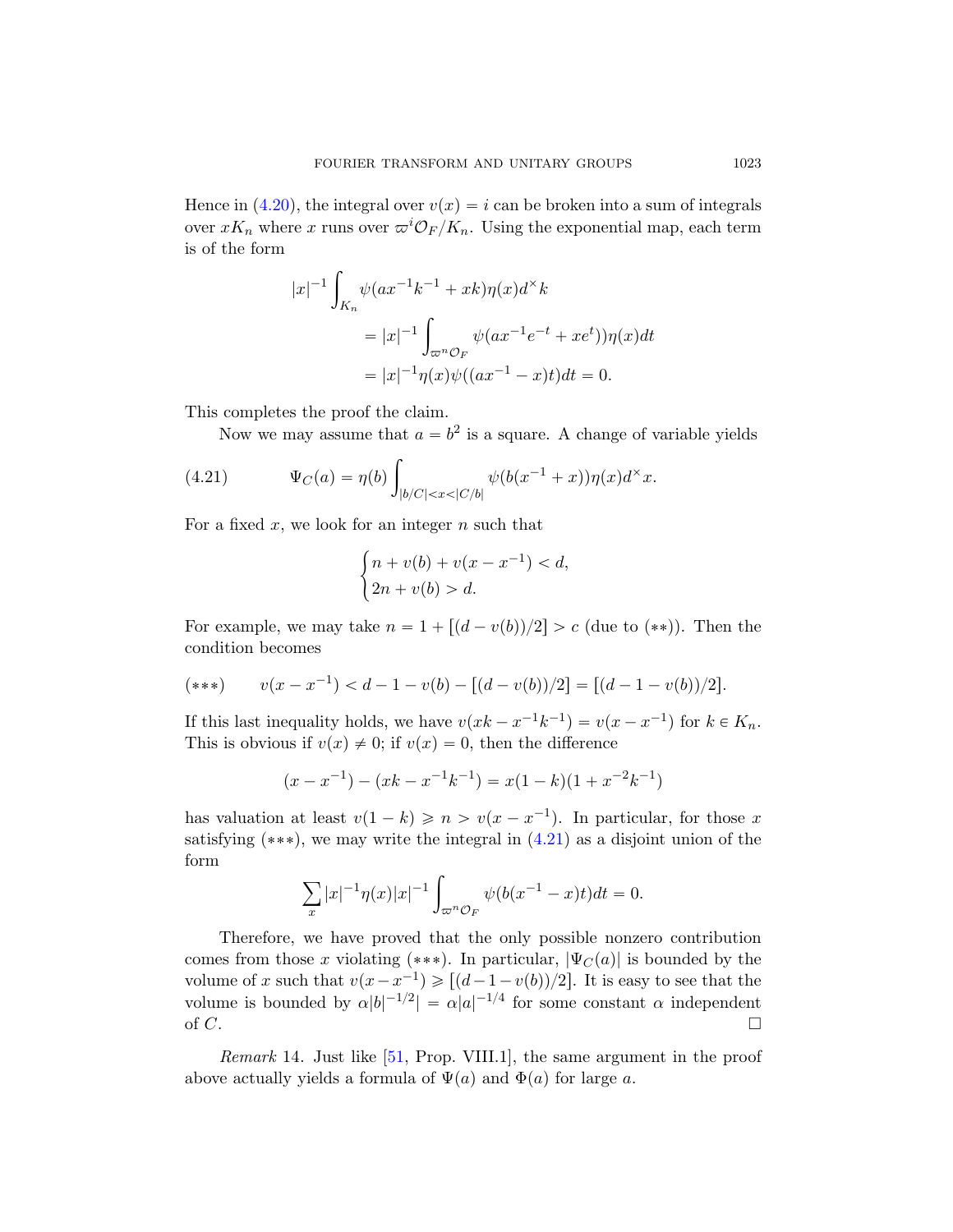Hence in (4.20), the integral over  $v(x) = i$  can be broken into a sum of integrals over  $xK_n$  where x runs over  $\omega^i \mathcal{O}_F / K_n$ . Using the exponential map, each term is of the form

$$
|x|^{-1} \int_{K_n} \psi(ax^{-1}k^{-1} + xk)\eta(x)d^xk
$$
  
=  $|x|^{-1} \int_{\varpi^n \mathcal{O}_F} \psi(ax^{-1}e^{-t} + xe^t)\eta(x)dt$   
=  $|x|^{-1}\eta(x)\psi((ax^{-1} - x)t)dt = 0.$ 

<span id="page-52-0"></span>This completes the proof the claim.

Now we may assume that  $a = b^2$  is a square. A change of variable yields

(4.21) 
$$
\Psi_C(a) = \eta(b) \int_{|b/C| < x < |C/b|} \psi(b(x^{-1} + x)) \eta(x) d^{\times} x.
$$

For a fixed x, we look for an integer  $n$  such that

$$
\begin{cases} n + v(b) + v(x - x^{-1}) < d, \\ 2n + v(b) > d. \end{cases}
$$

For example, we may take  $n = 1 + [(d - v(b))/2] > c$  (due to  $(**)$ ). Then the condition becomes

(\*\*\*) 
$$
v(x - x^{-1}) < d - 1 - v(b) - [(d - v(b))/2] = [(d - 1 - v(b))/2].
$$

If this last inequality h[olds,](#page-52-0) we have  $v(xk - x^{-1}k^{-1}) = v(x - x^{-1})$  for  $k \in K_n$ . This is obvious if  $v(x) \neq 0$ ; if  $v(x) = 0$ , then the difference

$$
(x - x-1) - (xk - x-1k-1) = x(1 - k)(1 + x-2k-1)
$$

has valuation at least  $v(1 - k) \geqslant n > v(x - x^{-1})$ . In particular, for those x satisfying  $(**)$ , we may write the integral in  $(4.21)$  as a disjoint union of the form

$$
\sum_{x} |x|^{-1} \eta(x) |x|^{-1} \int_{\varpi^n \mathcal{O}_F} \psi(b(x^{-1} - x)t) dt = 0.
$$

Therefore, we have proved that the only possible nonzero contribution comes from those x violating (\*\*\*). In particular,  $|\Psi_C(a)|$  is bounded by the volume of x such that  $v(x-x^{-1}) \geqslant [(d-1-v(b))/2]$ . It is easy to see that the volume is bounded by  $\alpha |b|^{-1/2} = \alpha |a|^{-1/4}$  for some constant  $\alpha$  independent of C.

*Remark* 14. Just like  $[51, Prop. VIII.1]$ , the same argument in the proof above actually yields a formula of  $\Psi(a)$  and  $\Phi(a)$  for large a.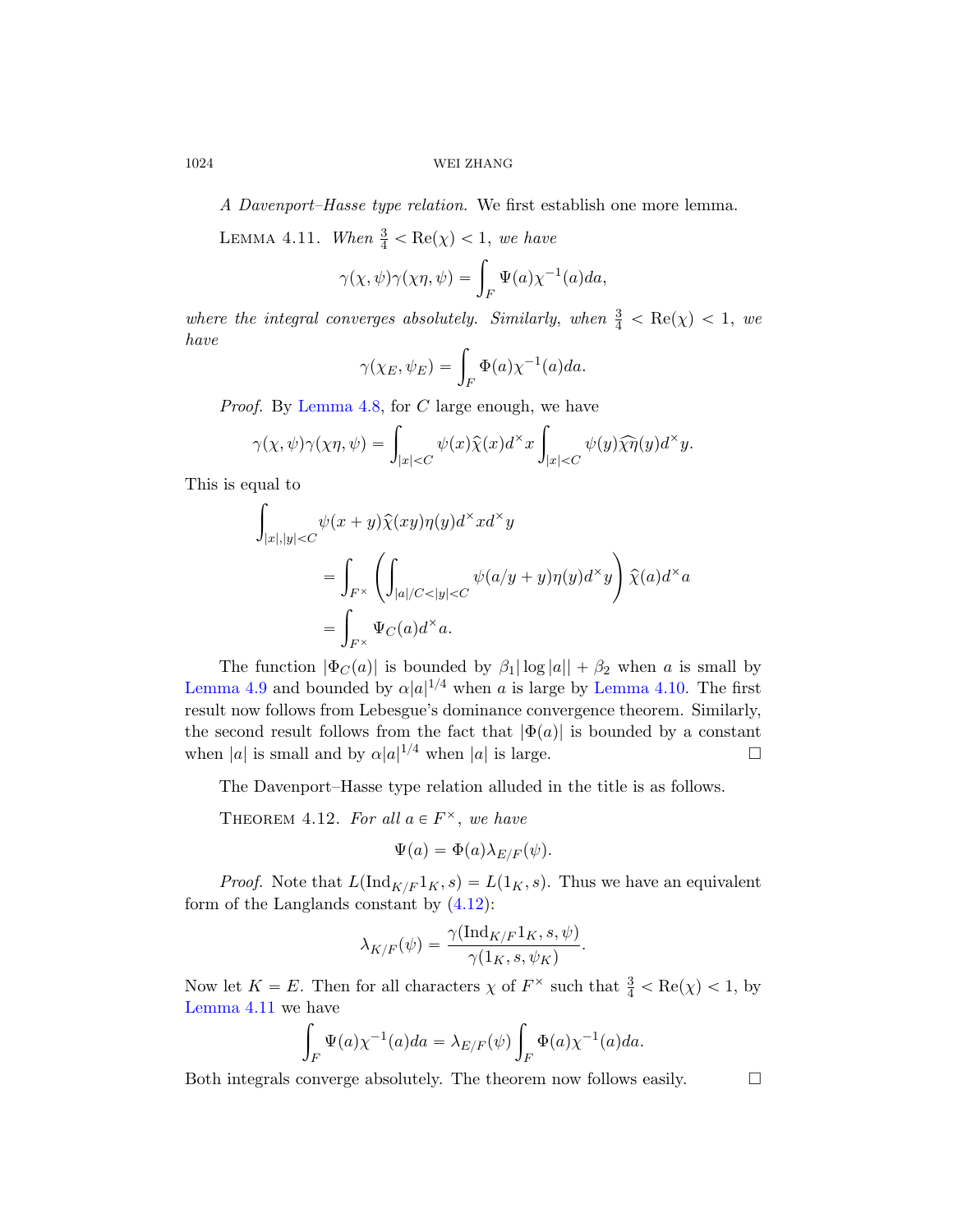A Davenport–Hasse type relation. We first establish one more lemma.

LEMMA 4.11. When  $\frac{3}{4} < \text{Re}(\chi) < 1$ , we have

$$
\gamma(\chi, \psi)\gamma(\chi\eta, \psi) = \int_F \Psi(a)\chi^{-1}(a)da,
$$

where the integral converges absolutely. Similarly, when  $\frac{3}{4} < \text{Re}(\chi) < 1$ , we have

$$
\gamma(\chi_E, \psi_E) = \int_F \Phi(a) \chi^{-1}(a) da.
$$

*Proof.* By Lemma 4.8, for C large enough, we have  
\n
$$
\gamma(\chi, \psi)\gamma(\chi\eta, \psi) = \int_{|x| < C} \psi(x)\hat{\chi}(x)d^\times x \int_{|x| < C} \psi(y)\hat{\chi}\hat{\eta}(y)d^\times y.
$$

This is equal to

$$
\int_{|x|,|y|\n
$$
=\int_{F^{\times}}\left(\int_{|a|/C<|y|\n
$$
=\int_{F^{\times}}\Psi_C(a)d^{\times}a.
$$
$$
$$

<span id="page-53-0"></span>The function  $|\Phi_C(a)|$  is bounded by  $\beta_1 |\log |a| + \beta_2$  when a is small by Lemma 4.9 and bounded by  $\alpha |a|^{1/4}$  when a is large by Lemma 4.10. The first result now follows from Lebesgue's dominance convergence theorem. Similarly, the second result follows from the fact that  $|\Phi(a)|$  is bounded by a constant when |a| is s[mall](#page-48-0) and by  $\alpha |a|^{1/4}$  when |a| is large.

The Davenport–Hasse type relation alluded in the title is as follows.

THEOREM 4.12. For all  $a \in F^{\times}$ , we have

$$
\Psi(a) = \Phi(a)\lambda_{E/F}(\psi).
$$

*Proof.* Note that  $L(\text{Ind}_{K/F} 1<sub>K</sub>, s) = L(1<sub>K</sub>, s)$ . Thus we have an equivalent form of the Langlands constant by  $(4.12)$ :

$$
\lambda_{K/F}(\psi)=\frac{\gamma(\mathrm{Ind}_{K/F}1_K,s,\psi)}{\gamma(1_K,s,\psi_K)}.
$$

Now let  $K = E$ . Then for all characters  $\chi$  of  $F^{\times}$  such that  $\frac{3}{4} < \text{Re}(\chi) < 1$ , by Lemma 4.11 we have

$$
\int_F \Psi(a)\chi^{-1}(a)da = \lambda_{E/F}(\psi)\int_F \Phi(a)\chi^{-1}(a)da.
$$

Both integrals converge absolutely. The theorem now follows easily.  $\Box$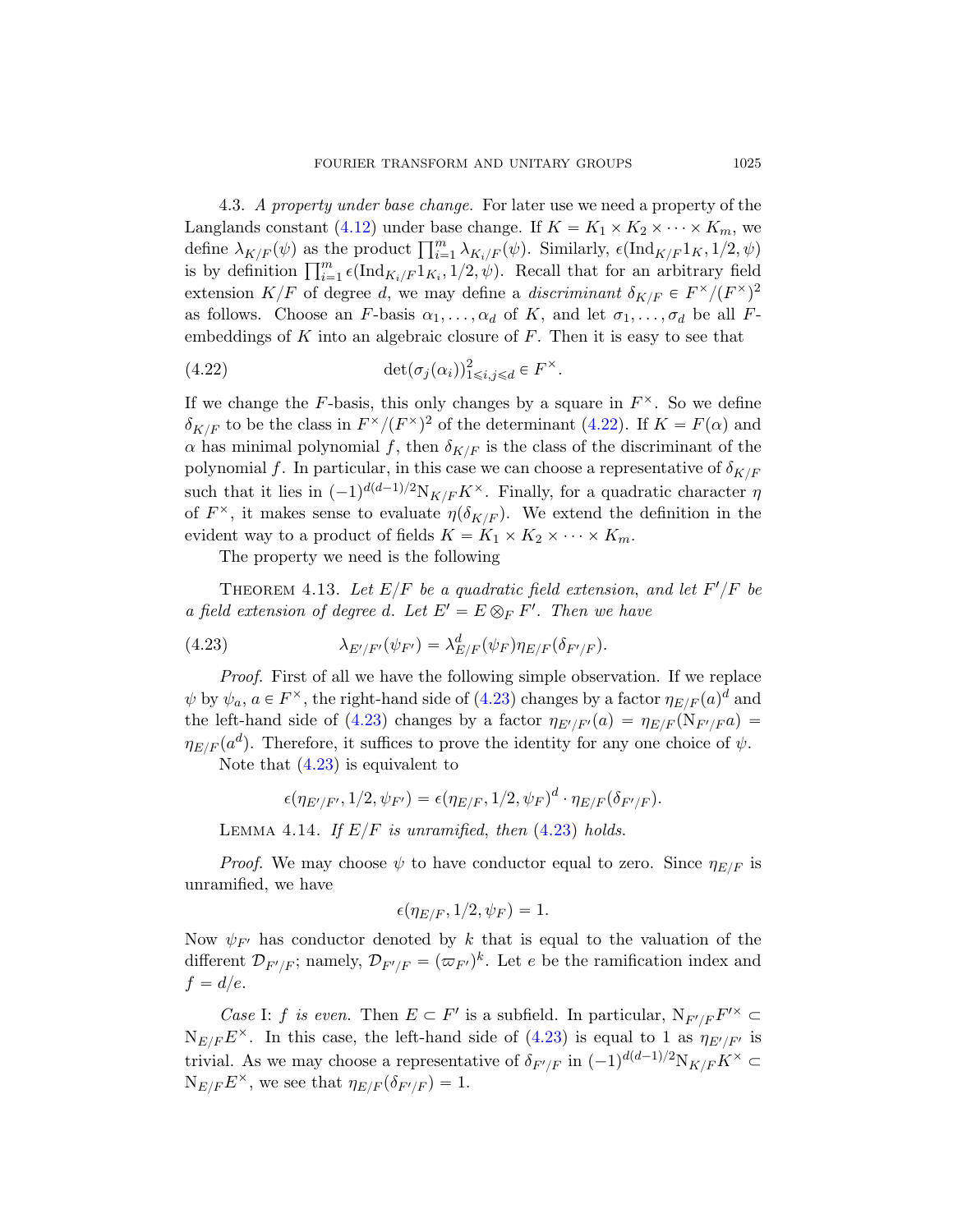<span id="page-54-0"></span>4.3. A property under base change. For later use we need a property of the Langlands constant (4.12) under base change. If  $K = K_1 \times K_2 \times \cdots \times K_m$ , we Langiands constant (4.12) under base change. If  $K = K_1 \times K_2 \times \cdots \times K_m$ , we define  $\lambda_{K/F}(\psi)$  as the product  $\prod_{i=1}^m \lambda_{K_i/F}(\psi)$ . Similarly,  $\epsilon(\text{Ind}_{K/F}1_K, 1/2, \psi)$ define  $\lambda_{K/F}(\psi)$  as the product  $\prod_{i=1}^m \lambda_{K_i/F}(\psi)$ . Similarly,  $\epsilon(\text{Ind}_{K/F}1_K, 1/2, \psi)$  is by definition  $\prod_{i=1}^m \epsilon(\text{Ind}_{K_i/F}1_{K_i}, 1/2, \psi)$ . Recall that for an arbitrary field extension  $K/F$  of degree d, w[e may](#page-54-0) define a discriminant  $\delta_{K/F} \in F^{\times}/(F^{\times})^2$ as follows. Choose an F-basis  $\alpha_1, \ldots, \alpha_d$  of K, and let  $\sigma_1, \ldots, \sigma_d$  be all Fembeddings of  $K$  into an algebraic closure of  $F$ . Then it is easy to see that

(4.22) 
$$
\det(\sigma_j(\alpha_i))_{1\leq i,j\leq d}^2 \in F^{\times}.
$$

<span id="page-54-2"></span><span id="page-54-1"></span>If we change the F-basis, this only changes by a square in  $F^{\times}$ . So we define  $\delta_{K/F}$  to be the class in  $F^{\times}/(F^{\times})^2$  of the determinant (4.22). If  $K = F(\alpha)$  and  $\alpha$  has minimal polynomial f, then  $\delta_{K/F}$  is the class of the discriminant of the polynomial f. In particular, in this case we can choose a representative of  $\delta_{K/F}$ such that it lies in  $(-1)^{d(d-1)/2}N_{K/F}K^{\times}$ . Finally, for a quadratic character  $\eta$ of  $F^{\times}$ , it makes sense to evaluate  $\eta(\delta_{K/F})$ . We extend the definition in the evident way to a product of fields  $K = K_1 \times K_2 \times \cdots \times K_m$ .

The proper[ty we](#page-54-1) need is the following

THEOREM 4.13. Let  $E/F$  be a quadratic field extension, and let  $F'/F$  be a field extension of degree d. Let  $E' = E \otimes_F F'$ . Then we have

(4.23) 
$$
\lambda_{E'/F'}(\psi_{F'}) = \lambda_{E/F}^d(\psi_F) \eta_{E/F}(\delta_{F'/F}).
$$

Proof. First of all we have the following simple observation. If we replace  $\psi$  by  $\psi_a$ ,  $a \in F^{\times}$ , the rig[ht-han](#page-54-1)d side of (4.23) changes by a factor  $\eta_{E/F}(a)^d$  and the left-hand side of (4.23) changes by a factor  $\eta_{E'/F'}(a) = \eta_{E/F}(\mathcal{N}_{F'/F} a)$  $\eta_{E/F}(a^d)$ . Therefore, it suffices to prove the identity for any one choice of  $\psi$ . Note that (4.23) is equivalent to

$$
\epsilon(\eta_{E'/F'},1/2,\psi_{F'})=\epsilon(\eta_{E/F},1/2,\psi_F)^d\cdot\eta_{E/F}(\delta_{F'/F}).
$$

LEMMA 4.14. If  $E/F$  is unramified, then (4.23) holds.

*Proof.* We may choose  $\psi$  to have conductor equal to zero. Since  $\eta_{E/F}$  is unramified, we have

$$
\epsilon(\eta_{E/F}, 1/2, \psi_F) = 1.
$$

Now  $\psi_{F'}$  has conductor denoted by k that is equal to the valuation of the different  $\mathcal{D}_{F'/F}$ ; namely,  $\mathcal{D}_{F'/F} = (\varpi_{F'})^k$ . Let e be the ramification index and  $f = d/e.$ 

*Case I: f is even.* Then  $E \subset F'$  is a subfield. In particular,  $N_{F'/F}F'^{\times} \subset$  $N_{E/F}E^{\times}$ . In this case, the left-hand side of (4.23) is equal to 1 as  $\eta_{E'/F'}$  is trivial. As we may choose a representative of  $\delta_{F'/F}$  in  $(-1)^{d(d-1)/2}N_{K/F}K^{\times} \subset$  $N_{E/F} E^{\times}$ , we see that  $\eta_{E/F}(\delta_{F'/F}) = 1$ .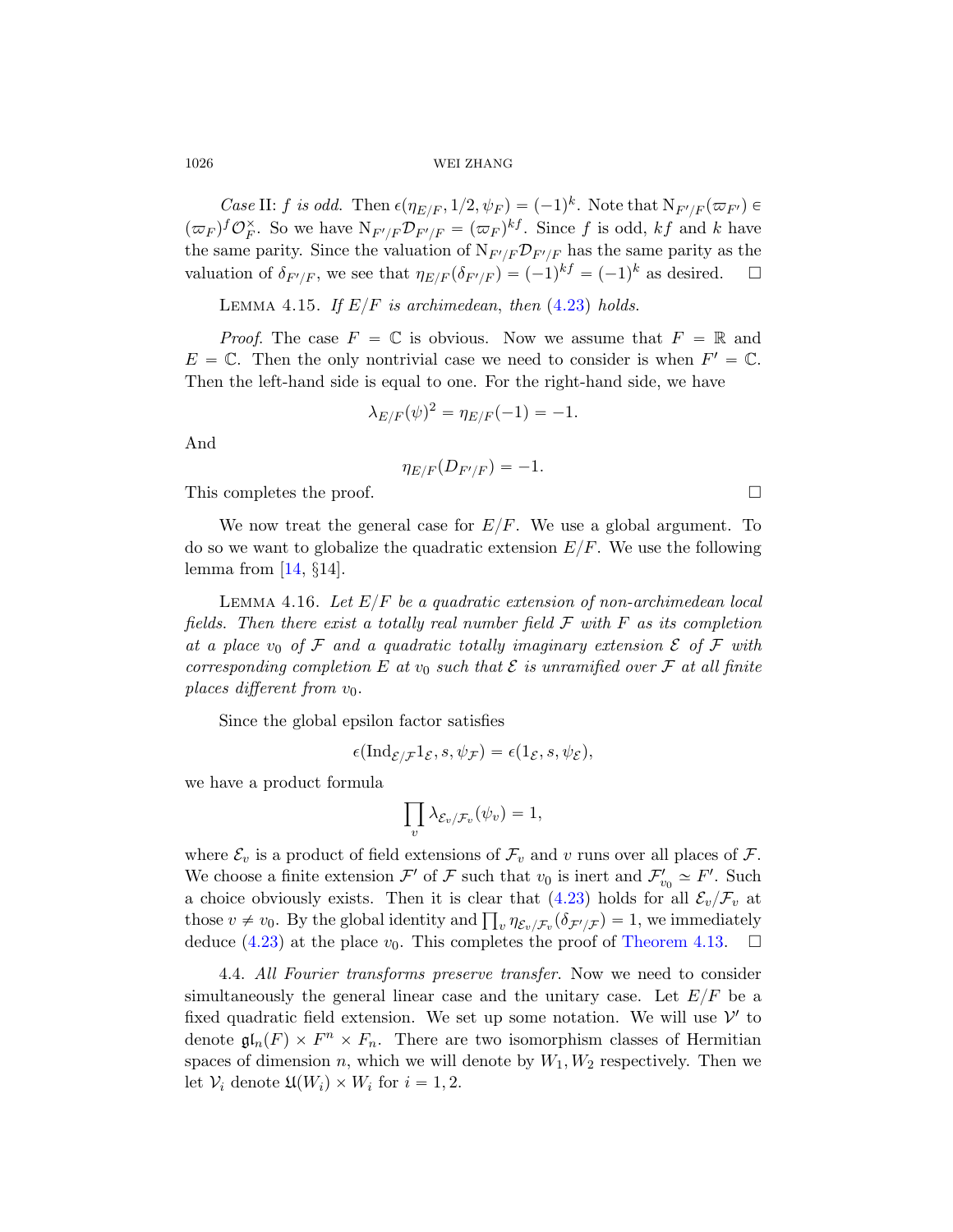Case II: f is odd. Then  $\epsilon(\eta_{E/F}, 1/2, \psi_F) = (-1)^k$ . Note that  $N_{F'/F}(\varpi_{F'}) \in$  $(\varpi_F)^f \mathcal{O}_F^{\times}$ . So we have  $N_{F'/F} \mathcal{D}_{F'/F} = (\varpi_F)^{kf}$ . Since f is odd, kf and k have the same parity. Since the valuation of  $N_{F'/F}\mathcal{D}_{F'/F}$  has the same parity as the valuation of  $\delta_{F'/F}$ , we see that  $\eta_{E/F}(\delta_{F'/F}) = (-1)^{kf} = (-1)^k$  as desired.  $\Box$ 

LEMMA 4.15. If  $E/F$  is archimedean, then (4.23) holds.

*Proof.* The case  $F = \mathbb{C}$  is obvious. Now we assume that  $F = \mathbb{R}$  and  $E = \mathbb{C}$ . Then the only nontrivial case we need to consider is when  $F' = \mathbb{C}$ . Then the left-hand side is equal to one. For the right-hand side, we have

$$
\lambda_{E/F}(\psi)^2 = \eta_{E/F}(-1) = -1.
$$

And

$$
\eta_{E/F}(D_{F'/F})=-1.
$$

This completes the proof.

We now treat the general case for  $E/F$ . We use a global argument. To do so we want to globalize the quadratic extension  $E/F$ . We use the following lemma from [14,  $\S$ 14].

LEMMA 4.16. Let  $E/F$  be a quadratic extension of non-archimedean local fields. Then there exist a totally real number field  $\mathcal F$  with  $F$  as its completion at a place  $v_0$  of F and a quadratic totally imaginary extension  $\mathcal E$  of F with corresponding completion E at  $v_0$  such that E is unramified over F at all finite places different from  $v_0$ .

Since the global epsilon factor satisfies

$$
\epsilon(\mathrm{Ind}_{\mathcal{E}/\mathcal{F}}1_{\mathcal{E}}, s, \psi_{\mathcal{F}}) = \epsilon(1_{\mathcal{E}}, s, \psi_{\mathcal{E}}),
$$

we have a product formula

$$
\prod_v \lambda_{\mathcal{E}_v/\mathcal{F}_v}(\psi_v) = 1,
$$

where  $\mathcal{E}_v$  is a product of field extensions of  $\mathcal{F}_v$  and v runs over all places of  $\mathcal{F}$ . We choose a finite extension  $\mathcal{F}'$  of  $\mathcal F$  such that  $v_0$  is inert and  $\mathcal{F}'_{v_0} \simeq F'$ . Such a choice obviously exists. Then it is clear that  $(4.23)$  holds for all  $\mathcal{E}_v/\mathcal{F}_v$  at a choice obviously exists. Then it is clear that (4.23) holds for all  $\mathcal{E}_v/\mathcal{F}_v$  at those  $v \neq v_0$ . By the global identity and  $\prod_v \eta_{\mathcal{E}_v/\mathcal{F}_v}(\delta_{\mathcal{F}'/\mathcal{F}}) = 1$ , we immediately deduce (4.23) at the place  $v_0$ . This completes the proof of Theorem 4.13.  $\Box$ 

4.4. All Fourier transforms preserve transfer. Now we need to consider simultaneously the general linear case and the unitary case. Let  $E/F$  be a fixed quadratic field extension. We set up some notation. We will use  $\mathcal{V}'$  to denote  $\mathfrak{gl}_n(F) \times F^n \times F_n$ . There are two isomorphism classes of Hermitian spaces of dimension n, which we will denote by  $W_1, W_2$  respectively. Then we let  $V_i$  denote  $\mathfrak{U}(W_i) \times W_i$  for  $i = 1, 2$ .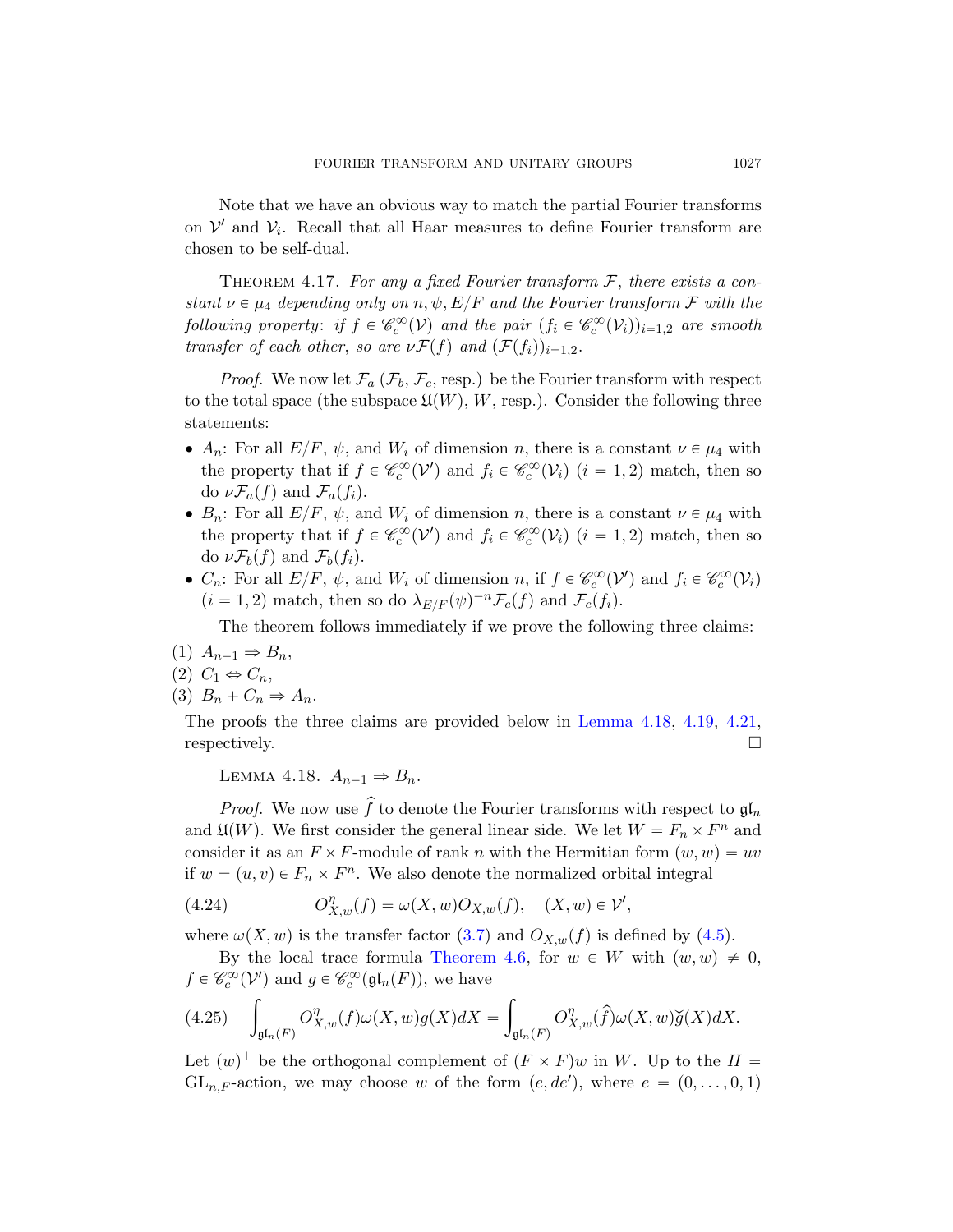Note that we have an obvious way to match the partial Fourier transforms on  $\mathcal{V}'$  and  $\mathcal{V}_i$ . Recall that all Haar measures to define Fourier transform are chosen to be self-dual.

THEOREM 4.17. For any a fixed Fourier transform  $\mathcal{F}$ , there exists a constant  $\nu \in \mu_4$  depending only on  $n, \psi, E/F$  and the Fourier transform F with the following property: if  $f \in \mathcal{C}_c^{\infty}(\mathcal{V})$  and the pair  $(f_i \in \mathcal{C}_c^{\infty}(\mathcal{V}_i))_{i=1,2}$  are smooth transfer of each other, so are  $\nu \mathcal{F}(f)$  and  $(\mathcal{F}(f_i))_{i=1,2}$ .

*Proof.* We now let  $\mathcal{F}_a$  ( $\mathcal{F}_b$ ,  $\mathcal{F}_c$ , resp.) be the Fourier transform with respect to the total space (the subspace  $\mathfrak{U}(W), W$ , resp.). Consider the following three statements:

- $A_n$ : For all  $E/F$ ,  $\psi$ , and  $W_i$  of dimension n, there is a constant  $\nu \in \mu_4$  with the property that if  $f \in \mathcal{C}_c^{\infty}(\mathcal{V}')$  and  $f_i \in \mathcal{C}_c^{\infty}(\mathcal{V}_i)$   $(i = 1, 2)$  match, then so do  $\nu \mathcal{F}_a(f)$  and  $\mathcal{F}_a(f_i)$ .
- $B_n$ : For all  $E/F$ ,  $\psi$ , and  $W_i$  of dimension n, there is a constant  $\nu \in \mu_4$  with the property that if  $f \in \mathcal{C}_c^{\infty}(\mathcal{V}')$  and  $f_i \in \mathcal{C}_c^{\infty}(\mathcal{V}_i)$   $(i = 1, 2)$  match, then so do  $\nu \mathcal{F}_b(f)$  and  $\mathcal{F}_b(f_i)$ .
- $C_n$ : For all  $E/F$ ,  $\psi$ , and  $W_i$  [of dimension](#page-56-0) n[, if](#page-58-0)  $f \in \mathcal{C}_c^{\infty}(\mathcal{V}')$  and  $f_i \in \mathcal{C}_c^{\infty}(\mathcal{V}_i)$  $(i = 1, 2)$  match, then so do  $\lambda_{E/F}(\psi)^{-n} \mathcal{F}_c(f)$  and  $\mathcal{F}_c(f_i)$ .

The theorem follows immediately if we prove the following three claims:

<span id="page-56-0"></span>(1)  $A_{n-1} \Rightarrow B_n$ ,

$$
(2) C_1 \Leftrightarrow C_n,
$$

(3)  $B_n + C_n \Rightarrow A_n$ .

The proofs the three claims are provided below in Lemma 4.18, 4.19, 4.21, respectively.

LEMMA 4.18.  $A_{n-1} \Rightarrow B_n$ .

*Proof.* W[e no](#page-30-0)w use  $\hat{f}$  to denote the Fourie[r tra](#page-41-1)nsforms with respect to  $\mathfrak{gl}_n$ and  $\mathfrak{U}(W)$ [. We first con](#page-46-1)sider the general linear side. We let  $W = F_n \times F^n$  and consider it as an  $F \times F$ -module of rank n with the Hermitian form  $(w, w) = uv$ if  $w = (u, v) \in F_n \times F^n$ . We also denote the normalized orbital integral

<span id="page-56-1"></span>(4.24) 
$$
O_{X,w}^{\eta}(f) = \omega(X,w)O_{X,w}(f), \quad (X,w) \in \mathcal{V}',
$$

where  $\omega(X, w)$  is the transfer factor (3.7) and  $O_{X,w}(f)$  is defined by (4.5).

By the local trace formula Theorem 4.6, for  $w \in W$  with  $(w, w) \neq 0$ ,  $f \in \mathscr{C}_c^{\infty}(\mathcal{V}')$  and  $g \in \mathscr{C}_c^{\infty}(\mathfrak{gl}_n(F))$ , we have

$$
(4.25) \quad \int_{\mathfrak{gl}_n(F)} O_{X,w}^{\eta}(f)\omega(X,w)g(X)dX = \int_{\mathfrak{gl}_n(F)} O_{X,w}^{\eta}(\widehat{f})\omega(X,w)\breve{g}(X)dX.
$$

Let  $(w)^{\perp}$  be the orthogonal complement of  $(F \times F)w$  in W. Up to the  $H =$  $GL_{n,F}$ -action, we may choose w of the form  $(e, de')$ , where  $e = (0, \ldots, 0, 1)$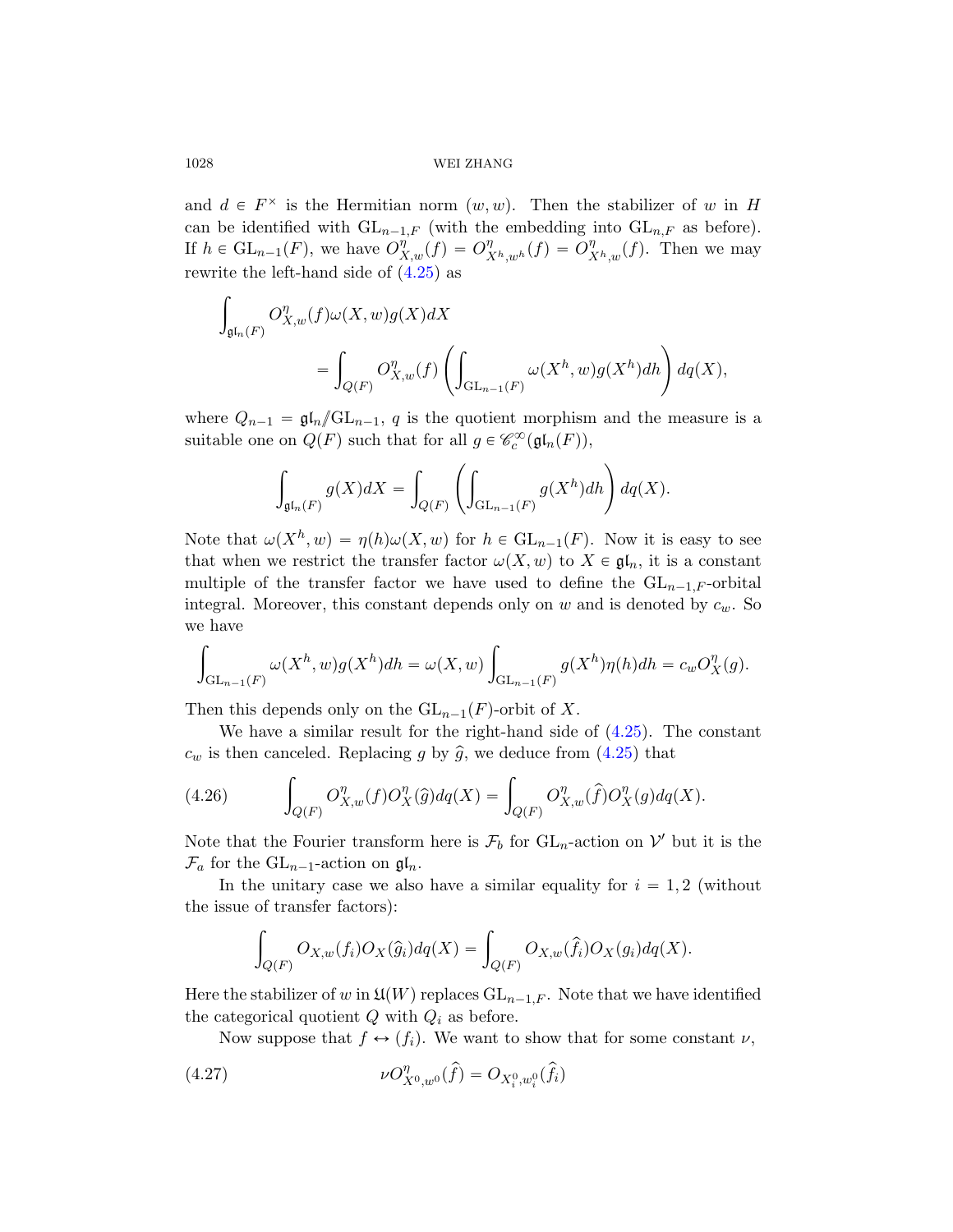and  $d \in F^{\times}$  is the Hermitian norm  $(w, w)$ . Then the stabilizer of w in H can be identified with  $GL_{n-1,F}$  (with the embedding into  $GL_{n,F}$  as before). If  $h \in GL_{n-1}(F)$ , we have  $O_{X,w}^{\eta}(f) = O_{X^h,w^h}^{\eta}(f) = O_{X^h}^{\eta}(f)$  $y_{X^h,w}(f)$ . Then we may rewrite the left-hand side of  $(4.25)$  as

$$
\int_{\mathfrak{gl}_n(F)} O_{X,w}^{\eta}(f) \omega(X,w) g(X) dX
$$
\n
$$
= \int_{Q(F)} O_{X,w}^{\eta}(f) \left( \int_{\mathrm{GL}_{n-1}(F)} \omega(X^h, w) g(X^h) dh \right) dq(X),
$$

where  $Q_{n-1} = \mathfrak{gl}_n/\mathbb{GL}_{n-1}$ , q is the quotient morphism and the measure is a suitable one on  $Q(F)$  such that for all  $g \in \mathcal{C}_c^{\infty}(\mathfrak{gl}_n(F)),$ 

$$
\int_{\mathfrak{gl}_n(F)} g(X) dX = \int_{Q(F)} \left( \int_{\mathrm{GL}_{n-1}(F)} g(X^h) dh \right) dq(X).
$$

Note that  $\omega(X^h, w) = \eta(h)\omega(X, w)$  for  $h \in GL_{n-1}(F)$ . Now it is easy to see that when we restrict the transfer factor  $\omega(X, w)$  to  $X \in \mathfrak{gl}_n$ , it is a constant multiple of the transfer factor we have used to define the  $GL_{n-1,F}$ -orbital integral. Moreover, this constant [depen](#page-56-1)ds only on  $w$  and is denoted by  $c_w$ . So we have ż

$$
\int_{\mathrm{GL}_{n-1}(F)} \omega(X^h, w) g(X^h) dh = \omega(X, w) \int_{\mathrm{GL}_{n-1}(F)} g(X^h) \eta(h) dh = c_w O_X^{\eta}(g).
$$

Then this depends only on the  $GL_{n-1}(F)$ -orbit of X.

We have a similar result for the right-hand side of (4.25). The constant  $c_w$  is then canceled. Replacing g by  $\hat{g}$ , we deduce from  $(4.25)$  that

(4.26) 
$$
\int_{Q(F)} O_{X,w}^{\eta}(f) O_X^{\eta}(\hat{g}) dq(X) = \int_{Q(F)} O_{X,w}^{\eta}(\hat{f}) O_X^{\eta}(g) dq(X).
$$

Note that the Fourier transform here is  $\mathcal{F}_b$  for  $GL_n$ -action on  $\mathcal{V}'$  but it is the  $\mathcal{F}_a$  for the  $GL_{n-1}$ -action on  $\mathfrak{gl}_n$ .

<span id="page-57-0"></span>In the unitary case we also have a similar equality for  $i = 1, 2$  (without the issue of transfer factors):

$$
\int_{Q(F)} O_{X,w}(f_i) O_X(\hat{g}_i) dq(X) = \int_{Q(F)} O_{X,w}(\hat{f}_i) O_X(g_i) dq(X).
$$

Here the stabilizer of w in  $\mathfrak{U}(W)$  replaces  $GL_{n-1,F}$ . Note that we have identified the categorical quotient  $Q$  with  $Q_i$  as before.

Now suppose that  $f \leftrightarrow (f_i)$ . We want to show that for some constant  $\nu$ ,

(4.27) 
$$
\nu O_{X^0,w^0}^{\eta}(\hat{f}) = O_{X_i^0,w_i^0}(\hat{f}_i)
$$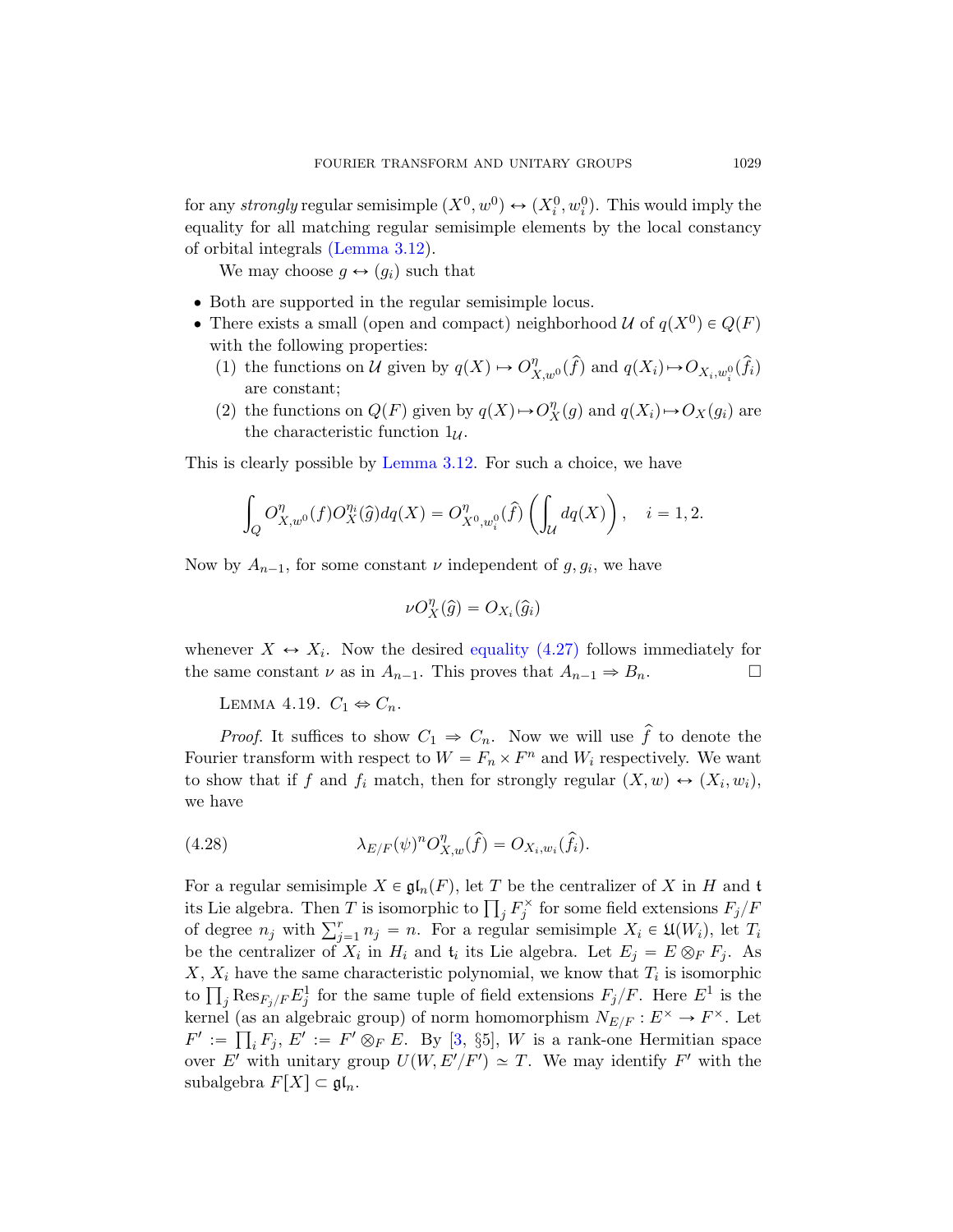for any *strongly* regular semisimple  $(X^0, w^0) \leftrightarrow (X_i^0, w_i^0)$ . This would imply the equality for all matching regular semisimple elements by the local constancy of orbital integrals (Lemma 3.12).

We may choose  $g \leftrightarrow (g_i)$  such that

- ' Both are supported in the regular semisimple locus.
- [There exists](#page-38-0) a small (open and compact) neighborhood  $\mathcal U$  of  $q(X^0) \in Q(F)$ with the following properties:
	- (1) the functions on U given by  $q(X) \mapsto O_{X,w^0}^{\eta}(\widehat{f})$  and  $q(X_i) \mapsto O_{X_i,w_i^0}(\widehat{f}_i)$ are constant;
	- (2) the functions on  $Q(F)$  given by  $q(X) \rightarrow O_X^{\eta}(g)$  and  $q(X_i) \rightarrow O_X(g_i)$  are the characteristic function  $1_{\mathcal{U}}$ .

This is clearly possible by Lemma 3.12. For such a choice, we have

$$
\int_{Q} O_{X,w^0}^{\eta}(f) O_X^{\eta_i}(\hat{g}) dq(X) = O_{X^0,w_i^0}^{\eta}(\hat{f}) \left( \int_{\mathcal{U}} dq(X) \right), \quad i = 1,2.
$$

<span id="page-58-0"></span>Now by  $A_{n-1}$ , for some constant  $\nu$  independent of  $g, g_i$ , we have

$$
\nu O_X^{\eta}(\widehat{g}) = O_{X_i}(\widehat{g}_i)
$$

whenever  $X \leftrightarrow X_i$ . Now the desired equality (4.27) follows immediately for the same constant  $\nu$  as in  $A_{n-1}$ . This proves that  $A_{n-1} \Rightarrow B_n$ .

LEMMA 4.19.  $C_1 \Leftrightarrow C_n$ .

*Proof.* It suffices to show  $C_1 \Rightarrow C_n$ . Now we will use  $\hat{f}$  to denote the Fourier transform with respect to  $W = F_n \times F^n$  and  $W_i$  respectively. We want to show that if f and  $f_i$  match, then for strongly regular  $(X, w) \leftrightarrow (X_i, w_i)$ , we have

(4.28) 
$$
\lambda_{E/F}(\psi)^n O_{X,w}^{\eta}(\hat{f}) = O_{X_i,w_i}(\hat{f}_i).
$$

For a regular semisimple  $X \in \mathfrak{gl}_n(F)$ , let T be the centralizer of X in H and t For a regular semisimple  $X \in \mathfrak{gl}_n(F)$ , let T be the centralizer of X in H and t<br>its Lie algebr[a.](#page-74-3) Then T is isomorphic to  $\prod_j F_j^{\times}$  for some field extensions  $F_j/F$ its Lie algebra. Then T is isomorphic to  $\prod_j F_j^{\gamma}$  for some field extensions  $F_j/F$  of degree  $n_j$  with  $\sum_{j=1}^r n_j = n$ . For a regular semisimple  $X_i \in \mathfrak{U}(W_i)$ , let  $T_i$ be the centralizer of  $X_i$  in  $H_i$  and  $t_i$  its Lie algebra. Let  $E_j = E \otimes_F F_j$ . As  $X, X_i$  have the same characteristic polynomial, we know that  $T_i$  is isomorphic  $X$ ,  $X_i$  have the same characteristic polynomial, we know that  $T_i$  is isomorphic<br>to  $\prod_j \text{Res}_{F_j/F} E_j^1$  for the same tuple of field extensions  $F_j/F$ . Here  $E^1$  is the kernel (as an algebraic group) of norm homomorphism  $N_{E/F}: E^{\times} \to F^{\times}$ . Let  $F' := \prod_i F_j, E' := F' \otimes_F E$ . By [3, §5], W is a rank-one Hermitian space over E' with unitary group  $U(W, E'/F') \simeq T$ . We may identify F' with the subalgebra  $F[X] \subset \mathfrak{gl}_n$ .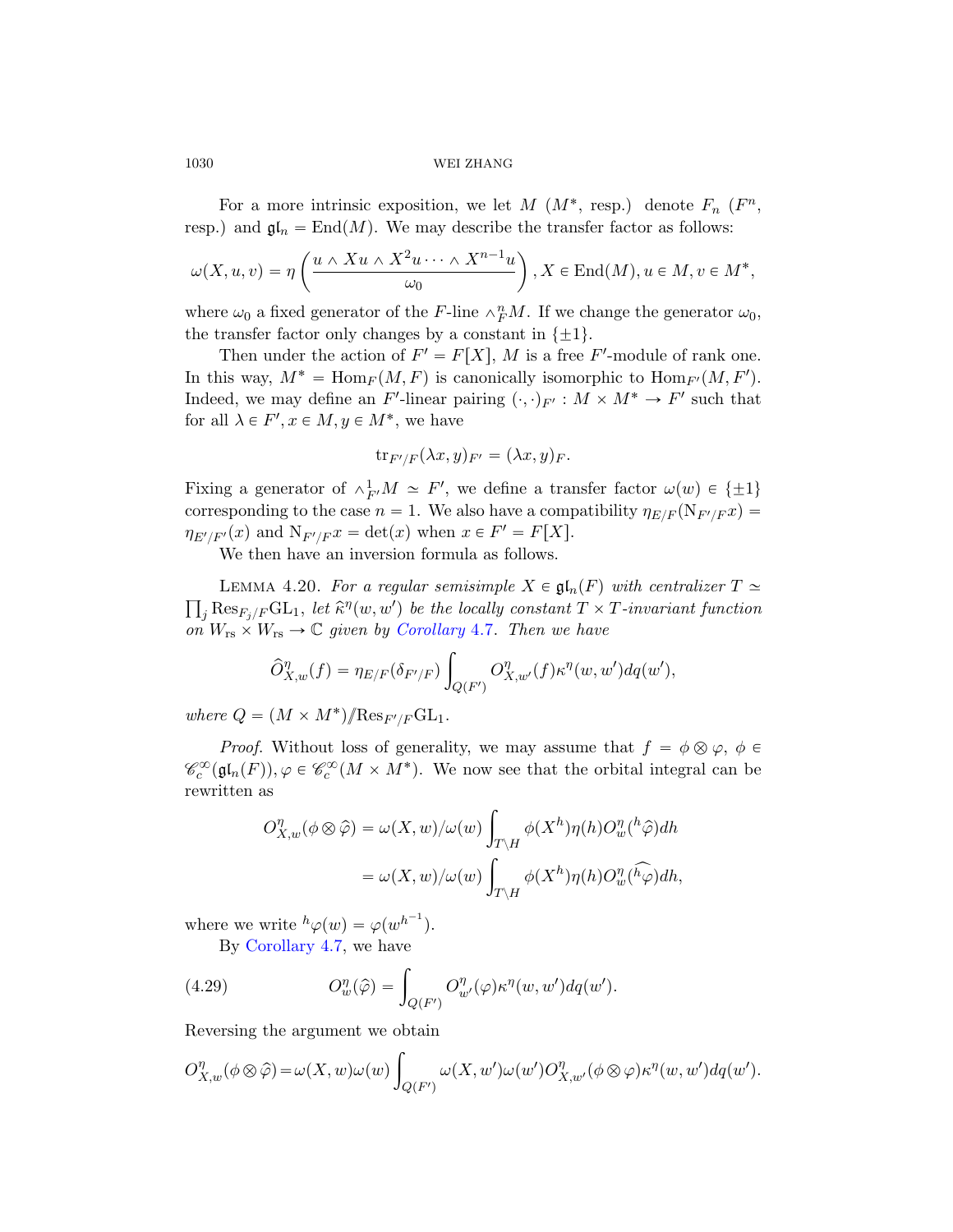For a more intrinsic exposition, we let  $M$   $(M^*$ , resp.) denote  $F_n$   $(F^n, F_n)$ resp.) and  $\mathfrak{gl}_n = \text{End}(M)$ . We may describe the transfer factor as follows:

$$
\omega(X, u, v) = \eta\left(\frac{u \wedge Xu \wedge X^2u \cdots \wedge X^{n-1}u}{\omega_0}\right), X \in \text{End}(M), u \in M, v \in M^*,
$$

where  $\omega_0$  a fixed generator of the F-line  $\wedge_F^n M$ . If we change the generator  $\omega_0$ , the transfer factor only changes by a constant in  $\{\pm 1\}.$ 

Then under the action of  $F' = F[X]$ , M is a free F'-module of rank one. In this way,  $M^* = \text{Hom}_F(M, F)$  is canonically isomorphic to  $\text{Hom}_{F'}(M, F').$ Indeed, we may define an F'-linear pairing  $(\cdot, \cdot)_{F'} : M \times M^* \to F'$  such that for all  $\lambda \in F', x \in M, y \in M^*$ , we have

$$
\mathrm{tr}_{F'/F}(\lambda x, y)_{F'} = (\lambda x, y)_F.
$$

Fixi[ng a generator](#page-47-0) of  $\wedge^1_{F'}M \simeq F'$ , we define a transfer factor  $\omega(w) \in {\pm 1}$ corresponding to the case  $n = 1$ . We also have a compatibility  $\eta_{E/F}(\mathcal{N}_{F'/F}x) =$  $\eta_{E'/F'}(x)$  and  $N_{F'/F}x = \det(x)$  when  $x \in F' = F[X]$ .

We then have an inversion formula as follows.

LEMMA 4.20. For a regular semisimple  $X \in \mathfrak{gl}_n(F)$  with centralizer  $T \simeq$  $\int_{\mathcal{J}} \operatorname{Res}_{F_j/F} \mathrm{GL}_1$ , let  $\hat{\kappa}^{\eta}(w, w')$  be the locally constant  $T \times T$ -invariant function on  $W_{rs} \times W_{rs} \to \mathbb{C}$  given by Corollary 4.7. Then we have

$$
\widehat{O}_{X,w}^{\eta}(f) = \eta_{E/F}(\delta_{F'/F}) \int_{Q(F')} O_{X,w'}^{\eta}(f) \kappa^{\eta}(w,w') dq(w'),
$$

where  $Q = (M \times M^*)/\text{Res}_{F'/F}\text{GL}_1$ .

*Proof.* Without loss of generality, we may assume that  $f = \phi \otimes \varphi$ ,  $\phi \in$  $\mathscr{C}_c^{\infty}(\mathfrak{gl}_n(F)), \varphi \in \mathscr{C}_c^{\infty}(M \times M^*)$ . We now see that the orbital integral can be rewritten as

$$
O_{X,w}^{\eta}(\phi \otimes \hat{\varphi}) = \omega(X,w)/\omega(w) \int_{T \setminus H} \phi(X^h) \eta(h) O_w^{\eta}(\hat{h}\hat{\varphi}) dh
$$
  

$$
= \omega(X,w)/\omega(w) \int_{T \setminus H} \phi(X^h) \eta(h) O_w^{\eta}(\hat{h}\hat{\varphi}) dh,
$$

where we write  ${}^h\varphi(w) = \varphi(w^{h^{-1}})$ .

By Corollary 4.7, we have

(4.29) 
$$
O_w^{\eta}(\hat{\varphi}) = \int_{Q(F')} O_{w'}^{\eta}(\varphi) \kappa^{\eta}(w, w') dq(w').
$$

Reversing the argument we obtain

$$
O_{X,w}^{\eta}(\phi\otimes\hat{\varphi})=\omega(X,w)\omega(w)\int_{Q(F')}\omega(X,w')\omega(w')O_{X,w'}^{\eta}(\phi\otimes\varphi)\kappa^{\eta}(w,w')dq(w').
$$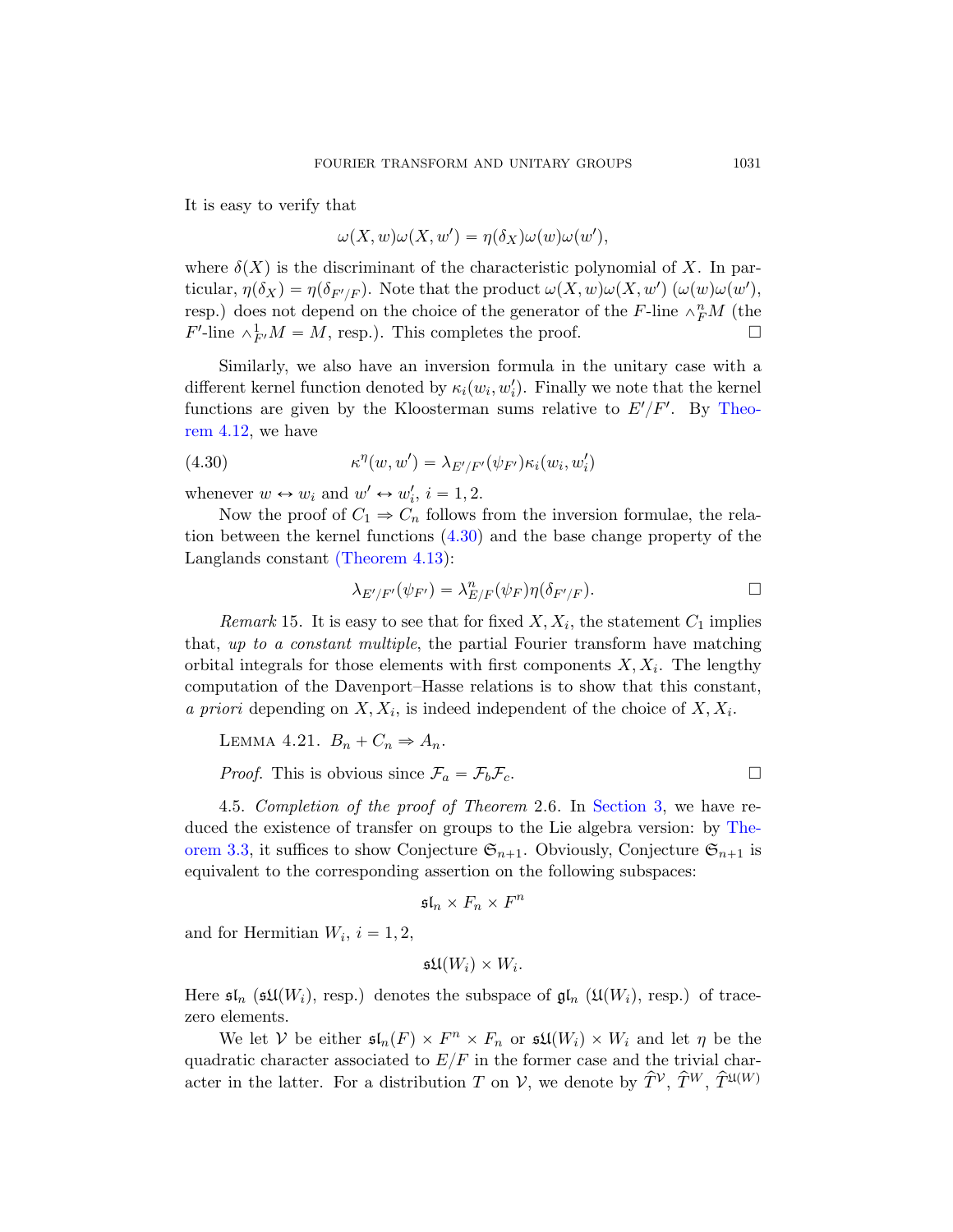It is easy to verify that

$$
\omega(X, w)\omega(X, w') = \eta(\delta_X)\omega(w)\omega(w'),
$$

<span id="page-60-1"></span>where  $\delta(X)$  is the discriminant of the characteri[stic po](#page-53-0)lynomial of X. In particular,  $\eta(\delta_X) = \eta(\delta_{F'/F})$ . Note that the product  $\omega(X, w)\omega(X, w')$   $(\omega(w)\omega(w'),$ resp.) does not depend on the choice of the generator of the F-line  $\wedge^n_F M$  (the  $F'$ -line  $\wedge^1_{F'}M = M$ , resp.). This completes the proof.

Similarly, we also have an inversion formula in the unitary case with a different kernel function denoted by  $\kappa_i(w_i, w'_i)$ . Finally we note that the kernel functions a[re giv](#page-60-1)en by the Kloosterman sums relative to  $E'/F'$ . By Theo[rem 4.12, we](#page-54-2) have

(4.30) 
$$
\kappa^{\eta}(w, w') = \lambda_{E'/F'}(\psi_{F'}) \kappa_i(w_i, w'_i)
$$

whenever  $w \leftrightarrow w_i$  and  $w' \leftrightarrow w'_i$ ,  $i = 1, 2$ .

Now the proof of  $C_1 \Rightarrow C_n$  follows from the inversion formulae, the relation between the kernel functions (4.30) and the base change property of the Langlands constant (Theorem 4.13):

$$
\lambda_{E'/F'}(\psi_{F'}) = \lambda_{E/F}^n(\psi_F)\eta(\delta_{F'/F}).
$$

<span id="page-60-0"></span>Remark 15. It is easy to see that for fixed  $X, X_i$ , the statement  $C_1$  implies that, up to a constant multiple, the partial Fourier transform have matching orbital integrals for those elem[ents with fi](#page-27-0)rst components  $X, X_i$ . The lengthy computation of the Davenport–Hasse relations is [to sh](#page-31-0)ow that this constant, a priori depending on  $X, X_i$ , is indeed independent of the choice of  $X, X_i$ .

LEMMA 4.21. 
$$
B_n + C_n \Rightarrow A_n
$$
.

*Proof.* This is obvious since  $\mathcal{F}_a = \mathcal{F}_b \mathcal{F}_c$ .

4.5. Completion of the proof of Theorem 2.6. In Section 3, we have reduced the existence of transfer on groups to the Lie algebra version: by Theorem 3.3, it suffices to show Conjecture  $\mathfrak{S}_{n+1}$ . Obviously, Conjecture  $\mathfrak{S}_{n+1}$  is equivalent to the corresponding assertion on the following subspaces:

$$
\mathfrak{sl}_n\times F_n\times F^n
$$

and for Hermitian  $W_i$ ,  $i = 1, 2$ ,

$$
\mathfrak{su}(W_i)\times W_i.
$$

Here  $\mathfrak{sl}_n$  ( $\mathfrak{sl}(W_i)$ , resp.) denotes the subspace of  $\mathfrak{gl}_n$  ( $\mathfrak{U}(W_i)$ , resp.) of tracezero elements.

We let V be either  $\mathfrak{sl}_n(F) \times F^n \times F_n$  or  $\mathfrak{sl}(W_i) \times W_i$  and let  $\eta$  be the quadratic character associated to  $E/F$  in the former case and the trivial character in the latter. For a distribution T on V, we denote by  $\hat{T}^{\mathcal{V}}, \hat{T}^{\mathcal{W}}, \hat{T}^{\mathfrak{U}(W)}$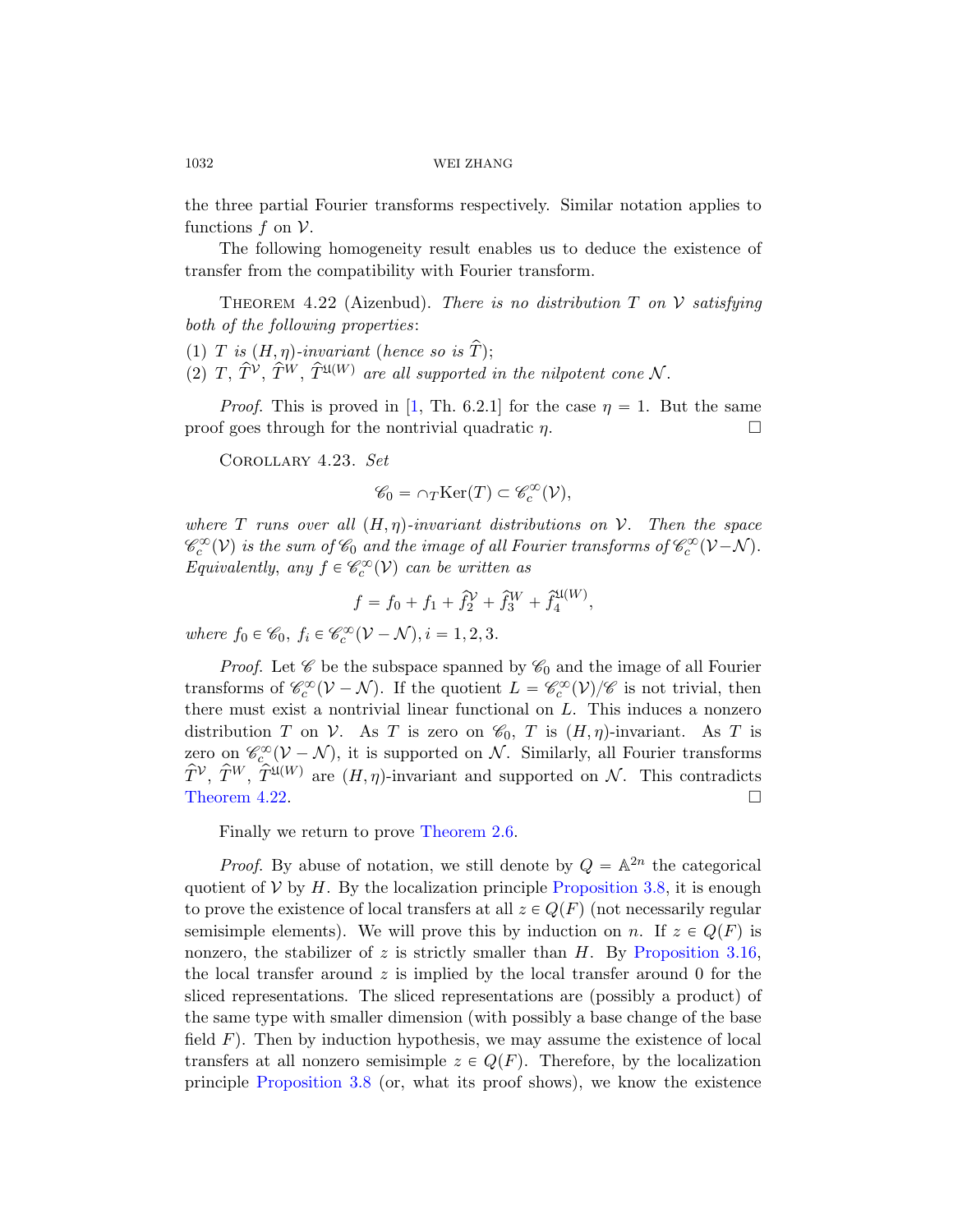the three partial Fourier transforms respectively. Similar notation applies to functions  $f$  on  $\mathcal V$ .

The following homogeneity result enables us to deduce the existence of transfe[r f](#page-74-4)rom the compatibility with Fourier transform.

THEOREM 4.22 (Aizenbud). There is no distribution  $T$  on  $V$  satisfying both of the following properties:

- (1) T is  $(H, \eta)$ -invariant (hence so is  $\hat{T}$ );
- (2)  $T, \hat{T}^{\mathcal{V}}, \hat{T}^{\mathcal{W}}, \hat{T}^{\mathfrak{U}(W)}$  are all supported in the nilpotent cone N.

*Proof.* This is proved in [1, Th. 6.2.1] for the case  $\eta = 1$ . But the same proof goes through for the nontrivial quadratic  $\eta$ .

Corollary 4.23. Set

$$
\mathscr{C}_0 = \cap_T \text{Ker}(T) \subset \mathscr{C}_c^{\infty}(\mathcal{V}),
$$

where T runs over all  $(H, \eta)$ -invariant distributions on V. Then the space  $\mathscr{C}^\infty_c(\mathcal{V})$  is the sum of  $\mathscr{C}_0$  and the image of all Fourier transforms of  $\mathscr{C}^\infty_c(\mathcal{V}-\mathcal{N})$ . Equivalently, any  $f \in \mathcal{C}_c^{\infty}(\mathcal{V})$  can be written as

$$
f = f_0 + f_1 + \hat{f}_2^{\mathcal{V}} + \hat{f}_3^{\mathcal{W}} + \hat{f}_4^{\mathfrak{U}(W)},
$$

where  $f_0 \in \mathscr{C}_0$ ,  $f_i \in \mathscr{C}_c^{\infty}(\mathcal{V} - \mathcal{N}), i = 1, 2, 3$ .

*Proof.* Let  $\mathscr C$  be the subspace spanned by  $\mathscr C_0$  and the image of all Fourier transforms of  $\mathcal{C}_c^{\infty}(\mathcal{V}-\mathcal{N})$ . If the quotient  $L = \mathcal{C}_c^{\infty}(\mathcal{V})/\mathcal{C}$  is not trivial, then there m[ust exist a no](#page-18-0)ntrivial linear functional on  $L$ . This induces a nonzero distribution T on V. As T is zero on  $\mathcal{C}_0$ , T is  $(H, \eta)$ -invariant. As T is zero on  $\mathscr{C}_{c}^{\infty}(\mathcal{V}-\mathcal{N})$ , it is [supported on](#page-33-0)  $\mathcal{N}$ . Similarly, all Fourier transforms  $\hat{T}^{\mathcal{V}}, \hat{T}^{W}, \hat{T}^{\mathfrak{U}(W)}$  are  $(H, \eta)$ -invariant and supported on N. This contradicts Theorem 4.22.

Finally we return to prove Theo[rem 2.6.](#page-40-1)

*Proof.* By abuse of notation, we still denote by  $Q = \mathbb{A}^{2n}$  the categorical quotient of  $V$  by H. By the localization principle Proposition 3.8, it is enough to prove the existence of local transfers at all  $z \in Q(F)$  (not necessarily regular semisimple elements). We will prove this by induction on n. If  $z \in Q(F)$  is [no](#page-33-0)nzero, the stabilizer of z is strictly smaller than  $H$ . By Proposition 3.16, the local transfer around  $z$  is implied by the local transfer around 0 for the sliced representations. The sliced representations are (possibly a product) of the same type with smaller dimension (with possibly a base change of the base field  $F$ ). Then by induction hypothesis, we may assume the existence of local transfers at all nonzero semisimple  $z \in Q(F)$ . Therefore, by the localization principle Proposition 3.8 (or, what its proof shows), we know the existence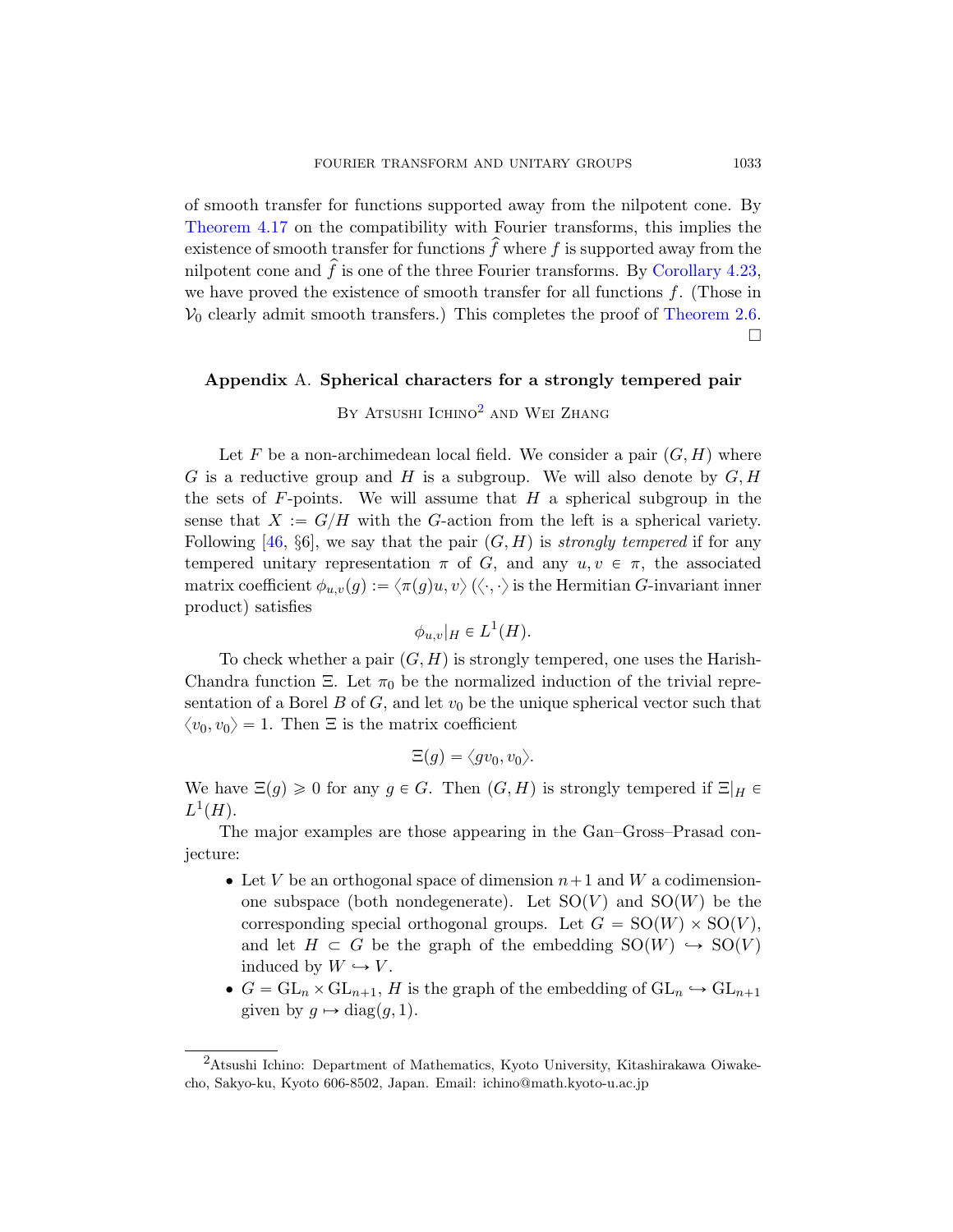of smooth transfer for functions supported away from the nilpotent cone. By Theorem 4.17 on the compatibility with Fourier transforms, this implies the existence of smooth transfer for functions  $\hat{f}$  where f is supported away from the nilpotent cone a[nd](#page-62-0)  $\hat{f}$  is one of the three Fourier transforms. By Corollary 4.23, we have proved the existence of smooth transfer for all functions  $f$ . (Those in  $V_0$  clearly admit smooth transfers.) This completes the proof of Theorem 2.6.  $\Box$ 

# Appendix A. Spherical characters for a strongly tempered pair

# BY ATSUSHI ICHINO<sup>2</sup> AND WEI ZHANG

Let F be a non-archimedean local field. We consider a pair  $(G, H)$  where G is a reductive group and H is a subgroup. We will also denote by  $G, H$ the sets of  $F$ -points. We will assume that  $H$  a spherical subgroup in the sense that  $X := G/H$  with the G-action from the left is a spherical variety. Following [46, §6], we say that the pair  $(G, H)$  is strongly tempered if for any tempered unitary representation  $\pi$  of G, and any  $u, v \in \pi$ , the associated matrix coefficient  $\phi_{u,v}(g) := \langle \pi(g)u, v \rangle (\langle \cdot, \cdot \rangle)$  is the Hermitian G-invariant inner product) satisfies

$$
\phi_{u,v}|_H \in L^1(H).
$$

To check whether a pair  $(G, H)$  is strongly tempered, one uses the Harish-Chandra function Ξ. Let  $\pi_0$  be the normalized induction of the trivial representation of a Borel B of G, and let  $v_0$  be the unique spherical vector such that  $\langle v_0, v_0 \rangle = 1$ . Then  $\Xi$  is the matrix coefficient

$$
\Xi(g)=\langle gv_0,v_0\rangle.
$$

We have  $\Xi(q) \geq 0$  for any  $q \in G$ . Then  $(G, H)$  is strongly tempered if  $\Xi|_H \in$  $L^1(H)$ .

<span id="page-62-0"></span>The major examples are those appearing in the Gan–Gross–Prasad conjecture:

- Let V be an orthogonal space of dimension  $n+1$  and W a codimensionone subspace (both nondegenerate). Let  $SO(V)$  and  $SO(W)$  be the corresponding special orthogonal groups. Let  $G = SO(W) \times SO(V)$ , and let  $H \subset G$  be the graph of the embedding  $SO(W) \hookrightarrow SO(V)$ induced by  $W \hookrightarrow V$ .
- $G = GL_n \times GL_{n+1}, H$  is the graph of the embedding of  $GL_n \hookrightarrow GL_{n+1}$ given by  $g \mapsto diag(g, 1)$ .

<sup>2</sup>Atsushi Ichino: Department of Mathematics, Kyoto University, Kitashirakawa Oiwakecho, Sakyo-ku, Kyoto 606-8502, Japan. Email: ichino@math.kyoto-u.ac.jp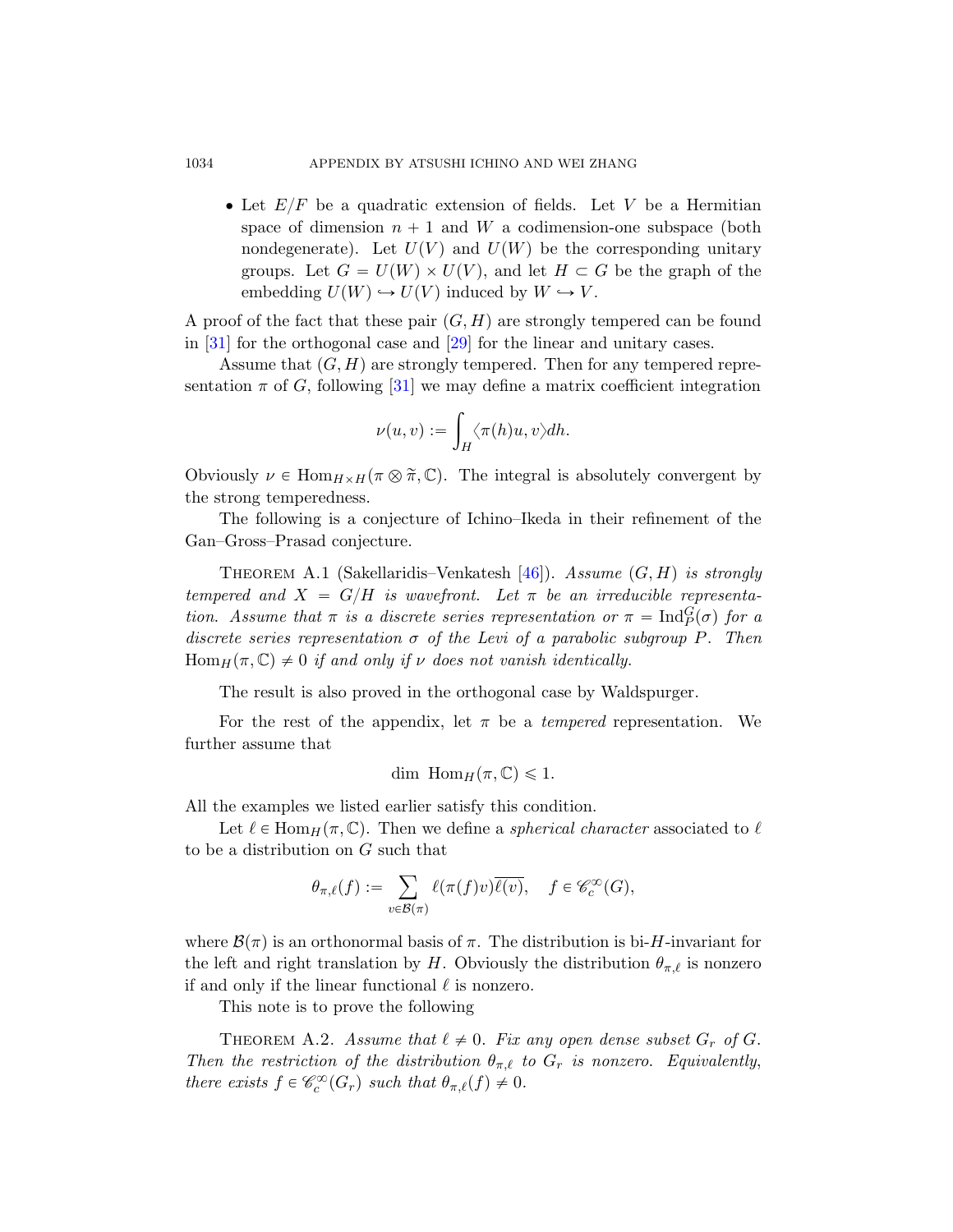#### 1034 APPENDIX BY ATSUSHI ICHINO AND WEI ZHANG

• Let  $E/F$  $E/F$  be a quadratic extension of fields. Let V be a Hermitian space of dimension  $n + 1$  and W a codimension-one subspace (both nondegenerate). Let  $U(V)$  and  $U(W)$  be the corresponding unitary groups. Let  $G = U(W) \times U(V)$ , and let  $H \subset G$  be the graph of the embedding  $U(W) \hookrightarrow U(V)$  induced by  $W \hookrightarrow V$ .

A proof of the fact that these pair  $(G, H)$  are strongly tempered can be found in [31] for the orthogonal case and [29] for the linear and unitary cases.

Assume that  $(G, H)$  are strongly tempered. Then for any tempered representation  $\pi$  of G, following [31] we may define a matrix coefficient integration

$$
\nu(u,v):=\int_H \langle \pi(h)u,v\rangle dh.
$$

Obviously  $\nu \in \text{Hom}_{H \times H}(\pi \otimes \tilde{\pi}, \mathbb{C})$ . The integral is absolutely convergent by the strong temperedness.

The following is a conjecture of Ichino–Ikeda in their refinement of the Gan–Gross–Prasad conjecture.

THEOREM A.1 (Sakellaridis–Venkatesh [46]). Assume  $(G, H)$  is strongly tempered and  $X = G/H$  is wavefront. Let  $\pi$  be an irreducible representation. Assume that  $\pi$  is a discrete series representation or  $\pi = \text{Ind}_{P}^{G}(\sigma)$  for a discrete series representation  $\sigma$  of the Levi of a parabolic subgroup P. Then  $\text{Hom}_H(\pi,\mathbb{C}) \neq 0$  if and only if v does not vanish identically.

The result is also proved in the orthogonal case by Waldspurger.

For the rest of the appendix, let  $\pi$  be a *tempered* representation. We further assume that

$$
\dim \text{Hom}_H(\pi,\mathbb{C}) \leq 1.
$$

All the examples we listed earlier satisfy this condition.

Let  $\ell \in \text{Hom}_H(\pi, \mathbb{C})$ . Then we define a spherical character associated to  $\ell$ to be a distribution on G such that

$$
\theta_{\pi,\ell}(f):=\sum_{v\in\mathcal{B}(\pi)}\ell(\pi(f)v)\overline{\ell(v)},\quad f\in\mathscr{C}_c^\infty(G),
$$

<span id="page-63-0"></span>where  $\mathcal{B}(\pi)$  is an orthonormal basis of  $\pi$ . The distribution is bi-H-invariant for the left and right translation by H. Obviously the distribution  $\theta_{\pi,\ell}$  is nonzero if and only if the linear functional  $\ell$  is nonzero.

This note is to prove the following

THEOREM A.2. Assume that  $\ell \neq 0$ . Fix any open dense subset  $G_r$  of G. Then the restriction of the distribution  $\theta_{\pi,\ell}$  to  $G_r$  is nonzero. Equivalently, there exists  $f \in \mathcal{C}_c^{\infty}(G_r)$  such that  $\theta_{\pi,\ell}(f) \neq 0$ .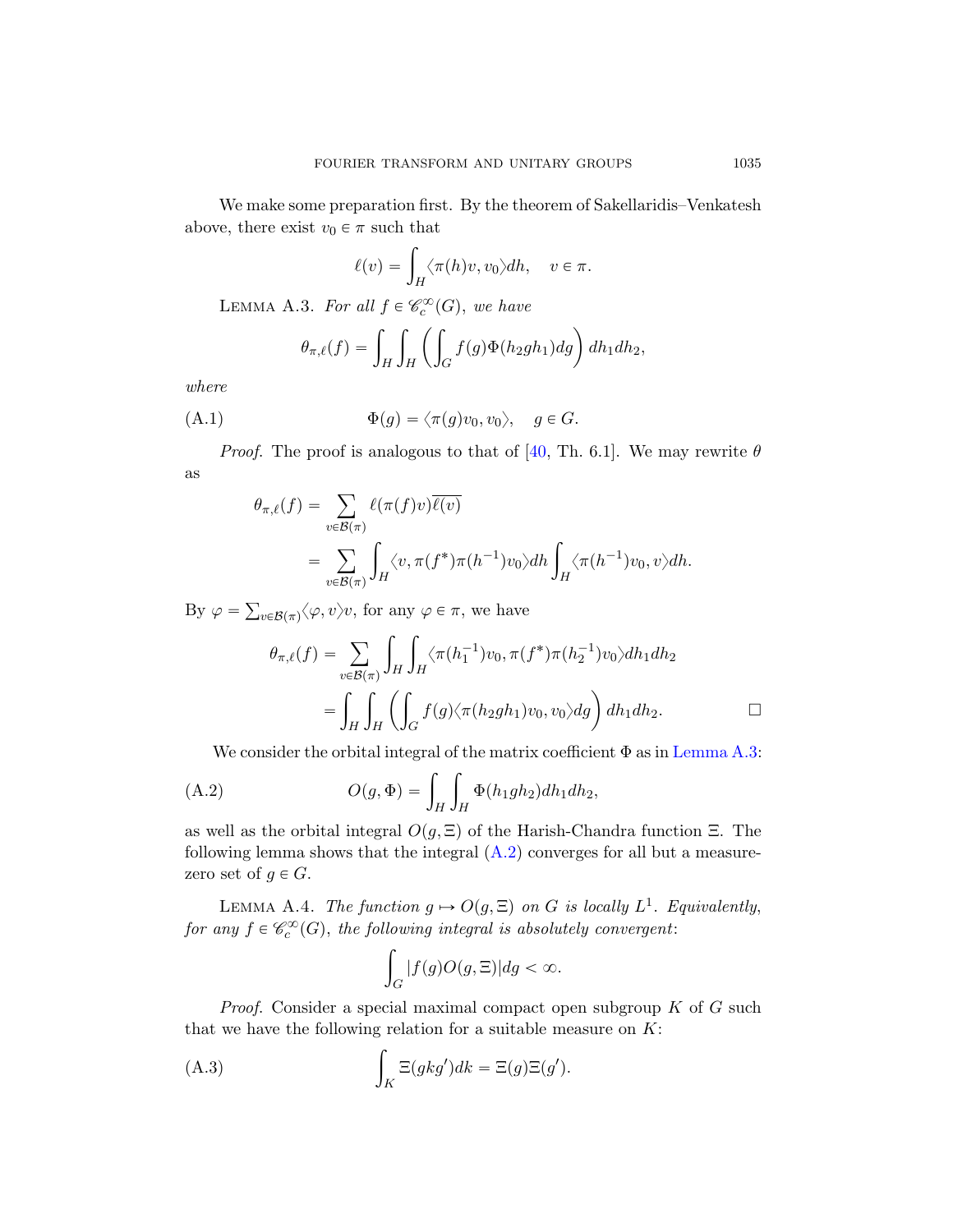<span id="page-64-2"></span><span id="page-64-0"></span>We make some preparation first. By the theorem of Sakellaridis–Venkatesh above, there exist  $v_0 \in \pi$  such that<br> $\ell(v) = \int \langle \pi \rangle$ 

$$
\ell(v) = \int_H \langle \pi(h)v, v_0 \rangle dh, \quad v \in \pi.
$$

LEMMA A.3. For [all](#page-77-1)  $f \in \mathcal{C}_c^{\infty}(G)$ , we have

$$
\theta_{\pi,\ell}(f) = \int_H \int_H \left( \int_G f(g) \Phi(h_2gh_1) dg \right) dh_1 dh_2,
$$

where

(A.1) 
$$
\Phi(g) = \langle \pi(g)v_0, v_0 \rangle, \quad g \in G.
$$

*Proof.* The proof is analogous to that of [40, Th. 6.1]. We may rewrite  $\theta$ as

$$
\theta_{\pi,\ell}(f) = \sum_{v \in \mathcal{B}(\pi)} \ell(\pi(f)v)\overline{\ell(v)}
$$
  
= 
$$
\sum_{v \in \mathcal{B}(\pi)} \int_H \langle v, \pi(f^*)\pi(h^{-1})v_0 \rangle dh \int_H \langle \pi(h^{-1})v_0, v \rangle dh.
$$

<span id="page-64-1"></span>By  $\varphi =$  $v \in \mathcal{B}(\pi) \langle \varphi, v \rangle v$ , for any  $\varphi \in \pi$ , we [have](#page-64-0) ż ż

$$
\theta_{\pi,\ell}(f) = \sum_{v \in \mathcal{B}(\pi)} \int_H \int_H \langle \pi(h_1^{-1})v_0, \pi(f^*)\pi(h_2^{-1})v_0 \rangle dh_1 dh_2
$$
  
= 
$$
\int_H \int_H \left( \int_G f(g) \langle \pi(h_2gh_1)v_0, v_0 \rangle dg \right) dh_1 dh_2.
$$

<span id="page-64-3"></span>We consider the orbital integral of the matrix coefficient 
$$
\Phi
$$
 as in Lemma A.3:  
(A.2) 
$$
O(g, \Phi) = \int_H \int_H \Phi(h_1gh_2) dh_1 dh_2,
$$

as well as the orbital integral  $O(q, \Xi)$  of the Harish-Chandra function  $\Xi$ . The following lemma shows that the integral  $(A.2)$  converges for all but a measurezero set of  $g \in G$ .

LEMMA A.4. The function  $g \mapsto O(g, \Xi)$  on G is locally  $L^1$ . Equivalently, for any  $f \in \mathscr{C}_c^{\infty}(G)$ , the following integral is absolutely convergent:

$$
\int_G |f(g)O(g,\Xi)| dg < \infty.
$$

*Proof.* Consider a special maximal compact open subgroup  $K$  of  $G$  such that we have the following relation for a suitable measure on  $K$ :

(A.3) 
$$
\int_{K} \Xi(gkg')dk = \Xi(g)\Xi(g').
$$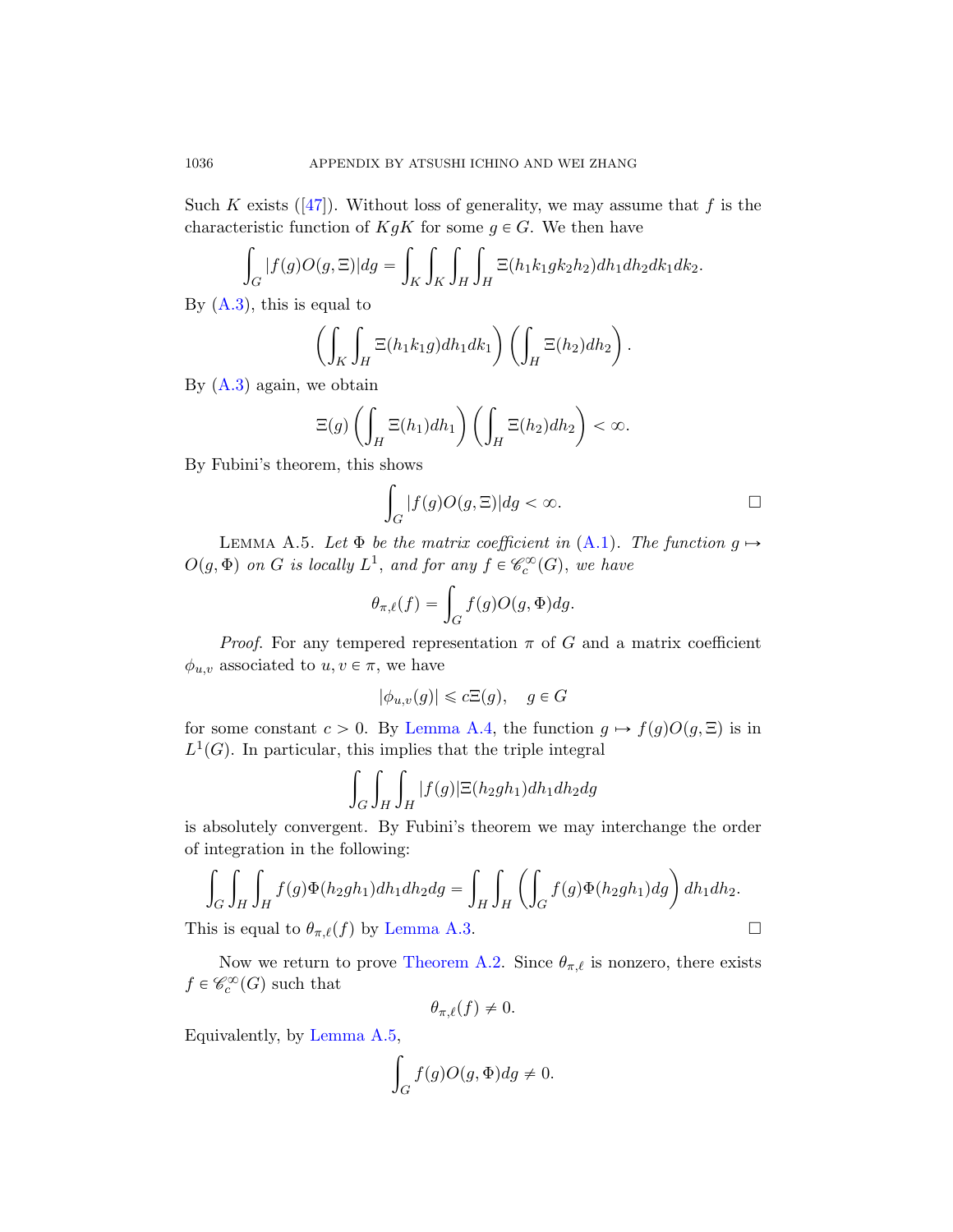Such K exists ([47]). Without loss of generality, we may assume that f is the characteristic function of  $KgK$  for some  $g \in G$ . We then have

$$
\int_G |f(g)O(g,\Xi)| dg = \int_K \int_K \int_H \int_H \Xi(h_1k_1gk_2h_2) dh_1 dh_2 dk_1 dk_2.
$$

By  $(A.3)$ , this is equal to ˆż ż

$$
\left(\int_K \int_H \Xi(h_1 k_1 g) dh_1 dk_1\right) \left(\int_H \Xi(h_2) dh_2\right).
$$

<span id="page-65-0"></span>By  $(A.3)$  again, we obtain ˆż

$$
\Xi(g)\left(\int_H \Xi(h_1)dh_1\right)\left(\int_H \Xi(h_2)dh_2\right) < \infty.
$$

By Fubini's theorem, this shows

$$
\int_G |f(g)O(g,\Xi)| dg < \infty.
$$

LEMMA A.5. Let  $\Phi$  be the matrix coefficient in  $(A.1)$ . The function  $g \mapsto$  $O(g, \Phi)$  on G is locally  $L^1$ , and for any  $f \in \mathscr{C}_c^{\infty}(G)$ , we have<br> $\theta_{\pi,\ell}(f) = \int f(g)O(g, \Phi)dg.$ 

$$
\theta_{\pi,\ell}(f) = \int_G f(g)O(g,\Phi)dg.
$$

*Proof.* For any tempered representation  $\pi$  of G and a matrix coefficient  $\phi_{u,v}$  associated to  $u, v \in \pi$ , we have

$$
|\phi_{u,v}(g)| \leq c\Xi(g), \quad g \in G
$$

for some constant  $c > 0$ . By Lemma A.4, the function  $g \mapsto f(g)O(g, \Xi)$  is in  $L^1(G)$ . In particular, this implies that the triple integral

$$
\int_G \int_H \int_H |f(g)| \Xi(h_2gh_1) dh_1 dh_2 dg
$$

is abs[olutely conver](#page-63-0)gent. By Fubini's theorem we may interchange the order of integration in the following: ˆż

$$
\int_G \int_H \int_H f(g) \Phi(h_2gh_1) dh_1 dh_2 dg = \int_H \int_H \left( \int_G f(g) \Phi(h_2gh_1) dg \right) dh_1 dh_2.
$$

This is equal to  $\theta_{\pi,\ell}(f)$  by Lemma A.3.

Now we return to prove Theorem A.2. Since  $\theta_{\pi,\ell}$  is nonzero, there exists  $f \in \mathscr{C}_c^{\infty}(G)$  such that

$$
\theta_{\pi,\ell}(f) \neq 0.
$$

Equivalently, by Lemma A.5,

$$
\int_G f(g)O(g,\Phi)dg \neq 0.
$$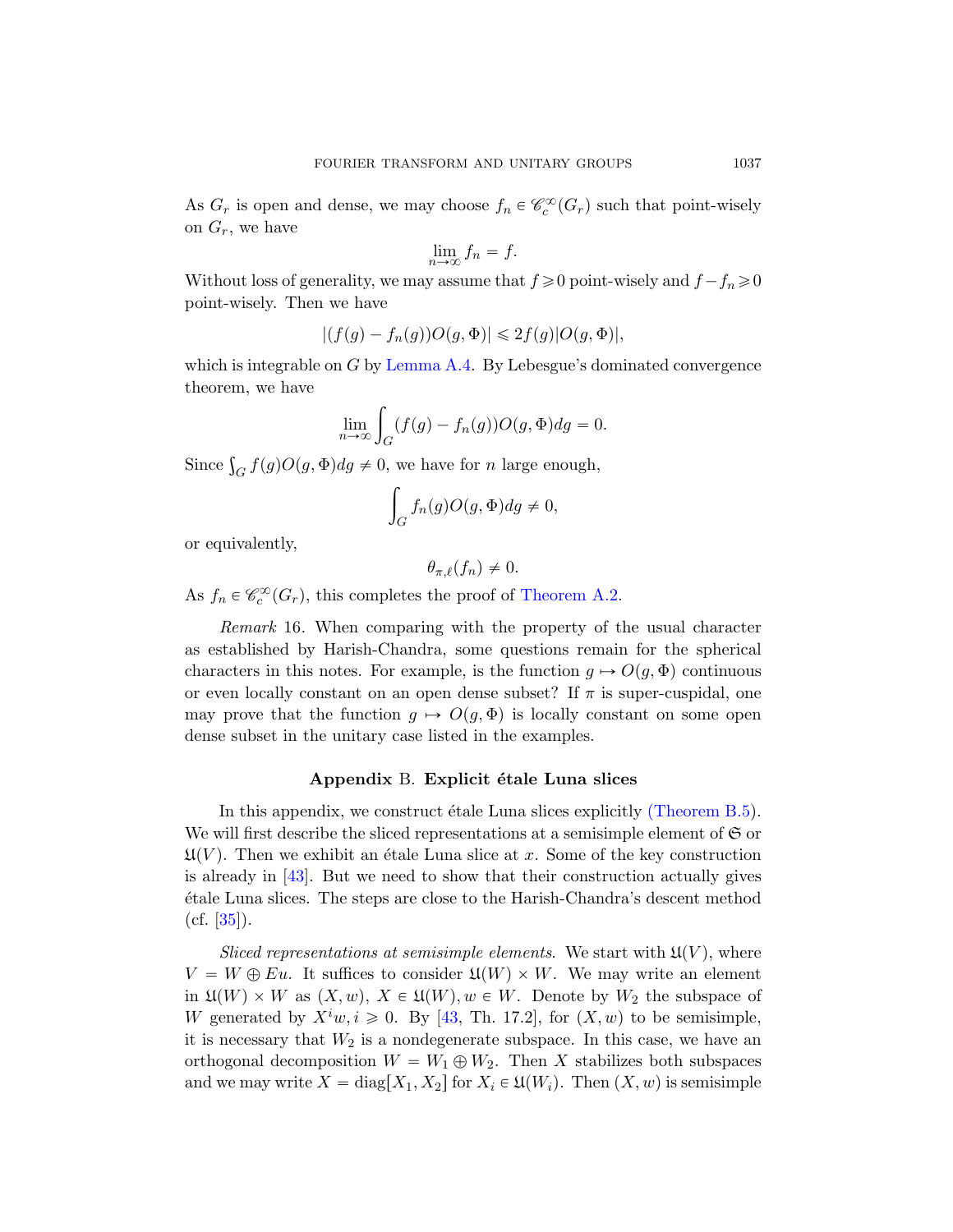As  $G_r$  is open and dense, we may choose  $f_n \in \mathcal{C}_c^{\infty}(G_r)$  such that point-wisely on  $G_r$ [, we have](#page-64-3)

$$
\lim_{n \to \infty} f_n = f.
$$

Without loss of generality, we may assume that  $f \ge 0$  point-wisely and  $f - f_n \ge 0$ point-wisely. Then we have

$$
|(f(g) - f_n(g))O(g, \Phi)| \leq 2f(g)|O(g, \Phi)|,
$$

which is integrable on  $G$  by Lemma A.4. By Lebesgue's dominated convergence theorem, we have

$$
\lim_{n \to \infty} \int_G (f(g) - f_n(g)) O(g, \Phi) dg = 0.
$$

Since  $\int_G f(g)O(g,\Phi)dg \neq 0$ , we have for *n* large enough,

$$
\int_G f_n(g)O(g,\Phi)dg \neq 0,
$$

or equivalently,

$$
\theta_{\pi,\ell}(f_n) \neq 0.
$$

As  $f_n \in \mathcal{C}_c^{\infty}(G_r)$ , this completes the proof of Theorem A.2.

Remark 16. When comparing with the property of the usual character as established by Harish-Chandra, some questions remain for the spherical characters in this notes. For example, [is the function](#page-74-5)  $g \mapsto O(g, \Phi)$  continuous or even locally constant on an open dense subset? If  $\pi$  is super-cuspidal, one may prove that the function  $g \mapsto O(g, \Phi)$  is locally constant on some open dense subset in the unitary case listed in the examples.

#### Appendix B. Explicit étale Luna slices

In this appendix, we construct étale Luna slices explicitly (Theorem  $B.5$ ). We will first describe the sliced representations at a semisimple element of  $\mathfrak S$  or  $\mathfrak{U}(V)$ . Then we exhibit an étale Luna slice at x. Some of the key construction is already i[n \[4](#page-77-2)3]. But we need to show that their construction actually gives ´etale Luna slices. The steps are close to the Harish-Chandra's descent method  $(cf. [35]).$ 

Sliced representations at semisimple elements. We start with  $\mathfrak{U}(V)$ , where  $V = W \oplus Eu$ . It suffices to consider  $\mathfrak{U}(W) \times W$ . We may write an element in  $\mathfrak{U}(W) \times W$  as  $(X, w), X \in \mathfrak{U}(W), w \in W$ . Denote by  $W_2$  the subspace of W generated by  $X^i w, i \geq 0$ . By [43, Th. 17.2], for  $(X, w)$  to be semisimple, it is necessary that  $W_2$  is a nondegenerate subspace. In this case, we have an orthogonal decomposition  $W = W_1 \oplus W_2$ . Then X stabilizes both subspaces and we may write  $X = diag[X_1, X_2]$  for  $X_i \in \mathfrak{U}(W_i)$ . Then  $(X, w)$  is semisimple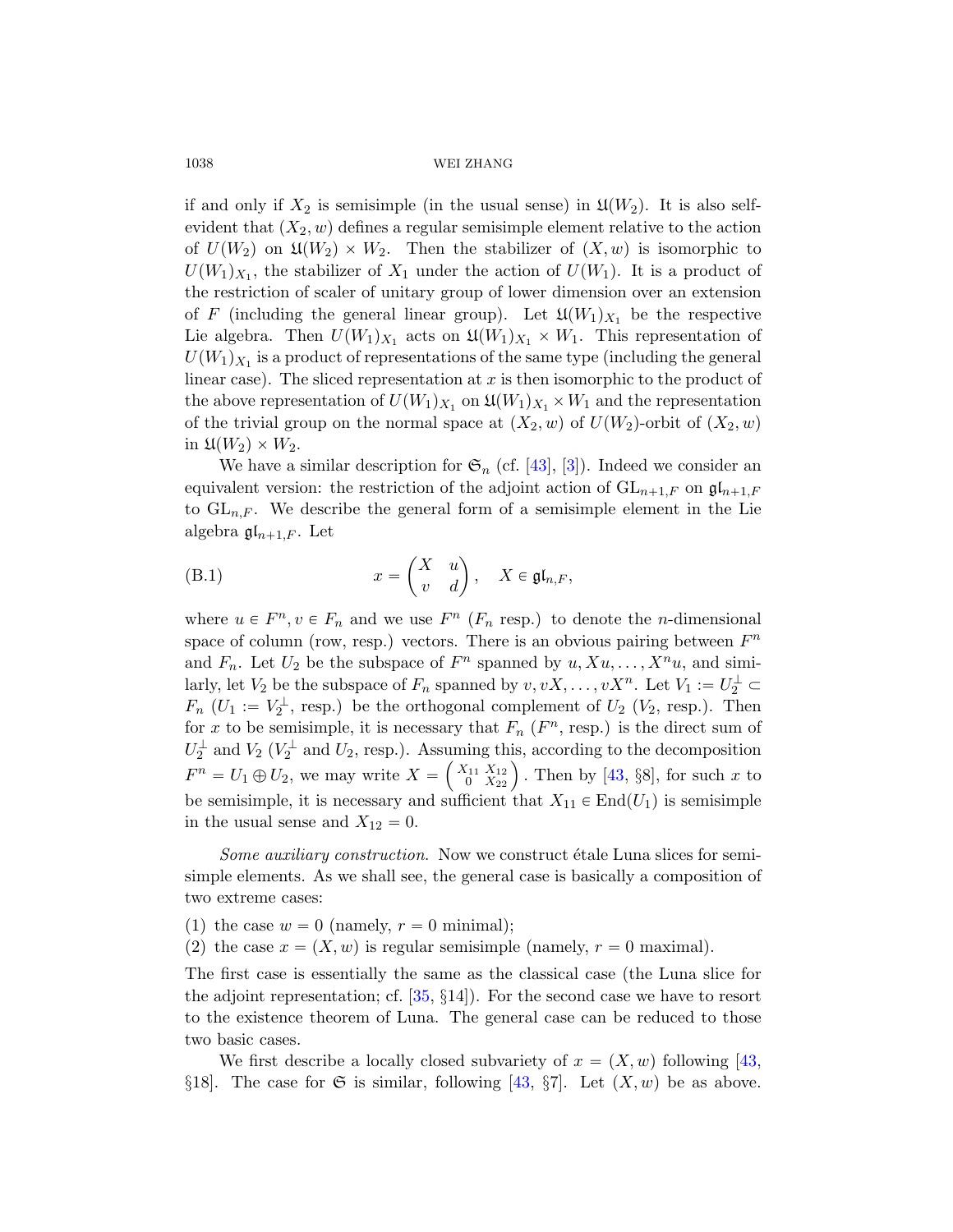if and only if  $X_2$  is semisimple (in the usual sense) in  $\mathfrak{U}(W_2)$ . It is also selfevident that  $(X_2, w)$  defines a regular semisimple element relative to the action of  $U(W_2)$  on  $\mathfrak{U}(W_2) \times W_2$ . Then the stabilizer of  $(X, w)$  is isomorphic to  $U(W_1)_{X_1}$ , the stabilizer of  $X_1$  under the action of  $U(W_1)$ . It is a product of the restriction of scaler of unitary group of lower dimension over an extension of F (including the general linear group). Let  $\mathfrak{U}(W_1)_{X_1}$  be the respective Lie [a](#page-74-3)lgebra. Then  $U(W_1)_{X_1}$  $U(W_1)_{X_1}$  $U(W_1)_{X_1}$  acts on  $\mathfrak{U}(W_1)_{X_1} \times W_1$ . This representation of  $U(W_1)_{X_1}$  is a product of representations of the same type (including the general linear case). The sliced representation at  $x$  is then isomorphic to the product of the above representation of  $U(W_1)_{X_1}$  on  $\mathfrak{U}(W_1)_{X_1} \times W_1$  and the representation of the trivial group on the normal space at  $(X_2, w)$  of  $U(W_2)$ -orbit of  $(X_2, w)$ in  $\mathfrak{U}(W_2)\times W_2$ .

<span id="page-67-0"></span>We have a similar description for  $\mathfrak{S}_n$  (cf. [43], [3]). Indeed we consider an equivalent version: the restriction of the adjoint action of  $GL_{n+1,F}$  on  $\mathfrak{gl}_{n+1,F}$ to  $GL_{n,F}$ . We describe the general form of a semisimple element in the Lie algebra  $\mathfrak{gl}_{n+1,F}$ . Let

(B.1) 
$$
x = \begin{pmatrix} X & u \\ v & d \end{pmatrix}, \quad X \in \mathfrak{gl}_{n,F},
$$

where  $u \in F^n$ ,  $v \in F_n$  and we use  $F^n$  ( $F_n$  resp.) to denote the *n*-dimensional space of column (row, resp.) vect[ors.](#page-77-2) There is an obvious pairing between  $F<sup>n</sup>$ and  $F_n$ . Let  $U_2$  be the subspace of  $F^n$  spanned by  $u, Xu, \ldots, X^n u$ , and similarly, let  $V_2$  be the subspace of  $F_n$  spanned by  $v, vX, \ldots, vX^n$ . Let  $V_1 := U_2^{\perp} \subset$  $F_n$  ( $U_1 := V_2^{\perp}$ , resp.) be the orthogonal complement of  $U_2$  ( $V_2$ , resp.). Then for x to be semisimple, it is necessary that  $F_n$  ( $F^n$ , resp.) is the direct sum of  $U_2^{\perp}$  and  $V_2$  ( $V_2^{\perp}$  and  $U_2$ , resp.). Assuming this, according to the decomposition  $F^n = U_1 \oplus U_2$ , we may write  $X = \begin{pmatrix} X_{11} & X_{12} \\ 0 & X_{22} \end{pmatrix}$ ing this, according to the decomposition<br> $\begin{pmatrix} \frac{x_{11}}{X_{12}} \\ 0 \end{pmatrix}$ . Then by [43, §8], for such x to be semisimple, it is necessary and sufficient that  $X_{11} \in End(U_1)$  is semisimple in the usual sense and  $X_{12} = 0$ .

So[me](#page-76-3) auxiliary construction. Now we construct étale Luna slices for semisimple elements. As we shall see, the general case is basically a composition of two extreme cases:

- (1) the case  $w = 0$  (namely,  $r = 0$  minimal);
- (2) the case  $x = (X, w)$  $x = (X, w)$  $x = (X, w)$  is regular semisimple (namely,  $r = 0$  maximal).

The first case is essentially the same as the classical case (the Luna slice for the adjoint representation; cf. [35, §14]). For the second case we have to resort to the existence theorem of Luna. The general case can be reduced to those two basic cases.

We first describe a locally closed subvariety of  $x = (X, w)$  following [43, §18]. The case for G is similar, following [43, §7]. Let  $(X, w)$  be as above.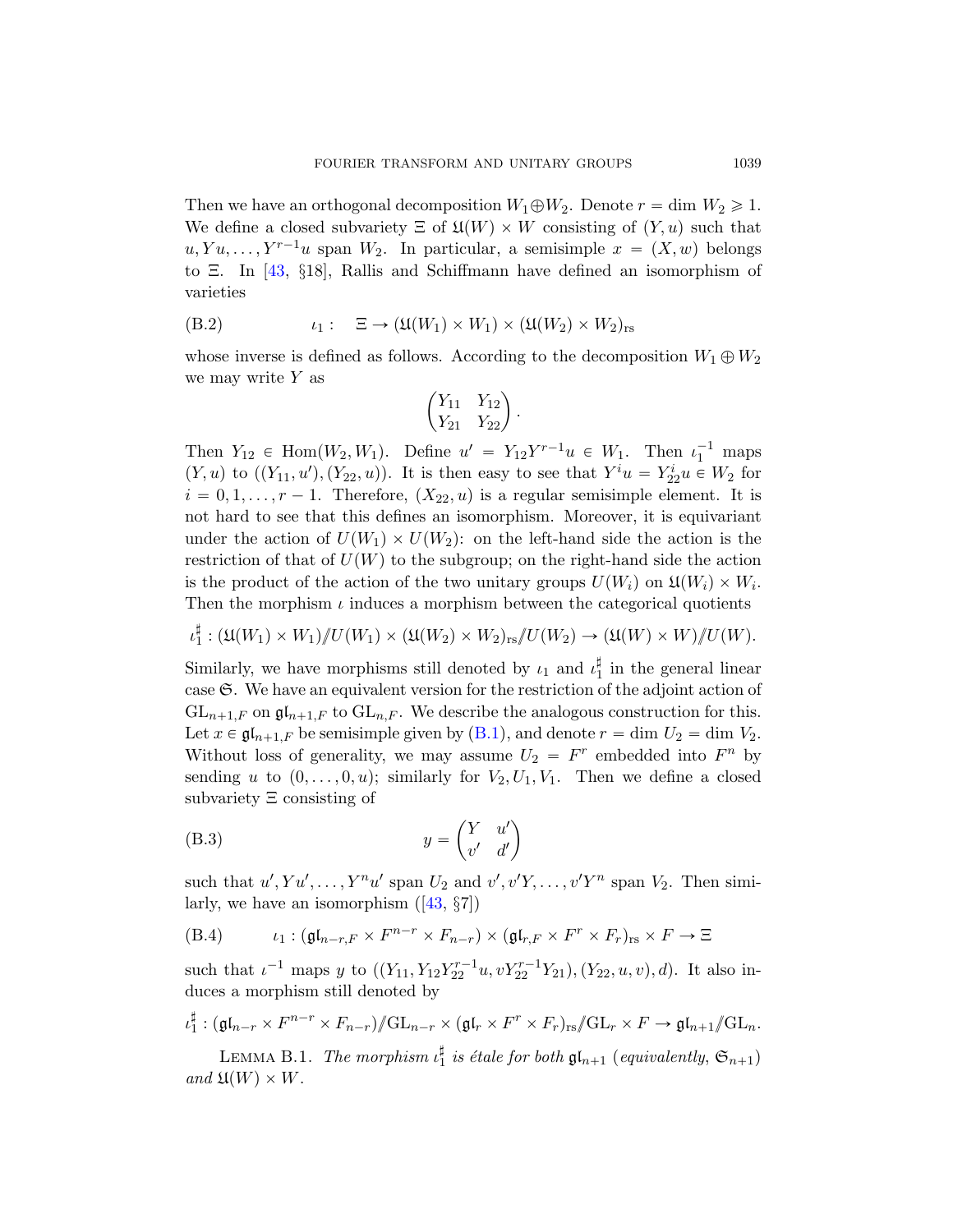Then we have an orthogonal decomposition  $W_1 \oplus W_2$ . Denote  $r = \dim W_2 \geq 1$ . We define a closed subvariety  $\Xi$  of  $\mathfrak{U}(W)\times W$  consisting of  $(Y, u)$  such that  $u, Yu, \ldots, Y^{r-1}u$  span  $W_2$ . In particular, a semisimple  $x = (X, w)$  belongs to Ξ. In [43, §18], Rallis and Schiffmann have defined an isomorphism of varieties

(B.2) 
$$
\iota_1: \quad \Xi \to (\mathfrak{U}(W_1) \times W_1) \times (\mathfrak{U}(W_2) \times W_2)_{rs}
$$

whose inverse is defined as follows. According to the decomposition  $W_1 \oplus W_2$ we may write  $Y$  as ˆ

$$
\begin{pmatrix} Y_{11} & Y_{12} \\ Y_{21} & Y_{22} \end{pmatrix}.
$$

Then  $Y_{12} \in \text{Hom}(W_2, W_1)$ . Define  $u' = Y_{12}Y^{r-1}u \in W_1$ . Then  $\iota_1^{-1}$  maps  $(Y, u)$  to  $((Y_{11}, u'), (Y_{22}, u))$ . It is then easy to see that  $Y^{i}u = Y_{22}^{i}u \in W_2$  for  $i = 0, 1, \ldots, r - 1$ . Therefore,  $(X_{22}, u)$  is a regular semisimple element. It is not hard to see that this defines an isomorphism. Moreover, it is equivariant under the action of  $U(W_1) \times U(W_2)$ : on the left-hand side the action is the restriction of that of  $U(W)$  to the subgroup; on the right-hand side the action is the product of the action of the two unitary groups  $U(W_i)$  on  $\mathfrak{U}(W_i) \times W_i$ . Then the morp[hism](#page-67-0)  $\iota$  induces a morphism between the categorical quotients

$$
\iota_1^{\sharp} : (\mathfrak{U}(W_1) \times W_1) / U(W_1) \times (\mathfrak{U}(W_2) \times W_2)_{\text{rs}} / U(W_2) \to (\mathfrak{U}(W) \times W) / U(W).
$$

Similarly, we have morphisms still denoted by  $\iota_1$  and  $\iota_1^{\sharp}$  in the general linear case  $\mathfrak{S}$ . We have an equivalent version for the restriction of the adjoint action of  $GL_{n+1,F}$  on  $\mathfrak{gl}_{n+1,F}$  to  $GL_{n,F}$ . We describe the analogous construction for this. Let  $x \in \mathfrak{gl}_{n+1,F}$  be semisimple given by  $(B.1)$ , and denote  $r = \dim U_2 = \dim V_2$ . Without [los](#page-77-2)s of generality, we may assume  $U_2 = F^r$  embedded into  $F^n$  by sending u to  $(0, \ldots, 0, u);$  similarly for  $V_2, U_1, V_1$ . Then we define a closed subvariety Ξ consisting of

<span id="page-68-0"></span>(B.3) 
$$
y = \begin{pmatrix} Y & u' \\ v' & d' \end{pmatrix}
$$

such that  $u', Yu', \ldots, Y^n u'$  span  $U_2$  and  $v', v'Y, \ldots, v'Y^n$  span  $V_2$ . Then similarly, we have an isomorphism  $([43, \S7])$ 

(B.4) 
$$
\iota_1: (\mathfrak{gl}_{n-r,F} \times F^{n-r} \times F_{n-r}) \times (\mathfrak{gl}_{r,F} \times F^r \times F_r)_{rs} \times F \to \Xi
$$

such that  $\iota^{-1}$  maps y to  $((Y_{11}, Y_{12}Y_{22}^{r-1}u, vY_{22}^{r-1}Y_{21}), (Y_{22}, u, v), d)$ . It also induces a morphism still denoted by

$$
\iota_1^{\sharp}: (\mathfrak{gl}_{n-r} \times F^{n-r} \times F_{n-r})/\!\!/ \mathrm{GL}_{n-r} \times (\mathfrak{gl}_r \times F^r \times F_r)_{rs}/\!\!/ \mathrm{GL}_r \times F \to \mathfrak{gl}_{n+1}/\!\!/ \mathrm{GL}_n.
$$

LEMMA B.1. The morphism  $\iota_1^{\sharp}$  is étale for both  $\mathfrak{gl}_{n+1}$  (equivalently,  $\mathfrak{S}_{n+1}$ ) and  $\mathfrak{U}(W)\times W$ .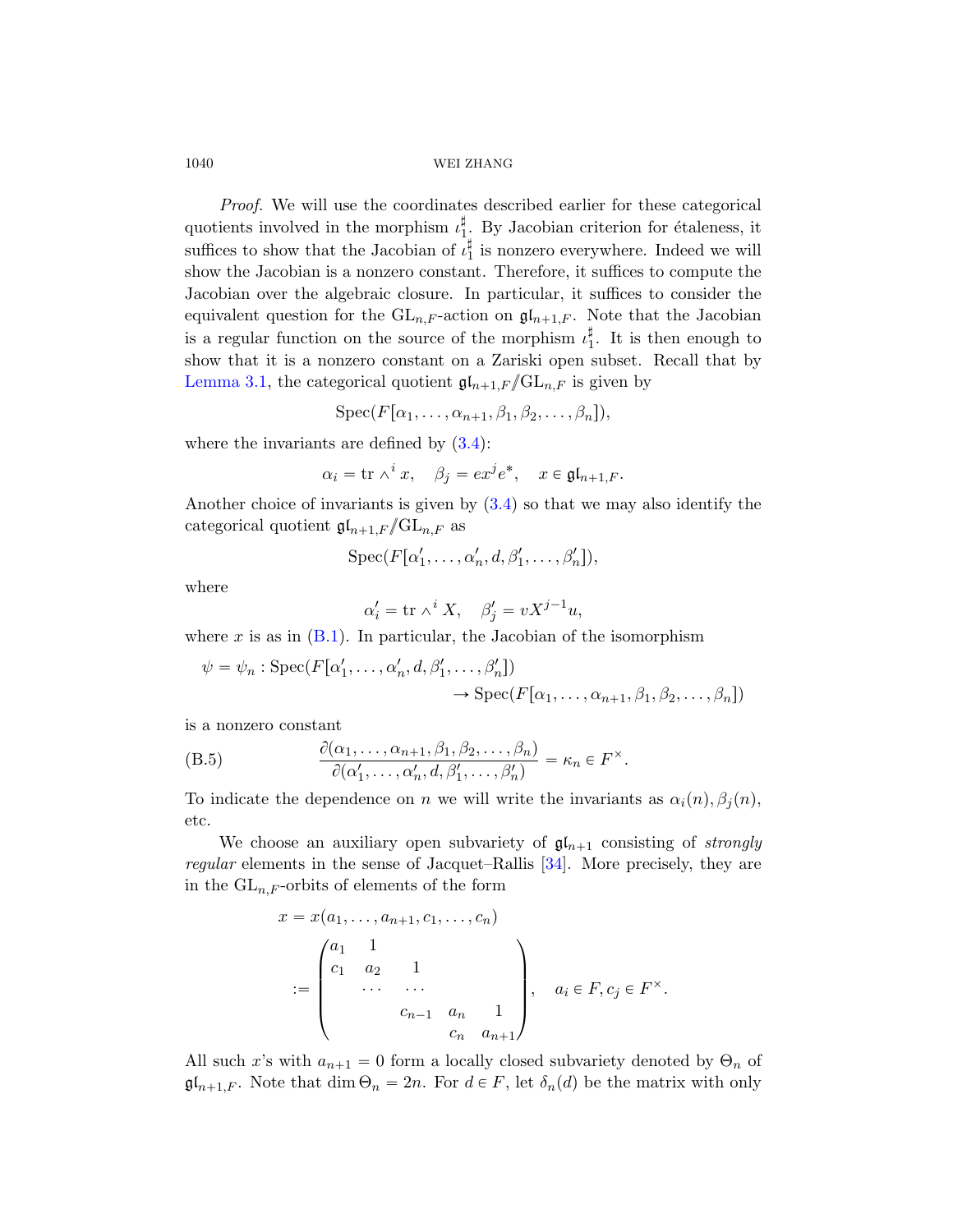Proof. We will use the coordinates described earlier for these categorical quotients involved in the morphism  $\iota_1^{\sharp}$ . By Jacobian criterion for étaleness, it suffices to show that the Jacobian of  $\iota_1^{\sharp}$  is nonzero everywhere. Indeed we will show the Jacobian is a nonzero constant. Therefore, it suffices to compute the Jacobian over the algebraic closure. In particular, it suffices to consider the equivalent qu[esti](#page-28-0)on for the  $GL_{n,F}$ -action on  $\mathfrak{gl}_{n+1,F}$ . Note that the Jacobian is a regular function on the source of the morphism  $\iota_1^{\sharp}$ . It is then enough to show that it is a [non](#page-28-0)zero constant on a Zariski open subset. Recall that by Lemma 3.1, the categorical quotient  ${\mathfrak g}{\mathfrak l}_{n+1,F}/{\rm GL}_{n,F}$  is given by

$$
Spec(F[\alpha_1,\ldots,\alpha_{n+1},\beta_1,\beta_2,\ldots,\beta_n]),
$$

where the invariants are defined by  $(3.4)$ :

$$
\alpha_i = \text{tr } \wedge^i x, \quad \beta_j = e x^j e^*, \quad x \in \mathfrak{gl}_{n+1,F}.
$$

Another choice of invariants is given by (3.4) so that we may also identify the categorical quotient  ${\mathfrak g}{\mathfrak l}_{n+1,F}/{\rm GL}_{n,F}$  as

$$
\operatorname{Spec}(F[\alpha'_1,\ldots,\alpha'_n,d,\beta'_1,\ldots,\beta'_n]),
$$

<span id="page-69-0"></span>where

$$
\alpha_i' = \text{tr } \wedge^i X, \quad \beta_j' = vX^{j-1}u,
$$

where x is as in  $(B.1)$ . In particular, the Jacobian of the isomorphism

$$
\psi = \psi_n : \operatorname{Spec}(F[\alpha'_1, \dots, \alpha'_n, d, \beta'_1, \dots, \beta'_n])
$$
  

$$
\rightarrow \operatorname{Spec}(F[\alpha_1, \dots, \alpha_{n+1}, \beta_1, \beta_2, \dots, \beta_n])
$$

is a nonzero constant

(B.5) 
$$
\frac{\partial(\alpha_1,\ldots,\alpha_{n+1},\beta_1,\beta_2,\ldots,\beta_n)}{\partial(\alpha'_1,\ldots,\alpha'_n,d,\beta'_1,\ldots,\beta'_n)} = \kappa_n \in F^{\times}.
$$

To indicate the dependence on n we will write the invariants as  $\alpha_i(n), \beta_i(n)$ , etc.

We choose an auxiliary open subvariety of  $\mathfrak{gl}_{n+1}$  consisting of strongly regular elements in the sense of Jacquet–Rallis [34]. More precisely, they are in the  $GL_{n,F}$ -orbits of elements of the form

$$
x = x(a_1, ..., a_{n+1}, c_1, ..., c_n)
$$
  
=  $\begin{pmatrix} a_1 & 1 & & & \\ c_1 & a_2 & 1 & & \\ & \cdots & \cdots & & \\ & & & c_{n-1} & a_n & 1 \\ & & & & c_n & a_{n+1} \end{pmatrix}$ ,  $a_i \in F, c_j \in F^{\times}$ .

All such x's with  $a_{n+1} = 0$  form a locally closed subvariety denoted by  $\Theta_n$  of  $\mathfrak{gl}_{n+1,F}$ . Note that  $\dim \Theta_n = 2n$ . For  $d \in F$ , let  $\delta_n(d)$  be the matrix with only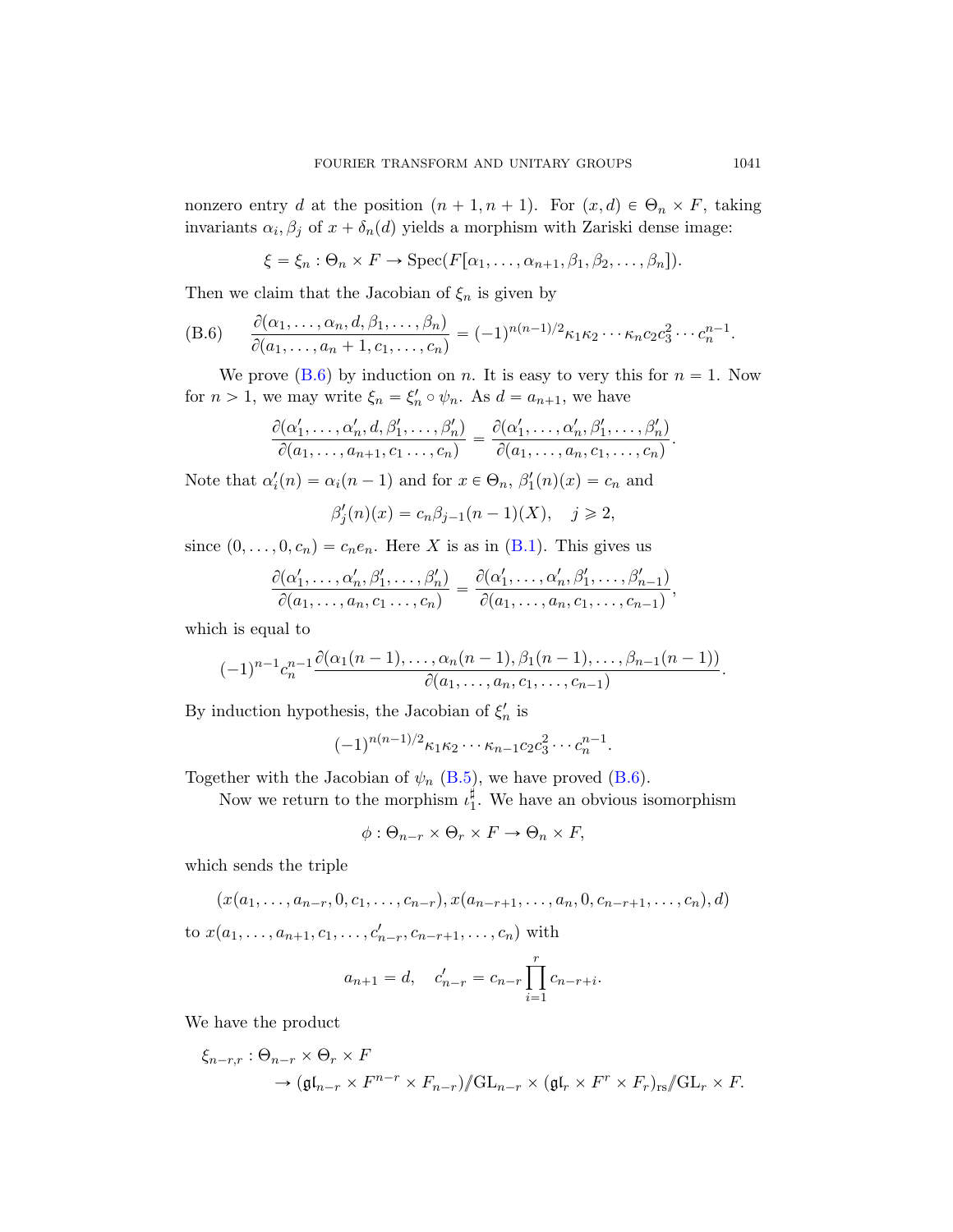<span id="page-70-0"></span>nonzero entry d at the position  $(n + 1, n + 1)$ . For  $(x, d) \in \Theta_n \times F$ , taking invariants  $\alpha_i, \beta_j$  of  $x + \delta_n(d)$  yields a morphism with Zariski dense image:

$$
\xi = \xi_n : \Theta_n \times F \to \operatorname{Spec}(F[\alpha_1, \ldots, \alpha_{n+1}, \beta_1, \beta_2, \ldots, \beta_n]).
$$

Then we claim that the Jacobian of  $\xi_n$  is given by

(B.6) 
$$
\frac{\partial(\alpha_1,\ldots,\alpha_n,d,\beta_1,\ldots,\beta_n)}{\partial(a_1,\ldots,a_n+1,c_1,\ldots,c_n)} = (-1)^{n(n-1)/2} \kappa_1 \kappa_2 \cdots \kappa_n c_2 c_3^2 \cdots c_n^{n-1}.
$$

We prove (B.6) by induction on n. It is easy to very this for  $n = 1$ . Now for  $n > 1$ , we may w[rite](#page-67-0)  $\xi_n = \xi'_n \circ \psi_n$ . As  $d = a_{n+1}$ , we have

$$
\frac{\partial(\alpha'_1,\ldots,\alpha'_n,d,\beta'_1,\ldots,\beta'_n)}{\partial(a_1,\ldots,a_{n+1},c_1\ldots,c_n)}=\frac{\partial(\alpha'_1,\ldots,\alpha'_n,\beta'_1,\ldots,\beta'_n)}{\partial(a_1,\ldots,a_n,c_1,\ldots,c_n)}.
$$

Note that  $\alpha'_i(n) = \alpha_i(n-1)$  and for  $x \in \Theta_n$ ,  $\beta'_1(n)(x) = c_n$  and

$$
\beta_j'(n)(x) = c_n \beta_{j-1}(n-1)(X), \quad j \ge 2,
$$

since  $(0, \ldots, 0, c_n) = c_n e_n$ . Here X is as in  $(B.1)$ . This gives us

$$
\frac{\partial(\alpha'_1,\ldots,\alpha'_n,\beta'_1,\ldots,\beta'_n)}{\partial(a_1,\ldots,a_n,c_1\ldots,c_n)}=\frac{\partial(\alpha'_1,\ldots,\alpha'_n,\beta'_1,\ldots,\beta'_{n-1})}{\partial(a_1,\ldots,a_n,c_1,\ldots,c_{n-1})},
$$

which is eq[ual to](#page-69-0)

$$
(-1)^{n-1}c_n^{n-1}\frac{\partial(\alpha_1(n-1),\ldots,\alpha_n(n-1),\beta_1(n-1),\ldots,\beta_{n-1}(n-1))}{\partial(a_1,\ldots,a_n,c_1,\ldots,c_{n-1})}.
$$

By induction hypothesis, the Jacobian of  $\xi_n'$  is

$$
(-1)^{n(n-1)/2} \kappa_1 \kappa_2 \cdots \kappa_{n-1} c_2 c_3^2 \cdots c_n^{n-1}.
$$

Together with the Jacobian of  $\psi_n$  (B.5), we have proved (B.6).

Now we return to the morphism  $\iota_1^{\sharp}$ . We have an obvious isomorphism

$$
\phi: \Theta_{n-r} \times \Theta_r \times F \to \Theta_n \times F,
$$

which sends the triple

$$
(x(a_1,..., a_{n-r}, 0, c_1,..., c_{n-r}), x(a_{n-r+1},..., a_n, 0, c_{n-r+1},..., c_n), d)
$$

to  $x(a_1, \ldots, a_{n+1}, c_1, \ldots, c'_{n-r}, c_{n-r+1}, \ldots, c_n)$  with

$$
a_{n+1} = d
$$
,  $c'_{n-r} = c_{n-r} \prod_{i=1}^{r} c_{n-r+i}$ .

We have the product

$$
\xi_{n-r,r}: \Theta_{n-r} \times \Theta_r \times F
$$
  
\n
$$
\to (\mathfrak{gl}_{n-r} \times F^{n-r} \times F_{n-r})/\!\!/ \mathrm{GL}_{n-r} \times (\mathfrak{gl}_r \times F^r \times F_r)_{rs}/\!\!/ \mathrm{GL}_r \times F.
$$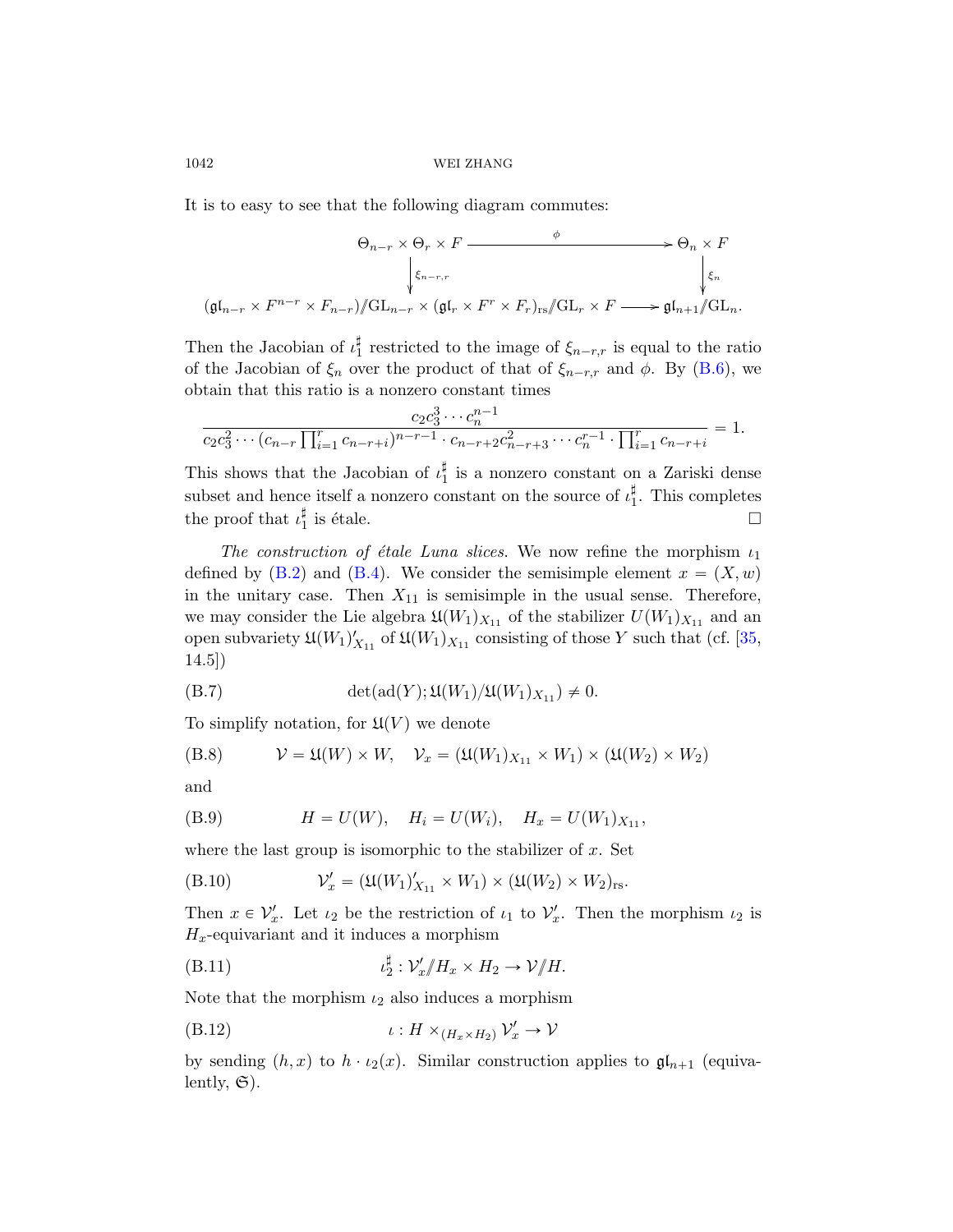It is to easy to see that the following diagram commutes:

$$
\Theta_{n-r} \times \Theta_r \times F \xrightarrow{\phi} \Theta_n \times F
$$
  
\n
$$
\downarrow \xi_{n-r,r}
$$
  
\n
$$
(\mathfrak{gl}_{n-r} \times F^{n-r} \times F_{n-r})/\!\!/ \mathrm{GL}_{n-r} \times (\mathfrak{gl}_r \times F^r \times F_r)_{rs}/\!\!/ \mathrm{GL}_r \times F \longrightarrow \mathfrak{gl}_{n+1}/\!\!/ \mathrm{GL}_n.
$$

Then the Jacobian of  $\iota_1^{\sharp}$  restricted to the image of  $\xi_{n-r,r}$  is equal to the ratio of the Jacobian of  $\xi_n$  over the product of that of  $\xi_{n-r,r}$  and  $\phi$ . By (B.6), we obtain that this ratio is a nonzero constant times

$$
\frac{c_2 c_3^3 \cdots c_n^{n-1}}{c_2 c_3^2 \cdots (c_{n-r} \prod_{i=1}^r c_{n-r+i})^{n-r-1} \cdot c_{n-r+2} c_{n-r+3}^2 \cdots c_n^{r-1} \cdot \prod_{i=1}^r c_{n-r+i}} = 1.
$$

This shows that the Jacobian of  $\iota_1^{\sharp}$  is a nonzero constant on a Zariski dense subset and hence itself a nonzero constant on the s[ourc](#page-76-3)e of  $\iota_1^{\sharp}$ . This completes the proof that  $\iota_1^{\sharp}$  is étale.

The construction of étale Luna slices. We now refine the morphism  $\iota_1$ defined by (B.2) and (B.4). We consider the semisimple element  $x = (X, w)$ in the unitary case. Then  $X_{11}$  is semisimple in the usual sense. Therefore, we may consider the Lie algebra  $\mathfrak{U}(W_1)_{X_{11}}$  of the stabilizer  $U(W_1)_{X_{11}}$  and an open subvariety  $\mathfrak{U}(W_1)_{X_{11}}'$  of  $\mathfrak{U}(W_1)_{X_{11}}$  consisting of those Y such that (cf. [35, 14.5])

(B.7) 
$$
\det(\operatorname{ad}(Y); \mathfrak{U}(W_1)/\mathfrak{U}(W_1)_{X_{11}}) \neq 0.
$$

To simplify notation, for  $\mathfrak{U}(V)$  we denote

(B.8) 
$$
\mathcal{V} = \mathfrak{U}(W) \times W, \quad \mathcal{V}_x = (\mathfrak{U}(W_1)_{X_{11}} \times W_1) \times (\mathfrak{U}(W_2) \times W_2)
$$

and

(B.9) 
$$
H = U(W), \quad H_i = U(W_i), \quad H_x = U(W_1)_{X_{11}},
$$

where the last group is isomorphic to the stabilizer of  $x$ . Set

(B.10) 
$$
\mathcal{V}_x' = (\mathfrak{U}(W_1)_{X_{11}}' \times W_1) \times (\mathfrak{U}(W_2) \times W_2)_{rs}.
$$

Then  $x \in \mathcal{V}'_x$ . Let  $\iota_2$  be the restriction of  $\iota_1$  to  $\mathcal{V}'_x$ . Then the morphism  $\iota_2$  is  $H_x$ -equivariant and it induces a morphism

(B.11) 
$$
\iota_2^{\sharp} : \mathcal{V}_x'/H_x \times H_2 \to \mathcal{V}/H.
$$

Note that the morphism  $\iota_2$  also induces a morphism

$$
(B.12) \t\t\t t : H \times_{(H_x \times H_2)} V'_x \to V
$$

by sending  $(h, x)$  to  $h \cdot \iota_2(x)$ . Similar construction applies to  $\mathfrak{gl}_{n+1}$  (equivalently,  $\mathfrak{S}$ ).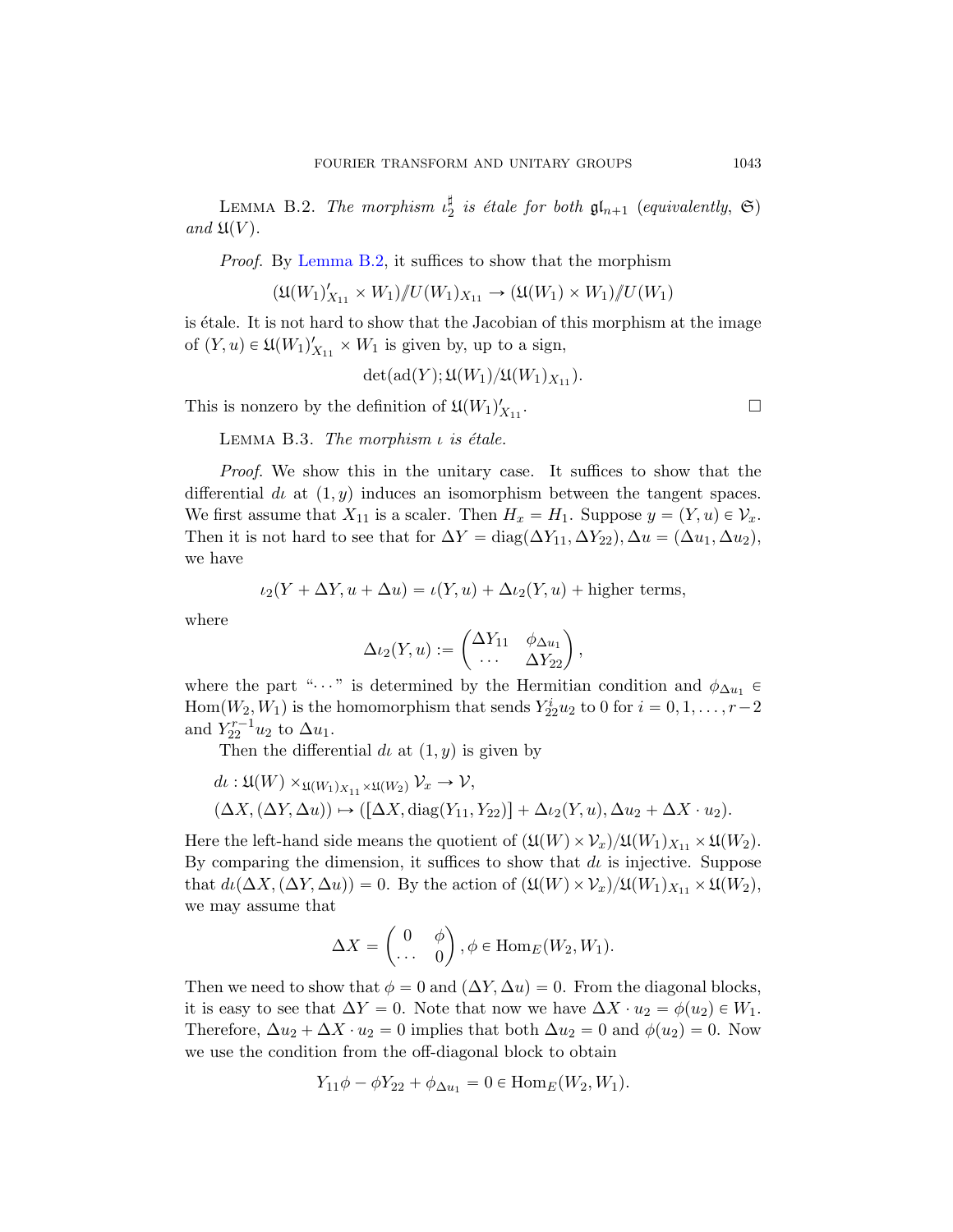LEMMA B.2. The morphism  $\iota_2^{\sharp}$  is étale for both  $\mathfrak{gl}_{n+1}$  (equivalently,  $\mathfrak{S}$ ) and  $\mathfrak{U}(V)$ .

Proof. By Lemma B.2, it suffices to show that the morphism

$$
(\mathfrak{U}(W_1)'_{X_{11}} \times W_1) / U(W_1)_{X_{11}} \to (\mathfrak{U}(W_1) \times W_1) / U(W_1)
$$

<span id="page-72-0"></span>is étale. It is not hard to show that the Jacobian of this morphism at the image of  $(Y, u) \in \mathfrak{U}(W_1)_{X_{11}}' \times W_1$  is given by, up to a sign,

$$
\det(\mathrm{ad}(Y);\mathfrak{U}(W_1)/\mathfrak{U}(W_1)_{X_{11}}).
$$

This is nonzero by the definition of  $\mathfrak{U}(W_1)_{X_{11}}'$ 

LEMMA B.3. The morphism  $\iota$  is étale.

Proof. We show this in the unitary case. It suffices to show that the differential d<sub>i</sub> at  $(1, y)$  induces an isomorphism between the tangent spaces. We first assume that  $X_{11}$  is a scaler. Then  $H_x = H_1$ . Suppose  $y = (Y, u) \in \mathcal{V}_x$ . Then it is not hard to see that for  $\Delta Y = \text{diag}(\Delta Y_{11}, \Delta Y_{22}), \Delta u = (\Delta u_1, \Delta u_2),$ we have

$$
\iota_2(Y + \Delta Y, u + \Delta u) = \iota(Y, u) + \Delta \iota_2(Y, u) + \text{higher terms},
$$

where

$$
\Delta \iota_2(Y, u) := \begin{pmatrix} \Delta Y_{11} & \phi_{\Delta u_1} \\ \cdots & \Delta Y_{22} \end{pmatrix},
$$

where the part " $\dots$ " is determined by the Hermitian condition and  $\phi_{\Delta u_1}$  $Hom(W_2, W_1)$  is the homomorphism that sends  $Y_{22}^i u_2$  to 0 for  $i = 0, 1, ..., r-2$ and  $Y_{22}^{r-1}u_2$  to  $\Delta u_1$ .

Then the differential d<sub>l</sub> at  $(1, y)$  is given by

$$
d\iota: \mathfrak{U}(W) \times_{\mathfrak{U}(W_1)_{X_{11}} \times \mathfrak{U}(W_2)} V_x \to V,
$$
  

$$
(\Delta X, (\Delta Y, \Delta u)) \mapsto ([\Delta X, \text{diag}(Y_{11}, Y_{22})] + \Delta \iota_2(Y, u), \Delta u_2 + \Delta X \cdot u_2).
$$

Here the left-hand side means the quotient of  $(\mathfrak{U}(W) \times \mathcal{V}_x)/\mathfrak{U}(W_1)_{X_{11}} \times \mathfrak{U}(W_2)$ . By comparing the dimension, it suffices to show that  $d\iota$  is injective. Suppose that  $d\iota(\Delta X, (\Delta Y, \Delta u)) = 0$ . By the action of  $(\mathfrak{U}(W) \times \mathcal{V}_x)/\mathfrak{U}(W_1)_{X_{11}} \times \mathfrak{U}(W_2)$ , we may assume that

$$
\Delta X = \begin{pmatrix} 0 & \phi \\ \cdots & 0 \end{pmatrix}, \phi \in \text{Hom}_E(W_2, W_1).
$$

Then we need to show that  $\phi = 0$  and  $(\Delta Y, \Delta u) = 0$ . From the diagonal blocks, it is easy to see that  $\Delta Y = 0$ . Note that now we have  $\Delta X \cdot u_2 = \phi(u_2) \in W_1$ . Therefore,  $\Delta u_2 + \Delta X \cdot u_2 = 0$  implies that both  $\Delta u_2 = 0$  and  $\phi(u_2) = 0$ . Now we use the condition from the off-diagonal block to obtain

$$
Y_{11}\phi - \phi Y_{22} + \phi_{\Delta u_1} = 0 \in \text{Hom}_E(W_2, W_1).
$$

.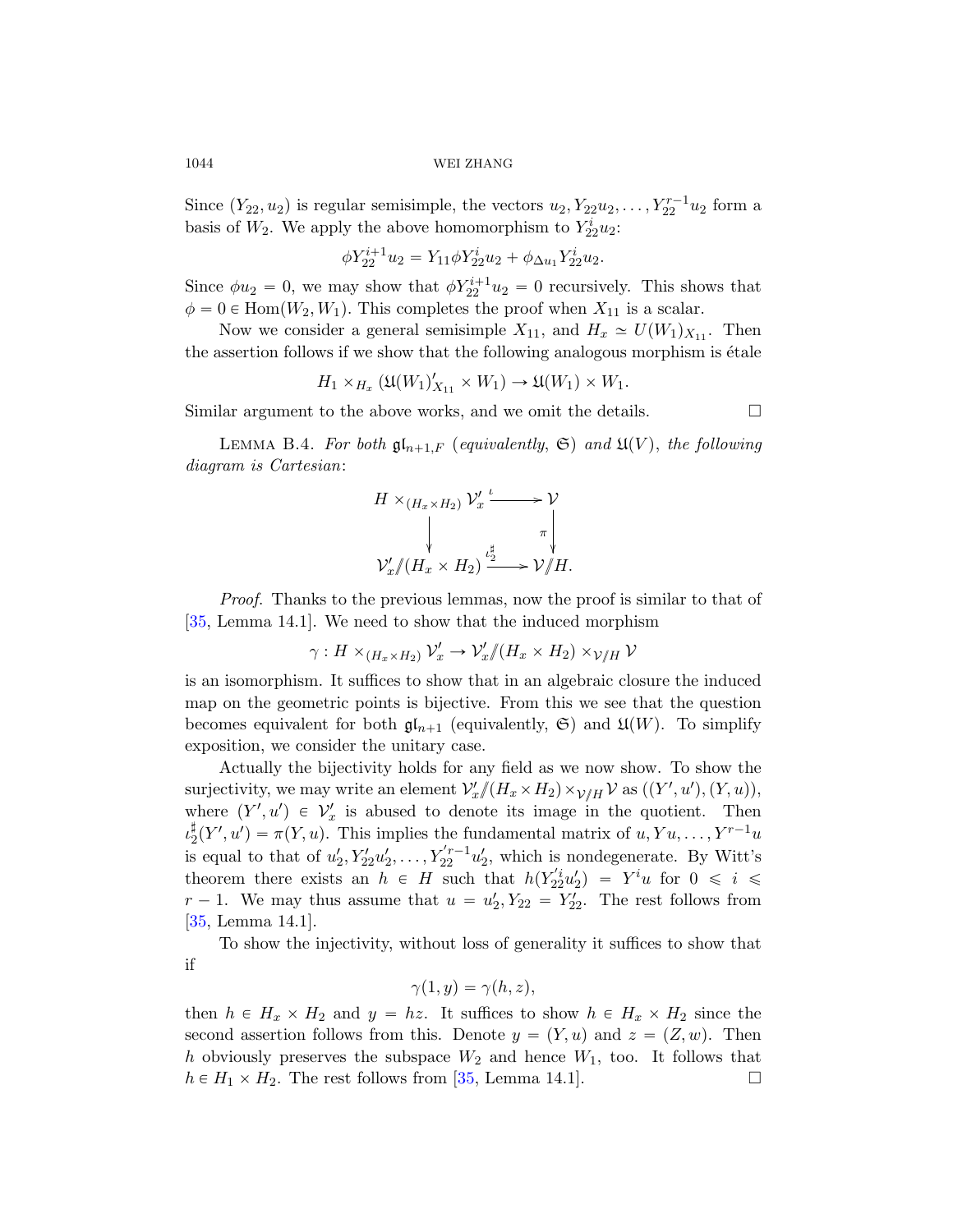1044 WEI ZHANG

Since  $(Y_{22}, u_2)$  is regular semisimple, the vectors  $u_2, Y_{22}u_2, \ldots, Y_{22}^{r-1}u_2$  form a basis of  $W_2$ . We apply the above homomorphism to  $Y_{22}^i u_2$ :

$$
\phi Y_{22}^{i+1} u_2 = Y_{11} \phi Y_{22}^i u_2 + \phi_{\Delta u_1} Y_{22}^i u_2.
$$

Since  $\phi u_2 = 0$ , we may show that  $\phi Y_{22}^{i+1} u_2 = 0$  recursively. This shows that  $\phi = 0 \in \text{Hom}(W_2, W_1)$ . This completes the proof when  $X_{11}$  is a scalar.

Now we consider a general semisimple  $X_{11}$ , and  $H_x \simeq U(W_1)_{X_{11}}$ . Then the assertion follows if we show that the following analogous morphism is  $\acute{e}t$  at the

$$
H_1 \times_{H_x} (\mathfrak{U}(W_1)_{X_{11}}' \times W_1) \to \mathfrak{U}(W_1) \times W_1.
$$

Similar argument to the above works, and we omit the details.  $\Box$ 

LEMMA B.4. For both  $\mathfrak{gl}_{n+1,F}$  (equivalently,  $\mathfrak{S}$ ) and  $\mathfrak{U}(V)$ , the following diagram is Cartesian:

$$
H \times_{(H_x \times H_2)} \mathcal{V}'_x \xrightarrow{\iota} \mathcal{V}
$$
  
\n
$$
\downarrow \qquad \qquad \downarrow \qquad \pi
$$
  
\n
$$
\mathcal{V}'_x \mathcal{N}(H_x \times H_2) \xrightarrow{\iota_x^{\sharp}} \mathcal{V} \mathcal{N} H.
$$

Proof. Thanks to the previous lemmas, now the proof is similar to that of [35, Lemma 14.1]. We need to show that the induced morphism

 $\gamma: H\times_{(H_x\times H_2)} \mathcal{V}'_x\to \mathcal{V}'_x\mathcal{}/(H_x\times H_2)\times_{\mathcal{V}/H} \mathcal{V}$ 

is an isomorphism. It suffices to show that in an algebraic closure the induced map on the geometric points is bijective. From this we see that the question becomes equivalent for both  $\mathfrak{gl}_{n+1}$  (equivalently,  $\mathfrak{S}$ ) and  $\mathfrak{U}(W)$ . To simplify exposition, we consider the unitary case.

Actually the bijectivity holds for any field as we now show. To show the surjectivity, we may write an element  $\mathcal{V}'_x \mathcal{N}(H_x \times H_2) \times_{\mathcal{V}/H} \mathcal{V}$  as  $((Y', u'), (Y, u)),$ where  $(Y', u') \in V'_x$  is abused to denote its image in the quotient. Then  $\iota_2^{\sharp}(Y', u') = \pi(Y, u)$ . This implies the fundamental matrix of  $u, Yu, \ldots, Y^{r-1}u$ is equal to that of  $u'_2, Y'_{22}u'_2, \ldots, Y_{22}^{'r-1}u'_2$ , which is nondegenerate. By Witt's theorem there exists an  $h \in H$  such that  $h(Y_{22}^{'i}u_2') = Y^i u$  for  $0 \leq i \leq$  $r-1$ . We may thus assume that  $u = u'_2, Y_{22} = Y'_{22}$ . The rest follows from [35, Lemma 14.1].

To show [the](#page-76-0) injectivity, without loss of generality it suffices to show that if

$$
\gamma(1,y)=\gamma(h,z),
$$

then  $h \in H_x \times H_2$  and  $y = hz$ . It suffices to show  $h \in H_x \times H_2$  since the second assertion follows from this. Denote  $y = (Y, u)$  and  $z = (Z, w)$ . Then h obviously preserves the subspace  $W_2$  and hence  $W_1$ , too. It follows that  $h \in H_1 \times H_2$ . The rest follows from [35, Lemma 14.1].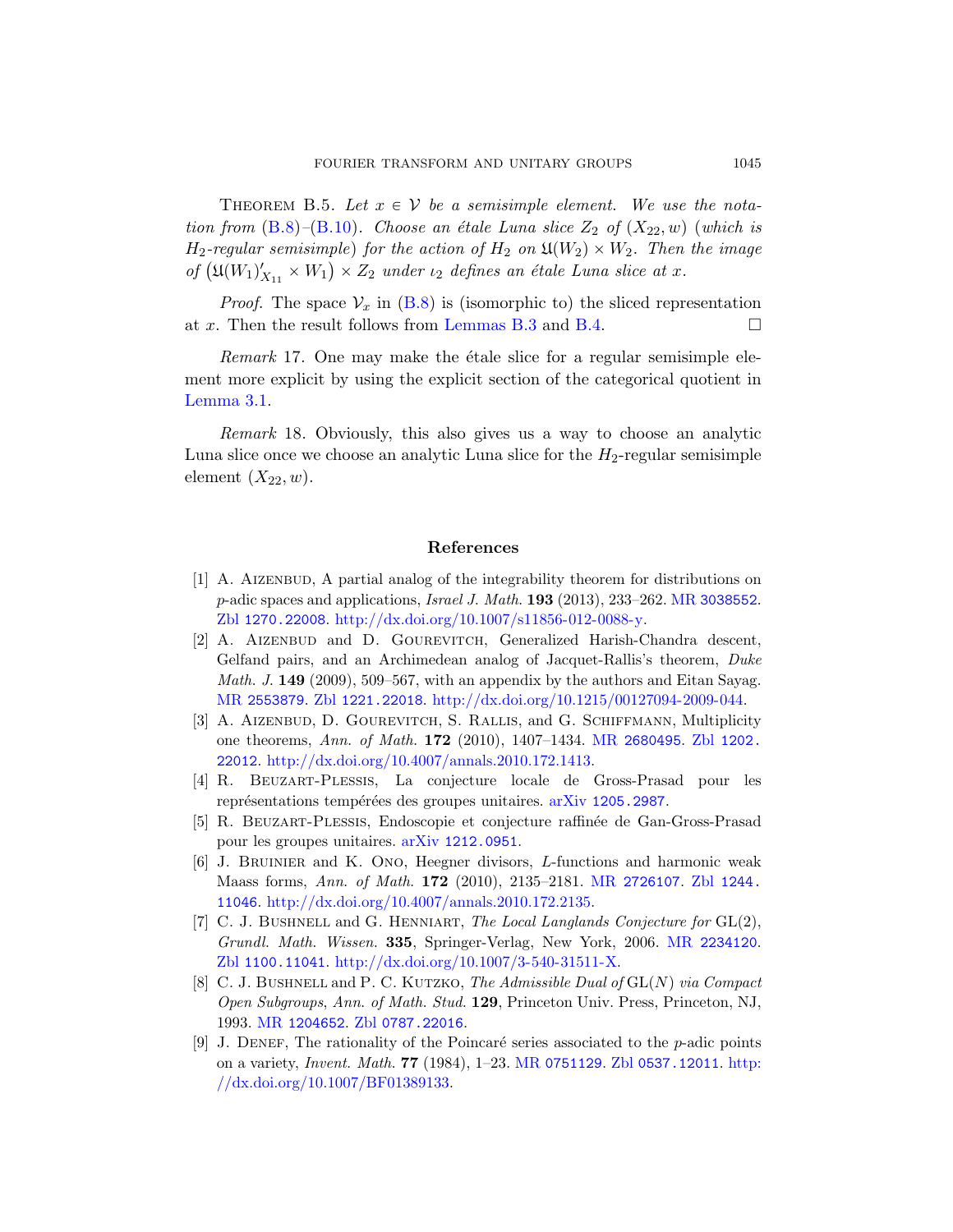THEOREM B.5. Let  $x \in V$  be a semisimple element. We use the notation from  $(B.8)$ – $(B.10)$ . Choose an étale Luna slice  $Z_2$  of  $(X_{22}, w)$  (which is  $H_2$ -regular semisimple) for the action of  $H_2$  on  $\mathfrak{U}(W_2)\times W_2$ . Then the image  $H_2$ -regular semisimple) for the action of  $H_2$  on  $\mathfrak{U}(W_2) \times W_2$ . Then of  $(\mathfrak{U}(W_1)'_{X_{11}} \times W_1) \times Z_2$  under  $\iota_2$  defines an étale Luna slice at x.

*Proof.* The space  $V_x$  in (B.8) is (isomorphic to) the sliced representation at x. Then the result follows from Lemmas B.3 and B.4.  $\Box$ 

 $Remark 17.$  One may make the étale slice for a regular semisimple element more explicit by using the explicit section of the categorical quotient in Lemma 3.1.

Remark 18. Obviously, this also gives us a way to choose an analytic Luna slice once we choose an analytic Lun[a slice for the](http://www.ams.org/mathscinet-getitem?mr=3038552)  $H_2$ -regular semisimple [element](http://dx.doi.org/10.1007/s11856-012-0088-y)  $(X_{22}, w)$ .

## References

- [1] [A. Ai](http://www.zentralblatt-math.org/zmath/en/search/?q=an:1221.22018)zenbud[, A partial analog of the integrability t](http://dx.doi.org/10.1215/00127094-2009-044)heorem for distributions on  $p$ -adic spaces and applications, *[Israel J](http://www.ams.org/mathscinet-getitem?mr=2680495). Math.* **193** [\(2013](http://www.zentralblatt-math.org/zmath/en/search/?q=an:1202.22012)), 233–262. MR 3038552. Zbl [1270.22008](http://dx.doi.org/10.4007/annals.2010.172.1413). http://dx.doi.org/10.1007/s11856-012-0088-y.
- [2] A. AIZENBUD and D. GOUREVITCH, Generalized Harish-Chandra descent, Gelfand pairs, and an [Archimedean ana](http://www.arxiv.org/abs/1205.2987)log of Jacquet-Rallis's theorem, Duke Math. J. 149 (2009), 509–567, with an appendix by the authors and Eitan Sayag. MR [2553879](http://www.arxiv.org/abs/1212.0951). Zbl 1221.22018. http://dx.doi.org/10.1215/00127094-2009-044.
- [3] A. AIZENBUD, D. GOUREVITCH, S. RALLIS, and G. SCHIFFMANN, Multiplicity one theorems, Ann. of Math. 172 [\(2010\),](http://www.ams.org/mathscinet-getitem?mr=2726107) [1407–1434.](http://www.zentralblatt-math.org/zmath/en/search/?q=an:1244.11046) MR 2680495. Zbl 1202. 22012. [http://dx.doi.org/10.40](http://dx.doi.org/10.4007/annals.2010.172.2135)07/annals.2010.172.1413.
- [4] R. Beuzart-Plessis, La conjecture locale de Gross-Prasad pour les représentations tempérées des groupes u[nitaires.](http://www.ams.org/mathscinet-getitem?mr=2234120)  $\frac{r}{r}$  arXiv 1205.2987.
- [5] [R. Beuzart-Plessis](http://dx.doi.org/10.1007/3-540-31511-X), Endoscopie et conjecture raffin´ee de Gan-Gross-Prasad pour les groupes unitaires. arXiv 1212.0951.
- [6] J. Bruinier and K. Ono, Heegner divisors, L-functions and harmonic weak [Maass form](http://www.zentralblatt-math.org/zmath/en/search/?q=an:0787.22016)s, Ann. of Math. 172 (2010), 2135–2181. MR 2726107. Zbl 1244. 11046. http://dx.doi.org/10.4007/annals.2010.172.2135.
- [7] C. J. BUSHNELL and G. HENNIART, [The Local L](http://www.zentralblatt-math.org/zmath/en/search/?q=an:0537.12011)[anglan](http://dx.doi.org/10.1007/BF01389133)ds Conjecture for  $GL(2)$ , [Grundl](http://dx.doi.org/10.1007/BF01389133). Math. Wissen. 335, Springer-Verlag, New York, 2006. MR 2234120. Zbl 1100.11041. http://dx.doi.org/10.1007/3-540-31511-X.
- [8] C. J. BUSHNELL and P. C. KUTZKO, The Admissible Dual of  $GL(N)$  via Compact Open Subgroups, Ann. of Math. Stud. 129, Princeton Univ. Press, Princeton, NJ, 1993. MR 1204652. Zbl 0787.22016.
- [9] J. DENEF, The rationality of the Poincaré series associated to the  $p$ -adic points on a variety, Invent. Math. 77 (1984), 1–23. MR 0751129. Zbl 0537.12011. http: //dx.doi.org/10.1007/BF01389133.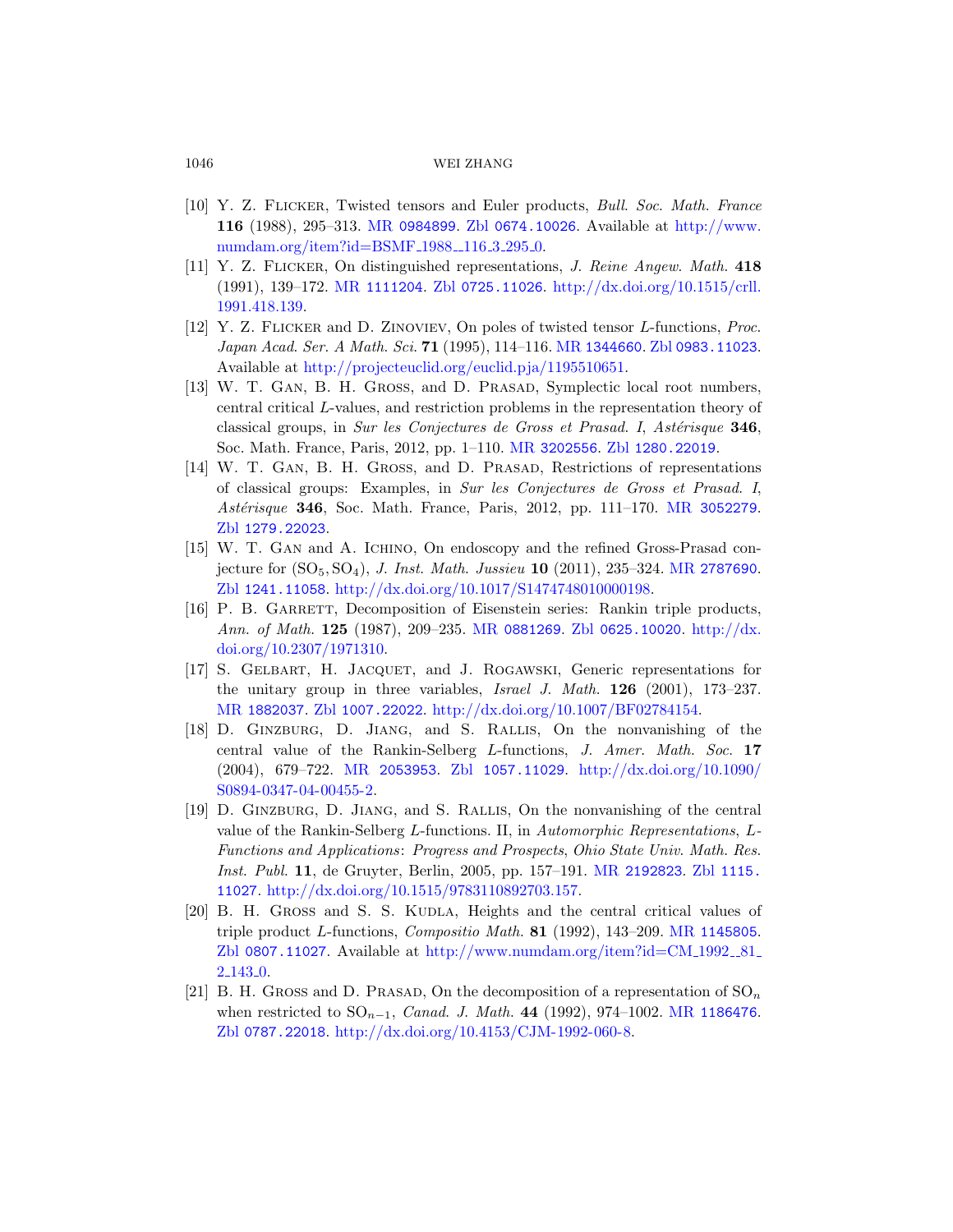## [1046](http://www.ams.org/mathscinet-getitem?mr=1111204) [WEI ZHANG](http://dx.doi.org/10.1515/crll.1991.418.139)

- [10] Y. Z. Flicker, Twiste[d tensors and](http://www.ams.org/mathscinet-getitem?mr=1344660) [Euler products,](http://www.zentralblatt-math.org/zmath/en/search/?q=an:0983.11023) Bull. Soc. Math. France 116 [\(1988\), 295–313.](http://projecteuclid.org/euclid.pja/1195510651) MR 0984899. Zbl 0674.10026. Available at http://www. numdam.org/item?id=BSMF\_1988\_116\_3\_295\_0.
- [11] Y. Z. Flicker, On distinguished representations, J. Reine Angew. Math. 418 (1991), 139–172. MR 1111204. Zbl 0725.11026. http://dx.doi.org/10.1515/crll. 1991.418.139.
- [12] Y. Z. Flicker and [D. Zinovi](http://www.ams.org/mathscinet-getitem?mr=3202556)ev[, On poles of tw](http://www.zentralblatt-math.org/zmath/en/search/?q=an:1280.22019)isted tensor L-functions, Proc. Japan Acad. Ser. A Math. Sci. 71 (1995), 114–116. MR 1344660. Zbl 0983.11023. Available at http://projecteuclid.org/eu[clid.pja/119551](http://www.ams.org/mathscinet-getitem?mr=3052279)0651.
- [13] W. T. Gan, B. H. Gross, and D. Prasad, Symplectic local root numbers, central critical L-values, and restriction problems in the representation theory of classical groups, in Sur les Conjectures [de Gross et P](http://www.ams.org/mathscinet-getitem?mr=2787690)rasad. I, Astérisque  $346$ , [Soc. Math. France, Paris, 2012, pp. 1–1](http://dx.doi.org/10.1017/S1474748010000198)10. MR 3202556. Zbl 1280.22019.
- [14] W. T. Gan, B. H. Gross, and D. Prasad, Restrictions of representations of classical [groups: Exam](http://www.ams.org/mathscinet-getitem?mr=0881269)[ples, in](http://www.zentralblatt-math.org/zmath/en/search/?q=an:0625.10020) Sur les [Conjectures](http://dx.doi.org/10.2307/1971310) de Gross et Prasad. I, Astérisque 346, Soc. Math. France, Paris, 2012, pp. 111–170. MR 3052279. Zbl 1279.22023.
- [15] W. T. Gan and A. Ichino, On endoscopy and the refined Gross-Prasad con[jectur](http://www.zentralblatt-math.org/zmath/en/search/?q=an:1007.22022)e for  $(SO_5, SO_4)$ , *J. Inst. Math. Jussieu* 10 (2011), 235–324. MR 2787690. Zbl 1241.11058. [http://dx.doi.org/10.1017/S1](http://dx.doi.org/10.1007/BF02784154)474748010000198.
- [16] P. B. GARRETT, Decomposition of Eisenstein series: Rankin triple products, [Ann](http://www.ams.org/mathscinet-getitem?mr=2053953). of Math. 125 [\(1987\)](http://www.zentralblatt-math.org/zmath/en/search/?q=an:1057.11029), 209–235. MR [0881269](http://dx.doi.org/10.1090/S0894-0347-04-00455-2). Zbl 0625.10020. http://dx. doi.org/10.2307/1971310.
- [\[17](http://dx.doi.org/10.1090/S0894-0347-04-00455-2)] S. Gelbart, H. Jacquet, and J. Rogawski, Generic representations for the unitary group in three variables, Israel J. Math. 126 (2001), 173–237. MR 1882037. Zbl 1007.22022. http://dx.doi.org/10.1007/BF02784154.
- [18] D. Ginzburg, D. Jiang, and [S. Ral](http://www.ams.org/mathscinet-getitem?mr=2192823)lis[, On th](http://www.zentralblatt-math.org/zmath/en/search/?q=an:1115.11027)e nonvanishing of the [central value of the Rank](http://dx.doi.org/10.1515/9783110892703.157)in-Selberg L-functions, J. Amer. Math. Soc. 17 (2004), 679–722. MR 2053953. Zbl 1057.11029. http://dx.doi.org/10.1090/ S0894-0347-04-00455-2.
- [19] D. Ginzburg, D. Jiang, and S. Rallis[, On the non](http://www.numdam.org/item?id=CM_1992__81_2_143_0)vanishing of the central value of the Rankin-Selberg L-functions. II, in Automorphic Representations, L-Functions and Applications: Progress and Prospects, Ohio State Univ. Math. Res. Inst. Publ. 11, de Gruyter, Berlin, 2005, [pp. 157–191.](http://www.ams.org/mathscinet-getitem?mr=1186476) MR 2192823. Zbl 1115. 11027. [http://dx.doi.org/10.1515/97](http://dx.doi.org/10.4153/CJM-1992-060-8)83110892703.157.
- [20] B. H. GROSS and S. S. KUDLA, Heights and the central critical values of triple product L-functions, Compositio Math.  $81$  (1992), 143–209. MR 1145805. Zbl 0807.11027. Available at  $\frac{http://www.numdam.org/item?id=CM_1992_81_8}{http://www.numdam.org/item?id=CM_1992_81_81_8}$ 2 143 0.
- [21] B. H. GROSS and D. PRASAD, On the decomposition of a representation of  $\mathrm{SO}_n$ when restricted to  $SO_{n-1}$ , *Canad. J. Math.* 44 (1992), 974–1002. MR 1186476. Zbl 0787.22018. http://dx.doi.org/10.4153/CJM-1992-060-8.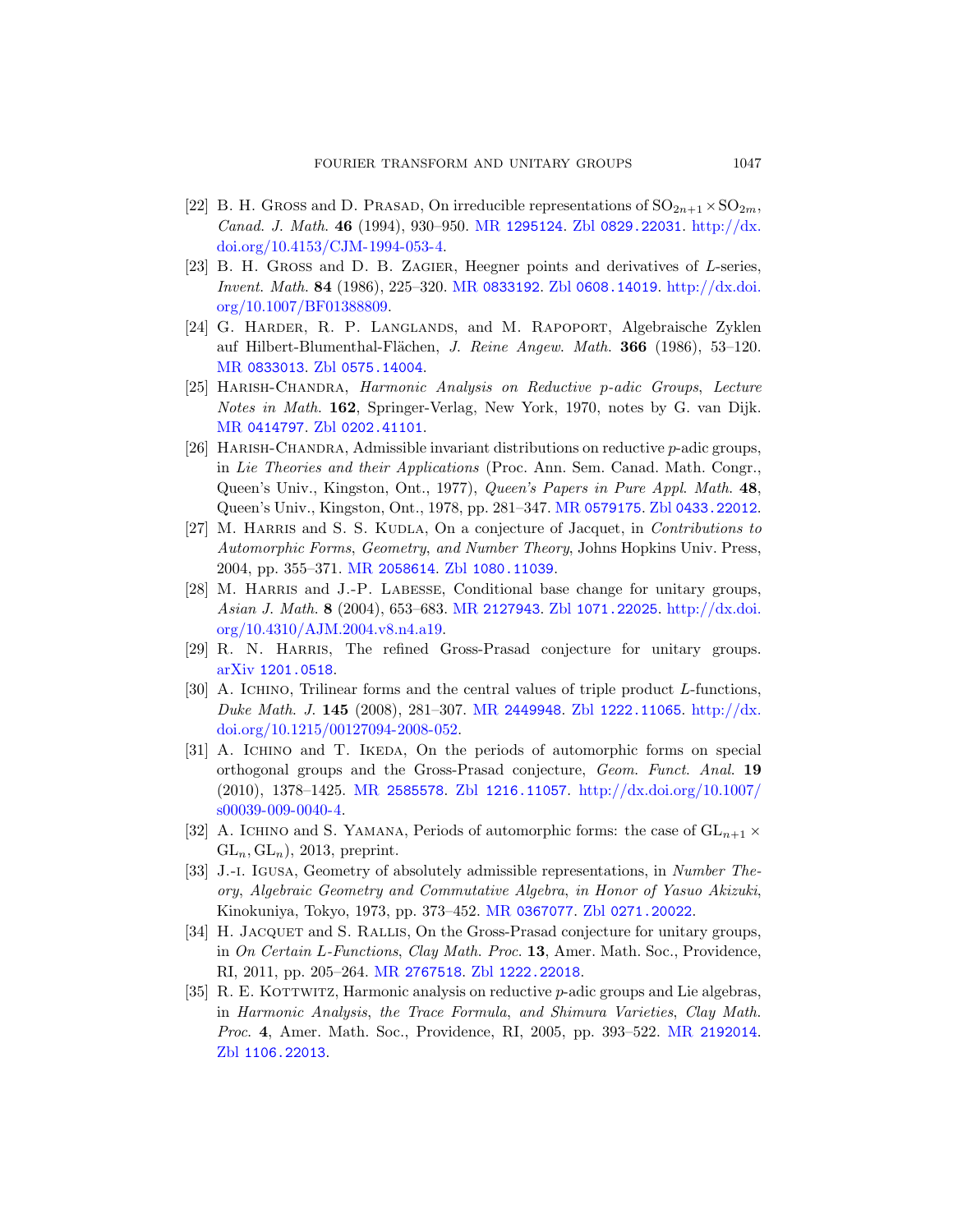- [22] B. H. Gross and D. Prasad, On irreducible representations of  $SO_{2n+1}\times SO_{2m}$ , [Canad](http://www.zentralblatt-math.org/zmath/en/search/?q=an:0575.14004). J. Math. 46 (1994), 930–950. MR 1295124. Zbl 0829.22031. http://dx. doi.org/10.4153/CJM-1994-053-4.
- [23] B. H. Gross and D. B. Zagier, Heegner points and derivatives of L-series, [Inven](http://www.zentralblatt-math.org/zmath/en/search/?q=an:0202.41101)t. Math. 84 (1986), 225–320. MR 0833192. Zbl 0608.14019. http://dx.doi. org/10.1007/BF01388809.
- [24] G. Harder, R. P. Langlands, and M. Rapoport, Algebraische Zyklen auf Hilbert-Blumenthal-Flächen, J. Reine Angew. Math. 366 (1986), 53–120. MR 0833013. Zbl 0575.[14004](http://www.ams.org/mathscinet-getitem?mr=0579175).
- [25] Harish-Chandra, Harmonic Analy[sis on Reductive](http://www.zentralblatt-math.org/zmath/en/search/?q=an:0433.22012) p-adic Groups, Lecture Notes in Math. 162, Springer-Verlag, New York, 1970, notes by G. van Dijk. MR 0414797. Zbl [0202.4](http://www.zentralblatt-math.org/zmath/en/search/?q=an:1080.11039)1101.
- [26] [Harish](http://www.ams.org/mathscinet-getitem?mr=2058614)-Chandra, Admissible invariant distributions on reductive p-adic groups, in Lie T[heories and th](http://www.ams.org/mathscinet-getitem?mr=2127943)[eir Applications](http://www.zentralblatt-math.org/zmath/en/search/?q=an:1071.22025) ([Proc. Ann. Sem](http://dx.doi.org/10.4310/AJM.2004.v8.n4.a19). Canad. Math. Congr., [Queen's](http://dx.doi.org/10.4310/AJM.2004.v8.n4.a19) Univ., Kingston, Ont., 1977), Queen's Papers in Pure Appl. Math. 48, Queen's Univ., Kingston, Ont., 1978, pp. 281–347. MR 0579175. Zbl 0433.22012.
- [27] M. HARRIS and S. S. KUDLA, On a conjecture of Jacquet, in *Contributions to* Automorphic Forms, Geometry, and Number Theory, Johns Hopkins Univ. Press, 2004, pp. 35[5–371.](http://www.ams.org/mathscinet-getitem?mr=2449948) MR 2058614. Zbl [1080.](http://www.zentralblatt-math.org/zmath/en/search/?q=an:1222.11065)[11039](http://dx.doi.org/10.1215/00127094-2008-052).
- [28] M. HARRIS and J.-P. LABESSE, Conditional base change for unitary groups, Asian J. Math. 8 (2004), 653–683. MR 2127943. Zbl 1071.22025. http://dx.doi. org/10.4310/AJM.2004.v8.n4.a19.
- [29] [R. N.](http://www.ams.org/mathscinet-getitem?mr=2585578) HARRIS[, The refi](http://www.zentralblatt-math.org/zmath/en/search/?q=an:1216.11057)[ned Gross-Prasad conjectu](http://dx.doi.org/10.1007/s00039-009-0040-4)re for unitary groups. arXiv 1201.0518.
- [30] A. ICHINO, Trilinear forms and the central values of triple product L-functions, Duke Math. J. 145 (2008), 281–307. MR 2449948. Zbl 1222.11065. http://dx. doi.org/10.1215/00127094-2008-052.
- [31] A. Ichino and T. Ikeda, On the periods of automorphic forms on special orthogonal gr[oups and the](http://www.ams.org/mathscinet-getitem?mr=0367077) [Gross-Prasad co](http://www.zentralblatt-math.org/zmath/en/search/?q=an:0271.20022)njecture, Geom. Funct. Anal. 19 (2010), 1378–1425. MR 2585578. Zbl 1216.11057. http://dx.doi.org/10.1007/ s00039-009-0040-4.
- <span id="page-76-0"></span>[32] A. ICHINO and S. YAMANA, Periods of automorphic forms: the case of  $GL_{n+1} \times$  $GL_n, GL_n$ , 2013, preprint.
- [33] J.-i. Igusa, Geometry of absolutely admissible representations, in Number Theory, Algebraic Geometry and Commutati[ve Algebra](http://www.ams.org/mathscinet-getitem?mr=2192014), in Honor of Yasuo Akizuki, Kinokuniya, Tokyo, 1973, pp. 373–452. MR 0367077. Zbl 0271.20022.
- [34] H. JACQUET and S. RALLIS, On the Gross-Prasad conjecture for unitary groups, in On Certain L-Functions, Clay Math. Proc. 13, Amer. Math. Soc., Providence, RI, 2011, pp. 205–264. MR 2767518. Zbl 1222.22018.
- [35] R. E. KOTTWITZ, Harmonic analysis on reductive  $p$ -adic groups and Lie algebras, in Harmonic Analysis, the Trace Formula, and Shimura Varieties, Clay Math. Proc. 4, Amer. Math. Soc., Providence, RI, 2005, pp. 393–522. MR 2192014. Zbl 1106.22013.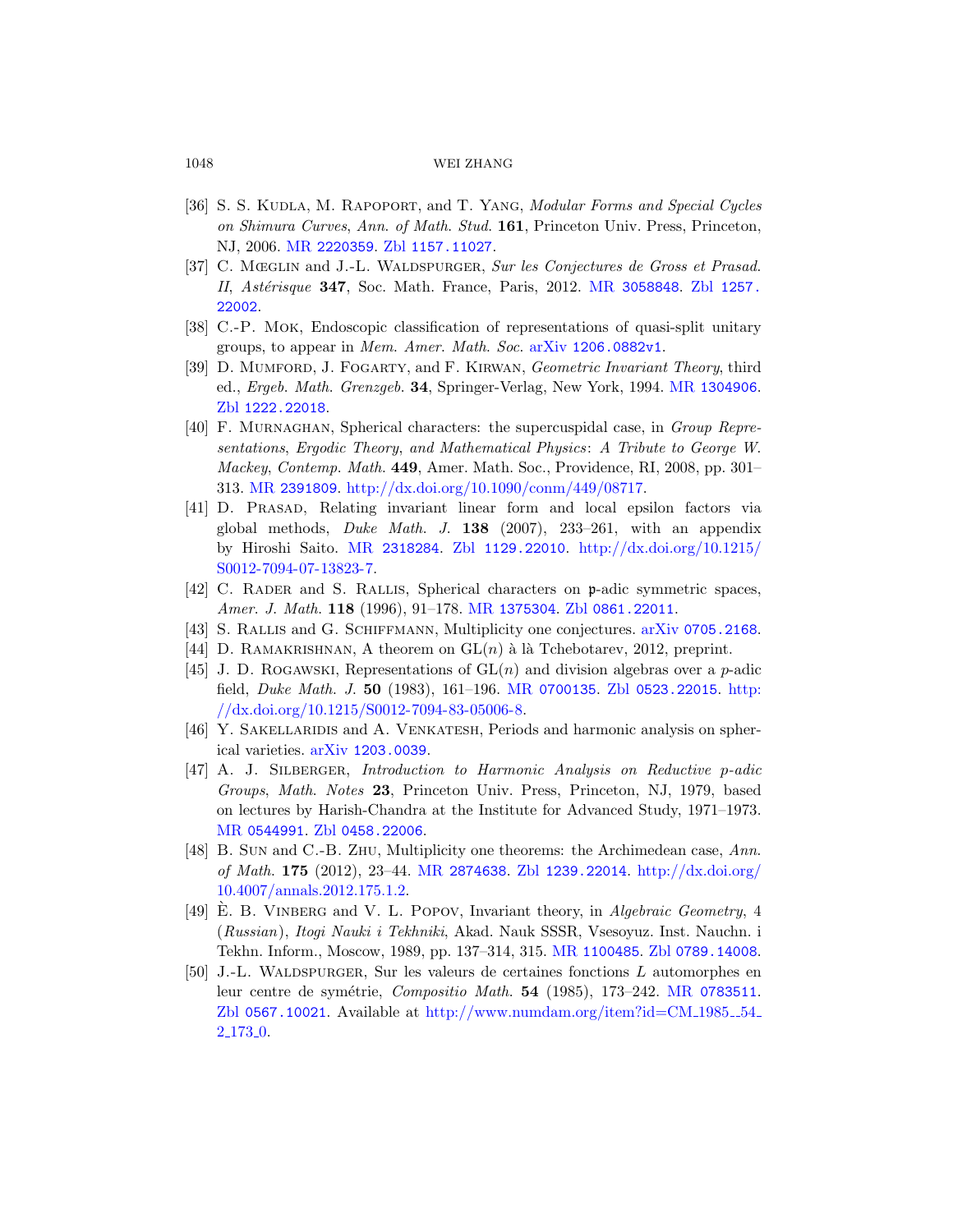## 1048 [WEI ZHANG](http://www.ams.org/mathscinet-getitem?mr=3058848)

- [36] S. S. KUDLA, M. RAPOPORT, and T. YANG, Modular Forms and Special Cycles on Shimura Curves, Ann. of Math. Stud. 161, Princeton Univ. Press, Princeton, NJ, 2006. MR 2220359. Zbl 1157.11027.
- [37] C. Mœglin and J.-L. Waldspurger, [Sur les Conjec](http://www.ams.org/mathscinet-getitem?mr=1304906)tures de Gross et Prasad. II, Astérisque 347, Soc. Math. France, Paris, 2012. MR 3058848. Zbl 1257. 22002.
- [38] C.-P. Mok, Endoscopic classification of representations of quasi-split unitary [groups, to appear in](http://dx.doi.org/10.1090/conm/449/08717) Mem. Amer. Math. Soc. arXiv 1206.0882v1.
- [39] D. MUMFORD, J. FOGARTY, and F. KIRWAN, Geometric Invariant Theory, third ed., Ergeb. Math. Grenzgeb. 34, Springer-Verlag, New York, 1994. MR 1304906. Zbl 1222[.22018](http://www.zentralblatt-math.org/zmath/en/search/?q=an:1129.22010).
- [\[40](http://dx.doi.org/10.1215/S0012-7094-07-13823-7)] [F. Mur](http://www.ams.org/mathscinet-getitem?mr=2318284)naghan, Spherical [characters: the supercuspid](http://dx.doi.org/10.1215/S0012-7094-07-13823-7)al case, in Group Representations, Ergodic Theory, and Mathematical Physics: A Tribute to George W. Mackey, Co[ntemp](http://www.ams.org/mathscinet-getitem?mr=1375304). Math. 449[, Amer. Math](http://www.zentralblatt-math.org/zmath/en/search/?q=an:0861.22011). Soc., Providence, RI, 2008, pp. 301– 313. MR 2391809. http://dx.doi.org[/10.1090/conm/44](http://www.arxiv.org/abs/0705.2168)9/08717.
- [41] D. Prasad, Relating invariant linear form and local epsilon factors via global methods, *Duke Math. J.* **138** (2007), 233–261, with an appendix by Hiroshi Saito. MR [231828](http://www.ams.org/mathscinet-getitem?mr=0700135)4. Zbl [1129.220](http://www.zentralblatt-math.org/zmath/en/search/?q=an:0523.22015)10. [ht](http://dx.doi.org/10.1215/S0012-7094-83-05006-8)tp://dx.doi.org/10.1215/ [S0012-7094-07-13823](http://dx.doi.org/10.1215/S0012-7094-83-05006-8)-7.
- [42] C. Rader and S. Rallis, Spherical characters on p-adic symmetric spaces, [Amer](http://www.arxiv.org/abs/1203.0039). J. Math. 118 (1996), 91–178. MR 1375304. Zbl 0861.22011.
- [43] S. Rallis and G. Schiffmann, Multiplicity one conjectures. arXiv 0705.2168.
- [44] D. RAMAKRISHNAN, A theorem on  $GL(n)$  à là Tchebotarev, 2012, preprint.
- [45] J. D. ROGAWSKI, Representations of  $GL(n)$  and division algebras over a p-adic [field,](http://www.zentralblatt-math.org/zmath/en/search/?q=an:0458.22006) Duke Math. J. 50 (1983), 161–196. MR 0700135. Zbl 0523.22015. http:  $//dx.doi.org/10.1215/S0012-7094-83-05006-8.$
- [46] Y. [Sakellaridis](http://www.ams.org/mathscinet-getitem?mr=2874638) and [A. Venkate](http://www.zentralblatt-math.org/zmath/en/search/?q=an:1239.22014)sh[, Periods and har](http://dx.doi.org/10.4007/annals.2012.175.1.2)monic analysis on spher[ical](http://dx.doi.org/10.4007/annals.2012.175.1.2) varieties. arXiv 1203.0039.
- [47] A. J. SILBERGER, Introduction to Harmonic Analysis on Reductive p-adic Groups, Math. Notes 23, Princeton Univ. Press, Princeton, NJ, 1979, based on lectures by Harish-C[handra at the](http://www.ams.org/mathscinet-getitem?mr=1100485) [Institute for Adv](http://www.zentralblatt-math.org/zmath/en/search/?q=an:0789.14008)anced Study, 1971–1973. MR 0544991. Zbl 0458.22006.
- [48] B. SUN and C.-B. ZHU, Multiplicity one [theorems: the](http://www.ams.org/mathscinet-getitem?mr=0783511) Archimedean case, Ann. of Math. 175 [\(2012\), 23–44.](http://www.numdam.org/item?id=CM_1985__54_2_173_0) MR 2874638. Zbl 1239.22014. http://dx.doi.org/ 10.4007/annals.2012.175.1.2.
- [49] E. B. VINBERG and V. L. POPOV, Invariant theory, in Algebraic Geometry, 4 (Russian), Itogi Nauki i Tekhniki, Akad. Nauk SSSR, Vsesoyuz. Inst. Nauchn. i Tekhn. Inform., Moscow, 1989, pp. 137–314, 315. MR 1100485. Zbl 0789.14008.
- [50] J.-L. Waldspurger, Sur les valeurs de certaines fonctions L automorphes en leur centre de symétrie, Compositio Math. 54 (1985), 173-242. MR 0783511. Zbl 0567.10021. Available at http://www.numdam.org/item?id=CM\_1985\_54\_ 2.173.0.